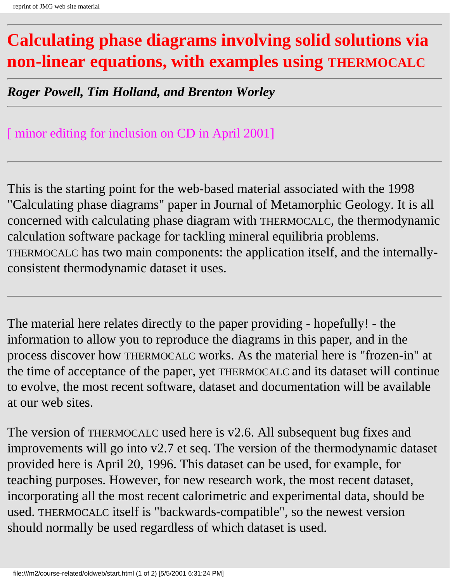# <span id="page-0-0"></span>**Calculating phase diagrams involving solid solutions via non-linear equations, with examples using THERMOCALC**

*Roger Powell, Tim Holland, and Brenton Worley*

#### [ minor editing for inclusion on CD in April 2001]

This is the starting point for the web-based material associated with the 1998 "Calculating phase diagrams" paper in Journal of Metamorphic Geology. It is all concerned with calculating phase diagram with THERMOCALC, the thermodynamic calculation software package for tackling mineral equilibria problems. THERMOCALC has two main components: the application itself, and the internallyconsistent thermodynamic dataset it uses.

The material here relates directly to the paper providing - hopefully! - the information to allow you to reproduce the diagrams in this paper, and in the process discover how THERMOCALC works. As the material here is "frozen-in" at the time of acceptance of the paper, yet THERMOCALC and its dataset will continue to evolve, the most recent software, dataset and documentation will be available at our web sites.

The version of THERMOCALC used here is v2.6. All subsequent bug fixes and improvements will go into v2.7 et seq. The version of the thermodynamic dataset provided here is April 20, 1996. This dataset can be used, for example, for teaching purposes. However, for new research work, the most recent dataset, incorporating all the most recent calorimetric and experimental data, should be used. THERMOCALC itself is "backwards-compatible", so the newest version should normally be used regardless of which dataset is used.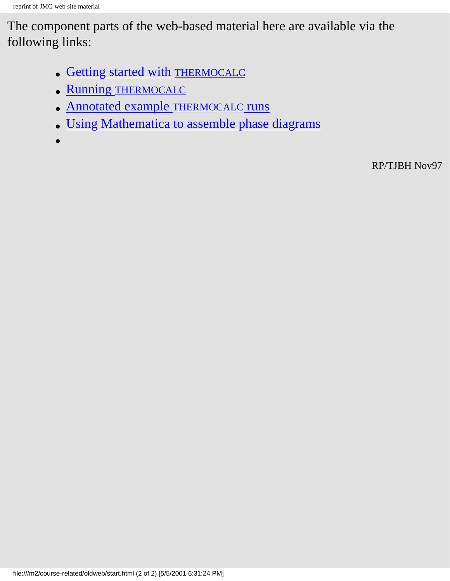The component parts of the web-based material here are available via the following links:

- [Getting started with THERMOCALC](#page-2-0)
- [Running THERMOCALC](#page-6-0)
- [Annotated example THERMOCALC runs](#page-18-0)
- [Using Mathematica to assemble phase diagrams](#page-26-0)

●

RP/TJBH Nov97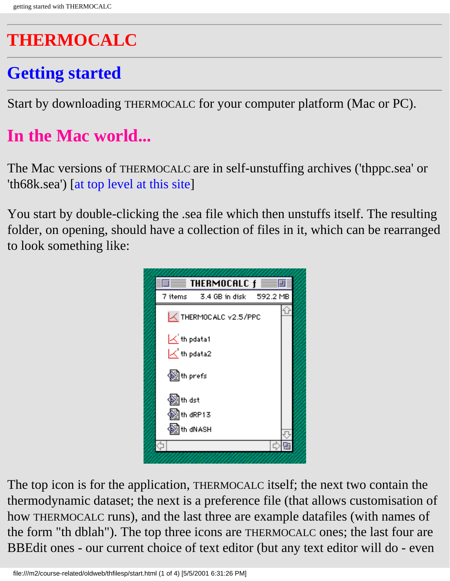# <span id="page-2-0"></span>**THERMOCALC**

# **Getting started**

Start by downloading THERMOCALC for your computer platform (Mac or PC).

# **In the Mac world...**

The Mac versions of THERMOCALC are in self-unstuffing archives ('thppc.sea' or 'th68k.sea') [at top level at this site]

You start by double-clicking the .sea file which then unstuffs itself. The resulting folder, on opening, should have a collection of files in it, which can be rearranged to look something like:



The top icon is for the application, THERMOCALC itself; the next two contain the thermodynamic dataset; the next is a preference file (that allows customisation of how THERMOCALC runs), and the last three are example datafiles (with names of the form "th dblah"). The top three icons are THERMOCALC ones; the last four are BBEdit ones - our current choice of text editor (but any text editor will do - even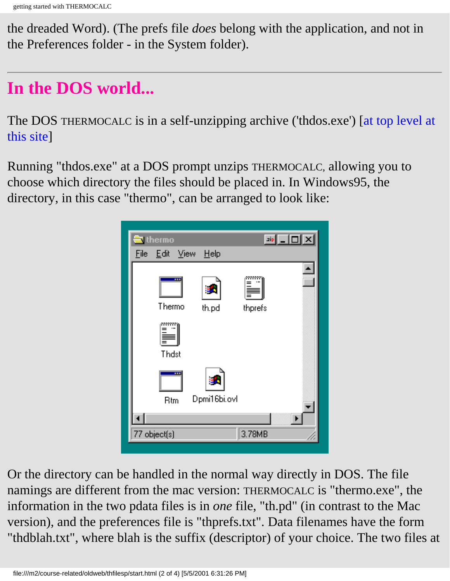the dreaded Word). (The prefs file *does* belong with the application, and not in the Preferences folder - in the System folder).

# **In the DOS world...**

The DOS THERMOCALC is in a self-unzipping archive ('thdos.exe') [at top level at this site]

Running "thdos.exe" at a DOS prompt unzips THERMOCALC, allowing you to choose which directory the files should be placed in. In Windows95, the directory, in this case "thermo", can be arranged to look like:



Or the directory can be handled in the normal way directly in DOS. The file namings are different from the mac version: THERMOCALC is "thermo.exe", the information in the two pdata files is in *one* file, "th.pd" (in contrast to the Mac version), and the preferences file is "thprefs.txt". Data filenames have the form "thdblah.txt", where blah is the suffix (descriptor) of your choice. The two files at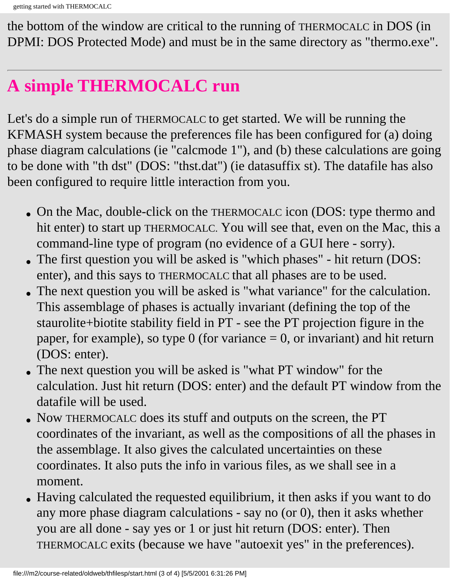the bottom of the window are critical to the running of THERMOCALC in DOS (in DPMI: DOS Protected Mode) and must be in the same directory as "thermo.exe".

# **A simple THERMOCALC run**

Let's do a simple run of THERMOCALC to get started. We will be running the KFMASH system because the preferences file has been configured for (a) doing phase diagram calculations (ie "calcmode 1"), and (b) these calculations are going to be done with "th dst" (DOS: "thst.dat") (ie datasuffix st). The datafile has also been configured to require little interaction from you.

- On the Mac, double-click on the THERMOCALC icon (DOS: type thermo and hit enter) to start up THERMOCALC. You will see that, even on the Mac, this a command-line type of program (no evidence of a GUI here - sorry).
- The first question you will be asked is "which phases" hit return (DOS: enter), and this says to THERMOCALC that all phases are to be used.
- The next question you will be asked is "what variance" for the calculation. This assemblage of phases is actually invariant (defining the top of the staurolite+biotite stability field in PT - see the PT projection figure in the paper, for example), so type  $0$  (for variance  $= 0$ , or invariant) and hit return (DOS: enter).
- The next question you will be asked is "what PT window" for the calculation. Just hit return (DOS: enter) and the default PT window from the datafile will be used.
- Now THERMOCALC does its stuff and outputs on the screen, the PT coordinates of the invariant, as well as the compositions of all the phases in the assemblage. It also gives the calculated uncertainties on these coordinates. It also puts the info in various files, as we shall see in a moment.
- Having calculated the requested equilibrium, it then asks if you want to do any more phase diagram calculations - say no (or 0), then it asks whether you are all done - say yes or 1 or just hit return (DOS: enter). Then THERMOCALC exits (because we have "autoexit yes" in the preferences).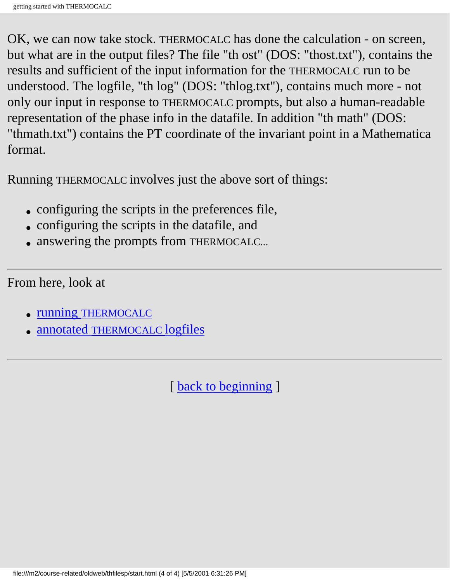OK, we can now take stock. THERMOCALC has done the calculation - on screen, but what are in the output files? The file "th ost" (DOS: "thost.txt"), contains the results and sufficient of the input information for the THERMOCALC run to be understood. The logfile, "th log" (DOS: "thlog.txt"), contains much more - not only our input in response to THERMOCALC prompts, but also a human-readable representation of the phase info in the datafile. In addition "th math" (DOS: "thmath.txt") contains the PT coordinate of the invariant point in a Mathematica format.

Running THERMOCALC involves just the above sort of things:

- configuring the scripts in the preferences file,
- configuring the scripts in the datafile, and
- answering the prompts from THERMOCALC...

From here, look at

- [running THERMOCALC](#page-6-0)
- [annotated THERMOCALC logfiles](#page-18-0)

[ [back to beginning](#page-0-0) ]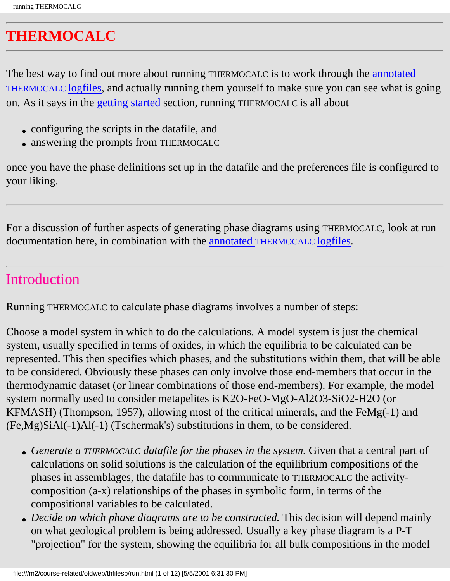### <span id="page-6-0"></span>**THERMOCALC**

The best way to find out more about running THERMOCALC is to work through the annotated [THERMOCALC logfiles](#page-18-0), and actually running them yourself to make sure you can see what is going on. As it says in the [getting started](#page-2-0) section, running THERMOCALC is all about

- configuring the scripts in the datafile, and
- answering the prompts from THERMOCALC

once you have the phase definitions set up in the datafile and the preferences file is configured to your liking.

For a discussion of further aspects of generating phase diagrams using THERMOCALC, look at run documentation here, in combination with the [annotated THERMOCALC logfiles](#page-18-0).

#### Introduction

Running THERMOCALC to calculate phase diagrams involves a number of steps:

Choose a model system in which to do the calculations. A model system is just the chemical system, usually specified in terms of oxides, in which the equilibria to be calculated can be represented. This then specifies which phases, and the substitutions within them, that will be able to be considered. Obviously these phases can only involve those end-members that occur in the thermodynamic dataset (or linear combinations of those end-members). For example, the model system normally used to consider metapelites is K2O-FeO-MgO-Al2O3-SiO2-H2O (or KFMASH) (Thompson, 1957), allowing most of the critical minerals, and the FeMg(-1) and (Fe,Mg)SiAl(-1)Al(-1) (Tschermak's) substitutions in them, to be considered.

- Generate a THERMOCALC datafile for the phases in the system. Given that a central part of calculations on solid solutions is the calculation of the equilibrium compositions of the phases in assemblages, the datafile has to communicate to THERMOCALC the activitycomposition (a-x) relationships of the phases in symbolic form, in terms of the compositional variables to be calculated.
- *Decide on which phase diagrams are to be constructed*. This decision will depend mainly on what geological problem is being addressed. Usually a key phase diagram is a P-T "projection" for the system, showing the equilibria for all bulk compositions in the model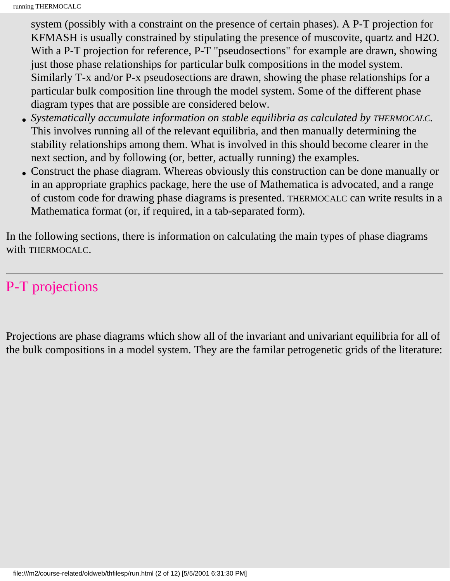system (possibly with a constraint on the presence of certain phases). A P-T projection for KFMASH is usually constrained by stipulating the presence of muscovite, quartz and H2O. With a P-T projection for reference, P-T "pseudosections" for example are drawn, showing just those phase relationships for particular bulk compositions in the model system. Similarly T-x and/or P-x pseudosections are drawn, showing the phase relationships for a particular bulk composition line through the model system. Some of the different phase diagram types that are possible are considered below.

- Systematically accumulate information on stable equilibria as calculated by THERMOCALC. This involves running all of the relevant equilibria, and then manually determining the stability relationships among them. What is involved in this should become clearer in the next section, and by following (or, better, actually running) the examples.
- Construct the phase diagram. Whereas obviously this construction can be done manually or in an appropriate graphics package, here the use of Mathematica is advocated, and a range of custom code for drawing phase diagrams is presented. THERMOCALC can write results in a Mathematica format (or, if required, in a tab-separated form).

In the following sections, there is information on calculating the main types of phase diagrams with THERMOCALC.

#### P-T projections

Projections are phase diagrams which show all of the invariant and univariant equilibria for all of the bulk compositions in a model system. They are the familar petrogenetic grids of the literature: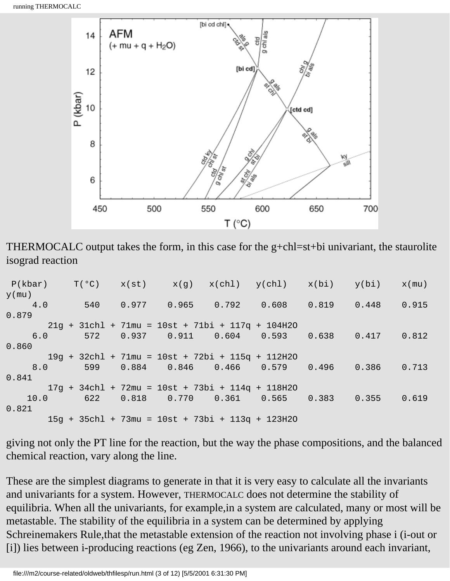

THERMOCALC output takes the form, in this case for the g+chl=st+bi univariant, the staurolite isograd reaction

```
P(kbar) T(°C) x(st) x(g) x(chl) y(chl) x(bi) y(bi) x(mu)y(mu)
 4.0 540 0.977 0.965 0.792 0.608 0.819 0.448 0.915 
0.879
       21g + 31chl + 71mu = 10st + 71bi + 117q + 104H2O
 6.0 572 0.937 0.911 0.604 0.593 0.638 0.417 0.812 
0.860
       19g + 32chl + 71mu = 10st + 72bi + 115q + 112H2O
 8.0 599 0.884 0.846 0.466 0.579 0.496 0.386 0.713 
0.841
       17g + 34chl + 72mu = 10st + 73bi + 114q + 118H2O
 10.0 622 0.818 0.770 0.361 0.565 0.383 0.355 0.619 
0.821
       15g + 35chl + 73mu = 10st + 73bi + 113q + 123H2O
```
giving not only the PT line for the reaction, but the way the phase compositions, and the balanced chemical reaction, vary along the line.

These are the simplest diagrams to generate in that it is very easy to calculate all the invariants and univariants for a system. However, THERMOCALC does not determine the stability of equilibria. When all the univariants, for example,in a system are calculated, many or most will be metastable. The stability of the equilibria in a system can be determined by applying Schreinemakers Rule,that the metastable extension of the reaction not involving phase i (i-out or [i]) lies between i-producing reactions (eg Zen, 1966), to the univariants around each invariant,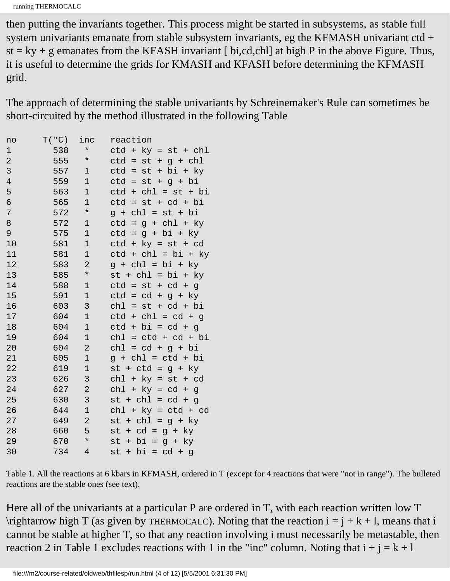running THERMOCALC

then putting the invariants together. This process might be started in subsystems, as stable full system univariants emanate from stable subsystem invariants, eg the KFMASH univariant ctd +  $st = ky + g$  emanates from the KFASH invariant [bi,cd,chl] at high P in the above Figure. Thus, it is useful to determine the grids for KMASH and KFASH before determining the KFMASH grid.

The approach of determining the stable univariants by Schreinemaker's Rule can sometimes be short-circuited by the method illustrated in the following Table

| no             | T(°C) | inc            | reaction                          |
|----------------|-------|----------------|-----------------------------------|
| 1              | 538   | $^\star$       | $ctd + ky = st + chl$             |
| $\overline{a}$ | 555   | $\ast$         | $ctd =$<br>st<br>g + chl<br>$+$   |
| 3              | 557   | 1              | + bi + ky<br>$ctd =$<br>st        |
| $\overline{4}$ | 559   | $\mathbf{1}$   | $ctd =$<br>$st + g + bi$          |
| 5              | 563   | $\mathbf 1$    | $ctd + chl = st + bi$             |
| 6              | 565   | $\mathbf 1$    | $ctd =$<br>$st + cd + bi$         |
| 7              | 572   | $\star$        | $q + chl = st + bi$               |
| 8              | 572   | 1              | ctd<br>$= g + chl + ky$           |
| 9              | 575   | $1\,$          | $ctd = g + bi + ky$               |
| 10             | 581   | $1\,$          | $ctd + ky = st + cd$              |
| 11             | 581   | $\mathbf 1$    | $ctd + chl = bi + ky$             |
| 12             | 583   | 2              | $g + chl = bi + ky$               |
| 13             | 585   | $\ast$         | $st + chl = bi + ky$              |
| 14             | 588   | 1              | $ctd = st + cd + g$               |
| 15             | 591   | $\mathbf 1$    | $ctd = cd$<br>$+ g + ky$          |
| 16             | 603   | 3              | $ch1 =$<br>$st + cd + bi$         |
| 17             | 604   | $1\,$          | $ctd + chl = cd + g$              |
| 18             | 604   | $\mathbf{1}$   | $ctd + bi = cd + g$               |
| 19             | 604   | $\mathbf 1$    | $ch1 = ctd + cd + bi$             |
| 20             | 604   | $\overline{c}$ | $ch1 = cd + g + bi$               |
| 21             | 605   | $\mathbf 1$    | $g + chl = ctd + bi$              |
| 22             | 619   | 1              | $st + ctd = g + ky$               |
| 23             | 626   | 3              | $chl + ky = st + cd$              |
| 24             | 627   | $\overline{c}$ | $chl + ky = cd +$<br>$\mathbf{q}$ |
| 25             | 630   | 3              | $st + chl = cd + g$               |
| 26             | 644   | $1\,$          | $ch1 + ky = ctd + cd$             |
| 27             | 649   | 2              | $st + chl = g + ky$               |
| 28             | 660   | 5              | $+ cd = g + ky$<br>st             |
| 29             | 670   | $\star$        | + bi<br>$g + ky$<br>st<br>$=$     |
| 30             | 734   | $\overline{4}$ | st + bi<br>$= cd + g$             |

Table 1. All the reactions at 6 kbars in KFMASH, ordered in T (except for 4 reactions that were "not in range"). The bulleted reactions are the stable ones (see text).

Here all of the univariants at a particular P are ordered in T, with each reaction written low T \rightarrow high T (as given by THERMOCALC). Noting that the reaction  $i = j + k + 1$ , means that i cannot be stable at higher T, so that any reaction involving i must necessarily be metastable, then reaction 2 in Table 1 excludes reactions with 1 in the "inc" column. Noting that  $i + j = k + 1$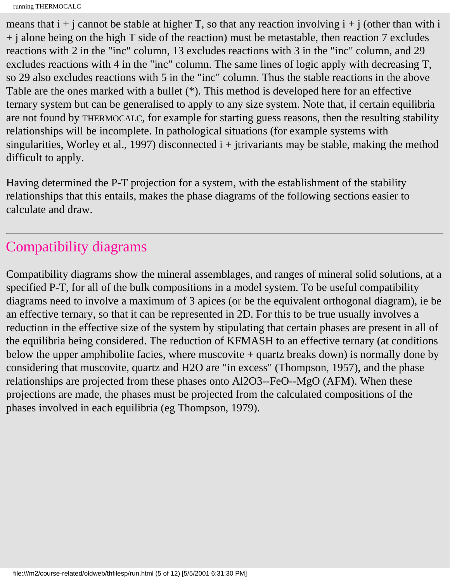```
running THERMOCALC
```
means that  $i + j$  cannot be stable at higher T, so that any reaction involving  $i + j$  (other than with i  $+$  j alone being on the high T side of the reaction) must be metastable, then reaction 7 excludes reactions with 2 in the "inc" column, 13 excludes reactions with 3 in the "inc" column, and 29 excludes reactions with 4 in the "inc" column. The same lines of logic apply with decreasing T, so 29 also excludes reactions with 5 in the "inc" column. Thus the stable reactions in the above Table are the ones marked with a bullet (\*). This method is developed here for an effective ternary system but can be generalised to apply to any size system. Note that, if certain equilibria are not found by THERMOCALC, for example for starting guess reasons, then the resulting stability relationships will be incomplete. In pathological situations (for example systems with singularities, Worley et al., 1997) disconnected  $i + j$ trivariants may be stable, making the method difficult to apply.

Having determined the P-T projection for a system, with the establishment of the stability relationships that this entails, makes the phase diagrams of the following sections easier to calculate and draw.

#### Compatibility diagrams

Compatibility diagrams show the mineral assemblages, and ranges of mineral solid solutions, at a specified P-T, for all of the bulk compositions in a model system. To be useful compatibility diagrams need to involve a maximum of 3 apices (or be the equivalent orthogonal diagram), ie be an effective ternary, so that it can be represented in 2D. For this to be true usually involves a reduction in the effective size of the system by stipulating that certain phases are present in all of the equilibria being considered. The reduction of KFMASH to an effective ternary (at conditions below the upper amphibolite facies, where muscovite + quartz breaks down) is normally done by considering that muscovite, quartz and H2O are "in excess" (Thompson, 1957), and the phase relationships are projected from these phases onto Al2O3--FeO--MgO (AFM). When these projections are made, the phases must be projected from the calculated compositions of the phases involved in each equilibria (eg Thompson, 1979).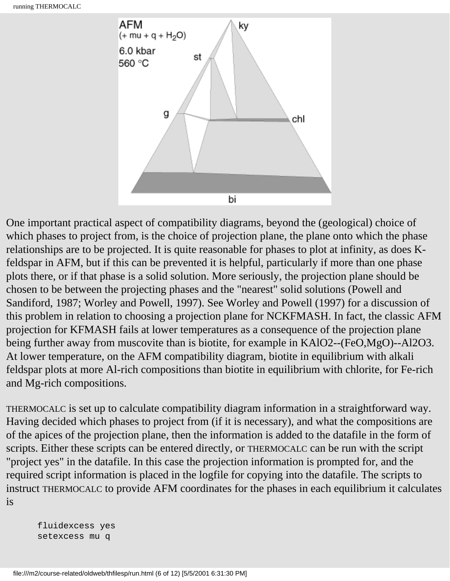

One important practical aspect of compatibility diagrams, beyond the (geological) choice of which phases to project from, is the choice of projection plane, the plane onto which the phase relationships are to be projected. It is quite reasonable for phases to plot at infinity, as does Kfeldspar in AFM, but if this can be prevented it is helpful, particularly if more than one phase plots there, or if that phase is a solid solution. More seriously, the projection plane should be chosen to be between the projecting phases and the "nearest" solid solutions (Powell and Sandiford, 1987; Worley and Powell, 1997). See Worley and Powell (1997) for a discussion of this problem in relation to choosing a projection plane for NCKFMASH. In fact, the classic AFM projection for KFMASH fails at lower temperatures as a consequence of the projection plane being further away from muscovite than is biotite, for example in KAlO2--(FeO,MgO)--Al2O3. At lower temperature, on the AFM compatibility diagram, biotite in equilibrium with alkali feldspar plots at more Al-rich compositions than biotite in equilibrium with chlorite, for Fe-rich and Mg-rich compositions.

THERMOCALC is set up to calculate compatibility diagram information in a straightforward way. Having decided which phases to project from (if it is necessary), and what the compositions are of the apices of the projection plane, then the information is added to the datafile in the form of scripts. Either these scripts can be entered directly, or THERMOCALC can be run with the script "project yes" in the datafile. In this case the projection information is prompted for, and the required script information is placed in the logfile for copying into the datafile. The scripts to instruct THERMOCALC to provide AFM coordinates for the phases in each equilibrium it calculates is

 fluidexcess yes setexcess mu q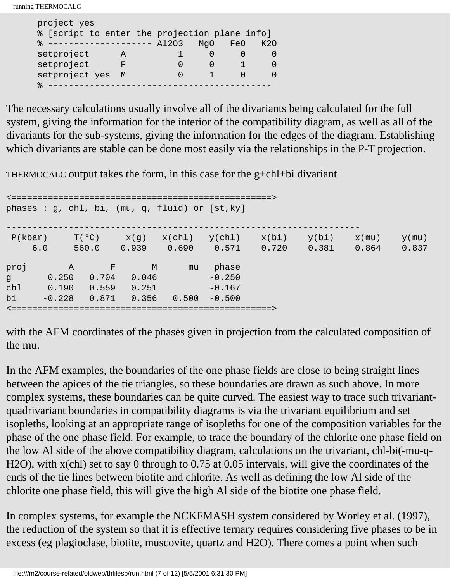running THERMOCALC

project  $\frac{1}{2}$ 

| PIO IECL YES                                    |   |  |     |     |     |
|-------------------------------------------------|---|--|-----|-----|-----|
| % [script to enter the projection plane info]   |   |  |     |     |     |
| $\text{\textdegree}$ -------------------- A1203 |   |  | MaO | FeO | K2O |
| setproject                                      |   |  |     |     |     |
| setproject                                      | F |  |     |     |     |
| setproject yes                                  | M |  |     |     |     |
|                                                 |   |  |     |     |     |

The necessary calculations usually involve all of the divariants being calculated for the full system, giving the information for the interior of the compatibility diagram, as well as all of the divariants for the sub-systems, giving the information for the edges of the diagram. Establishing which divariants are stable can be done most easily via the relationships in the P-T projection.

THERMOCALC output takes the form, in this case for the  $g + chl + bi$  divariant

<==================================================> phases : g, chl, bi, (mu, q, fluid) or [st,ky] --------------------------------------------------------------------  $P(kbar)$   $T(°C)$   $x(g)$   $x(chl)$   $y(chl)$   $x(bi)$   $y(bi)$   $x(mu)$   $y(mu)$  6.0 560.0 0.939 0.690 0.571 0.720 0.381 0.864 0.837 proj A F M mu phase g 0.250 0.704 0.046 -0.250 chl  $0.190$   $0.559$   $0.251$   $-0.167$ bi -0.228 0.871 0.356 0.500 -0.500 <==================================================>

with the AFM coordinates of the phases given in projection from the calculated composition of the mu.

In the AFM examples, the boundaries of the one phase fields are close to being straight lines between the apices of the tie triangles, so these boundaries are drawn as such above. In more complex systems, these boundaries can be quite curved. The easiest way to trace such trivariantquadrivariant boundaries in compatibility diagrams is via the trivariant equilibrium and set isopleths, looking at an appropriate range of isopleths for one of the composition variables for the phase of the one phase field. For example, to trace the boundary of the chlorite one phase field on the low Al side of the above compatibility diagram, calculations on the trivariant, chl-bi(-mu-q-H2O), with x(chl) set to say 0 through to 0.75 at 0.05 intervals, will give the coordinates of the ends of the tie lines between biotite and chlorite. As well as defining the low Al side of the chlorite one phase field, this will give the high Al side of the biotite one phase field.

In complex systems, for example the NCKFMASH system considered by Worley et al. (1997), the reduction of the system so that it is effective ternary requires considering five phases to be in excess (eg plagioclase, biotite, muscovite, quartz and H2O). There comes a point when such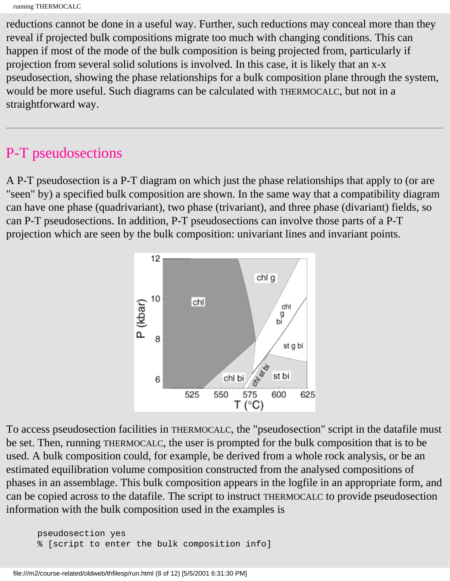```
running THERMOCALC
```
reductions cannot be done in a useful way. Further, such reductions may conceal more than they reveal if projected bulk compositions migrate too much with changing conditions. This can happen if most of the mode of the bulk composition is being projected from, particularly if projection from several solid solutions is involved. In this case, it is likely that an x-x pseudosection, showing the phase relationships for a bulk composition plane through the system, would be more useful. Such diagrams can be calculated with THERMOCALC, but not in a straightforward way.

#### P-T pseudosections

A P-T pseudosection is a P-T diagram on which just the phase relationships that apply to (or are "seen" by) a specified bulk composition are shown. In the same way that a compatibility diagram can have one phase (quadrivariant), two phase (trivariant), and three phase (divariant) fields, so can P-T pseudosections. In addition, P-T pseudosections can involve those parts of a P-T projection which are seen by the bulk composition: univariant lines and invariant points.



To access pseudosection facilities in THERMOCALC, the "pseudosection" script in the datafile must be set. Then, running THERMOCALC, the user is prompted for the bulk composition that is to be used. A bulk composition could, for example, be derived from a whole rock analysis, or be an estimated equilibration volume composition constructed from the analysed compositions of phases in an assemblage. This bulk composition appears in the logfile in an appropriate form, and can be copied across to the datafile. The script to instruct THERMOCALC to provide pseudosection information with the bulk composition used in the examples is

 pseudosection yes % [script to enter the bulk composition info]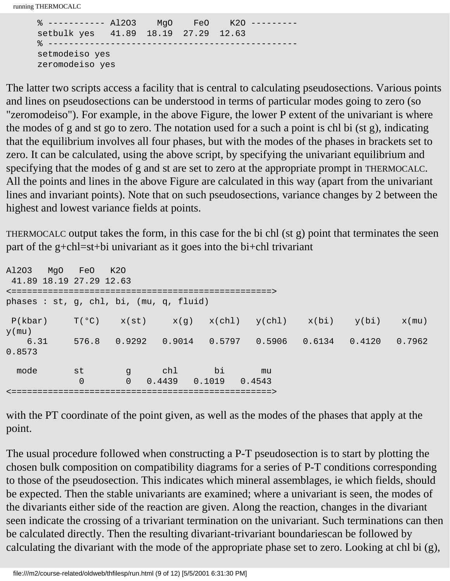running THERMOCALC

```
 % ----------- Al2O3 MgO FeO K2O ---------
 setbulk yes 41.89 18.19 27.29 12.63
\frac{9}{5} --------
 setmodeiso yes
 zeromodeiso yes
```
The latter two scripts access a facility that is central to calculating pseudosections. Various points and lines on pseudosections can be understood in terms of particular modes going to zero (so "zeromodeiso"). For example, in the above Figure, the lower P extent of the univariant is where the modes of g and st go to zero. The notation used for a such a point is chl bi (st g), indicating that the equilibrium involves all four phases, but with the modes of the phases in brackets set to zero. It can be calculated, using the above script, by specifying the univariant equilibrium and specifying that the modes of g and st are set to zero at the appropriate prompt in THERMOCALC. All the points and lines in the above Figure are calculated in this way (apart from the univariant lines and invariant points). Note that on such pseudosections, variance changes by 2 between the highest and lowest variance fields at points.

THERMOCALC output takes the form, in this case for the bi chl (st g) point that terminates the seen part of the g+chl=st+bi univariant as it goes into the bi+chl trivariant

| A1203<br>MqO                            | FeO            | K20                   |                         |    |                                                  |        |        |          |
|-----------------------------------------|----------------|-----------------------|-------------------------|----|--------------------------------------------------|--------|--------|----------|
| 41.89 18.19 27.29 12.63                 |                |                       |                         |    |                                                  |        |        |          |
| phases : st, g, chl, bi, (mu, q, fluid) |                |                       |                         |    |                                                  |        |        |          |
| P(kbar)                                 | $T(^{\circ}C)$ |                       |                         |    | $x(st)$ $x(g)$ $x(chl)$ $y(chl)$ $x(bi)$ $y(bi)$ |        |        | $x$ (mu) |
| $y$ (mu)                                |                |                       |                         |    |                                                  |        |        |          |
| 6.31<br>0.8573                          | 576.8          | 0.9292                | 0.9014                  |    | $0.5797$ 0.5906                                  | 0.6134 | 0.4120 | 0.7962   |
| mode                                    | st<br>$\Omega$ | a g<br>$\overline{0}$ | chl<br>0.4439<br>0.1019 | bi | mu<br>0.4543                                     |        |        |          |
|                                         |                |                       |                         |    |                                                  |        |        |          |

with the PT coordinate of the point given, as well as the modes of the phases that apply at the point.

The usual procedure followed when constructing a P-T pseudosection is to start by plotting the chosen bulk composition on compatibility diagrams for a series of P-T conditions corresponding to those of the pseudosection. This indicates which mineral assemblages, ie which fields, should be expected. Then the stable univariants are examined; where a univariant is seen, the modes of the divariants either side of the reaction are given. Along the reaction, changes in the divariant seen indicate the crossing of a trivariant termination on the univariant. Such terminations can then be calculated directly. Then the resulting divariant-trivariant boundariescan be followed by calculating the divariant with the mode of the appropriate phase set to zero. Looking at chl bi (g),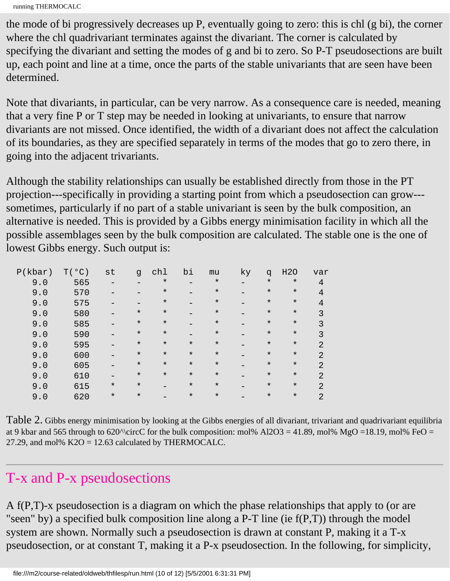```
running THERMOCALC
```
the mode of bi progressively decreases up P, eventually going to zero: this is chl (g bi), the corner where the chl quadrivariant terminates against the divariant. The corner is calculated by specifying the divariant and setting the modes of g and bi to zero. So P-T pseudosections are built up, each point and line at a time, once the parts of the stable univariants that are seen have been determined.

Note that divariants, in particular, can be very narrow. As a consequence care is needed, meaning that a very fine P or T step may be needed in looking at univariants, to ensure that narrow divariants are not missed. Once identified, the width of a divariant does not affect the calculation of its boundaries, as they are specified separately in terms of the modes that go to zero there, in going into the adjacent trivariants.

Although the stability relationships can usually be established directly from those in the PT projection---specifically in providing a starting point from which a pseudosection can grow-- sometimes, particularly if no part of a stable univariant is seen by the bulk composition, an alternative is needed. This is provided by a Gibbs energy minimisation facility in which all the possible assemblages seen by the bulk composition are calculated. The stable one is the one of lowest Gibbs energy. Such output is:

| P(kbar) | T(°C) | st       | q        | chl     | bi      | mu      | ky | q       | <b>H20</b> | var            |
|---------|-------|----------|----------|---------|---------|---------|----|---------|------------|----------------|
| 9.0     | 565   |          |          | $\star$ |         | $\star$ |    | $\star$ | $\star$    | 4              |
| 9.0     | 570   |          |          | $\ast$  |         | $\star$ |    | $\star$ | $\star$    | 4              |
| 9.0     | 575   |          |          | $\ast$  |         | $\star$ |    | $\star$ | $\star$    | 4              |
| 9.0     | 580   |          | $^\star$ | $\star$ |         | $\star$ |    | $\star$ | $\star$    |                |
| 9.0     | 585   |          | $\star$  | $\star$ |         | $\star$ |    | $\star$ | $\star$    | 3              |
| 9.0     | 590   |          | $^\star$ | $\star$ |         | $\star$ |    | $\star$ | $\star$    | 3              |
| 9.0     | 595   |          | $\star$  | $\star$ | $\star$ | $\star$ |    | $\star$ | $^\star$   | $\mathcal{D}$  |
| 9.0     | 600   |          | $^\star$ | $\star$ | $\star$ | $\star$ |    | $\star$ | $^\star$   | $\mathfrak{D}$ |
| 9.0     | 605   |          | $^\star$ | $\star$ | $\star$ | $\star$ |    | $\star$ | $^\star$   | $\mathcal{D}$  |
| 9.0     | 610   |          | $\star$  | $\star$ | $\star$ | $\star$ |    | $\star$ | $\star$    | $\mathfrak{D}$ |
| 9.0     | 615   | $^\star$ | $\star$  |         | $\star$ | $\star$ |    | $\star$ | $\star$    | $\mathfrak{D}$ |
| 9.0     | 620   | $\ast$   | $\star$  |         | $\star$ | $\star$ |    | $\star$ | $\star$    | 2              |

Table 2. Gibbs energy minimisation by looking at the Gibbs energies of all divariant, trivariant and quadrivariant equilibria at 9 kbar and 565 through to 620^\circC for the bulk composition: mol% Al2O3 = 41.89, mol% MgO =18.19, mol% FeO = 27.29, and mol%  $K2O = 12.63$  calculated by THERMOCALC.

#### T-x and P-x pseudosections

A f(P,T)-x pseudosection is a diagram on which the phase relationships that apply to (or are "seen" by) a specified bulk composition line along a P-T line (ie  $f(P,T)$ ) through the model system are shown. Normally such a pseudosection is drawn at constant P, making it a T-x pseudosection, or at constant T, making it a P-x pseudosection. In the following, for simplicity,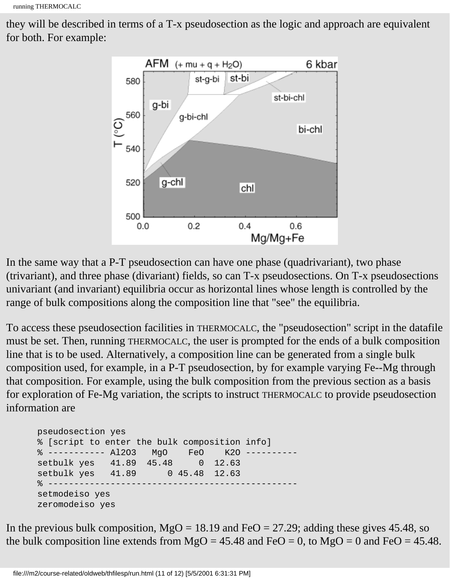```
running THERMOCALC
```
they will be described in terms of a T-x pseudosection as the logic and approach are equivalent for both. For example:



In the same way that a P-T pseudosection can have one phase (quadrivariant), two phase (trivariant), and three phase (divariant) fields, so can T-x pseudosections. On T-x pseudosections univariant (and invariant) equilibria occur as horizontal lines whose length is controlled by the range of bulk compositions along the composition line that "see" the equilibria.

To access these pseudosection facilities in THERMOCALC, the "pseudosection" script in the datafile must be set. Then, running THERMOCALC, the user is prompted for the ends of a bulk composition line that is to be used. Alternatively, a composition line can be generated from a single bulk composition used, for example, in a P-T pseudosection, by for example varying Fe--Mg through that composition. For example, using the bulk composition from the previous section as a basis for exploration of Fe-Mg variation, the scripts to instruct THERMOCALC to provide pseudosection information are

```
 pseudosection yes
 % [script to enter the bulk composition info]
 % ----------- Al2O3 MgO FeO K2O ----------
 setbulk yes 41.89 45.48 0 12.63
 setbulk yes 41.89 0 45.48 12.63
 % ------------------------------------------------
 setmodeiso yes
 zeromodeiso yes
```
In the previous bulk composition,  $MgO = 18.19$  and FeO = 27.29; adding these gives 45.48, so the bulk composition line extends from  $MgO = 45.48$  and FeO = 0, to  $MgO = 0$  and FeO = 45.48.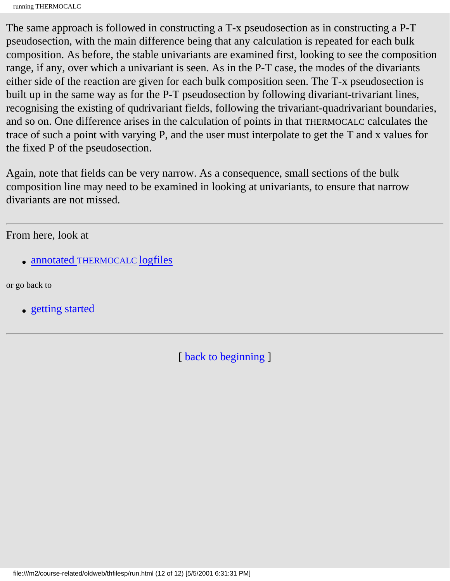The same approach is followed in constructing a T-x pseudosection as in constructing a P-T pseudosection, with the main difference being that any calculation is repeated for each bulk composition. As before, the stable univariants are examined first, looking to see the composition range, if any, over which a univariant is seen. As in the P-T case, the modes of the divariants either side of the reaction are given for each bulk composition seen. The T-x pseudosection is built up in the same way as for the P-T pseudosection by following divariant-trivariant lines, recognising the existing of qudrivariant fields, following the trivariant-quadrivariant boundaries, and so on. One difference arises in the calculation of points in that THERMOCALC calculates the trace of such a point with varying P, and the user must interpolate to get the T and x values for the fixed P of the pseudosection.

Again, note that fields can be very narrow. As a consequence, small sections of the bulk composition line may need to be examined in looking at univariants, to ensure that narrow divariants are not missed.

From here, look at

• [annotated THERMOCALC logfiles](#page-18-0)

or go back to

• [getting started](#page-2-0)

[ [back to beginning](#page-0-0) ]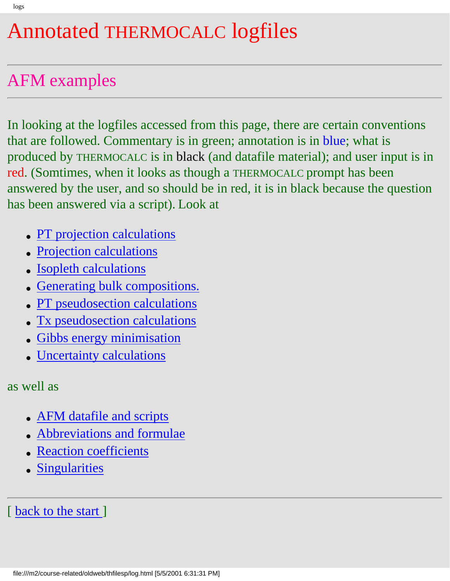# <span id="page-18-0"></span>Annotated THERMOCALC logfiles

# AFM examples

In looking at the logfiles accessed from this page, there are certain conventions that are followed. Commentary is in green; annotation is in blue; what is produced by THERMOCALC is in black (and datafile material); and user input is in red. (Somtimes, when it looks as though a THERMOCALC prompt has been answered by the user, and so should be in red, it is in black because the question has been answered via a script). Look at

- [PT projection calculations](#page-19-0)
- **[Projection calculations](#page-106-0)**
- **[Isopleth calculations](#page-112-0)**
- [Generating bulk compositions.](#page-116-0)
- [PT pseudosection calculations](#page-120-0)
- [Tx pseudosection calculations](#page-138-0)
- **[Gibbs energy minimisation](#page-134-0)**
- [Uncertainty calculations](#page-158-0)

as well as

- [AFM datafile and scripts](#page-162-0)
- [Abbreviations and formulae](#page-169-0)
- **[Reaction coefficients](#page-170-0)**
- [Singularities](#page-172-0)

[ [back to the start](#page-0-0) ]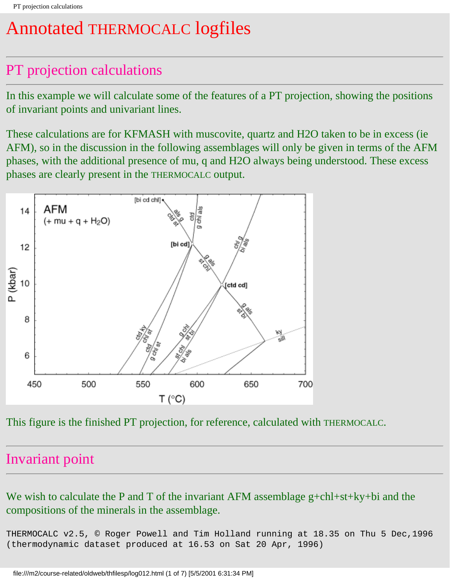# <span id="page-19-0"></span>Annotated THERMOCALC logfiles

### PT projection calculations

In this example we will calculate some of the features of a PT projection, showing the positions of invariant points and univariant lines.

These calculations are for KFMASH with muscovite, quartz and H2O taken to be in excess (ie AFM), so in the discussion in the following assemblages will only be given in terms of the AFM phases, with the additional presence of mu, q and H2O always being understood. These excess phases are clearly present in the THERMOCALC output.



This figure is the finished PT projection, for reference, calculated with THERMOCALC.

#### Invariant point

We wish to calculate the P and T of the invariant AFM assemblage g+chl+st+ky+bi and the compositions of the minerals in the assemblage.

THERMOCALC v2.5, © Roger Powell and Tim Holland running at 18.35 on Thu 5 Dec,1996 (thermodynamic dataset produced at 16.53 on Sat 20 Apr, 1996)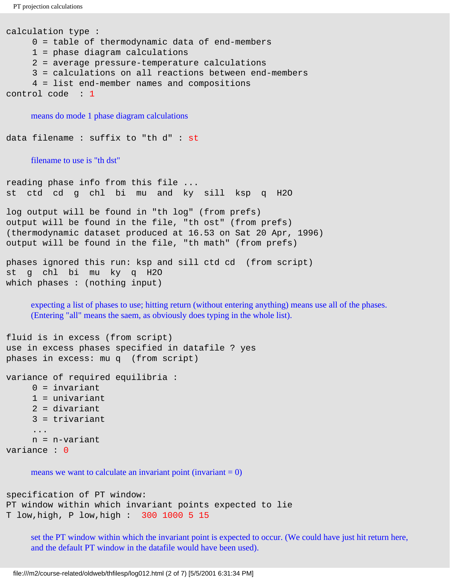```
PT projection calculations
```

```
calculation type :
      0 = table of thermodynamic data of end-members
      1 = phase diagram calculations
      2 = average pressure-temperature calculations
      3 = calculations on all reactions between end-members
      4 = list end-member names and compositions
control code : 1
```
means do mode 1 phase diagram calculations

data filename : suffix to "th d" : st

filename to use is "th dst"

reading phase info from this file ... st ctd cd g chl bi mu and ky sill ksp q H2O

```
log output will be found in "th log" (from prefs)
output will be found in the file, "th ost" (from prefs)
(thermodynamic dataset produced at 16.53 on Sat 20 Apr, 1996)
output will be found in the file, "th math" (from prefs)
```

```
phases ignored this run: ksp and sill ctd cd (from script)
st g chl bi mu ky q H2O 
which phases : (nothing input)
```
expecting a list of phases to use; hitting return (without entering anything) means use all of the phases. (Entering "all" means the saem, as obviously does typing in the whole list).

```
fluid is in excess (from script)
use in excess phases specified in datafile ? yes 
phases in excess: mu q (from script)
```
variance of required equilibria :

```
0 = invariant
 1 = univariant
```

```
 2 = divariant
```

```
 3 = trivariant
```

```
 ...
     n = n-variant
```

```
variance : 0
```
means we want to calculate an invariant point (invariant  $= 0$ )

```
specification of PT window:
PT window within which invariant points expected to lie
T low,high, P low,high : 300 1000 5 15
```
set the PT window within which the invariant point is expected to occur. (We could have just hit return here, and the default PT window in the datafile would have been used).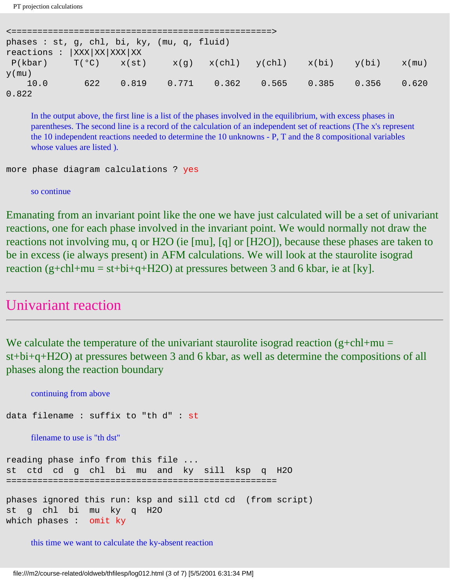PT projection calculations

```
<==================================================>
phases : st, g, chl, bi, ky, (mu, q, fluid) 
reactions : |XXX|XX|XXX|XX
P(kbar) T(^{o}C) x(st) x(g) x(chl) y(chl) x(bi) y(bi) x(mu)y(mu)
 10.0 622 0.819 0.771 0.362 0.565 0.385 0.356 0.620 
0.822
```
In the output above, the first line is a list of the phases involved in the equilibrium, with excess phases in parentheses. The second line is a record of the calculation of an independent set of reactions (The x's represent the 10 independent reactions needed to determine the 10 unknowns - P, T and the 8 compositional variables whose values are listed ).

```
more phase diagram calculations ? yes
```
so continue

Emanating from an invariant point like the one we have just calculated will be a set of univariant reactions, one for each phase involved in the invariant point. We would normally not draw the reactions not involving mu, q or H2O (ie [mu], [q] or [H2O]), because these phases are taken to be in excess (ie always present) in AFM calculations. We will look at the staurolite isograd reaction (g+chl+mu = st+bi+q+H2O) at pressures between 3 and 6 kbar, ie at [ky].

#### Univariant reaction

We calculate the temperature of the univariant staurolite isograd reaction (g+chl+mu = st+bi+q+H2O) at pressures between 3 and 6 kbar, as well as determine the compositions of all phases along the reaction boundary

```
continuing from above
data filename : suffix to "th d" : st
    filename to use is "th dst"
reading phase info from this file ...
st ctd cd g chl bi mu and ky sill ksp q H2O 
====================================================
phases ignored this run: ksp and sill ctd cd (from script)
st g chl bi mu ky q H2O 
which phases : omit ky
```
this time we want to calculate the ky-absent reaction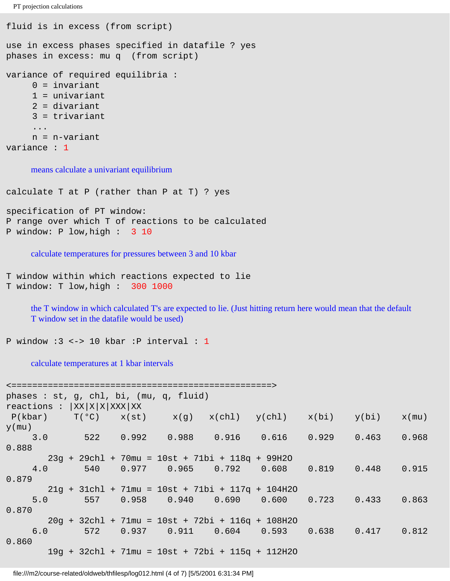```
PT projection calculations
```

```
fluid is in excess (from script)
use in excess phases specified in datafile ? yes
phases in excess: mu q (from script)
variance of required equilibria :
     0 = invariant
      1 = univariant
      2 = divariant
      3 = trivariant
 ...
      n = n-variant
variance : 1
```
means calculate a univariant equilibrium

calculate T at P (rather than P at T) ? yes

```
specification of PT window:
P range over which T of reactions to be calculated
P window: P low,high : 3 10
```
calculate temperatures for pressures between 3 and 10 kbar

```
T window within which reactions expected to lie
T window: T low,high : 300 1000
```
the T window in which calculated T's are expected to lie. (Just hitting return here would mean that the default T window set in the datafile would be used)

```
P window :3 <-> 10 kbar :P interval : 1
```
calculate temperatures at 1 kbar intervals

```
<==================================================>
phases : st, g, chl, bi, (mu, q, fluid) 
reactions : |XX|X|X|XXX|XXP(kbar) T(^{\circ}C) x(st) x(g) x(chl) y(chl) x(bi) y(bi) x(mu)y(mu)
 3.0 522 0.992 0.988 0.916 0.616 0.929 0.463 0.968 
0.888
       23g + 29chl + 70mu = 10st + 71bi + 118q + 99H2O
 4.0 540 0.977 0.965 0.792 0.608 0.819 0.448 0.915 
0.879
       21g + 31chl + 71mu = 10st + 71bi + 117q + 104H2O
 5.0 557 0.958 0.940 0.690 0.600 0.723 0.433 0.863 
0.870
       20g + 32chl + 71mu = 10st + 72bi + 116q + 108H2O
 6.0 572 0.937 0.911 0.604 0.593 0.638 0.417 0.812 
0.860
       19g + 32chl + 71mu = 10st + 72bi + 115q + 112H2O
```
file:///m2/course-related/oldweb/thfilesp/log012.html (4 of 7) [5/5/2001 6:31:34 PM]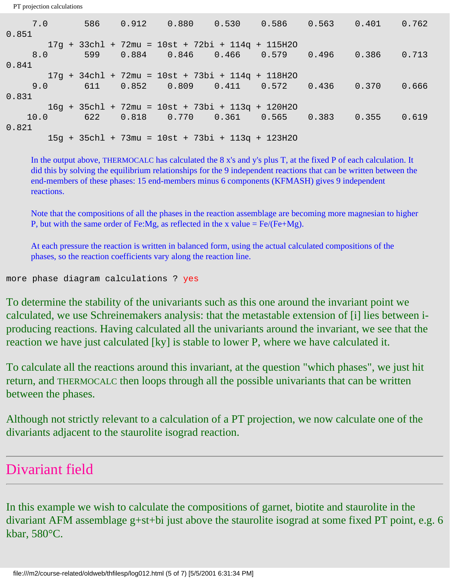PT projection calculations

| 7.0   |  |  | 586  0.912  0.880  0.530  0.586  0.563  0.401  0.762 |  |  |       |
|-------|--|--|------------------------------------------------------|--|--|-------|
| 0.851 |  |  |                                                      |  |  |       |
|       |  |  | $17g + 33chl + 72mu = 10st + 72bi + 114g + 115H2O$   |  |  |       |
| 8.0   |  |  | 599  0.884  0.846  0.466  0.579  0.496  0.386  0.713 |  |  |       |
| 0.841 |  |  |                                                      |  |  |       |
|       |  |  | $17g + 34chl + 72mu = 10st + 73bi + 114g + 118H2O$   |  |  |       |
| 9.0   |  |  | $611$ 0.852 0.809 0.411 0.572 0.436 0.370            |  |  | 0.666 |
| 0.831 |  |  |                                                      |  |  |       |
|       |  |  | 16g + 35chl + 72mu = 10st + 73bi + 113q + 120H2O     |  |  |       |
| 10.0  |  |  | 622  0.818  0.770  0.361  0.565  0.383  0.355  0.619 |  |  |       |
| 0.821 |  |  |                                                      |  |  |       |
|       |  |  | $15q + 35chl + 73mu = 10st + 73bi + 113q + 123H20$   |  |  |       |

In the output above, THERMOCALC has calculated the 8 x's and y's plus T, at the fixed P of each calculation. It did this by solving the equilibrium relationships for the 9 independent reactions that can be written between the end-members of these phases: 15 end-members minus 6 components (KFMASH) gives 9 independent reactions.

Note that the compositions of all the phases in the reaction assemblage are becoming more magnesian to higher P, but with the same order of Fe:Mg, as reflected in the x value  $= \text{Fe/(Fe+Mg)}$ .

At each pressure the reaction is written in balanced form, using the actual calculated compositions of the phases, so the reaction coefficients vary along the reaction line.

```
more phase diagram calculations ? yes
```
To determine the stability of the univariants such as this one around the invariant point we calculated, we use Schreinemakers analysis: that the metastable extension of [i] lies between iproducing reactions. Having calculated all the univariants around the invariant, we see that the reaction we have just calculated [ky] is stable to lower P, where we have calculated it.

To calculate all the reactions around this invariant, at the question "which phases", we just hit return, and THERMOCALC then loops through all the possible univariants that can be written between the phases.

Although not strictly relevant to a calculation of a PT projection, we now calculate one of the divariants adjacent to the staurolite isograd reaction.

#### Divariant field

In this example we wish to calculate the compositions of garnet, biotite and staurolite in the divariant AFM assemblage g+st+bi just above the staurolite isograd at some fixed PT point, e.g. 6 kbar, 580°C.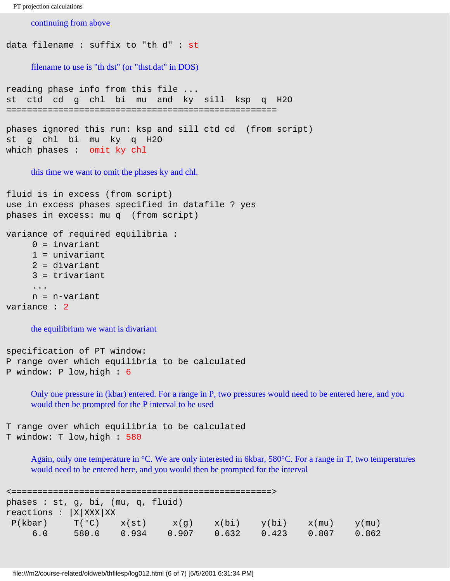```
PT projection calculations
```
continuing from above

```
data filename : suffix to "th d" : st
     filename to use is "th dst" (or "thst.dat" in DOS)
reading phase info from this file ...
st ctd cd g chl bi mu and ky sill ksp q H2O 
====================================================
phases ignored this run: ksp and sill ctd cd (from script)
st g chl bi mu ky q H2O 
which phases : omit ky chl 
     this time we want to omit the phases ky and chl.
fluid is in excess (from script)
use in excess phases specified in datafile ? yes
phases in excess: mu q (from script)
variance of required equilibria :
     0 = invariant
      1 = univariant
      2 = divariant
      3 = trivariant
      ...
      n = n-variant
variance : 2 
     the equilibrium we want is divariant
specification of PT window:
```
P range over which equilibria to be calculated P window: P low,high : 6

> Only one pressure in (kbar) entered. For a range in P, two pressures would need to be entered here, and you would then be prompted for the P interval to be used

```
T range over which equilibria to be calculated
T window: T low,high : 580
```
Again, only one temperature in °C. We are only interested in 6kbar, 580°C. For a range in T, two temperatures would need to be entered here, and you would then be prompted for the interval

```
<==================================================>
phases : st, g, bi, (mu, q, fluid) 
reactions : |X|XXX|XX|P(kbar) T(°C) x(st) x(g) x(bi) y(bi) x(mu) y(mu) 6.0 580.0 0.934 0.907 0.632 0.423 0.807 0.862
```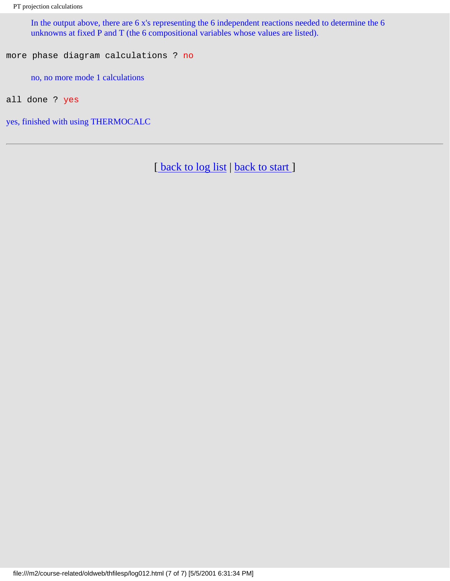In the output above, there are 6 x's representing the 6 independent reactions needed to determine the 6 unknowns at fixed P and T (the 6 compositional variables whose values are listed).

more phase diagram calculations ? no

no, no more mode 1 calculations

all done ? yes

yes, finished with using THERMOCALC

[back to log list | [back to start](#page-0-0) ]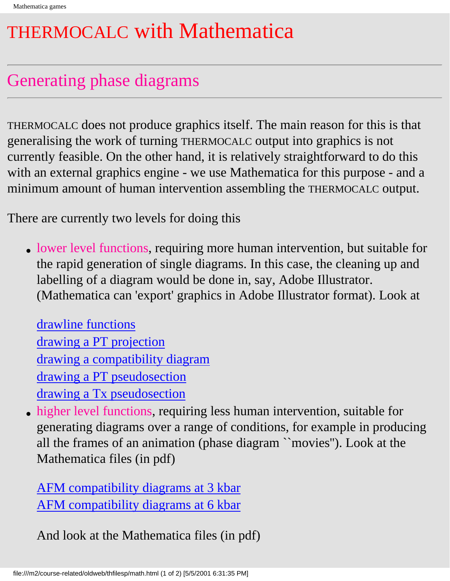# <span id="page-26-0"></span>THERMOCALC with Mathematica

### Generating phase diagrams

THERMOCALC does not produce graphics itself. The main reason for this is that generalising the work of turning THERMOCALC output into graphics is not currently feasible. On the other hand, it is relatively straightforward to do this with an external graphics engine - we use Mathematica for this purpose - and a minimum amount of human intervention assembling the THERMOCALC output.

There are currently two levels for doing this

• lower level functions, requiring more human intervention, but suitable for the rapid generation of single diagrams. In this case, the cleaning up and labelling of a diagram would be done in, say, Adobe Illustrator. (Mathematica can 'export' graphics in Adobe Illustrator format). Look at

[drawline functions](#page-28-0) [drawing a PT projection](#page-30-0) [drawing a compatibility diagram](#page-35-0) [drawing a PT pseudosection](#page-38-0) [drawing a Tx pseudosection](#page-41-0)

• higher level functions, requiring less human intervention, suitable for generating diagrams over a range of conditions, for example in producing all the frames of an animation (phase diagram ``movies''). Look at the Mathematica files (in pdf)

[AFM compatibility diagrams at 3 kbar](#page-45-0) [AFM compatibility diagrams at 6 kbar](#page-59-0)

And look at the Mathematica files (in pdf)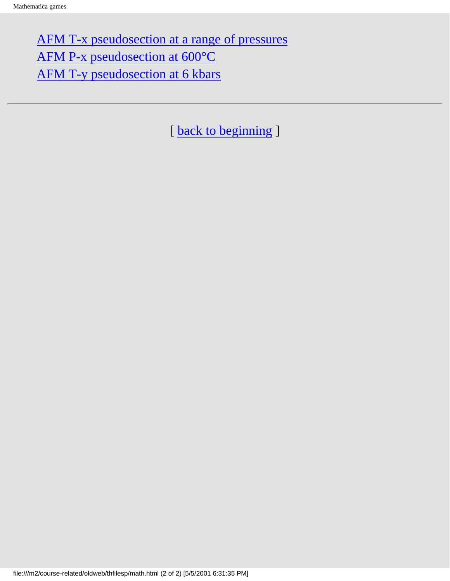[AFM T-x pseudosection at a range of pressures](#page-71-0) [AFM P-x pseudosection at 600°C](#page-88-0) [AFM T-y pseudosection at 6 kbars](#page-96-0)

[ [back to beginning](#page-0-0) ]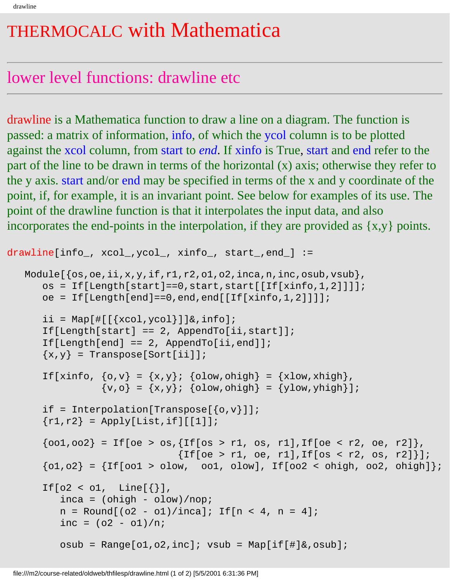# <span id="page-28-0"></span>THERMOCALC with Mathematica

### lower level functions: drawline etc

drawline is a Mathematica function to draw a line on a diagram. The function is passed: a matrix of information, info, of which the ycol column is to be plotted against the xcol column, from start to *end*. If xinfo is True, start and end refer to the part of the line to be drawn in terms of the horizontal (x) axis; otherwise they refer to the y axis. start and/or end may be specified in terms of the x and y coordinate of the point, if, for example, it is an invariant point. See below for examples of its use. The point of the drawline function is that it interpolates the input data, and also incorporates the end-points in the interpolation, if they are provided as {x,y} points.

```
drawline[info_, xcol_,ycol_, xinfo_, start_,end_] :=
   Module\{\cos, \cos, i, x, y, \text{if}, r1, r2, \text{ol}, \cos, i, n, \text{inc}, \cos u\},
       os = If[Length[start] == 0, start, start][If[xinfo, 1, 2]]];oe = If[Length[end]=0, end[If[xf[of],2]]];ii = Map[ \{ \{ \{ \} \} \{ \} \} \{ \} \{ \} \{ \} \{ \} \{ \} \{ \} \{ \} \{ \} \{ \} \{ \} \{ \} \{ \} \{ \} \{ \} \{ \} \{ \} \{ \} If[Length[start] == 2, Appendix] If[Length[end] == 2, AppendTo[ii,end]]; 
       \{x,y\} = Transpose[Sort[ii]];
       If[xinfo, \{o,v\} = \{x,y\}; \{olow,ohigh\} = \{xlow,xhigh\},
                  \{v,o\} = \{x,y\}; \{olow,ohigh\} = \{ylow, yhigh\};
       if = Interpolation[Transpose[\{o,v\}]];
       \{r1, r2\} = Apply[List, if][[1]];
       {oo1,oo2} = If[oe > os, {If[os > r1, os, r1], If[oe < r2, oe, r2]},{If[oe > r1, oe, r1], If[os < r2, os, r2] }{o1,o2} = {If[oo1 > olow, oo1, olow], If[oo2 < ohigh,oo2, ohigh]};If[o2 < o1, Line[{})],
          inca = (ohigh - olow)/nop;n = Round[(o2 - o1)/inca]; If[n < 4, n = 4];inc = (o2 - o1)/niosub = Range[ol, o2, inc]; vsub = Map[if[]]&c, osub];
```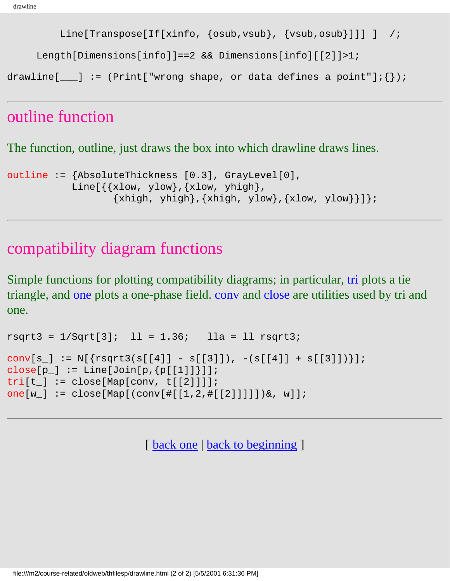```
 Line[Transpose[If[xinfo, {osub,vsub}, {vsub,osub}]]] ] /;
```
Length[Dimensions[info]]==2 && Dimensions[info][[2]]>1;

drawline[ $\Box$ ] := (Print["wrong shape, or data defines a point"];{});

#### outline function

The function, outline, just draws the box into which drawline draws lines.

```
outline := {AbsoluteThickness [0.3], GrayLevel[0], 
           Line\{\{xlow, ylow\}, \{xlow, yhigh\},\}{xhigh, yhigh}, {xhigh, ylow}, {xlow, ylow}}
```
#### compatibility diagram functions

Simple functions for plotting compatibility diagrams; in particular, tri plots a tie triangle, and one plots a one-phase field. conv and close are utilities used by tri and one.

```
rsqrt3 = 1/Sqrt[3]; 11 = 1.36; 11a = 11 rsqrt3;conv[s_] := N[\{rsqrt3(s[[4]] - s[[3]]), -(s[[4]] + s[[3]])\}];
close[p_] := Line[Join[p,[p[[1]]]];tri[t_] := close[Map[conv, t[[2]]]];one[w_] := close[Map[(conv[#[[1,2,#[[2]]]]])&, w]];
```
[ [back one](#page-26-0) | [back to beginning](#page-0-0) ]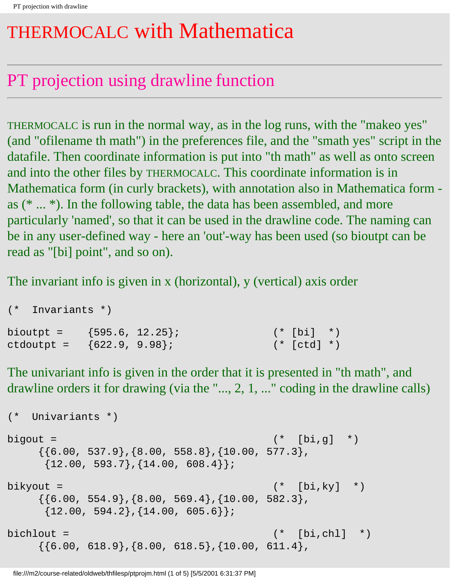# <span id="page-30-0"></span>THERMOCALC with Mathematica

# PT projection using drawline function

THERMOCALC is run in the normal way, as in the log runs, with the "makeo yes" (and "ofilename th math") in the preferences file, and the "smath yes" script in the datafile. Then coordinate information is put into "th math" as well as onto screen and into the other files by THERMOCALC. This coordinate information is in Mathematica form (in curly brackets), with annotation also in Mathematica form as (\* ... \*). In the following table, the data has been assembled, and more particularly 'named', so that it can be used in the drawline code. The naming can be in any user-defined way - here an 'out'-way has been used (so bioutpt can be read as "[bi] point", and so on).

The invariant info is given in x (horizontal), y (vertical) axis order

| (* Invariants *)               |  |               |  |
|--------------------------------|--|---------------|--|
| bioutpt = $\{595.6, 12.25\}$ ; |  | $(* [bi] * )$ |  |
| ctdoutpt = ${622.9, 9.98}$     |  | (* [ctd] *)   |  |

The univariant info is given in the order that it is presented in "th math", and drawline orders it for drawing (via the "..., 2, 1, ..." coding in the drawline calls)

```
(* Univariants *)
bigout = (* [bi,q] * )\{\{6.00, 537.9\}, \{8.00, 558.8\}, \{10.00, 577.3\},\}\{12.00, 593.7\}, \{14.00, 608.4\}\};bikyout = (* [bi, ky] * )\{\{6.00, 554.9\}, \{8.00, 569.4\}, \{10.00, 582.3\},\{12.00, 594.2}, {14.00, 605.6}bichlout = (* [bi, ch]] *\{\{6.00, 618.9\}, \{8.00, 618.5\}, \{10.00, 611.4\},\
```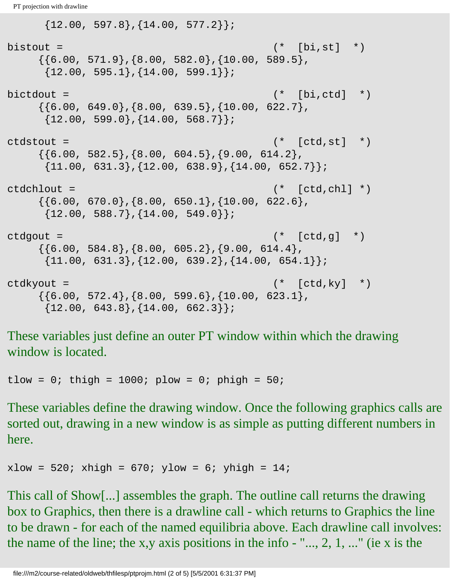```
{12.00, 597.8}, {14.00, 577.2}};bistout = (* [bi,st] *)\{\{6.00, 571.9\}, \{8.00, 582.0\}, \{10.00, 589.5\},\}{12.00, 595.1}, {14.00, 599.1}bictdout = (*)\{\{6.00, 649.0\}, \{8.00, 639.5\}, \{10.00, 622.7\},\}{12.00, 599.0}, {14.00, 568.7}};ctdstout = (* [ctd, st] *)
    \{\{6.00, 582.5\}, \{8.00, 604.5\}, \{9.00, 614.2\},\{11.00, 631.3}, {12.00, 638.9}, {14.00, 652.7}};ctdchlout = (* [ctd, chl] *)
    \{\{6.00, 670.0\}, \{8.00, 650.1\}, \{10.00, 622.6\},\}\{12.00, 588.7\}, \{14.00, 549.0\}\};ctdqout = (* [ctd,q] **)\{\{6.00, 584.8\}, \{8.00, 605.2\}, \{9.00, 614.4\},\\{11.00, 631.3\}, \{12.00, 639.2\}, \{14.00, 654.1\}\};ctdkyout = (* [ctd,ky] *)
    \{\{6.00, 572.4\}, \{8.00, 599.6\}, \{10.00, 623.1\},\}{12.00, 643.8}, {14.00, 662.3}};
```
These variables just define an outer PT window within which the drawing window is located.

tlow = 0; thigh = 1000; plow = 0; phigh =  $50$ ;

These variables define the drawing window. Once the following graphics calls are sorted out, drawing in a new window is as simple as putting different numbers in here.

 $xlow = 520$ ;  $xhigh = 670$ ;  $ylow = 6$ ;  $yhigh = 14$ ;

This call of Show[...] assembles the graph. The outline call returns the drawing box to Graphics, then there is a drawline call - which returns to Graphics the line to be drawn - for each of the named equilibria above. Each drawline call involves: the name of the line; the x,y axis positions in the info  $-$  "..., 2, 1, ..." (ie x is the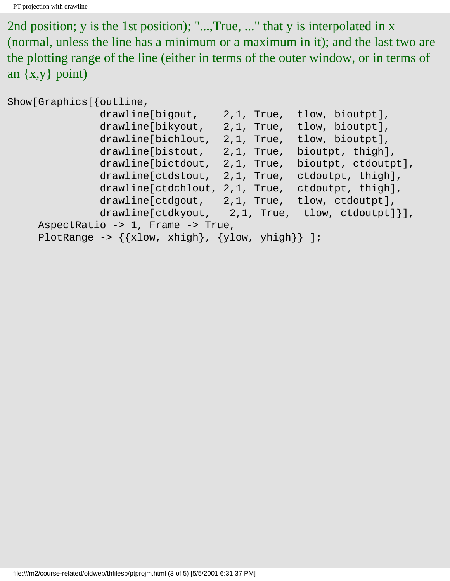2nd position; y is the 1st position); "...,True, ..." that y is interpolated in x (normal, unless the line has a minimum or a maximum in it); and the last two are the plotting range of the line (either in terms of the outer window, or in terms of an {x,y} point)

Show[Graphics[{outline,

| drawline[bigout,                                        |               | 2,1, True, tlow, bioutpt],   |  |  |  |  |  |
|---------------------------------------------------------|---------------|------------------------------|--|--|--|--|--|
| drawline[bikyout,                                       |               | 2,1, True, tlow, bioutpt],   |  |  |  |  |  |
| drawline[bichlout,                                      |               | 2,1, True, tlow, bioutpt],   |  |  |  |  |  |
| drawline[bistout,                                       | 2,1, True,    | bioutpt, thigh],             |  |  |  |  |  |
| drawline[bictdout,                                      | $2,1$ , True, | bioutpt, ctdoutpt],          |  |  |  |  |  |
| drawline[ctdstout,                                      |               | 2,1, True, ctdoutpt, thigh], |  |  |  |  |  |
| drawline[ctdchlout,                                     |               | 2,1, True, ctdoutpt, thigh], |  |  |  |  |  |
| drawline[ctdgout, 2,1, True, tlow, ctdoutpt],           |               |                              |  |  |  |  |  |
| $drawline[ctdkyout, 2,1, True, tlow, ctdoutput]$ ,      |               |                              |  |  |  |  |  |
| AspectRatio -> 1, Frame -> True,                        |               |                              |  |  |  |  |  |
| PlotRange -> $\{\{xlow, xhigh\}, \{ylow, yhigh\}\}\$ ]; |               |                              |  |  |  |  |  |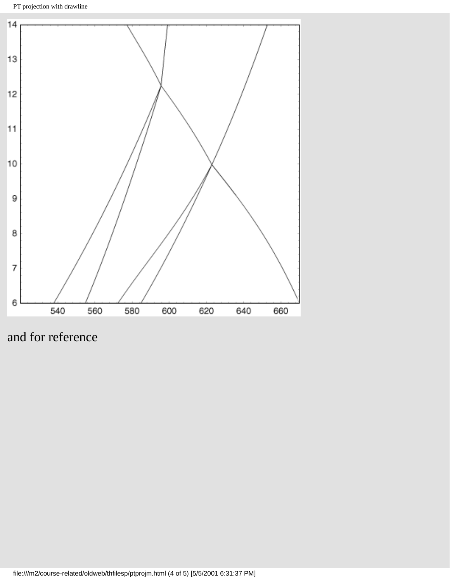PT projection with drawline



and for reference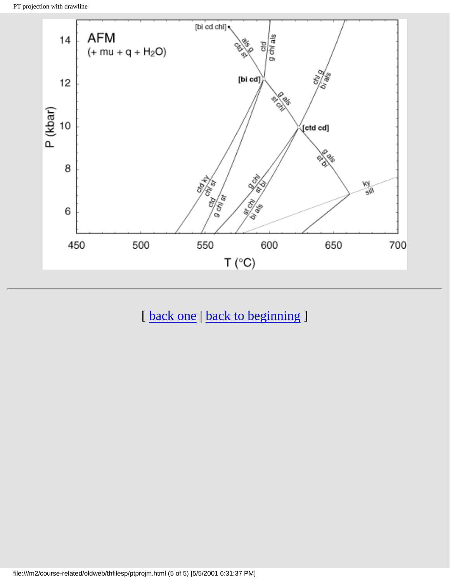

[ [back one](#page-26-0) | [back to beginning](#page-0-0) ]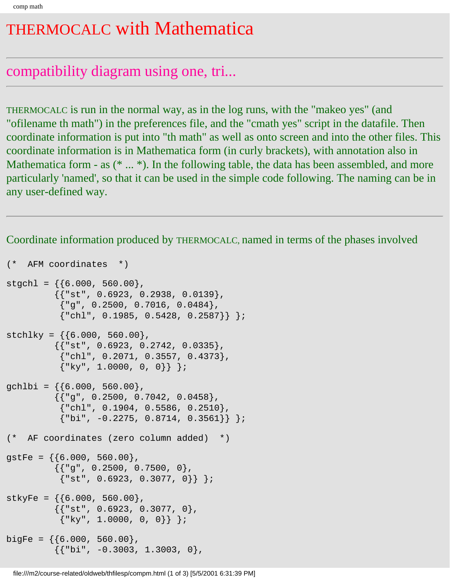### <span id="page-35-0"></span>THERMOCALC with Mathematica

#### compatibility diagram using one, tri...

THERMOCALC is run in the normal way, as in the log runs, with the "makeo yes" (and "ofilename th math") in the preferences file, and the "cmath yes" script in the datafile. Then coordinate information is put into "th math" as well as onto screen and into the other files. This coordinate information is in Mathematica form (in curly brackets), with annotation also in Mathematica form - as  $(* \dots *)$ . In the following table, the data has been assembled, and more particularly 'named', so that it can be used in the simple code following. The naming can be in any user-defined way.

Coordinate information produced by THERMOCALC, named in terms of the phases involved

```
(* AFM coordinates *)
stgch1 = \{\{6.000, 560.00\},\}{{ "st", 0.6923, 0.2938, 0.0139 }
            {''g", 0.2500, 0.7016, 0.0484},{\{\text{"chl", 0.1985, 0.5428, 0.2587\}}\;stchlky = \{6.000, 560.00\},
           \{ \{\text{``st", 0.6923, 0.2742, 0.0335}\},
            {``chl", 0.2071, 0.3557, 0.4373},{\{\n \text{``ky", 1.0000, 0, 0}\}\n }\text{gch}, = \{ \{6.000, 560.00 \}, \}\{ {"g", 0.2500, 0.7042, 0.0458},
            {\text{``chl''}, 0.1904, 0.5586, 0.2510},{\{\nabla\} \text{bi", } -0.2275, 0.8714, 0.3561\};
(* AF coordinates (zero column added) *)
gstFe = \{\{6.000, 560.00\},\}{ {\color{red} {\{ "g", 0.2500, 0.7500, 0 \} } }}{ "st", 0.6923, 0.3077, 0} } ;stkyFe = \{ \{ 6.000, 560.00 \}{ {\color{red} {\{ "st", 0.6923, 0.3077, 0 \} }},\{ "ky", 1.0000, 0, 0] \}bigFe = \{\{6.000, 560.00\},\}{ {\color{red} {\{ "bi", -0.3003, 1.3003, 0 \} }},
```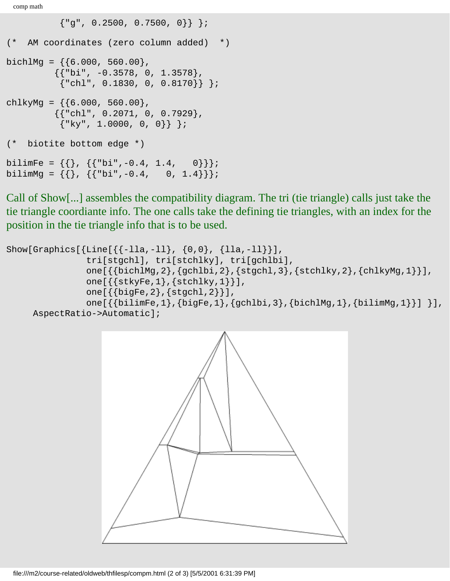comp math

```
{''g", 0.2500, 0.7500, 0}(* AM coordinates (zero column added) *)
bichlMg = \{6.000, 560.00\},
           {{"bi", -0.3578, 0, 1.3578}, 
            {\text{''chl''}, 0.1830, 0, 0.8170}chlkyMg = \{\{6.000, 560.00\},\}{ {\color{red} {\{ "chl", 0.2071, 0, 0.7929 \} } }}\{ "ky", 1.0000, 0, 0] \};
(* biotite bottom edge *)
bilimFe = \{\{\},\ \{\{\text{"bi", -0.4, 1.4, 0]}\}\};bilimMg = \{ \}, \{ \text{"bi", -0.4}, 0, 1.4 \} \};
```
Call of Show[...] assembles the compatibility diagram. The tri (tie triangle) calls just take the tie triangle coordiante info. The one calls take the defining tie triangles, with an index for the position in the tie triangle info that is to be used.

```
Show[Graphics[{Line[{-11a, -11}, {0,0}, {11a, -11}],
                tri[stgchl], tri[stchlky], tri[gchlbi],
                one[{{bichlMg,2},{gchlbi,2},{stgchl,3},{stchlky,2},{chlkyMg,1}}],
                one[{{stkyFe,1},{stchlky,1}}],
                one[{{bigFe,2},{stgchl,2}}],
               one[{\{bilimFe,1},\{bigFe,1},\{gchlbi,3\},\{bichlMg,1\},\{bilimMg,1\}],
      AspectRatio->Automatic];
```
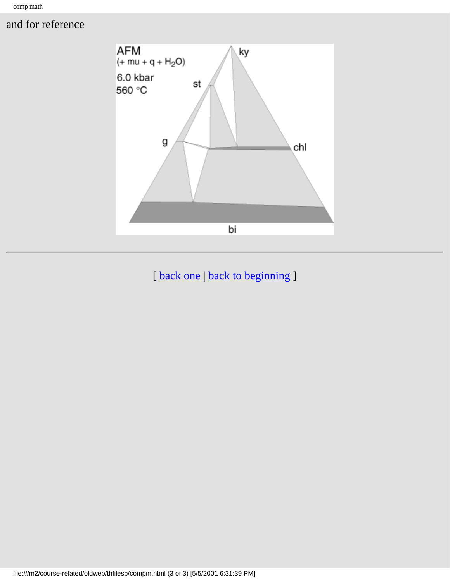# and for reference



[back one | [back to beginning](#page-0-0) ]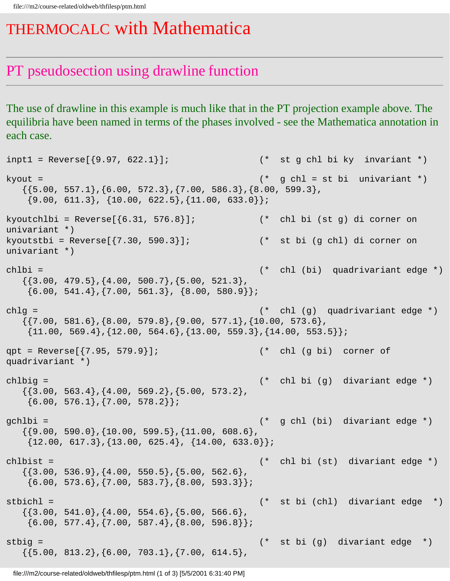# THERMOCALC with Mathematica

# PT pseudosection using drawline function

The use of drawline in this example is much like that in the PT projection example above. The equilibria have been named in terms of the phases involved - see the Mathematica annotation in each case.

```
inpt1 = Reverse[{9.97, 622.1}]; * (* st g chl bi ky invariant *)
kyout = (* g chl = st bi univariant *)
  \{\{5.00, 557.1\}, \{6.00, 572.3\}, \{7.00, 586.3\}, \{8.00, 599.3\},\\{9.00, 611.3\}, \{10.00, 622.5\}, \{11.00, 633.0\}\};kyoutchlbi = Reverse[\{6.31, 576.8\}]; (* chl bi (st g) di corner on
univariant *)
kyoutstbi = Reverse\{\{7.30, 590.3\}\}\; (* st bi (g chl) di corner on
univariant *)
chlbi = (* chl (bi) quadrivariant edge *)
  \{\{3.00, 479.5\}, \{4.00, 500.7\}, \{5.00, 521.3\},\\{6.00, 541.4\}, \{7.00, 561.3\}, \{8.00, 580.9\}\};chlg = (* chl (g) quadrivariant edge *)
  \{\{7.00, 581.6\}, \{8.00, 579.8\}, \{9.00, 577.1\}, \{10.00, 573.6\},\{11.00, 569.4\}, \{12.00, 564.6\}, \{13.00, 559.3\}, \{14.00, 553.5\}\};qpt = Reverse[\{7.95, 579.9\}]; (* chl (g bi) corner of
quadrivariant *) 
chlbig = (* chl bi (g) divariant edge *)
  \{\{3.00, 563.4\}, \{4.00, 569.2\}, \{5.00, 573.2\},\\{6.00, 576.1\}, \{7.00, 578.2\}\};gchlbi = (* g chl (bi) divariant edge *) 
  \{\{9.00, 590.0\}, \{10.00, 599.5\}, \{11.00, 608.6\},\}\{12.00, 617.3\}, \{13.00, 625.4\}, \{14.00, 633.0\}\};chlbist = (* chl bi (st) divariant edge *) 
  \{\{3.00, 536.9\}, \{4.00, 550.5\}, \{5.00, 562.6\},\\{6.00, 573.6\}, \{7.00, 583.7\}, \{8.00, 593.3\}\};stbichl = (* st bi (chl) divariant edge *) 
  \{\{3.00, 541.0\}, \{4.00, 554.6\}, \{5.00, 566.6\},\\{6.00, 577.4\}, \{7.00, 587.4\}, \{8.00, 596.8\}\};stbig = (* st bi (g) divariant edge *) 
  \{\{5.00, 813.2\}, \{6.00, 703.1\}, \{7.00, 614.5\},\}
```
file:///m2/course-related/oldweb/thfilesp/ptm.html (1 of 3) [5/5/2001 6:31:40 PM]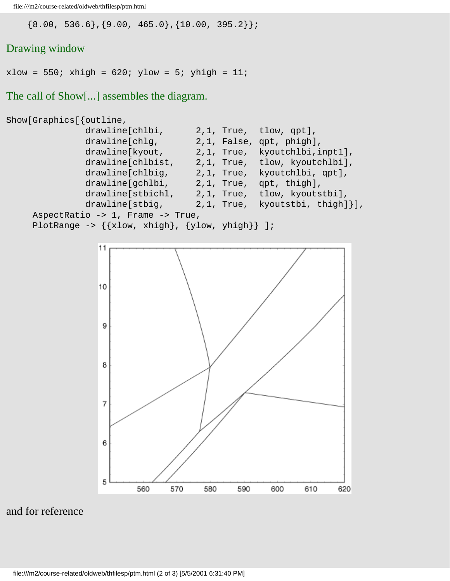file:///m2/course-related/oldweb/thfilesp/ptm.html

 ${8.00, 536.6}, {9.00, 465.0}, {10.00, 395.2}};$ 

# Drawing window

 $xlow = 550$ ;  $xhigh = 620$ ;  $ylow = 5$ ;  $yhigh = 11$ ;

The call of Show[...] assembles the diagram.

```
Show[Graphics[{outline,
               drawline[chlbi, 2,1, True, tlow, qpt],
              drawline[chlg, 2,1, False, qpt, phigh],
               drawline[kyout, 2,1, True, kyoutchlbi,inpt1],
               drawline[chlbist, 2,1, True, tlow, kyoutchlbi],
               drawline[chlbig, 2,1, True, kyoutchlbi, qpt],
               drawline[gchlbi, 2,1, True, qpt, thigh],
               drawline[stbichl, 2,1, True, tlow, kyoutstbi],
               drawline[stbig, 2,1, True, kyoutstbi, thigh]}],
     AspectRatio -> 1, Frame -> True,
    PlotRange \rightarrow {{xlow, xhigh}, {ylow, yhigh}} ];
```


and for reference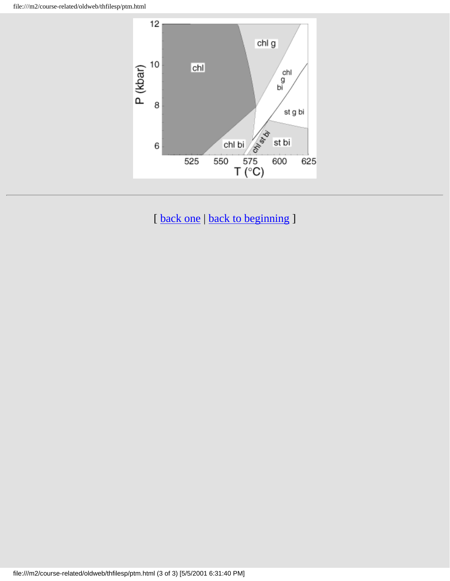file:///m2/course-related/oldweb/thfilesp/ptm.html



[ [back one](#page-26-0) | [back to beginning](#page-0-0) ]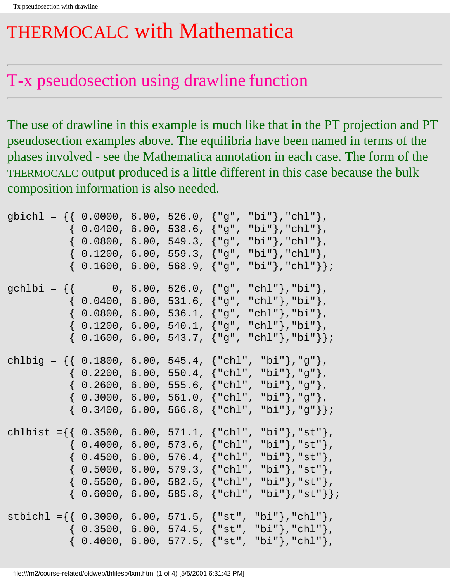# THERMOCALC with Mathematica

# T-x pseudosection using drawline function

The use of drawline in this example is much like that in the PT projection and PT pseudosection examples above. The equilibria have been named in terms of the phases involved - see the Mathematica annotation in each case. The form of the THERMOCALC output produced is a little different in this case because the bulk composition information is also needed.

|  |  | gbichl = {{ 0.0000, 6.00, 526.0, {"g", "bi"},"chl"},<br>$\{ 0.0400, 6.00, 538.6, \{ "g", "bi"} \}, "chl"; \}$<br>$\{ 0.0800, 6.00, 549.3, {\tt "g", "bi"}\},\text{"chl"}\},$<br>$\{$ 0.1200, 6.00, 559.3, $\{$ "g", "bi"}, "chl"},<br>$\{ 0.1600, 6.00, 568.9, \{ "g", "bi"} \}, "chl" \}$                                                                         |
|--|--|--------------------------------------------------------------------------------------------------------------------------------------------------------------------------------------------------------------------------------------------------------------------------------------------------------------------------------------------------------------------|
|  |  | gchlbi = $\{\}$ 0, 6.00, 526.0, $\{ "g", "chl" \}$ ,"bi" $},$<br>$\{ 0.0400, 6.00, 531.6, \{ "g", "chl" \}, "bi" \},$<br>$\{ 0.0800, 6.00, 536.1, {\tt "g", "chl"}\},\text{"bi"}\},$<br>$\{ 0.1200, 6.00, 540.1, {\texttt{"g", "chl"}}, \texttt{"bi"} \},$<br>$\{ 0.1600, 6.00, 543.7, \{ "g", "chl"} \}, "bi" \}$                                                 |
|  |  | chlbig = $\{\{ 0.1800, 6.00, 545.4, \{ "chl", "bi"}\}, "g"\},$<br>$\{ 0.2200, 6.00, 550.4, \{ "chl", "bi"} \}, "g" \}.$<br>$\{ 0.2600, 6.00, 555.6, \{ "chl", "bi"}\}, "g"\}.$<br>$\{ 0.3000, 6.00, 561.0, \{ "chl", "bi"}\}, "g"\}.$<br>$\{ 0.3400, 6.00, 566.8, \{ "chl", "bi"}\}, "g" \}$                                                                       |
|  |  | chlbist = $\{$ $\{$ 0.3500, 6.00, 571.1, $\{$ "chl", "bi" $\}$ , "st" $\}$ ,<br>$\{ 0.4000, 6.00, 573.6, \{ "chl", "bi"} \}, "st" \},$<br>$\{ 0.4500, 6.00, 576.4, \{ "chl", "bi"} \}, "st" \}$ ,<br>{ 0.5000, 6.00, 579.3, {"chl", "bi"},"st"},<br>$\{ 0.5500, 6.00, 582.5, \{ "chl",  \}$<br>"bi"},"st"},<br>$\{ 0.6000, 6.00, 585.8, \{ "chl", "bi"}\}, "st"\}$ |
|  |  | stbichl ={{ 0.3000, 6.00, 571.5, {"st", "bi"},"chl"},<br>$\{ 0.3500, 6.00, 574.5, {\{\texttt{''st''}, \texttt{"bi''}}\}, \texttt{"chl"} \}$<br>$\{ 0.4000, 6.00, 577.5, \{ "st", "bi"} \}, "chl";$                                                                                                                                                                 |

file:///m2/course-related/oldweb/thfilesp/txm.html (1 of 4) [5/5/2001 6:31:42 PM]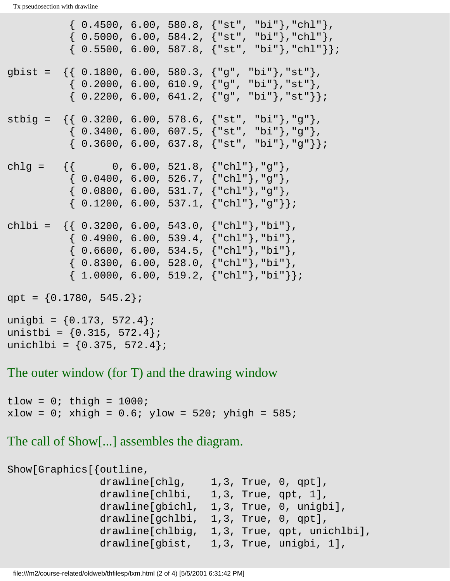$\{ 0.4500, 6.00, 580.8, \{ "st", "bi"} \}, "ch1" \},$  $\{ 0.5000, 6.00, 584.2, \{ "st", "bi"} \}, "ch1" \},$  $\{ 0.5500, 6.00, 587.8, \{ "st", "bi"} \}, "ch1" \}$ gbist = {{ 0.1800, 6.00, 580.3, {"g", "bi"},"st"},  $\{ 0.2000, 6.00, 610.9, \{ "g", "bi"} \}, "st" \}$  $\{ 0.2200, 6.00, 641.2, \{ "q", "bi"} \}, "st" \}$ stbig =  $\{\{ 0.3200, 6.00, 578.6, \{ "st", "bi"} \}, "g" \}$ ,  $\{ 0.3400, 6.00, 607.5, \{ "st", "bi"} \}, "g" \},$  $\{ 0.3600, 6.00, 637.8, \{ "st", "bi"} \}, "q" \}$ chlg =  $\{\}$  0, 6.00, 521.8,  $\{\text{"chl"}\}$ , "g"},  $\{ 0.0400, 6.00, 526.7, \{ "chl"} \}, "q" \}$  $\{ 0.0800, 6.00, 531.7, \{ "chl" \}$ , "g" },  $\{ 0.1200, 6.00, 537.1, \{ "chl"} \}, "g" \}$ chlbi =  $\{\{ 0.3200, 6.00, 543.0, \{ "chl" \}, "bi" \},\}$  $\{ 0.4900, 6.00, 539.4, \{ "chl" \}$ , "bi" },  $\{ 0.6600, 6.00, 534.5, {\text{ "chl"}}, \text{ "bi"} \},$  $\{ 0.8300, 6.00, 528.0, \{ "chl"} \}, "bi" \}$  $\{ 1.0000, 6.00, 519.2, {\text{ "chl"}}, \text{ "bi"}} \};$ qpt =  $\{0.1780, 545.2\}$ ; unigbi = {0.173, 572.4}; unistbi =  $\{0.315, 572.4\}$ ;

unichlbi =  ${0.375, 572.4}$ ;

The outer window (for T) and the drawing window

tlow =  $0$ ; thigh =  $1000$ ;  $xlow = 0$ ;  $xhigh = 0.6$ ;  $ylow = 520$ ;  $yhigh = 585$ ;

The call of Show[...] assembles the diagram.

```
Show[Graphics[{outline,
               drawline[chlg, 1,3, True, 0, qpt],
              drawline[chlbi, 1,3, True, qpt, 1],
               drawline[gbichl, 1,3, True, 0, unigbi],
              drawline[gchlbi, 1,3, True, 0, qpt],
               drawline[chlbig, 1,3, True, qpt, unichlbi],
               drawline[gbist, 1,3, True, unigbi, 1],
```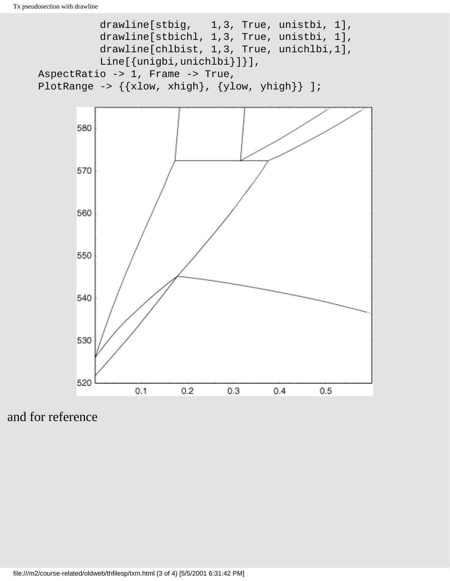```
drawline[stbig, 1,3, True, unistbi, 1],
 drawline[stbichl, 1,3, True, unistbi, 1],
              drawline[chlbist, 1,3, True, unichlbi,1],
             Line[{unigbi,unichlbi}]}],
     AspectRatio -> 1, Frame -> True,
    PlotRange -> \{\{xlow, xhigh\}, \{ylow, yhigh\}\}\ ];
```


and for reference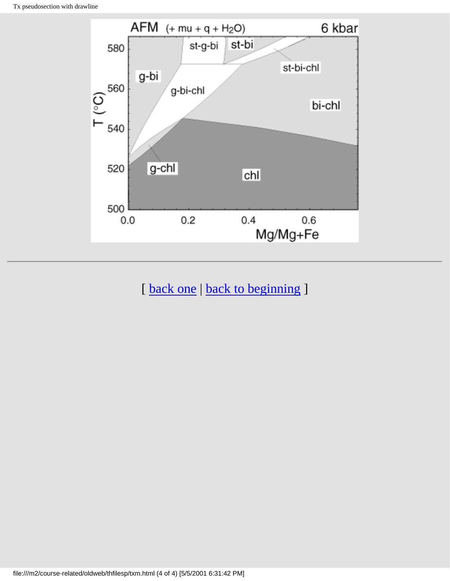

[ [back one](#page-26-0) | [back to beginning](#page-0-0) ]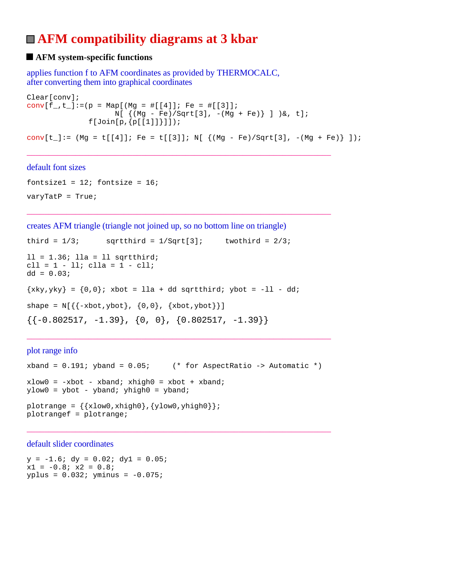# **AFM compatibility diagrams at 3 kbar**

## $\blacksquare$  **AFM system-specific functions**

applies function f to AFM coordinates as provided by THERMOCALC, after converting them into graphical coordinates

```
Clear[conv];
conv[f_-,t_-]:=(p = Map[(Mg = #[[4]]; Fe = #[[3]]);N[ { (Mg - Fe)/Sqrt[3], -(Mg + Fe)} ] ) &, t];
              f[Join[p,[p[[1]]]]];conv[t_]:= (Mg = t[[4]]; Fe = t[[3]]; N[ { (Mg - Fe)/Sqrt[3], -(Mg + Fe)} ] );
```
\_\_\_\_\_\_\_\_\_\_\_\_\_\_\_\_\_\_\_\_\_\_\_\_\_\_\_\_\_\_\_\_\_\_\_\_\_\_\_\_\_\_\_\_\_\_\_\_\_\_\_\_\_\_\_\_\_\_\_\_\_\_\_\_\_\_\_\_\_

\_\_\_\_\_\_\_\_\_\_\_\_\_\_\_\_\_\_\_\_\_\_\_\_\_\_\_\_\_\_\_\_\_\_\_\_\_\_\_\_\_\_\_\_\_\_\_\_\_\_\_\_\_\_\_\_\_\_\_\_\_\_\_\_\_\_\_\_\_

#### default font sizes

fontsize1 =  $12$ ; fontsize =  $16$ ;  $varyTatP = True;$ 

creates AFM triangle (triangle not joined up, so no bottom line on triangle)

```
third = 1/3; sqrtthird = 1/Sqrt[3]; twothird = 2/3;
11 = 1.36; 11a = 11 sqrtthird;
\text{cll} = 1 - 11; \text{clla} = 1 - \text{cll};
dd = 0.03;\{xky, yky\} = \{0,0\}; xbot = lla + dd sqrtthird; ybot = -11 - dd;
shape = N[\{\{-xbot, ybot\}, \{0, 0\}, \{xbot, ybot\}\}]\{(-0.802517, -1.39\}, \{0, 0\}, \{0.802517, -1.39\}\}\
```
plot range info

```
xband = 0.191; yband = 0.05; (* for AspectRatio -> Automatic *)
xlow0 = -xbot - xband; xhigh0 = xbot + xband;ylow0 = ybot - yband; yhigh0 = yband;
plotrange = \{\{xlow0, xhigh0\}, \{ylow0, yhigh0\}\}\plotrangef = plotrange;
```
\_\_\_\_\_\_\_\_\_\_\_\_\_\_\_\_\_\_\_\_\_\_\_\_\_\_\_\_\_\_\_\_\_\_\_\_\_\_\_\_\_\_\_\_\_\_\_\_\_\_\_\_\_\_\_\_\_\_\_\_\_\_\_\_\_\_\_\_\_

\_\_\_\_\_\_\_\_\_\_\_\_\_\_\_\_\_\_\_\_\_\_\_\_\_\_\_\_\_\_\_\_\_\_\_\_\_\_\_\_\_\_\_\_\_\_\_\_\_\_\_\_\_\_\_\_\_\_\_\_\_\_\_\_\_\_\_\_\_

default slider coordinates

 $y = -1.6$ ;  $dy = 0.02$ ;  $dy1 = 0.05$ ;  $x1 = -0.8; x2 = 0.8;$  $yplus = 0.032; yminus = -0.075;$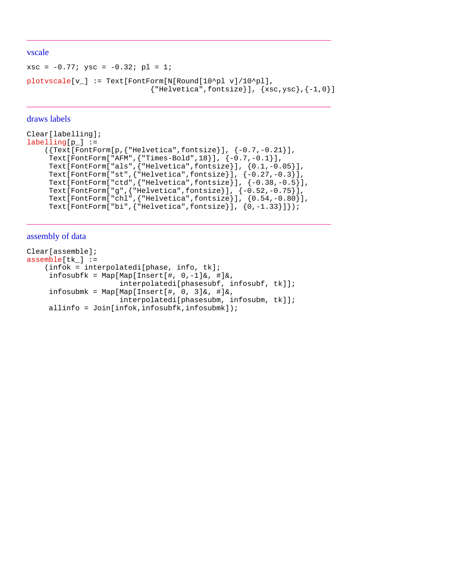#### vscale

```
xsc = -0.77; ysc = -0.32; pl = 1;
plotvscale[v_] := Text[FontForm[N[Round[10^pl v]/10^pl],
                                {^{\texttt{THelvetica}}, \texttt{fontsize}}, {xsc,ysc}, {-1,0}
```
\_\_\_\_\_\_\_\_\_\_\_\_\_\_\_\_\_\_\_\_\_\_\_\_\_\_\_\_\_\_\_\_\_\_\_\_\_\_\_\_\_\_\_\_\_\_\_\_\_\_\_\_\_\_\_\_\_\_\_\_\_\_\_\_\_\_\_\_\_

\_\_\_\_\_\_\_\_\_\_\_\_\_\_\_\_\_\_\_\_\_\_\_\_\_\_\_\_\_\_\_\_\_\_\_\_\_\_\_\_\_\_\_\_\_\_\_\_\_\_\_\_\_\_\_\_\_\_\_\_\_\_\_\_\_\_\_\_\_

#### draws labels

```
Clear[labelling];
labelling[p_] := ({Text[FontForm[p,{"Helvetica",fontsize}], {-0.7,-0.21}],
      Text[FontForm["AFM",{"Times-Bold",18}], {-0.7,-0.1}],
 Text[FontForm["als",{"Helvetica",fontsize}], {0.1,-0.05}],
 Text[FontForm["st",{"Helvetica",fontsize}], {-0.27,-0.3}],
     Text[FontForm["ctd",{"Helvetica",fontsize}], {-0.38,-0.5}],
     Text[FontForm["g",{"Helvetica",fontsize}], {-0.52,-0.75}],
     Text[FontForm["chl",{"Helvetica",fontsize}], {0.54,-0.80}],
     Text[FontForm["bi",{"Helvetica",fontsize}], {0,-1.33}]});
```
\_\_\_\_\_\_\_\_\_\_\_\_\_\_\_\_\_\_\_\_\_\_\_\_\_\_\_\_\_\_\_\_\_\_\_\_\_\_\_\_\_\_\_\_\_\_\_\_\_\_\_\_\_\_\_\_\_\_\_\_\_\_\_\_\_\_\_\_\_

#### assembly of data

```
Clear[assemble];
assemble[tk] := (infok = interpolatedi[phase, info, tk];
     infosubfk = Map[Map[Insert[#, 0,-1]&, #]&,
                      interpolatedi[phasesubf, infosubf, tk]];
     infosubmk = Map[Map[Insert[#, 0, 3]&, #]&,
                      interpolatedi[phasesubm, infosubm, tk]];
     allinfo = Join(intok,infosubfk,infosubmk]);
```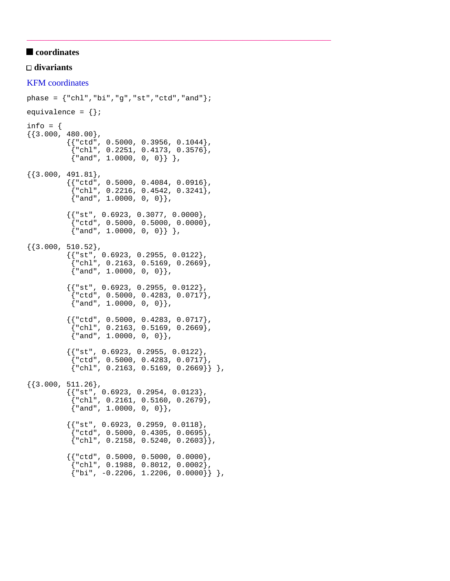## $\blacksquare$  coordinates

#### **divariants**

#### KFM coordinates

```
phase = \{ "chl", "bi", "g", "st", "ctd", "and" } \}equivalence = \{\};
info = \{{3.000, 480.00},
           { {\color{red} {\{ "ctd", 0.5000, 0.3956, 0.1044 \} }\{ "chl", 0.2251, 0.4173, 0.3576\},
            \{ "and", 1.0000, 0, 0}} },
{3.000, 491.81},{{rctd", 0.5000, 0.4084, 0.0916 }
            {\text{\{ "chl", 0.2216, 0.4542, 0.3241\}},
             {"and", 1.0000, 0, 0}},
           { {\color{red} {\{ "st", 0.6923, 0.3077, 0.0000 \} } }}{red", 0.5000, 0.5000, 0.0000},\{ "and", 1.0000, 0, 0}} },
{3.000, 510.52},
           {{ "st", 0.6923, 0.2955, 0.0122 }
              {"chl", 0.2163, 0.5169, 0.2669},
            {^{\text{d}} and", 1.0000, 0, 0}},
           { {\{\text{ "st", 0.6923, 0.2955, 0.0122\}} \} {"ctd", 0.5000, 0.4283, 0.0717},
             {"and", 1.0000, 0, 0}},
            {{"ctd", 0.5000, 0.4283, 0.0717},
            \{ "chl", 0.2163, 0.5169, 0.2669 \},{^{\texttt{[4]}}\text{ and }^{\texttt{[4]}}\text{, 1.0000, 0, 0}}}{{ "st", 0.6923, 0.2955, 0.0122 }
             {"ctd", 0.5000, 0.4283, 0.0717},
            \{ "chl", 0.2163, 0.5169, 0.2669] \},
{ {3.000, 511.26 },
           {{ "st", 0.6923, 0.2954, 0.0123 }
            {``chl", 0.2161, 0.5160, 0.2679},{^{\texttt{[}} and", 1.0000, 0, 0}},
           {{'}}"st", 0.6923, 0.2959, 0.0118},
            {red", 0.5000, 0.4305, 0.0695}\{ "chl", 0.2158, 0.5240, 0.2603] \},{ {\} "ctd", 0.5000, 0.5000, 0.0000 }{\text{``chl''}, 0.1988, 0.8012, 0.0002}.{\binom{1}{0}} | \binom{1}{0} -0.2206, 1.2206, 0.0000}} },
```
\_\_\_\_\_\_\_\_\_\_\_\_\_\_\_\_\_\_\_\_\_\_\_\_\_\_\_\_\_\_\_\_\_\_\_\_\_\_\_\_\_\_\_\_\_\_\_\_\_\_\_\_\_\_\_\_\_\_\_\_\_\_\_\_\_\_\_\_\_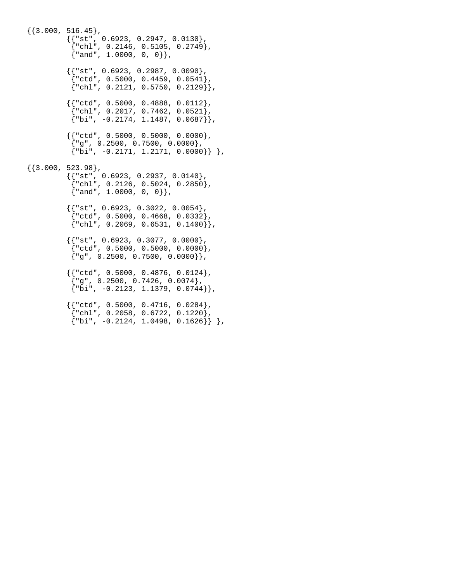${3.000, 516.45}$ ,  ${ {\color{red} {\{ "st", 0.6923, 0.2947, 0.0130 \} } }}$  {"chl", 0.2146, 0.5105, 0.2749},  ${^{\texttt{[4]}}\text{and}^{\texttt{[4]}}\text{, 1.0000, 0, 0}}}$  ${ {\dots, 0.6923, 0.2987, 0.0090}$  {"ctd", 0.5000, 0.4459, 0.0541},  ${ "chl", 0.2121, 0.5750, 0.2129 }$  ${$   ${ | "ctd", 0.5000, 0.4888, 0.0112 }$  {"chl", 0.2017, 0.7462, 0.0521},  $\{\nabla$ "bi", -0.2174, 1.1487, 0.0687 $\}$ ,  ${ {\} "ctd", 0.5000, 0.5000, 0.0000 }$  ${''g", 0.2500, 0.7500, 0.0000},$  ${\n \{\n \text{"bi", -0.2171, 1.2171, 0.0000]}\n \},$  ${3.000, 523.98}$ , {{"st", 0.6923, 0.2937, 0.0140},  ${\text{``chl''}, 0.2126, 0.5024, 0.2850},$  {"and", 1.0000, 0, 0}},  ${ {\color{red} {\{ "st", 0.6923, 0.3022, 0.0054 \} }},$  $\{ "ctd", 0.5000, 0.4668, 0.0332 \},$  $\{ "chl", 0.2069, 0.6531, 0.1400] \},$  ${$ { "st", 0.6923, 0.3077, 0.0000 }  ${red", 0.5000, 0.5000, 0.0000},$  ${''g", 0.2500, 0.7500, 0.0000}$ ,  ${$   ${ | "ctd", 0.5000, 0.4876, 0.0124 }$  ${^{"g"}$ , 0.2500, 0.7426, 0.0074},  $\{ "bi", -0.2123, 1.1379, 0.0744] \},$  {{"ctd", 0.5000, 0.4716, 0.0284},  $\int$ "chl", 0.2058, 0.6722, 0.1220),  $\{ "bi", -0.2124, 1.0498, 0.1626] \}$ ,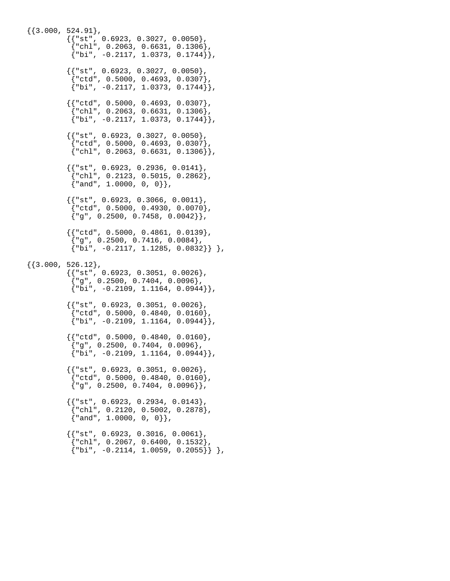${3.000, 524.91}$ ,  ${ {\color{red} {\{ "st", 0.6923, 0.3027, 0.0050 \} }},$  $[ "chl", 0.2063, 0.6631, 0.1306 ]$  ${ "bi", -0.2117, 1.0373, 0.1744] }$  ${ {\dots}$  ${red", 0.5000, 0.4693, 0.0307},$  ${ "bi", -0.2117, 1.0373, 0.1744] }$  ${$ {rctd", 0.5000, 0.4693, 0.0307}  ${^{\text{``chl''}}}, 0.2063, 0.6631, 0.1306}$  $\{ "bi", -0.2117, 1.0373, 0.1744] \},$  ${ {\{\text{ "st", 0.6923, 0.3027, 0.0050}\}, }}$  {"ctd", 0.5000, 0.4693, 0.0307},  ${``ch1", 0.2063, 0.6631, 0.1306]}.$  ${ {\} "st", 0.6923, 0.2936, 0.0141 }$  ${^{\text{rel}}\text{ch}}$ , 0.2123, 0.5015, 0.2862},  ${^{\texttt{[}}$  and", 1.0000, 0, 0}},  ${{'}}$ "st", 0.6923, 0.3066, 0.0011}, {"ctd", 0.5000, 0.4930, 0.0070},  ${^{[0]}}$   ${^{[0]}}$ , 0.2500, 0.7458, 0.0042}},  ${ {\color{red} {\{ "ctd" , 0.5000, 0.4861, 0.0139 \} }}$  ${^{"g"}}$ , 0.2500, 0.7416, 0.0084 $}$ ,  ${\n \{\n \text{b}i", -0.2117, 1.1285, 0.0832\}\n \},$  ${3.000, 526.12},$  $\{$   $\{$  "st", 0.6923, 0.3051, 0.0026 $\}$ ,  ${^{"q"}$ , 0.2500, 0.7404, 0.0096},  ${\n \{\n \text{b}i", -0.2109, 1.1164, 0.0944\}\n \},$  ${ {\{\text{ "st", 0.6923, 0.3051, 0.0026\}}\}$  $\{ "ctd", 0.5000, 0.4840, 0.0160 \},$  ${\{\nabla\}$ i", -0.2109, 1.1164, 0.0944 ${\})$ ,  ${$ "ctd", 0.5000, 0.4840, 0.0160}  ${''g", 0.2500, 0.7404, 0.0096},$  ${ "bi", -0.2109, 1.1164, 0.0944] },$  ${$ { "st", 0.6923, 0.3051, 0.0026 }  ${red", 0.5000, 0.4840, 0.0160},$  ${''g", 0.2500, 0.7404, 0.0096}$ ,  ${ {\color{red} {\{ "st", 0.6923, 0.2934, 0.0143 \}}}$  $\{ "chl", 0.2120, 0.5002, 0.2878 \}$ ,  $\{$  "and", 1.0000, 0, 0}},  ${ {\dots, 0.6923, 0.3016, 0.0061 }$  {"chl", 0.2067, 0.6400, 0.1532},  ${\n \{\n \text{"bi", -0.2114, 1.0059, 0.2055\}\n \}$ ,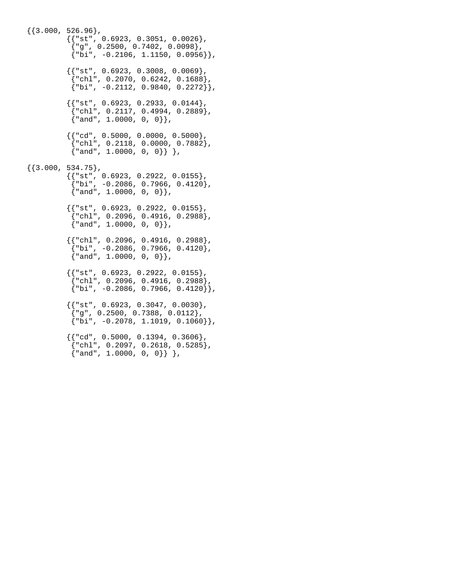${3.000, 526.96}$ ,  ${ {\color{red} {\{ "st", 0.6923, 0.3051, 0.0026 \} }},$  ${^{"g"}}$ , 0.2500, 0.7402, 0.0098},  ${ "bi", -0.2106, 1.1150, 0.0956] }$  ${{'}}$ "st", 0.6923, 0.3008, 0.0069},  ${\text{``chl''}, 0.2070, 0.6242, 0.1688},$  ${ "bi", -0.2112, 0.9840, 0.2272] }$  ${$ { "st", 0.6923, 0.2933, 0.0144 }  ${``chl", 0.2117, 0.4994, 0.2889},$  $\{$  "and", 1.0000, 0, 0}},  ${ {\color{red} {\{ "cd" \text{ } r \text{ } 0.5000 \text{, } 0.0000 \text{, } 0.5000 \} }}$  {"chl", 0.2118, 0.0000, 0.7882},  ${~\text{rand}}$ ", 1.0000, 0, 0}} },  ${\{3.000, 534.75\}}$ ,  $\{$   $\{$  "st", 0.6923, 0.2922, 0.0155 $\}$ ,  ${\text{ "bi", -0.2086, 0.7966, 0.4120}},$  {"and", 1.0000, 0, 0}}, {{"st", 0.6923, 0.2922, 0.0155},  $\{ "chl", 0.2096, 0.4916, 0.2988 \}$ ,  $\{$  "and", 1.0000, 0, 0}},  ${ {\color{red} {\{ "chl", 0.2096, 0.4916, 0.2988 \} } }}$  ${\text{ "bi", -0.2086, 0.7966, 0.4120}},$  ${^{\texttt{[4]}}\text{ and }^{\texttt{[4]}}\text{, 1.0000, 0, 0}}}$  ${{'s$ }}"st", 0.6923, 0.2922, 0.0155},  ${``chl", 0.2096, 0.4916, 0.2988},$  ${\{\nabla\}$ i", -0.2086, 0.7966, 0.4120}},  $\{\{\texttt{"st", 0.6923, 0.3047, 0.0030}\}$  ,  $\{$  "g", <code>0.2500, 0.7388, 0.0112</code> },  $\{ "bi", -0.2078, 1.1019, 0.1060] \},$  ${$ {^{\text{red}}}, 0.5000, 0.1394, 0.3606 $}$ ,  $\{ "chl", 0.2097, 0.2618, 0.5285 \},$  ${~\{\texttt{''and''}, 1.0000, 0, 0\}}$ ,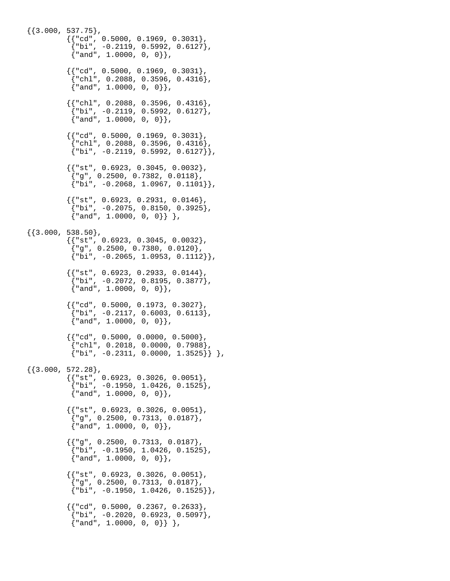${3.000, 537.75}$ ,  ${ {\color{red} {\{ "cd" , 0.5000, 0.1969, 0.3031 \} } }}$  ${ "bi", -0.2119, 0.5992, 0.6127 }$  ${^{\texttt{[4]}}\text{ and }^{\texttt{[4]}}\text{, 1.0000, 0, 0]}.$  ${ {\} "cd", 0.5000, 0.1969, 0.3031 }$  ${^{\text{rehl}}}, 0.2088, 0.3596, 0.4316},$  ${^{\texttt{[}}$  and", 1.0000, 0, 0}},  ${ {\color{red} {\{ "chl", 0.2088, 0.3596, 0.4316 \} } }}$  $\{$  "bi", -0.2119, 0.5992, 0.6127 $\}$ ,  $\{$  "and", 1.0000, 0, 0 $\}$ ,  ${ {\color{red} {\{ "cd" , 0.5000, 0.1969, 0.3031 \} } }$  ${^{\text{[}}\text{chl}, 0.2088, 0.3596, 0.4316}.$  ${ "bi", -0.2119, 0.5992, 0.6127] }$  ${ {\} "st", 0.6923, 0.3045, 0.0032 }$  ${~\vert}$ "g", 0.2500, 0.7382, 0.0118}  ${ "bi", -0.2068, 1.0967, 0.1101] },$  ${{'s$ "st", 0.6923, 0.2931, 0.0146}} {"bi", -0.2075, 0.8150, 0.3925},  $\{$  "and", 1.0000, 0, 0 $\}$   $\}$  ,  $\{\{3.000, 538.50\},\}$  {{"st", 0.6923, 0.3045, 0.0032},  ${^{"g"}$ , 0.2500, 0.7380, 0.0120},  ${ "bi", -0.2065, 1.0953, 0.1112 }$  ${ {\{ "st", 0.6923, 0.2933, 0.0144 \} }}$  ${\{\text{"bi", -0.2072, 0.8195, 0.3877\}}$ , {"and", 1.0000, 0, 0}}, {{"cd", 0.5000, 0.1973, 0.3027},  $\{ "bi", -0.2117, 0.6003, 0.6113 \},$  ${ \mathsf{[} \texttt{and} \texttt{[} \texttt{, 1.0000, 0, 0] }$  ${$ {r cd", 0.5000, 0.0000, 0.5000} {"chl", 0.2018, 0.0000, 0.7988},  ${ 'bi", -0.2311, 0.0000, 1.3525 } }$  ${\{3.000, 572.28\}}$  {{"st", 0.6923, 0.3026, 0.0051},  ${ "bi", -0.1950, 1.0426, 0.1525 }$  $\{$  "and", 1.0000, 0, 0}},  ${{'}}$ "st", 0.6923, 0.3026, 0.0051},  ${^{"g"}$ , 0.2500, 0.7313, 0.0187},  ${^{\texttt{[}}$  and", 1.0000, 0, 0}},  ${{'|$ "g", 0.2500, 0.7313, 0.0187}} {"bi", -0.1950, 1.0426, 0.1525},  ${^{\texttt{[4]}}\text{ and }^{\texttt{[4]}}\text{, 1.0000, 0, 0]}.$  {{"st", 0.6923, 0.3026, 0.0051},  ${^{"q"}$ , 0.2500, 0.7313, 0.0187}  ${ "bi", -0.1950, 1.0426, 0.1525] }$  ${$ {''cd", 0.5000, 0.2367, 0.2633}  ${^{\text{right}}}$ , -0.2020, 0.6923, 0.5097},  ${~\{\texttt{''and''}, 1.0000, 0, 0\}}$ ,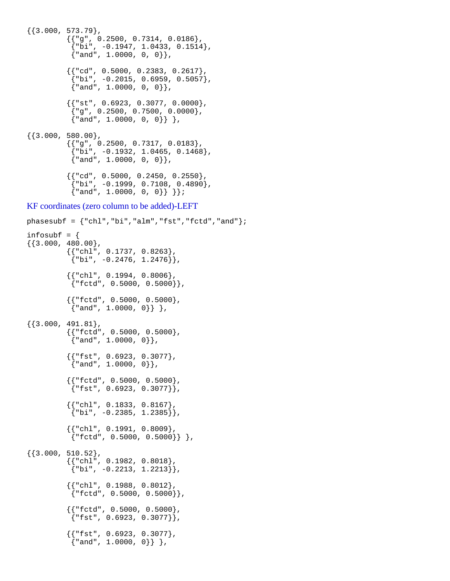```
{3.000, 573.79},
           {{'\n_9", 0.2500, 0.7314, 0.0186}}{\text{'"bi", -0.1947, 1.0433, 0.1514}},{^{\texttt{[4]}}\text{and}^{\texttt{[4]}}\text{, 1.0000, 0, 0}}}{["cd", 0.5000, 0.2383, 0.2617}
            {^{\text{th}}", -0.2015, 0.6959, 0.5057}
            {^{\texttt{[}} and", 1.0000, 0, 0}},
           {{'}}"st", 0.6923, 0.3077, 0.0000},
            {^{"g"}}, 0.2500, 0.7500, 0.0000},\{ "and", 1.0000, 0, 0] \},
\{\{3.000, 580.00\},\}{{'|g", 0.2500, 0.7317, 0.0183}}{^{\text{}}{\text{b}}i", -0.1932, 1.0465, 0.1468},
            {^{\texttt{[}}\texttt{and}\texttt{[}, 1.0000, 0, 0},
           \{ \{\textdegree{}^\textdegree{}, 0.5000, 0.2450, 0.2550\},
            {^{\text{right}}}, -0.1999, 0.7108, 0.4890},
            {\{ "and", 1.0000, 0, 0]} \}KF coordinates (zero column to be added)-LEFT
phasesubf = \{ "chl", "bi", "alm", "fst", "fctd", "and" } \};
infosubf = \{\{\{3.000, 480.00\},\}\{\{\text{"chl"}\, , \text{ } 0.1737\, , \text{ } 0.8263\} \, ,{ "bi", -0.2476, 1.2476] }{{rchl", 0.1994, 0.8006}
            {Trefctd", 0.5000, 0.5000}. {{"fctd", 0.5000, 0.5000},
             {"and", 1.0000, 0}} },
{3.000, 491.81},\{\,\{\texttt{"fctd", 0.5000, 0.5000}\,\} ,
\{ "and", 1.0000, 0\}},
           {{ "fst", 0.6923, 0.3077 }
            {^{\texttt{[}} and", 1.0000, 0},
           {{ "fctd", 0.5000, 0.5000},
            {``fst", 0.6923, 0.3077}}{{ "chl", 0.1833, 0.8167 }
            { "bi", -0.2385, 1.2385] }{{ "chl", 0.1991, 0.8009 }
            {Tctd", 0.5000, 0.5000},
{{3.000, 510.52},
            {{"chl", 0.1982, 0.8018},
            {\binom{1}{1}}, -0.2213, 1.2213},
            {{"chl", 0.1988, 0.8012},
            {r \text{ fctd}, 0.5000, 0.5000}},
           { {\n \{ "fctd", 0.5000, 0.5000 \} }}{Tst", 0.6923, 0.3077},
\{\{\texttt{"fst", 0.6923, 0.3077}}\} ,
\{ "and", 1.0000, 0\}},
```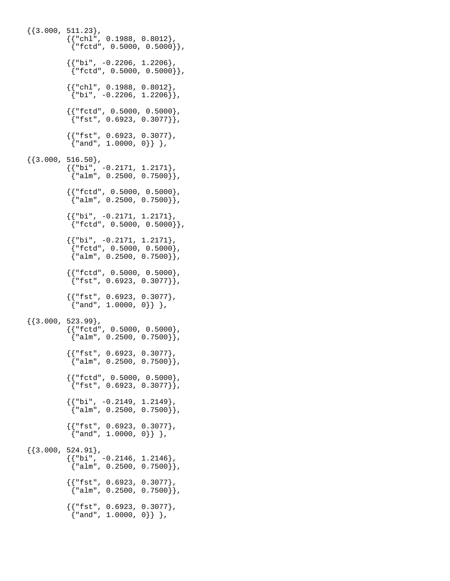```
{3.000, 511.23},
          \{ \{\text{"chl", 0.1988, 0.8012}\}\ {"fctd", 0.5000, 0.5000}},
           \{ \{\n"bi", -0.2206, 1.2206\},
             {"fctd", 0.5000, 0.5000}},
           \{ \{\text{"chl", 0.1988, 0.8012}\},
            {\n \{\n \text{"bi", -0.2206, 1.2206]}\n \}\{\,\{\texttt{"fctd", 0.5000, 0.5000}\,\} ,
\{ "fst", 0.6923, 0.3077\} },
            {{"fst", 0.6923, 0.3077},
             {"and", 1.0000, 0}} },
\{\{3.000, 516.50\},\}{ {\color{red} {\{ "bi", -0.2171, 1.2171 \} } }}{^{\texttt{m}}alm", 0.2500, 0.7500}},
          {{rctd", 0.5000, 0.5000},
            {^{\texttt{m}}alm", 0.2500, 0.7500}},
          { {\color{red} {\{ "bi", -0.2171, 1.2171 \} } }}{\rm [rfctd", 0.5000, 0.5000]}.{ {\color{red} {\{ "bi", -0.2171, 1.2171 \} } }} {"fctd", 0.5000, 0.5000},
            {"alm", 0.2500, 0.7500}},
          { {\} "fctd", 0.5000, 0.5000},
            {``fst", 0.6923, 0.3077}},
           {{ "fst", 0.6923, 0.3077}
             {"and", 1.0000, 0}} },
{3.000, 523.99},
\{\,\{\texttt{"fctd", 0.5000, 0.5000}\,\} ,
\{ "alm", 0.2500, 0.7500\} },
            {{"fst", 0.6923, 0.3077},
             {"alm", 0.2500, 0.7500}},
          {{rctd", 0.5000, 0.5000},
            {Tst", 0.6923, 0.3077},
\{\{\text{"bi", -0.2149, 1.2149}\} ,
\{ "alm", 0.2500, 0.7500\} },
            {{"fst", 0.6923, 0.3077},
             {"and", 1.0000, 0}} },
\{\{3.000, 524.91\},\{ {\color{red} {\{ "bi", -0.2146, 1.2146 \} } }}{^{\texttt{m}}alm", 0.2500, 0.7500}},
          {{ "fst", 0.6923, 0.3077 }
            \{ "alm", 0.2500, 0.7500] \},{{ "fst", 0.6923, 0.3077}
           \{ "and", 1.0000, 0}} },
```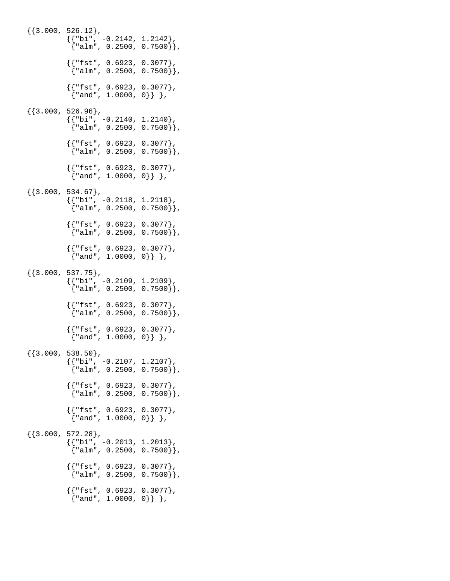${3.000, 526.12},$  $\{\{\text{"bi", -0.2142, 1.2142}\}$  ,  $\{$  "alm", 0.2500, 0.7500 $\}$  }, {{"fst", 0.6923, 0.3077}, {"alm", 0.2500, 0.7500}}, {{"fst", 0.6923, 0.3077}, {"and", 1.0000, 0}} },  ${ {3.000, 526.96}$ ,  ${ {\color{red}{\{ "bi", -0.2140, 1.2140 \} } }}$  $\{$  "alm", 0.2500, 0.7500 $\}$ ,  ${$ { "fst", 0.6923, 0.3077 } {"alm", 0.2500, 0.7500}},  ${$ { "fst", 0.6923, 0.3077}  ${~\{\texttt{''and''}, 1.0000, 0\}}$ ,  ${3.000, 534.67}$ ,  $\{\{\text{"bi", -0.2118, 1.2118}\}$ ,  $\{$  "alm", 0.2500, 0.7500 $\}$  }, {{"fst", 0.6923, 0.3077},  ${^{\texttt{m}}$ alm", 0.2500, 0.7500}},  ${$ { "fst", 0.6923, 0.3077 } {"and", 1.0000, 0}} },  ${\{3.000, 537.75\}}$  $\{\{\text{"bi", -0.2109, 1.2109}\}$  ,  $\{$  "alm", 0.2500, 0.7500 $\}$  },  ${$ { "fst", 0.6923, 0.3077 }  ${\{ "alm", 0.2500, 0.7500]} \}$  {{"fst", 0.6923, 0.3077}, {"and", 1.0000, 0}} },  $\{\{3.000, 538.50\},\}$  $\{\{\text{"bi", -0.2107, 1.2107}\}$  ,  ${^{\texttt{m}}$ alm", 0.2500, 0.7500}},  ${$ { "fst", 0.6923, 0.3077 }  $\{ "alm", 0.2500, 0.7500] \},$  ${$ { "fst", 0.6923, 0.3077 }  ${\mathcal{S}}$ "and", 1.0000, 0}} },  ${ {3.000, 572.28},$  ${ {\color{red}\{ "bi", -0.2013, 1.2013 \} }}$  ${^{\texttt{m}}$ alm", 0.2500, 0.7500}},  ${$ { "fst", 0.6923, 0.3077}  ${^{\texttt{m}}$ alm", 0.2500, 0.7500}},  ${$ { "fst", 0.6923, 0.3077} {"and", 1.0000, 0}} },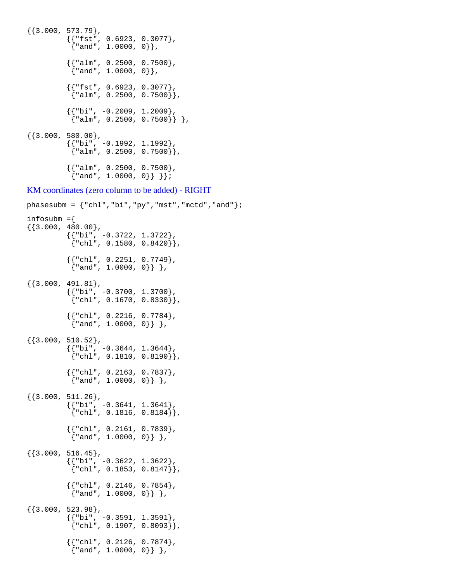```
{3.000, 573.79},
\{\{\texttt{"fst", 0.6923, 0.3077}}\} ,
{~\{\texttt{"and"}\,,~\texttt{1.0000}~,~\texttt{0}}\}\{ \{ "alm", 0.2500, 0.7500\},
            {^{\text{d}} and", 1.0000, 0}},
           {{ "fst", 0.6923, 0.3077 }
             {"alm", 0.2500, 0.7500}},
\{\{\text{"bi", -0.2009, 1.2009}\} ,
\{ "alm", 0.2500, 0.7500\} \} ,
\{ \{3.000, 580.00\},
            {{"bi", -0.1992, 1.1992},
            {^{\texttt{m}}alm", 0.2500, 0.7500}},
           {{ "alm", 0.2500, 0.7500 }
            {\text{'rand''}, 1.0000, 0}} \}KM coordinates (zero column to be added) - RIGHT
```

```
phasesubm = \{ "chl", "bi", "py", "mst", "mctd", "and" } \};
infosubm =\{{3.000, 480.00},
            {{"bi", -0.3722, 1.3722},
            {\rm \{ "chl", 0.1580, 0.8420]} \},{ {\color{red} {\{ "chl", 0.2251, 0.7749 \} } }} {"and", 1.0000, 0}} },
{3.000, 491.81},\{ \{ "bi", -0.3700, 1.3700},
            { "chl", 0.1670, 0.8330] }{ {\color{red}\{ "chl", 0.2216, 0.7784 \} }}\{ "and", 1.0000, 0}} },
{ {3.000, 510.52}},
\{\{\text{"bi", -0.3644, 1.3644}\} ,
\{\text{"chl"}\, , \text{ 0.1810 , 0.8190}\}\, , {{"chl", 0.2163, 0.7837},
             {"and", 1.0000, 0}} },
{3.000, 511.26}{{'}}"bi", -0.3641, 1.3641},
            { "chl", 0.1816, 0.8184] }{{ "chl", 0.2161, 0.7839 }
            {\{ "and", 1.0000, 0]} \},
{3.000, 516.45},
           \{ \{\n "bi", -0.3622, 1.3622}
            \{ "chl", 0.1853, 0.8147] \},\{\{\text{"chl", 0.2146, 0.7854}\},\{\text{rand}}", 1.0000, 0}} },
{{3.000, 523.98},
           { {\color{red} {\{ "bi", -0.3591, 1.3591 } \} }}\{ "chl", 0.1907, 0.8093] \},{ {\color{red} {\{ "chl", 0.2126, 0.7874 \} } }} {"and", 1.0000, 0}} },
```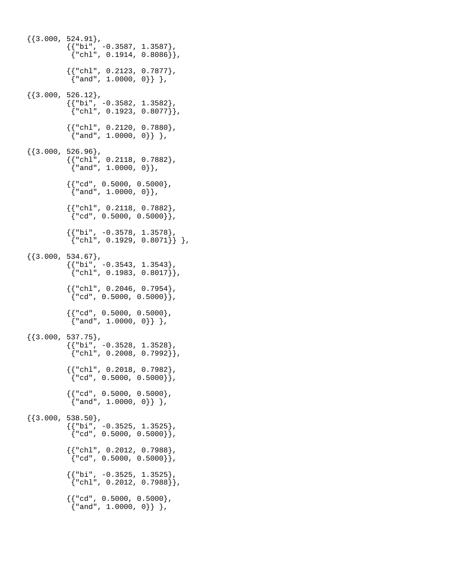$\{\{3.000, 524.91\},\}$  $\{\{\text{"bi", -0.3587, 1.3587}\}$  ,  $\{\text{"chl"}\, , \text{ 0.1914, 0.8086}\}\, ,$  ${$ {rchl", 0.2123, 0.7877}  $\{$  "and", 1.0000, 0}} },  ${3.000, 526.12},$  {{"bi", -0.3582, 1.3582},  $\{ "chl", 0.1923, 0.8077] \},$  ${ {\color{red} {\{ "chl", 0.2120, 0.7880 \} } }}$  {"and", 1.0000, 0}} },  $\{3.000, 526.96\}$ ,  ${ {\color{red} {\{ "chl" } , 0.2118, 0.7882 \} }}$  $\{$  "and", 1.0000, 0}},  $\{$   $\{\text{"cd", 0.5000, 0.5000}\}$ , {"and", 1.0000, 0}}, {{"chl", 0.2118, 0.7882},  $\{ "cd", 0.5000, 0.5000] \},$  $\{\{\text{"bi", -0.3578, 1.3578}\}$  ,  $\{\text{"chl"}\, , \text{ 0.1929, 0.8071}\} \; \} \; ,$  $\{\{3.000, 534.67\},\}$  ${'}$ "bi", -0.3543, 1.3543},  ${``ch1", 0.1983, 0.8017}}$  ${ {\color{red} {\{ "chl", 0.2046, 0.7954 \} } }}$  ${\rm \{ "cd", 0.5000, 0.5000]}$ ,  ${$ {r cd", 0.5000, 0.5000}  ${\cm{4, 1.0000, 0}}$ ,  ${\cm{3, 1.0000, 0}}$ ,  ${ {3.000, 537.75}}$ ,  ${ {\color{red}\{ "bi", -0.3528, 1.3528 \} }}$  ${``ch1", 0.2008, 0.7992] }$  ${ {\color{red} {\{ "chl", 0.2018, 0.7982 \} } }}$  ${''cd", 0.5000, 0.5000}$ ,  ${ {\color{red} {\{ "cd" , 0.5000, 0.5000 \} } }}$  {"and", 1.0000, 0}} },  ${3.000, 538.50}$ ,  ${ {\color{red}\{ "bi", -0.3525, 1.3525 \} }}$  ${''cd", 0.5000, 0.5000}$ ,  $\{$   $\{\text{"chl", 0.2012, 0.7988}\}$ ,  ${''cd", 0.5000, 0.5000}$  $\{$   $\{\text{"bi", -0.3525, 1.3525}\}$ , {"chl", 0.2012, 0.7988}}, {{"cd", 0.5000, 0.5000}, {"and", 1.0000, 0}} },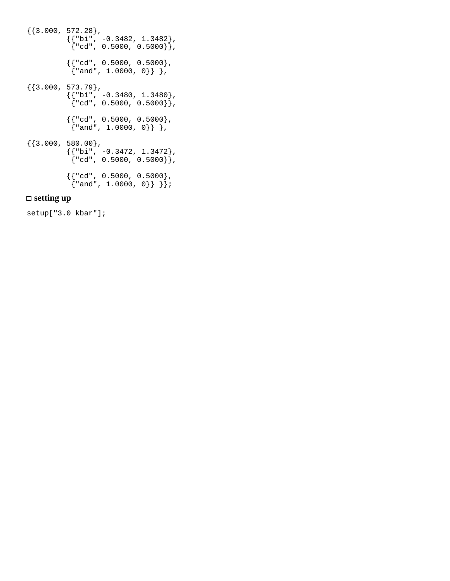$\{\{3.000, 572.28\},\}$  $\{\{\text{"bi", -0.3482, 1.3482}\}$  ,  $\{ "cd", 0.5000, 0.5000] \}$  ,  $\{\{\text{"cd"}\, , \text{ } 0.5000\, , \text{ } 0.5000\}$  ,  $\{$  "and", 1.0000, 0 $\}$ },  $\{\{3.000, 573.79\},\$  $\{\{\text{"bi", -0.3480, 1.3480}\}$  ,  $\left[\right\{"cd", 0.5000, 0.5000\right\}$ , {{"cd", 0.5000, 0.5000}, {"and", 1.0000, 0}} },  $\{\{3.000, 580.00\},\}$  $\{\{\text{"bi", -0.3472, 1.3472}\}$  ,  $\{\ ^\mathrm{''cd}$ ", 0.5000, 0.5000 $\}\}$ ,  ${ {\color{red} {\{ "cd" , 0.5000, 0.5000 \} } }}$ {"and", 1.0000, 0}} }};

## **setting up**

setup["3.0 kbar"];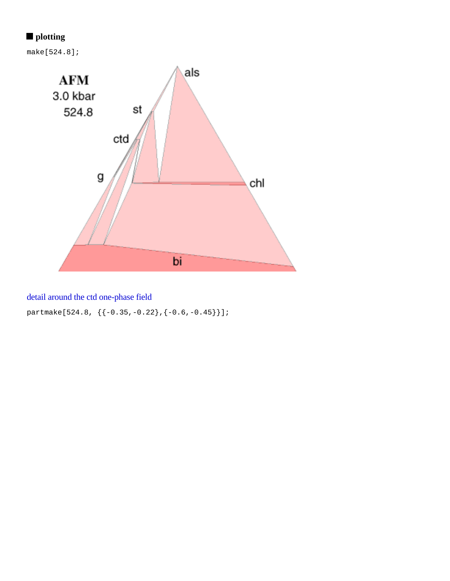# **plotting**

make[524.8];



# detail around the ctd one-phase field

partmake[524.8, {{-0.35,-0.22},{-0.6,-0.45}}];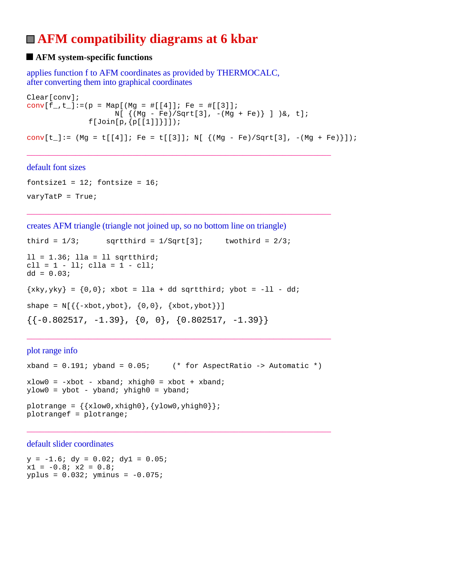# **AFM compatibility diagrams at 6 kbar**

## $\blacksquare$  **AFM system-specific functions**

applies function f to AFM coordinates as provided by THERMOCALC, after converting them into graphical coordinates

```
Clear[conv];
conv[f_-,t_-]:=(p = Map[(Mg = #[[4]]; Fe = #[[3]]);N[ { (Mg - Fe)/Sqrt[3], -(Mg + Fe)} ] ) &, t];
              f[Join[p,[p[[1]]]]];conv[t_]:= (Mg = t[[4]]; Fe = t[[3]]; N[ { (Mg - Fe)/Sqrt[3], -(Mg + Fe) } ]);
```
\_\_\_\_\_\_\_\_\_\_\_\_\_\_\_\_\_\_\_\_\_\_\_\_\_\_\_\_\_\_\_\_\_\_\_\_\_\_\_\_\_\_\_\_\_\_\_\_\_\_\_\_\_\_\_\_\_\_\_\_\_\_\_\_\_\_\_\_\_

\_\_\_\_\_\_\_\_\_\_\_\_\_\_\_\_\_\_\_\_\_\_\_\_\_\_\_\_\_\_\_\_\_\_\_\_\_\_\_\_\_\_\_\_\_\_\_\_\_\_\_\_\_\_\_\_\_\_\_\_\_\_\_\_\_\_\_\_\_

#### default font sizes

fontsize1 =  $12$ ; fontsize =  $16$ ;  $varyTatP = True;$ 

creates AFM triangle (triangle not joined up, so no bottom line on triangle)

```
third = 1/3; sqrtthird = 1/Sqrt[3]; twothird = 2/3;
11 = 1.36; 11a = 11 sqrtthird;
\text{cll} = 1 - 11; \text{clla} = 1 - \text{cll};
dd = 0.03;\{xky, yky\} = \{0,0\}; xbot = lla + dd sqrtthird; ybot = -11 - dd;
shape = N[\{\{-xbot, ybot\}, \{0, 0\}, \{xbot, ybot\}\}]\{(-0.802517, -1.39\}, \{0, 0\}, \{0.802517, -1.39\}\}\
```
plot range info

```
xband = 0.191; yband = 0.05; (* for AspectRatio -> Automatic *)
xlow0 = -xbot - xband; xhigh0 = xbot + xband;ylow0 = ybot - yband; yhigh0 = yband;
plotrange = \{\{xlow0, xhigh0\}, \{ylow0, yhigh0\}\}\plotrangef = plotrange;
```
\_\_\_\_\_\_\_\_\_\_\_\_\_\_\_\_\_\_\_\_\_\_\_\_\_\_\_\_\_\_\_\_\_\_\_\_\_\_\_\_\_\_\_\_\_\_\_\_\_\_\_\_\_\_\_\_\_\_\_\_\_\_\_\_\_\_\_\_\_

\_\_\_\_\_\_\_\_\_\_\_\_\_\_\_\_\_\_\_\_\_\_\_\_\_\_\_\_\_\_\_\_\_\_\_\_\_\_\_\_\_\_\_\_\_\_\_\_\_\_\_\_\_\_\_\_\_\_\_\_\_\_\_\_\_\_\_\_\_

default slider coordinates

 $y = -1.6$ ;  $dy = 0.02$ ;  $dy1 = 0.05$ ;  $x1 = -0.8; x2 = 0.8;$  $yplus = 0.032; yminus = -0.075;$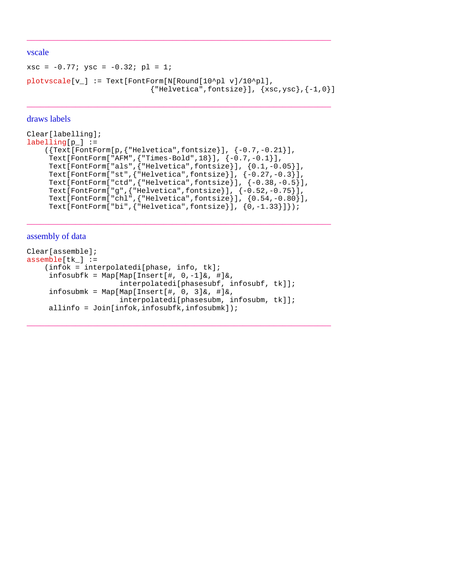#### vscale

```
xsc = -0.77; ysc = -0.32; pl = 1;
plotvscale[v_] := Text[FontForm[N[Round[10^pl v]/10^pl],
                                {^{\texttt{THelvetica}}, \texttt{fontsize}}, {xsc,ysc}, {-1,0}
```
\_\_\_\_\_\_\_\_\_\_\_\_\_\_\_\_\_\_\_\_\_\_\_\_\_\_\_\_\_\_\_\_\_\_\_\_\_\_\_\_\_\_\_\_\_\_\_\_\_\_\_\_\_\_\_\_\_\_\_\_\_\_\_\_\_\_\_\_\_

\_\_\_\_\_\_\_\_\_\_\_\_\_\_\_\_\_\_\_\_\_\_\_\_\_\_\_\_\_\_\_\_\_\_\_\_\_\_\_\_\_\_\_\_\_\_\_\_\_\_\_\_\_\_\_\_\_\_\_\_\_\_\_\_\_\_\_\_\_

#### draws labels

```
Clear[labelling];
labelling[p_] := ({Text[FontForm[p,{"Helvetica",fontsize}], {-0.7,-0.21}],
      Text[FontForm["AFM",{"Times-Bold",18}], {-0.7,-0.1}],
 Text[FontForm["als",{"Helvetica",fontsize}], {0.1,-0.05}],
 Text[FontForm["st",{"Helvetica",fontsize}], {-0.27,-0.3}],
     Text[FontForm["ctd",{"Helvetica",fontsize}], {-0.38,-0.5}],
     Text[FontForm["g",{"Helvetica",fontsize}], {-0.52,-0.75}],
     Text[FontForm["chl",{"Helvetica",fontsize}], {0.54,-0.80}],
     Text[FontForm["bi",{"Helvetica",fontsize}], {0,-1.33}]});
```
\_\_\_\_\_\_\_\_\_\_\_\_\_\_\_\_\_\_\_\_\_\_\_\_\_\_\_\_\_\_\_\_\_\_\_\_\_\_\_\_\_\_\_\_\_\_\_\_\_\_\_\_\_\_\_\_\_\_\_\_\_\_\_\_\_\_\_\_\_

\_\_\_\_\_\_\_\_\_\_\_\_\_\_\_\_\_\_\_\_\_\_\_\_\_\_\_\_\_\_\_\_\_\_\_\_\_\_\_\_\_\_\_\_\_\_\_\_\_\_\_\_\_\_\_\_\_\_\_\_\_\_\_\_\_\_\_\_\_

#### assembly of data

```
Clear[assemble];
assemble[tk] := (infok = interpolatedi[phase, info, tk];
     infosubfk = Map[Map[Insert[#, 0,-1]&, #]&,
                      interpolatedi[phasesubf, infosubf, tk]];
     infosubmk = Map[Map[Insert[#, 0, 3]&, #]&,
                      interpolatedi[phasesubm, infosubm, tk]];
     allinfo = Join[infok,infosubfk,infosubmk]);
```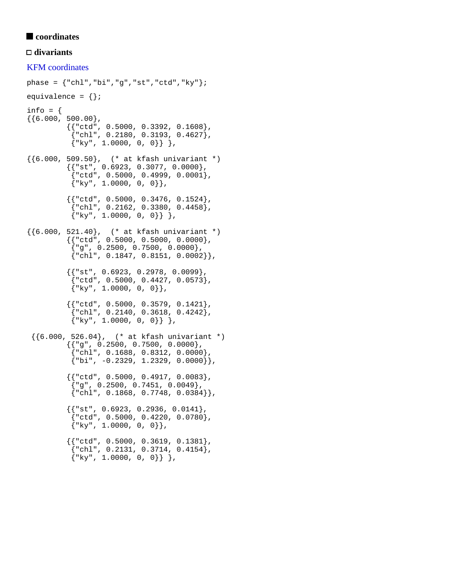## ■ coordinates

## **divariants**

KFM coordinates phase =  $\{ "chl", "bi", "g", "st", "ctd", "ky" } \}$ ; equivalence =  $\{\}$ ; info =  $\{$  ${6.000, 500.00}$ ,  ${$ {rctd", 0.5000, 0.3392, 0.1608}  $\frac{1}{3}$ "chl", 0.2180, 0.3193, 0.4627 $\frac{1}{3}$ ,  $\{$  "ky", 1.0000, 0, 0}} }, {{6.000, 509.50}, (\* at kfash univariant \*)  ${{'s$ "st", 0.6923, 0.3077, 0.0000}},  ${red", 0.5000, 0.4999, 0.0001},$  ${\{\n \text{ "ky", 1.0000, 0, 0}\}\n \}$  ${ {\color{red} {\{ "ctd" , 0.5000, 0.3476, 0.1524 \} }$ , {"chl", 0.2162, 0.3380, 0.4458},  $\{ "ky", 1.0000, 0, 0] \}$ ,  $\{\{6.000, 521.40\},$  (\* at kfash univariant \*)  ${$ {rctd", 0.5000, 0.5000, 0.0000},  $\{\mathrm{``g\text{''}}$ , 0.2500, 0.7500, 0.0000},  ${\text{``chl''}, 0.1847, 0.8151, 0.0002}}$ , {{"st", 0.6923, 0.2978, 0.0099}, {"ctd", 0.5000, 0.4427, 0.0573},  ${\{\n \text{ "ky", 1.0000, 0, 0}\}\n \}$  ${$ [ $\cdot$ "ctd", 0.5000, 0.3579, 0.1421},  $\{ "chl", 0.2140, 0.3618, 0.4242 \},$  $\{$  "ky", 1.0000, 0, 0}} },  $\{\{6.000, 526.04\}, (\star \text{ at kfash univariate *})\}$  {{"g", 0.2500, 0.7500, 0.0000},  $[$ "chl", 0.1688, 0.8312, 0.0000 $],$  ${ "bi", -0.2329, 1.2329, 0.0000] }$  {{"ctd", 0.5000, 0.4917, 0.0083},  ${^{"q"}$ , 0.2500, 0.7451, 0.0049},  ${``ch1", 0.1868, 0.7748, 0.0384]},$  ${ {\color{red} {\{ "st", 0.6923, 0.2936, 0.0141 \} }$  {"ctd", 0.5000, 0.4220, 0.0780},  $\{ "ky", 1.0000, 0, 0] \},$  ${ {\} "ctd", 0.5000, 0.3619, 0.1381 }$  $\{ "chl", 0.2131, 0.3714, 0.4154 \},$  $\{ "ky", 1.0000, 0, 0] \}$ ,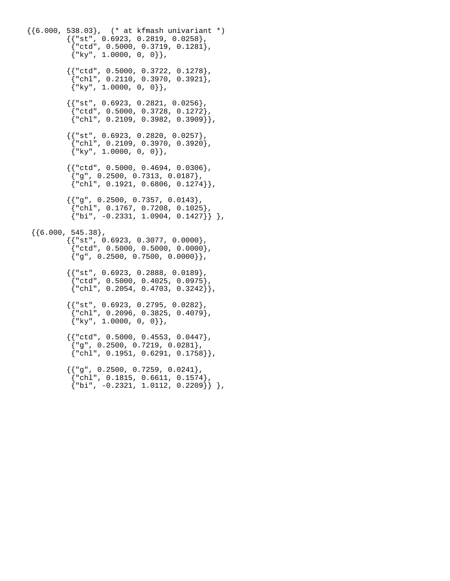{{6.000, 538.03}, (\* at kfmash univariant \*)  ${ {\{\text{ "st", 0.6923, 0.2819, 0.0258 \}}\}$  {"ctd", 0.5000, 0.3719, 0.1281},  ${\{\n \text{``ky''},\n \text{1.0000},\n \text{0},\n \text{0}\}\n }$  {{"ctd", 0.5000, 0.3722, 0.1278},  ${\text{``chl''}, 0.2110, 0.3970, 0.3921}}$  ${\{\n \text{``ky"} ,\n \text{1.0000, 0, 0}}\},$  ${{'}}$ "st", 0.6923, 0.2821, 0.0256}, {"ctd", 0.5000, 0.3728, 0.1272},  $\{ "chl", 0.2109, 0.3982, 0.3909] \},$  ${ {\{\text{ "st", 0.6923, 0.2820, 0.0257}\}}$  ${``ch1", 0.2109, 0.3970, 0.3920},$  ${\{\n \text{``ky"} ,\n \text{1.0000, 0, 0}\}\n$  ${$   ${rctd", 0.5000, 0.4694, 0.0306}$  ${^{"q"}$ , 0.2500, 0.7313, 0.0187}  ${``ch1", 0.1921, 0.6806, 0.1274]},$  ${{'\n_9"$ , 0.2500, 0.7357, 0.0143}, {"chl", 0.1767, 0.7208, 0.1025},  ${\binom{137}{101}}, -0.2331, 1.0904, 0.1427}$  $\{\{6.000, 545.38\},\}$  ${ {\color{red} {\{ "st", 0.6923, 0.3077, 0.0000 \} }$  $\{ "ctd", 0.5000, 0.5000, 0.0000 \},$  ${''g", 0.2500, 0.7500, 0.0000}$ ,  ${$ { "st", 0.6923, 0.2888, 0.0189 } {"ctd", 0.5000, 0.4025, 0.0975},  ${\text{``chl''}, 0.2054, 0.4703, 0.3242}}$  {{"st", 0.6923, 0.2795, 0.0282},  $\{\text{"chl", 0.2096, 0.3825, 0.4079}\},$  ${\{\n \text{``ky''},\n \text{1.0000},\n \text{0},\n \text{0}\}\n }$  ${$   ${rctd", 0.5000, 0.4553, 0.0447}$  ${''g", 0.2500, 0.7219, 0.0281},$  ${ "chl", 0.1951, 0.6291, 0.1758] }$  ${{'|g", 0.2500, 0.7259, 0.0241}},$  ${\text{``chl''}, 0.1815, 0.6611, 0.1574}.$  ${\n \{\n \text{b}i", -0.2321, 1.0112, 0.2209\}\n \},$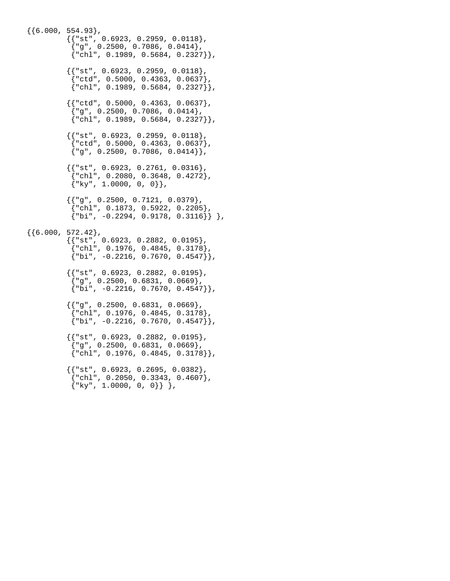${6.000, 554.93}$ ,  ${ {\color{red} {\{ "st", 0.6923, 0.2959, 0.0118 \}} \n$  ${^{"g"}}$ , 0.2500, 0.7086, 0.0414},  ${ "chl", 0.1989, 0.5684, 0.2327 }$  ${ {\} "st", 0.6923, 0.2959, 0.0118 }$  ${red", 0.5000, 0.4363, 0.0637},$  ${ "chl", 0.1989, 0.5684, 0.2327 }$  ${$  "ctd", 0.5000, 0.4363, 0.0637},  ${^{"g"}}$ , 0.2500, 0.7086, 0.0414}, {"chl", 0.1989, 0.5684, 0.2327}},  ${ {\color{red} {\{ "st", 0.6923, 0.2959, 0.0118 \} }},$  {"ctd", 0.5000, 0.4363, 0.0637},  ${~}^{\{q\}}$  , 0.2500, 0.7086, 0.0414}},  ${$ { "st", 0.6923, 0.2761, 0.0316 } {"chl", 0.2080, 0.3648, 0.4272},  ${"\ky", 1.0000, 0, 0}$ ,  ${{'|$ "g", 0.2500, 0.7121, 0.0379}}  ${``chl", 0.1873, 0.5922, 0.2205}$  ${\binom{16i}{5i}}, -0.2294, 0.9178, 0.3116}$ ,  $\{\{6.000, 572.42\},\}$  ${ {\color{red} {\{ "st", 0.6923, 0.2882, 0.0195 \} }},$  {"chl", 0.1976, 0.4845, 0.3178},  ${ "bi", -0.2216, 0.7670, 0.4547 }$  ${ {\} "st", 0.6923, 0.2882, 0.0195 }$  ${^{"q"}$ , 0.2500, 0.6831, 0.0669},  ${\{\nabla\}$ i", -0.2216, 0.7670, 0.4547}},  ${{'|$ "g", 0.2500, 0.6831, 0.0669}}  $\{\text{"chl", 0.1976, 0.4845, 0.3178}\},$  $\{$ "bi", -0.2216, 0.7670, 0.4547}},  ${{'s.t". 0.6923, 0.2882, 0.0195}.$  ${''g", 0.2500, 0.6831, 0.0669},$  ${ "chl", 0.1976, 0.4845, 0.3178] }$  {{"st", 0.6923, 0.2695, 0.0382},  ${``chl", 0.2050, 0.3343, 0.4607},$  ${\{\n \text{``ky", 1.0000, 0, 0\}}\n }$ ,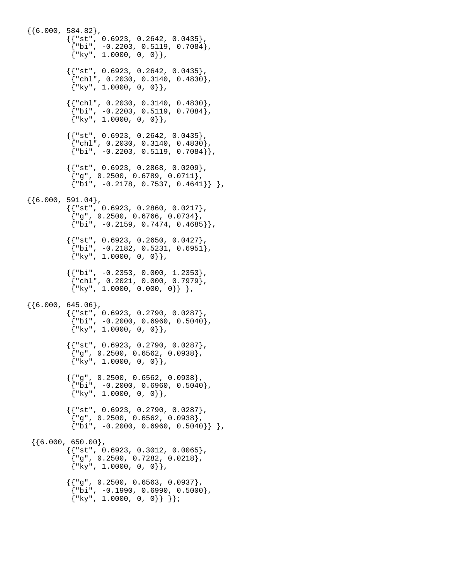$\{6.000, 584.82\}$  ${ {\{\text{ "st", 0.6923, 0.2642, 0.0435}\}}$  $["bi", -0.2203, 0.5119, 0.7084],$  ${"\,ky", 1.0000, 0, 0}$ ,  ${ {\} "st", 0.6923, 0.2642, 0.0435 }$  $\{ "chl", 0.2030, 0.3140, 0.4830 \},$  ${ \mathbb{W} \times \mathbb{W} \times \mathbb{W} \times \mathbb{W} \times \mathbb{W} \times \mathbb{W} \times \mathbb{W} \times \mathbb{W} \times \mathbb{W} \times \mathbb{W} \times \mathbb{W} \times \mathbb{W} \times \mathbb{W} \times \mathbb{W} \times \mathbb{W} \times \mathbb{W} \times \mathbb{W} \times \mathbb{W} \times \mathbb{W} \times \mathbb{W} \times \mathbb{W} \times \mathbb{W} \times \mathbb{W} \times \mathbb{W} \times \mathbb{W} \times \mathbb{W} \times \mathbb{W} \times \mathbb$  ${ {\color{red} {\{ "chl", 0.2030, 0.3140, 0.4830 \} }}$  ${^{\text{}}{\pi}}$ bi", -0.2203, 0.5119, 0.7084 ${^{\text{}}{\}}$ ,  $\{$  "ky", 1.0000, 0, 0}},  ${{'s$ }}  ${t "st", 0.6923, 0.2642, 0.0435}$  ${``chl", 0.2030, 0.3140, 0.4830},$  ${ "bi", -0.2203, 0.5119, 0.7084] }$  ${ {\} "st", 0.6923, 0.2868, 0.0209 }$  ${~\vert}$ "g", 0.2500, 0.6789, 0.0711},  ${\{\nabla\}$ bi", -0.2178, 0.7537, 0.4641 ${\}\}$ ,  ${6.000, 591.04}$ ,  ${$ { "st", 0.6923, 0.2860, 0.0217 }  ${1 \choose 1}$ "g", 0.2500, 0.6766, 0.0734},  ${ "bi", -0.2159, 0.7474, 0.4685 }$  ${$ { "st", 0.6923, 0.2650, 0.0427 }  ${\text{ "bi", -0.2182, 0.5231, 0.6951}}$  ${ \mathbb{W} \times \mathbb{W} \times \mathbb{W} \times \mathbb{W} \times \mathbb{W} \times \mathbb{W} \times \mathbb{W} \times \mathbb{W} \times \mathbb{W} \times \mathbb{W} \times \mathbb{W} \times \mathbb{W} \times \mathbb{W} \times \mathbb{W} \times \mathbb{W} \times \mathbb{W} \times \mathbb{W} \times \mathbb{W} \times \mathbb{W} \times \mathbb{W} \times \mathbb{W} \times \mathbb{W} \times \mathbb{W} \times \mathbb{W} \times \mathbb{W} \times \mathbb{W} \times \mathbb{W} \times \mathbb$  $\{$   $\{\text{"bi", -0.2353, 0.000, 1.2353}\}$ ,  ${``chl", 0.2021, 0.000, 0.7979},$  $\{ "ky", 1.0000, 0.000, 0] \}$ ,  $\{\{6.000, 645.06\},\}$  ${{'s$ "st", 0.6923, 0.2790, 0.0287}}  ${\n \{\n \text{b}i", -0.2000, 0.6960, 0.5040\}\n \},$  ${\{\n \text{ "ky", 1.0000, 0, 0}\}\n$  ${{'}}s$ rst", 0.6923, 0.2790, 0.0287}, {"g", 0.2500, 0.6562, 0.0938},  ${"\ky", 1.0000, 0, 0}$ ,  ${$ { "g", 0.2500, 0.6562, 0.0938 }  ${ "bi", -0.2000, 0.6960, 0.5040 }$  ${\{\n \text{``ky''},\n \text{1.0000},\n \text{0},\n \text{0}\}\n }$  ${{'}}$ "st", 0.6923, 0.2790, 0.0287},  ${^{\text{[eq]}}}, 0.2500, 0.6562, 0.0938},$  ${'vbi", -0.2000, 0.6960, 0.5040}$ ,  $\{\{6.000, 650.00\},\}$  $\{$   $\{$  "st", 0.6923, 0.3012, 0.0065 $\}$ ,  ${^{"q"}$ , 0.2500, 0.7282, 0.0218},  ${\{\n \text{ "ky", 1.0000, 0, 0}\}\n \}$  ${{'|$ "q", 0.2500, 0.6563, 0.0937}}  ${\{\text{"bi", -0.1990, 0.6990, 0.5000\}}$ ,  ${\{ "ky", 1.0000, 0, 0]} \}$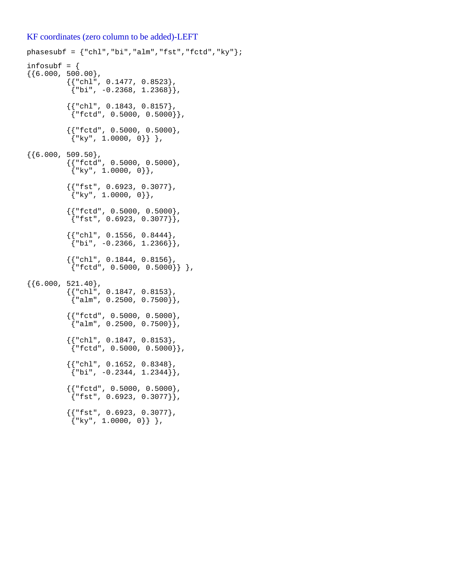#### KF coordinates (zero column to be added)-LEFT

```
phasesubf = \{ "chl", "bi", "alm", "fst", "fctd", "ky" } \};
infosubf = \{\{\{6.000, 500.00\},\}\{\{\text{"chl"}\, , \text{ 0.1477, 0.8523}\} ,
            { "bi", -0.2368, 1.2368] }{ {\color{red} {\{ "chl", 0.1843, 0.8157 \} } }}{``fctd", 0.5000, 0.5000}} {{"fctd", 0.5000, 0.5000},
            \{ "ky", 1.0000, 0}} },
{{6.000, 509.50},
            {{"fctd", 0.5000, 0.5000},
            {\{\n \text{``ky"} ,\n \text{1.0000, 0}\}\n } {{"fst", 0.6923, 0.3077},
            {\{ "ky", 1.0000, 0]},
           {{rctd", 0.5000, 0.5000},
            {``fst", 0.6923, 0.3077}}{ {\color{red} {\{ "chl", 0.1556, 0.8444 \} } }}{\{\text{"bi", -0.2366, 1.2366]}\},{{ "chl", 0.1844, 0.8156 }
             {"fctd", 0.5000, 0.5000}} },
{6.000, 521.40},{ {\color{red} {\{ \text{``chl''}, \text{ 0.1847, 0.8153 \}} \}}{ \}"alm", 0.2500, 0.7500{ },
            {{"fctd", 0.5000, 0.5000},
            \{ "alm", 0.2500, 0.7500] \}, {{"chl", 0.1847, 0.8153},
            \{ "fctd", 0.5000, 0.5000] \}, {{"chl", 0.1652, 0.8348},
            {\binom{4}{1}}, -0.2344, 1.2344},
            {{"fctd", 0.5000, 0.5000},
            {"fst", 0.6923, 0.3077},
            {{"fst", 0.6923, 0.3077},
            \{ "ky", 1.0000, 0}} },
```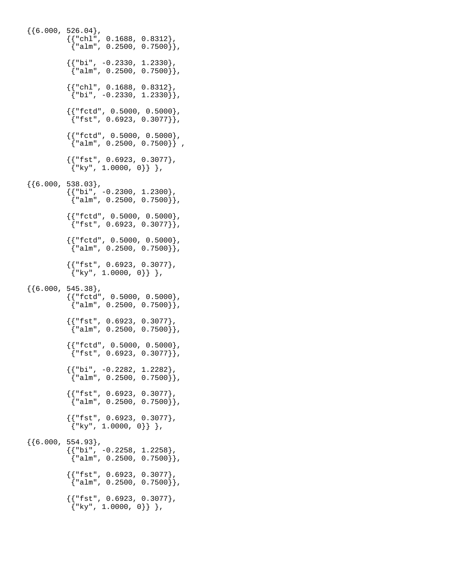```
{6.000, 526.04},
\{\{\text{"chl"}\, , \text{ 0.1688, 0.8312}\} ,
\{ "alm", 0.2500, 0.7500\} },
          \{ \{\nmid "bi", -0.2330, 1.2330},
            {"alm", 0.2500, 0.7500}},
          \{ \{\text{"chl", 0.1688, 0.8312}\},
           {\n \{\n \text{"bi", -0.2330, 1.2330]}\n \}\{\,\{\texttt{"fctd", 0.5000, 0.5000}\,\} ,
\{ "fst", 0.6923, 0.3077\} },
\{\,\{\texttt{"fctd", 0.5000, 0.5000}\,\} ,
 {"alm", 0.2500, 0.7500}} ,
           {{"fst", 0.6923, 0.3077},
            {\{\n \text{``ky", 1.0000, 0}\}\n },
\{\{6.000, 538.03\},
          { {\color{red} {\{ "bi", -0.2300, 1.2300 \} } }}{21 \choose 1}, 0.2500, 1.2500},
          {{rctd", 0.5000, 0.5000},
           \{ "fst", 0.6923, 0.3077}\},
          {{rctd", 0.5000, 0.5000},
            {"alm", 0.2500, 0.7500}},
          {{ "fst", 0.6923, 0.3077}
           \{ "ky", 1.0000, 0 \} \},
{6.000, 545.38}, {{"fctd", 0.5000, 0.5000},
           \{ "alm", 0.2500, 0.7500}},
          {{ "fst", 0.6923, 0.3077 }
           {^{\texttt{m}}alm", 0.2500, 0.7500}},
          {{rctd", 0.5000, 0.5000}
           {``fst", 0.6923, 0.3077}}{ {\color{red} {\{ "bi", -0.2282, 1.2282 \} } }}{^{\texttt{m}}, 0.2500, 0.7500}},
          {{ "fst", 0.6923, 0.3077 }
           {^{\texttt{m}}alm", 0.2500, 0.7500}},
          {{ "fst", 0.6923, 0.3077 }
           {\{\n \text{ "ky", 1.0000, 0}\}\n },
{6.000, 554.93},
\{\{\text{"bi", -0.2258, 1.2258}\} ,
\{ "alm", 0.2500, 0.7500\} },
          {{ "fst", 0.6923, 0.3077 }
            {"alm", 0.2500, 0.7500}},
           {{"fst", 0.6923, 0.3077},
           \{ "ky", 1.0000, 0}} },
```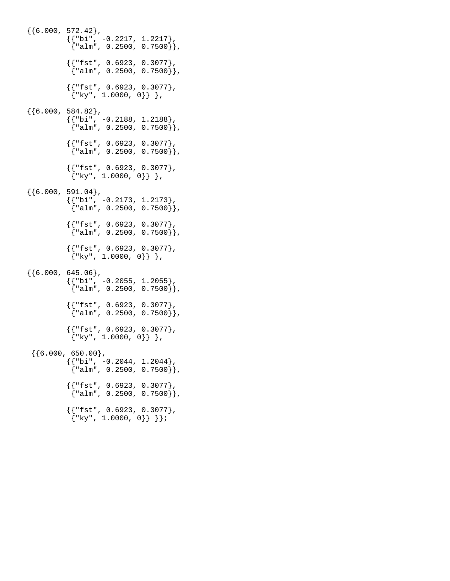{{6.000, 572.42},  $\{\{\text{"bi", -0.2217, 1.2217}\}$  ,  $\{$  "alm", 0.2500, 0.7500 $\}$  }, {{"fst", 0.6923, 0.3077}, {"alm", 0.2500, 0.7500}},  ${ {\mathsf{r}}_s^{\text{max}}$ , 0.6923, 0.3077},  ${\n \{\n \n \cdot \text{ky}\n \mid \n 1.0000, 0\}\n \}$ ,  $\{\{6.000, 584.82\},\}$  $\{\{\text{"bi", -0.2188, 1.2188}\}$ ,  $\{$  "alm", 0.2500, 0.7500 $\}$  },  ${$ { "fst", 0.6923, 0.3077 } {"alm", 0.2500, 0.7500}}, {{"fst", 0.6923, 0.3077},  ${"\,ky", 1.0000, 0\}$ ,  ${6.000, 591.04}$ ,  $\{\{\text{"bi", -0.2173, 1.2173}}\}$  ,  $\{$  "alm", 0.2500, 0.7500 $\}$  }, {{"fst", 0.6923, 0.3077},  ${^{\texttt{m}}$ alm", 0.2500, 0.7500}}, {{"fst", 0.6923, 0.3077},  $\{ "ky", 1.0000, 0] \}$ ,  ${6.000, 645.06}$ ,  $\{\{\text{"bi", -0.2055, 1.2055}\}$  ,  $\{$  "alm", 0.2500, 0.7500 $\}$  },  ${$ { "fst", 0.6923, 0.3077 }  ${\{ "alm", 0.2500, 0.7500]} \}$  ${[{"\texttt{fst", 0.6923, 0.3077}},$  ${\n \{\n \n \cdot \text{ky}\n \mid \n 1.0000, 0\}\n \}$ ,  $\{\{6.000, 650.00\},\}$  ${ {\color{red}\{ "bi", -0.2044, 1.2044 \} }}$  ${^{\texttt{m}}$ alm", 0.2500, 0.7500}},  ${$ { "fst", 0.6923, 0.3077 }  ${ \}$ "alm", 0.2500, 0.7500 ${ }$ }, {{"fst", 0.6923, 0.3077},  ${\n \{\n \n \begin{bmatrix}\n x_y & 1.0000 & 0\n \end{bmatrix}\n \}\n \}$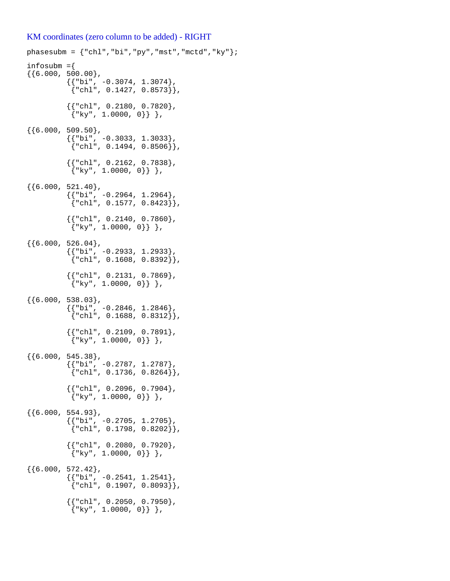#### KM coordinates (zero column to be added) - RIGHT

```
phasesubm = \{ "chl", "bi", "py", "mst", "mctd", "ky" } \};
infosubm ={
\{ \{ 6.000, 500.00 \},
           { {\color{red}{\{ "bi", -0.3074, 1.3074 \} } }}{ "chl", 0.1427, 0.8573] } {{"chl", 0.2180, 0.7820},
            {\{\n \text{``ky''}, 1.0000, 0\}\}\n,
{6.000, 509.50},\{\{\text{"bi", -0.3033, 1.3033}}\} ,
\{\text{"chl"}, 0.1494, 0.8506}},
           {{ "chl", 0.2162, 0.7838 }
            {\n \{\n \n \cdot \text{ky}\n \mid \n 1.0000, 0\}\n \},
{6.000, 521.40},\{\{\text{"bi", -0.2964, 1.2964}}\} {"chl", 0.1577, 0.8423}},
           { {\color{red}\{ "chl", 0.2140, 0.7860 \} }}\{ "ky", 1.0000, 0] \},
\{\{6.000, 526.04\},\}\{\{\text{"bi", -0.2933, 1.2933}}\} ,
\{ "chl", 0.1608, 0.8392] \} ,
            {{"chl", 0.2131, 0.7869},
            {\n \{\n \n \cdot \text{ky}\n \mid \n 1.0000, 0\}\n \}\n{{6.000, 538.03},
           { {\color{red} {\{ "bi", -0.2846, 1.2846 \} } }}{ "chl", 0.1688, 0.8312] }, {{"chl", 0.2109, 0.7891},
            \{ "ky", 1.0000, 0}} },
{6.000, 545.38},
\{\{\text{"bi", -0.2787, 1.2787}\} ,
\{ "chl", 0.1736, 0.8264] \},
           \{ \{\text{"chl", 0.2096, 0.7904} \},\{ "ky", 1.0000, 0] \},
{{6.000, 554.93},
            {{"bi", -0.2705, 1.2705},
            \{ "chl", 0.1798, 0.8202] \}, {{"chl", 0.2080, 0.7920},
            \{ "ky", 1.0000, 0}} },
{6.000, 572.42},{'} "bi", -0.2541, 1.2541},
            {``ch1", 0.1907, 0.8093]}.{{rch1", 0.2050, 0.7950}
            {"\ky", 1.0000, 0}, },
```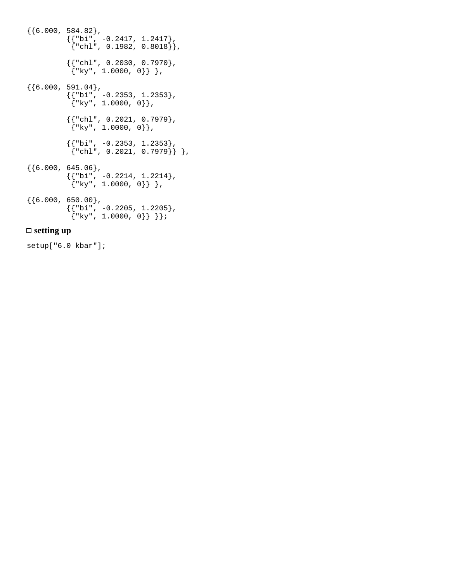```
\{\{6.000, 584.82\},\}\{\{\text{"bi", -0.2417, 1.2417}\} ,
\{ "chl", 0.1982, 0.8018] \},
\{\{\text{"chl"}\, , \text{ 0.2030 , 0.7970}\} ,
\{ "ky", 1.0000, 0\} \} ,
\{\{6.000, 591.04\},\}\{\{\text{"bi", -0.2353, 1.2353}}\} ,
           \{ "ky", 1.0000, 0}},
\{\{\text{"chl"}\, , \text{ } 0.2021\, , \text{ } 0.7979\}\, ,\{ "ky", 1.0000, 0\} },
          { {\color{red}\{ "bi", -0.2353, 1.2353\} }}\left\{ \text{"chl", 0.2021, 0.7979} \right\} },
\{\{6.000, 645.06\},\}\{\{\text{"bi", -0.2214, 1.2214}\} ,
           {\{\n \text{``ky", 1.0000, 0}\}\}\,
\{\{6.000, 650.00\},\}\{\{\text{"bi", -0.2205, 1.2205}\} ,
\{ "ky", 1.0000, 0\} \} \};
```
## **setting up**

setup["6.0 kbar"];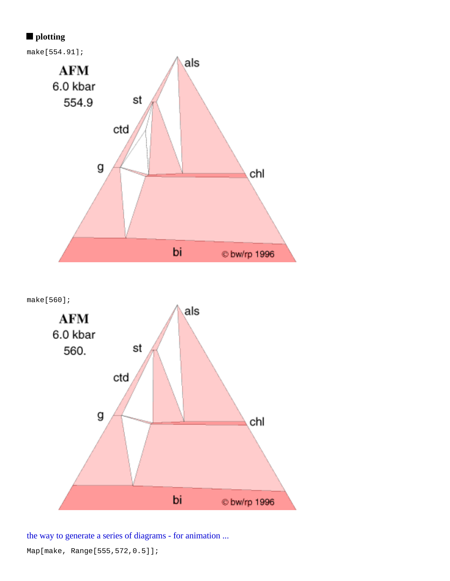# **plotting**



make[560];



the way to generate a series of diagrams - for animation ...

Map[make, Range[555,572,0.5]];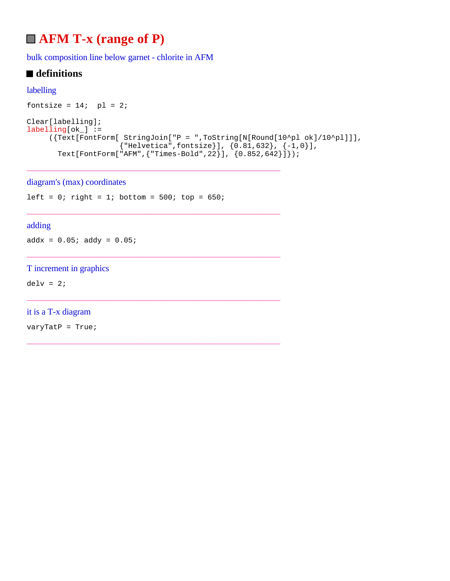# **AFM T-x (range of P)**

bulk composition line below garnet - chlorite in AFM

# **■** definitions

## labelling

```
fontsize = 14; pl = 2;
Clear[labelling];
labelling[ok_] :=
      ({Text[FontForm[ StringJoin["P = ",ToString[N[Round[10^pl ok]/10^pl]]],
                      {"Helvetica",fontsize}], {0.81,632}, {-1,0}],
       Text[FontForm["AFM", {"Times-Bold", 22}], (0.852, 642)]});
```
### diagram's (max) coordinates

left =  $0$ ; right =  $1$ ; bottom =  $500$ ; top =  $650$ ;

\_\_\_\_\_\_\_\_\_\_\_\_\_\_\_\_\_\_\_\_\_\_\_\_\_\_\_\_\_\_\_\_\_\_\_\_\_\_\_\_\_\_\_\_\_\_\_\_\_\_\_\_\_\_\_\_\_\_\_\_\_\_\_\_\_\_\_\_\_

\_\_\_\_\_\_\_\_\_\_\_\_\_\_\_\_\_\_\_\_\_\_\_\_\_\_\_\_\_\_\_\_\_\_\_\_\_\_\_\_\_\_\_\_\_\_\_\_\_\_\_\_\_\_\_\_\_\_\_\_\_\_\_\_\_\_\_\_\_

\_\_\_\_\_\_\_\_\_\_\_\_\_\_\_\_\_\_\_\_\_\_\_\_\_\_\_\_\_\_\_\_\_\_\_\_\_\_\_\_\_\_\_\_\_\_\_\_\_\_\_\_\_\_\_\_\_\_\_\_\_\_\_\_\_\_\_\_\_

\_\_\_\_\_\_\_\_\_\_\_\_\_\_\_\_\_\_\_\_\_\_\_\_\_\_\_\_\_\_\_\_\_\_\_\_\_\_\_\_\_\_\_\_\_\_\_\_\_\_\_\_\_\_\_\_\_\_\_\_\_\_\_\_\_\_\_\_\_

\_\_\_\_\_\_\_\_\_\_\_\_\_\_\_\_\_\_\_\_\_\_\_\_\_\_\_\_\_\_\_\_\_\_\_\_\_\_\_\_\_\_\_\_\_\_\_\_\_\_\_\_\_\_\_\_\_\_\_\_\_\_\_\_\_\_\_\_\_

## adding

 $addx = 0.05; addy = 0.05;$ 

## T increment in graphics

 $delv = 2$ ;

## it is a T-x diagram

varyTatP = True;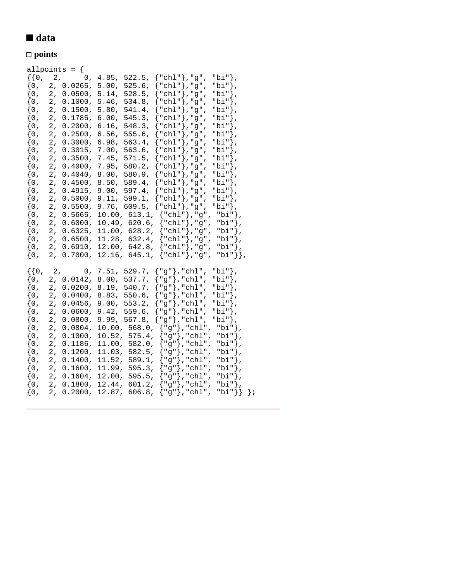# ■ data

# **points**

|                                                                                                                                                                                                                                         |                                                                                                                            | allpoints = $\{$                                                                                                                                                                                                                                                                                        |                                                                                                                                                                       |                                                                                                                                                                                                                       |                                                                                                                                                                                                                                                                                                                                                                                                                                                                                                                                                                                                                                                                             |
|-----------------------------------------------------------------------------------------------------------------------------------------------------------------------------------------------------------------------------------------|----------------------------------------------------------------------------------------------------------------------------|---------------------------------------------------------------------------------------------------------------------------------------------------------------------------------------------------------------------------------------------------------------------------------------------------------|-----------------------------------------------------------------------------------------------------------------------------------------------------------------------|-----------------------------------------------------------------------------------------------------------------------------------------------------------------------------------------------------------------------|-----------------------------------------------------------------------------------------------------------------------------------------------------------------------------------------------------------------------------------------------------------------------------------------------------------------------------------------------------------------------------------------------------------------------------------------------------------------------------------------------------------------------------------------------------------------------------------------------------------------------------------------------------------------------------|
| $\{0,$<br>$\{0\,,\,$<br>$\{0\}$<br>$\{0,$<br>$\{0,$<br>$\{0,$<br>$\{0,$<br>$\{0,$<br>$\{0,$<br>$\{0,$<br>$\{0,$<br>$\{0,$<br>$\{0,$<br>$\{0,$<br>$\{0,$<br>$\{0,$<br>$\{0,$<br>$\{0,$<br>$\{0,$<br>$\{0,$<br>$\{0,$<br>$\{0,$<br>$\{0,$ | 2,<br>2,<br>2,<br>2,<br>2,<br>2 <sub>r</sub><br>2,<br>2,<br>2,<br>2,<br>2,<br>2,<br>2,<br>2,<br>2,<br>2,<br>2,<br>2,<br>2, | 2,<br>2, 0.0265,<br>2, 0.0500,<br>2, 0.1000,<br>0.1500,<br>0.1785,<br>0.2000,<br>0.2500,<br>0.3000,<br>0.3015,<br>0.3500,<br>0.4000,<br>0.4040,<br>0.4500,<br>0.4915,<br>0.5000,<br>0.5500,<br>0.5665,<br>0.6000,<br>0.6325, 11.00, 628.2,<br>0.6500, 11.28, 632.4,<br>0.6910, 12.00, 642.8,<br>0.7000, | 0, 4.85,<br>5.00,<br>5.14,<br>5.46,<br>5.80,<br>6.00,<br>6.16,<br>6.56,<br>6.98,<br>7.00,<br>7.45,<br>7.95,<br>8.00,<br>8.50,<br>9.00,<br>9.11,<br>9.76,<br>$10.00$ , | 522.5,<br>$525.6$ ,<br>528.5,<br>534.8,<br>541.4,<br>545.3,<br>548.3,<br>555.6,<br>563.4,<br>563.6,<br>571.5,<br>580.2,<br>580.9,<br>589.4,<br>597.4,<br>599.1,<br>609.5,<br>613.1,<br>10.49, 620.6,<br>12.16, 645.1, | ${ "chl" }$ , "g" ,<br>"bi"},<br>"chl"},"g",<br>"bi"},<br>${ "chl" }$ , "g",<br>"bi"},<br>"chl" }, "g",<br>"bi"},<br>"chl" $}, "g",$<br>"bi"},<br>"chl"},"g",<br>"bi"},<br>"chl"},"g",<br>"bi"},<br>"chl"},"g",<br>"bi"},<br>"chl"},"g",<br>"bi"},<br>"chl"}, "g",<br>"bi"},<br>"chl"},"g",<br>"bi"},<br>"chl"},"g",<br>"bi"},<br>"chl"}, "g",<br>"bi"},<br>"chl"},"g",<br>"bi"},<br>"chl"}, "g",<br>"bi"},<br>"chl"}, "g",<br>"bi"},<br>"chl"},"g",<br>"bi"},<br>∤<br>${ "chl" }$ ,"g",<br>"bi"},<br>${ "ch1" }$ , "g",<br>"bi"},<br>${ "chl" }$ ,"g",<br>"bi"},<br>${\{\text{"chl"}\}}$ , "g",<br>"bi"},<br>"bi"},<br>${ "ch1" }$ , "g",<br>${ "ch1" }$ , "g",<br>"bi"}}, |
| $\{0,$<br>$\{0\,,\,$<br>$\{0, \}$<br>$\{0,$<br>$\{0,$<br>$\{0,$<br>$\{0,$<br>$\{0,$<br>$\{0,$<br>$\{0,$<br>$\{0,$<br>$\{0,$<br>$\{0,$<br>$\{0,$<br>$\{0,$<br>$\{0,$                                                                     | 2,<br>2,<br>2 <sub>r</sub><br>2,<br>2,<br>2,<br>2,<br>2,<br>2,<br>2,<br>2,<br>2,<br>2,<br>2,                               | 0.0142,<br>$0.0200$ ,<br>0.0400,<br>0.0456,<br>0.0600,<br>0.0800,<br>0.0804,<br>0.1000,<br>0.1186,<br>0.1200,<br>0.1400,<br>0.1600,<br>0.1604,<br>2, 0.1800,<br>2, 0.2000, 12.87, 606.8,                                                                                                                | 0, 7.51, 529.7,<br>8.00,<br>8.19,<br>8.83,<br>9.00,<br>9.42,<br>9.99,<br>11.00,<br>12.00,                                                                             | 537.7,<br>540.7,<br>550.6,<br>553.2,<br>$559.6$ ,<br>567.8,<br>10.00, 568.0,<br>10.52, 575.4,<br>582.0,<br>11.03, 582.5,<br>11.52, 589.1,<br>11.99, 595.3,<br>595.5,<br>12.44, 601.2,                                 | ${ "g" }$ , "chl",<br>"bi"},<br>${ "g" }$ , "chl",<br>"bi"},<br>"g"}, "chl",<br>"bi"},<br>"g"}, "chl",<br>"bi"},<br>"g"}, "chl",<br>"bi"},<br>"g"}, "chl",<br>"bi"},<br>"g"}, "chl",<br>"bi"},<br>${ "g" }$ , "chl",<br>"bi"},<br>${ "g" }$ , "chl",<br>"bi"},<br>${ "g" }$ , "chl",<br>"bi"},<br>${ "g" }$ , "chl",<br>"bi"},<br>${ "g" }$ , "chl",<br>"bi"},<br>${ "g" }$ , "chl",<br>"bi"},<br>${ "g" }$ , "chl",<br>"bi"},<br>${ "g" }$ , "chl",<br>"bi"},<br>${ "g" }$ , "chl",<br>"bi"}}<br>$\}$ ;                                                                                                                                                                    |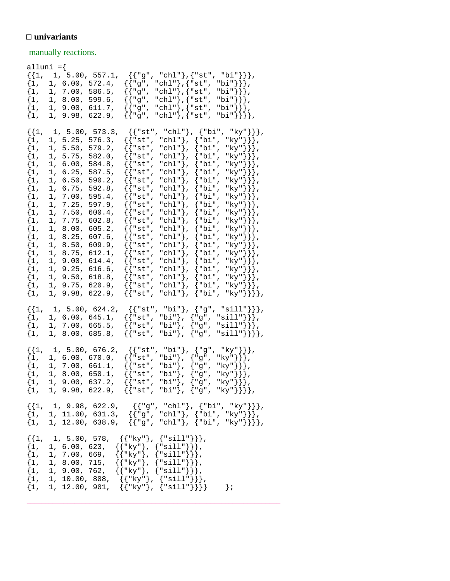## **univariants**

manually reactions.

|                                                                                                                                                                                                                 | alluni ={                                                                                                                                                                                                                                                                                                                                                                                                                                                                                             |                                                                                                                                                                                                                                                                                                                                                                                                                                                                                                                                                                                                                                                                                                                                                                                                                                                                                                                                                                                                                                                                                                                                                                                                                                                                                                                                                         |
|-----------------------------------------------------------------------------------------------------------------------------------------------------------------------------------------------------------------|-------------------------------------------------------------------------------------------------------------------------------------------------------------------------------------------------------------------------------------------------------------------------------------------------------------------------------------------------------------------------------------------------------------------------------------------------------------------------------------------------------|---------------------------------------------------------------------------------------------------------------------------------------------------------------------------------------------------------------------------------------------------------------------------------------------------------------------------------------------------------------------------------------------------------------------------------------------------------------------------------------------------------------------------------------------------------------------------------------------------------------------------------------------------------------------------------------------------------------------------------------------------------------------------------------------------------------------------------------------------------------------------------------------------------------------------------------------------------------------------------------------------------------------------------------------------------------------------------------------------------------------------------------------------------------------------------------------------------------------------------------------------------------------------------------------------------------------------------------------------------|
| $\{1,$<br>$\{1,$<br>$\{1,$<br>$\{1,$<br>$\{1,$                                                                                                                                                                  | $\{\{1, 1, 5.00, 557.1,$<br>1, 6.00,<br>572.4,<br>1, 7.00,<br>586.5,<br>1, 8.00,<br>599.6,<br>1, 9.00, 611.7,<br>1, 9.98, 622.9,                                                                                                                                                                                                                                                                                                                                                                      | ${ { [ "g", "chl" }, { "st", "bi" } },$<br>"bi"}}},<br>$\{$ $\{$ "g" ,<br>"chl"}, ${\texttt{''st''}}$ ,<br>"chl"}, ${\texttt{''st''}}$ ,<br>"bi"}}},<br>$\{\{\text{ "g",}\}$<br>"chl"}, ${\texttt{''st''}}$ ,<br>"bi"}}},<br>{{"g",<br>"chl"}, ${\texttt{''st"}}$<br>"bi"}}},<br>$\{$ $\{$ "g" ,<br>"chl"}, ${\texttt{st"}}$<br>"bi" } } } },<br>{{"g",                                                                                                                                                                                                                                                                                                                                                                                                                                                                                                                                                                                                                                                                                                                                                                                                                                                                                                                                                                                                 |
| $\{1,$<br>$\{1,$<br>$\{1$ ,<br>$\{1,$<br>$\{1,$<br>$\{1,$<br>$\{1,$<br>$\{1,$<br>$\{1,$<br>$\{1,$<br>$\{1,$<br>$\{1,$<br>$\{1,$<br>$\{1,$<br>$\{1,$<br>$\{1,$<br>$\{1,$<br>$\{1,$<br>$\{1,$<br>$\{1,$<br>$\{1,$ | 1, 5.00, 573.3,<br>1, 5.25,<br>576.3,<br>1, 5.50,<br>579.2,<br>1, 5.75,<br>582.0,<br>1, 6.00,<br>584.8,<br>1, 6.25,<br>587.5,<br>1, 6.50,<br>590.2,<br>1, 6.75,<br>592.8,<br>1, 7.00,<br>595.4,<br>$7.25$ ,<br>597.9,<br>1,<br>7.50,<br>$600.4$ ,<br>1,<br>7.75,<br>602.8,<br>1,<br>8.00,<br>605.2,<br>1,<br>1,<br>8.25,<br>$607.6$ ,<br>8.50,<br>609.9,<br>1,<br>1, 8.75,<br>612.1,<br>1, 9.00,<br>$614.4$ ,<br>1, 9.25,<br>616.6,<br>1, 9.50,<br>618.8,<br>1, 9.75,<br>620.9,<br>1, 9.98,<br>622.9, | $\{ \{ "st", "chl" \}$ ,<br>{"bi",<br>"ky" } } },<br>"chl" $},$<br>"ky"}}},<br>$\{\{\,$ "st",<br>{"bi",<br>$\{\n$ "bi",<br>"ky"}}},<br>$\{$ $\{$ "st",<br>"chl" $},$<br>"ky"}}},<br>{{"st",<br>"chl" $},$<br>$\{\mathsf{''bi''},$<br>"ky"}}},<br>"chl" $},$<br>$\{$ $\{$ "st",<br>$\{\mathbf{"bi"}\}$<br>"ky" } } },<br>"chl" $},$<br>$\{$ $\{$ "st",<br>{"bi",<br>"ky"}}},<br>$\{$ $\{$ "st",<br>"chl" $},$<br>"bi",<br>"chl" $},$<br>"bi",<br>"ky"}}},<br>$\{\{\,$ "st",<br>"chl" $},$<br>{"bi",<br>"ky"}}},<br>$\{$ $\{$ "st",<br>"chl" $},$<br>$\begin{array}{l} \text{"ky"} \rbrace \big\} \big\} \, , \\ \text{"ky"} \big\} \big\} \, , \end{array}$<br>{"bi",<br>{{"st",<br>"chl" $},$<br>$\{$ $\{$ "st",<br>{"bi",<br>"ky" } } },<br>"chl" $},$<br>$\{\mathsf{"bi"}$ ,<br>$\{$ $\{$ "st",<br>"chl" $},$<br>"bi",<br>$\{\{\, "st",\,}$<br>"ky"}}},<br>"chl" $},$<br>$\{\mathbf{"bi"}\}$<br>$\{$ $\{$ "st",<br>{"bi",<br>"ky"}}},<br>$\{$ $\{$ "st",<br>"chl" $},$<br>"ky"}}},<br>"ky"}}},<br>$\{\{\,$ "st",<br>"chl" $\rangle$ ,<br>{"bi",<br>"chl" $},$<br>$\{$ $\{$ "st",<br>{"bi",<br>"ky" } } },<br>"chl" $},$<br>$\{\mathsf{``bi''},$<br>$\{$ $\{$ "st",<br>"ky"}}},<br>$\{$ $\{$ "st",<br>"chl" $},$<br>{"bi",<br>"chl" $\rangle$ ,<br>{"bi",<br>"ky"}}},<br>$\{\{\,$ "st",<br>"chl" $\rangle$ ,<br>$\{\mathbf{"bi"}\}$<br>$\{$ $\{$ "st", |
| $\{1,$<br>$\{1,$<br>$\{1,$                                                                                                                                                                                      | $\{\{1, 1, 5.00, 624.2,$<br>1, 6.00, 645.1,<br>1, 7.00, 665.5,<br>1, 8.00, 685.8,                                                                                                                                                                                                                                                                                                                                                                                                                     | ${ {\{\texttt{"st", "bi"}}, \{\texttt{"g", "sill"}\}} },$<br>$\{ \{ "st", "bi"\}, \{ "g",\} \}$<br>"sill" $\}$ },<br>$\{\{\texttt "st", "bi"\}, \{\texttt "g",\}$<br>" $\text{sill"}}$ }},<br>${ {\{\texttt{"st", "bi"}}, {\{\texttt{"g", "sill"}\}} \}}$                                                                                                                                                                                                                                                                                                                                                                                                                                                                                                                                                                                                                                                                                                                                                                                                                                                                                                                                                                                                                                                                                               |
| $\{1,$<br>$\{1,$<br>$\{1,$<br>$\{1,$<br>$\{1$ ,                                                                                                                                                                 | $\{\{1, 1, 5.00, 676.2,$<br>1, 6.00, 670.0,<br>1, 7.00, 661.1,<br>1, 8.00, 650.1,<br>1, 9.00, 637.2,<br>1, 9.98, 622.9,                                                                                                                                                                                                                                                                                                                                                                               | ${ {\{\texttt{''st", "bi"}}, {\{\texttt{''g", "ky"}\}\}}},$<br>"ky" } } },<br>{{"st", "bi"},<br>{"g",<br>$\{$ $\{$ "st",<br>"bi"}, {"g",<br>"ky" } } },<br>$\{\,\{\,$ "st" ,<br>"bi"}, ${^{\circ}}$ g",<br>$\{$ $\{$ "st",<br>$\{$ $\{$ "st",<br>"ky"}}}},                                                                                                                                                                                                                                                                                                                                                                                                                                                                                                                                                                                                                                                                                                                                                                                                                                                                                                                                                                                                                                                                                              |
|                                                                                                                                                                                                                 |                                                                                                                                                                                                                                                                                                                                                                                                                                                                                                       | $\begin{array}{l} \left\{\{1, \quad 1, \ 9.98, \ 622.9, \quad \left\{\{``g", \ "chl"\}, \ {``bi", \ "ky"\} \right\}\right\}, \\ \left\{1, \quad 1, \ 11.00, \ 631.3, \quad \left\{\{``g", \ "chl"\}, \ {``bi", \ "ky"\} \right\}\right\}, \\ \left\{1, \quad 1, \ 12.00, \ 638.9, \quad \left\{\{``g", \ "chl"\}, \ {``bi", \ "ky"\} \right\}\right\}, \end{array}$                                                                                                                                                                                                                                                                                                                                                                                                                                                                                                                                                                                                                                                                                                                                                                                                                                                                                                                                                                                     |
|                                                                                                                                                                                                                 |                                                                                                                                                                                                                                                                                                                                                                                                                                                                                                       | $\{\{1, 1, 5.00, 578, \{\{\text{``ky"}\}, \{\text{``sill"}\}\}\},$<br>{1, 1, 6.00, 623, { $\{"\k y"\}$ , {"sill"}}},<br>{1, 1, 7.00, 669, { $\{"\k y"\}$ , {"sill"}}},<br>{1, 1, 8.00, 715, { $\{"\k y"\}$ , {"sill"}}},<br>$\{1, 1, 9.00, 762, \{\{\text{``ky"}\}, \{\text{``sill"}\}\}\},$<br>$\{1, 1, 10.00, 808, \{{'''ky"}\}, {''sill"}\}\},$<br>$\{1, 1, 12.00, 901, \{{'"ky"}\}, \{``sill"}\}\}\$<br>$\}$ ;                                                                                                                                                                                                                                                                                                                                                                                                                                                                                                                                                                                                                                                                                                                                                                                                                                                                                                                                      |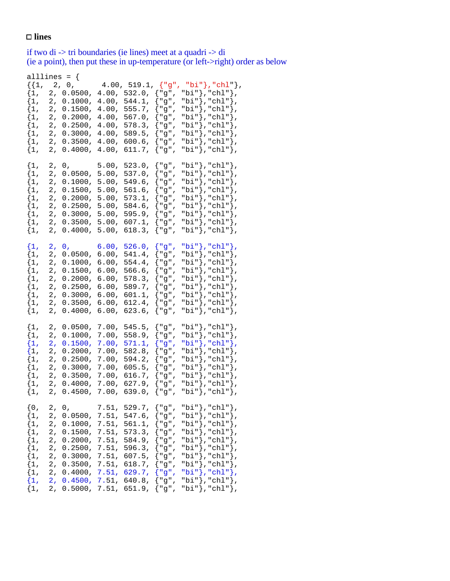## □ lines

if two di -> tri boundaries (ie lines) meet at a quadri -> di (ie a point), then put these in up-temperature (or left->right) order as below

| $\{0,$<br>$\{1,$<br>$\{1,$<br>$\{1,$<br>$\{1,$<br>$\{1,$<br>$\{1$ ,<br>$\{1,$<br>$\{1,$<br>$\{1,$<br>$\{1,$                                                                               | $\{1,$<br>$\{1,$<br>$\{1,$<br>$\{1,$<br>$\{1,$<br>$\{1,$<br>$\{1,$<br>$\{1,$<br>$\{1,$                                                                   | $\{1,$<br>$\{1,$<br>$\{1,$<br>$\{1,$<br>$\{1,$<br>$\{1,$<br>$\{1,$<br>$\{1,$<br>$\{1,$                                                                    | $\{1$ ,<br>$\{1,$<br>$\{1,$<br>$\{1,$<br>$\{1,$<br>$\{1,$<br>$\{1$ ,<br>$\{1,$<br>$\{1,$                                                                  | alllines = $\{$<br>$\{1,$<br>$\{1,$<br>$\{1,$<br>$\{1$ ,<br>$\{1$ ,<br>$\{1,$<br>$\{1,$<br>$\{1$ ,<br>$\{1,$                                            |
|-------------------------------------------------------------------------------------------------------------------------------------------------------------------------------------------|----------------------------------------------------------------------------------------------------------------------------------------------------------|-----------------------------------------------------------------------------------------------------------------------------------------------------------|-----------------------------------------------------------------------------------------------------------------------------------------------------------|---------------------------------------------------------------------------------------------------------------------------------------------------------|
| 2,<br>2,<br>2,<br>2,<br>2,<br>2,<br>2,<br>2,<br>2,<br>2,<br>2,                                                                                                                            | 2,<br>2,<br>2,<br>2,<br>2,<br>2,<br>2,<br>2,<br>2,                                                                                                       | 2,<br>2,<br>2,<br>2,<br>2,<br>2,<br>2,<br>2,<br>2,                                                                                                        | 2,<br>2,<br>2,<br>2,<br>2,<br>2,<br>$2$ ,<br>2,<br>2,                                                                                                     | 2,<br>2,<br>2,<br>2,<br>2,<br>2,<br>2,<br>2,<br>$\mathbf 2$ ,                                                                                           |
| 0,<br>0.0500,<br>0.1000,<br>0.1500,<br>0.2000,<br>0.2500,<br>0.3000,<br>0.3500,<br>0.4000,<br>0.4500,<br>0.5000,                                                                          | 0.0500,<br>0.1000,<br>0.1500,<br>0.2000,<br>0.2500,<br>0.3000,<br>0.3500,<br>0.4000,<br>0.4500,                                                          | $0, \quad \ldots$<br>0.0500,<br>0.1000,<br>0.1500,<br>0.2000,<br>0.2500,<br>0.3000,<br>0.3500,<br>0.4000,                                                 | 0,<br>0.0500,<br>0.1000,<br>0.1500,<br>0.2000,<br>0.2500,<br>0.3000,<br>0.3500,<br>0.4000,                                                                | $0$ ,<br>0.0500,<br>0.1000,<br>0.1500,<br>0.2000,<br>0.2500,<br>0.3000,<br>0.3500,<br>0.4000,                                                           |
| 7.51,<br>7.51,<br>7.51,<br>7.51,<br>7.51,<br>7.51,<br>7.51,<br>7.51,<br>7.51,<br>7.51,                                                                                                    | 7.00,<br>7.00,<br>7.00,<br>7.00,<br>7.00,<br>7.00,<br>7.00,<br>7.00,<br>7.00,                                                                            | 6.00,<br>6.00,<br>6.00,<br>6.00,<br>6.00,<br>6.00,<br>6.00,<br>6.00,<br>6.00,                                                                             | 5.00,<br>5.00,<br>5.00,<br>5.00,<br>5.00,<br>5.00,<br>5.00,<br>$5.00$ ,<br>5.00,                                                                          | 4.00,<br>4.00,<br>4.00,<br>4.00,<br>4.00,<br>4.00,<br>4.00,<br>4.00,                                                                                    |
| 7.51, 529.7,<br>$547.6$ ,<br>561.1,<br>573.3,<br>584.9,<br>596.3,<br>607.5,<br>618.7,<br>629.7,<br>640.8,<br>651.9,                                                                       | 545.5,<br>558.9,<br>571.1,<br>582.8,<br>594.2,<br>605.5,<br>616.7,<br>627.9,<br>639.0,                                                                   | 526.0,<br>541.4,<br>$554.4$ ,<br>566.6,<br>578.3,<br>589.7,<br>601.1,<br>612.4,<br>623.6,                                                                 | 523.0,<br>537.0,<br>549.6,<br>561.6,<br>573.1,<br>584.6,<br>595.9,<br>607.1,<br>618.3,                                                                    | 4.00, 519.1,<br>532.0,<br>544.1,<br>555.7,<br>567.0,<br>578.3,<br>589.5,<br>$600.6$ ,<br>611.7,                                                         |
| {"g",<br>{"g",<br>{"g",<br>{"g",<br>{"g",<br>{"g",<br>{"g",<br>{"g",<br>{"g",<br>{"g",<br>{"g",                                                                                           | {"g",<br>{"g",<br>${ "g",}$<br>{"g",<br>{"g",<br>{"g",<br>{"g",<br>{"g",<br>{"g",                                                                        | {"g",<br>{"g",<br>{"g",<br>{"g",<br>{"g",<br>{"g",<br>{"g",<br>{"g",<br>{ "g",                                                                            | {"g",<br>{"g",<br>{"g",<br>{"g",<br>{"g",<br>{"g",<br>{"g",<br>{"g",<br>{ "g",                                                                            | ${ "g",$<br>{"g",<br>{"g",<br>{"g",<br>{"g",<br>{"g",<br>{"g",<br>{"g",<br>{"g",                                                                        |
| "bi"},"chl"},<br>"bi"},"chl"},<br>"bi"},"chl"},<br>"bi"},"chl"},<br>"bi"},"chl"},<br>"bi"},"chl"},<br>"bi"},"chl"},<br>"bi"},"chl"},<br>"bi"}, "chl"},<br>"bi"},"chl"},<br>"bi"}, "chl"}, | "bi"},"chl"},<br>"bi"},"chl"},<br>"bi"},"chl"},<br>"bi"},"chl"},<br>"bi"},"chl"},<br>"bi"},"chl"},<br>"bi"},"chl"},<br>"bi" }, "chl" },<br>"bi"},"chl"}, | "bi"},"chl"},<br>"bi"},"chl"},<br>"bi"},"chl"},<br>"bi"},"chl"},<br>"bi" }, "chl" },<br>"bi"}, "chl"},<br>"bi"},"chl"},<br>"bi"},"chl"},<br>"bi"},"chl"}, | "bi"},"chl"},<br>"bi"},"chl"},<br>"bi"}, "chl"},<br>"bi"}, "chl"},<br>"bi"}, "chl"},<br>"bi"},"chl"},<br>"bi"},"chl"},<br>"bi"}, "chl"},<br>"bi"},"chl"}, | "bi"},"chl"},<br>"bi"},"chl"},<br>"bi"},"chl"},<br>"bi"},"chl"},<br>"bi"},"chl"},<br>"bi"},"chl"},<br>"bi"},"chl"},<br>"bi"}, "chl"},<br>"bi"}, "chl"}, |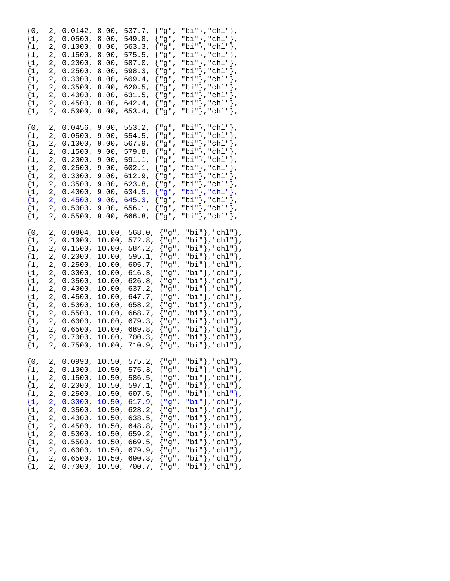| $\{0,$<br>$\{1,$<br>$\{1$ ,<br>$\{1$ ,<br>$\{1,$<br>$\{1,$<br>$\{1,$<br>$\{1$ ,<br>$\{1,$<br>$\{1,$<br>$\{1,$<br>$\{1$ ,<br>2,<br>$\{1,$<br>2,                                                             | $\{0,$<br>$\{1,$<br>$\{1$ ,<br>$\{1$ ,<br>$\{1$ ,<br>$\{1,$<br>$\{1,$<br>$\{1,$<br>$\{1,$<br>$\{1$ ,<br>$\{1$ ,<br>$\{1$ ,<br>$\{1$ ,<br>$\{1$ ,<br>$\{1,$                                                                                                            | $\{0,$<br>$\{1$ ,<br>$\{1$ ,<br>$\{1$ ,<br>$\{1$ ,<br>$\{1$ ,<br>$\{1,$<br>$\{1,$<br>$\{1$ ,<br>$\{1,$<br>$\{1$ ,<br>$\{1$ ,                                                                                             | $\{0,$<br>$\{1$ ,<br>$\{1$ ,<br>$\{1$ ,<br>$\{1$ ,<br>$\{1$ ,<br>$\{1,$<br>$\{1,$<br>$\{1$ ,<br>$\{1,$<br>$\{1,$                                                                                   |
|------------------------------------------------------------------------------------------------------------------------------------------------------------------------------------------------------------|-----------------------------------------------------------------------------------------------------------------------------------------------------------------------------------------------------------------------------------------------------------------------|--------------------------------------------------------------------------------------------------------------------------------------------------------------------------------------------------------------------------|----------------------------------------------------------------------------------------------------------------------------------------------------------------------------------------------------|
| 2,<br>2,<br>2,<br>2,<br>2,<br>2,<br>2,<br>2,<br>2,<br>2,<br>2,                                                                                                                                             | 2,<br>2,<br>2,<br>2,<br>2,<br>2,<br>2,<br>2,<br>2,<br>2,<br>2,<br>2,<br>2,<br>2,<br>2,                                                                                                                                                                                | 2,<br>2,<br>2,<br>2,<br>2,<br>2,<br>2,<br>2,<br>2,<br>2,<br>2,<br>2,                                                                                                                                                     | 2,<br>2,<br>2,<br>2,<br>2,<br>2,<br>2,<br>2,<br>2,<br>2,<br>2,                                                                                                                                     |
| 0.0993,<br>0.1000,<br>0.1500,<br>0.2000,<br>0.2500,<br>0.3000,<br>0.3500,<br>0.4000,<br>0.4500,<br>0.5000,<br>0.5500,                                                                                      | 0.0804,<br>0.1000,<br>0.1500,<br>0.2000,<br>0.2500,<br>0.3000,<br>0.3500,<br>0.4000,<br>0.4500,<br>0.5000,<br>0.5500,<br>0.6000,<br>0.6500,<br>0.7000,<br>0.7500,                                                                                                     | 0.0456,<br>0.0500,<br>0.1000,<br>0.1500,<br>0.2000,<br>0.2500,<br>0.3000,<br>0.3500,<br>0.4000,<br>0.4500,<br>0.5000,<br>0.5500,                                                                                         | 0.0142,<br>0.0500,<br>0.1000,<br>0.1500,<br>0.2000,<br>0.2500,<br>0.3000,<br>0.3500,<br>0.4000,<br>0.4500,<br>0.5000,                                                                              |
| 10.50,<br>10.50,<br>10.50,<br>10.50,<br>10.50,<br>10.50,<br>10.50,<br>10.50,<br>10.50,<br>10.50,<br>10.50,                                                                                                 | 10.00,<br>10.00,<br>10.00,<br>10.00,<br>10.00,<br>10.00,<br>10.00,<br>10.00,<br>10.00,<br>10.00,<br>10.00,<br>10.00,<br>10.00,<br>10.00,<br>10.00,                                                                                                                    | 9.00,<br>9.00,<br>9.00,<br>9.00,<br>9.00,<br>9.00,<br>9.00,<br>9.00,<br>9.00,<br>9.00,<br>9.00,<br>9.00,                                                                                                                 | 8.00,<br>8.00,<br>8.00,<br>8.00,<br>8.00,<br>8.00,<br>8.00,<br>8.00,<br>8.00,<br>8.00,<br>8.00,                                                                                                    |
| 575.2,<br>575.3,<br>586.5,<br>597.1,<br>$607.5$ ,<br>617.9,<br>628.2,<br>638.5,<br>648.8,<br>659.2,<br>669.5,<br>10.50,<br>679.9,                                                                          | 568.0,<br>572.8,<br>584.2,<br>595.1,<br>605.7,<br>616.3,<br>626.8,<br>637.2,<br>647.7,<br>658.2,<br>668.7,<br>679.3,<br>689.8,<br>700.3,<br>710.9,                                                                                                                    | 553.2,<br>554.5,<br>567.9,<br>579.8,<br>591.1,<br>602.1,<br>612.9,<br>623.8,<br>634.5,<br>645.3,<br>656.1,<br>666.8,                                                                                                     | 537.7,<br>549.8,<br>563.3,<br>575.5,<br>587.0,<br>598.3,<br>609.4,<br>620.5,<br>631.5,<br>642.4,<br>653.4,                                                                                         |
| {"g",<br>{"g",<br>{"g",<br>{"g",<br>{"g",<br>{<br>"g",<br>{"g",<br>{"g",<br>{"g",<br>{"g",<br>"g",                                                                                                         | {"g",<br>{"g",<br>{"g",<br>{<br>"g",<br>{"g",<br>{"g",<br>{"g",<br>{"g",<br>"g",<br>l<br>"g",<br>{"g",<br>{"g",<br>{"g",<br>{"g",<br>{"g",                                                                                                                            | {"g",<br>{"g",<br>{"g",<br>{"g",<br>{<br>"g",<br>{"g",<br>{"g",<br>{"g",<br>{"g",<br>"g",<br>{<br>"g",<br>{"g",                                                                                                          | {"g",<br>{"g",<br>{"g",<br>{"g",<br>{<br>"g",<br>{"g",<br>{"g",<br>"g",<br>{<br>{"g",<br>"g",<br>{"g",                                                                                             |
| "bi"},"chl"},<br>"bi"},"chl"},<br>"bi"},"chl"},<br>"bi"},"chl"},<br>"bi"},"chl"},<br>"bi"},"chl"},<br>"bi"}, "chl"},<br>"bi"},"chl"},<br>"bi"},"chl"},<br>"bi"}, "chl"},<br>"bi"},"chl"},<br>"bi"},"chl"}, | "bi"},"chl"},<br>"bi"},"chl"},<br>"bi"},"chl"<br>$\}$ ,<br>"bi"}, "chl"},<br>"bi"},"chl"},<br>"bi"},"chl"},<br>"bi"},"chl"},<br>"bi"},"chl"},<br>"bi"},"chl"},<br>"bi"},"chl"},<br>"bi"},"chl"},<br>"bi"},"chl"},<br>"bi"},"chl"},<br>"bi"}, "chl"},<br>"bi"},"chl"}, | "bi"},"chl"},<br>"bi"},"chl"},<br>"bi"},"chl"<br>∤,<br>"bi"},"chl"<br>ł,<br>"bi"},"chl"},<br>"bi"},"chl"},<br>"bi"},"chl"},<br>"bi"},"chl"},<br>"bi"},"chl"<br>∤,<br>"bi"},"chl"<br>∤,<br>"bi"},"chl"},<br>"bi"},"chl"}, | "bi"},"chl"},<br>"bi"},"chl"<br>"bi"},"chl"<br>ł,<br>"bi"},"chl"<br>ł,<br>"bi"},"chl"},<br>"bi"},"chl"},<br>"bi"},"chl"<br>"bi"},"chl"<br>"bi"},"chl"<br>ł,<br>"bi"}, "chl"<br>},<br>"bi"},"chl"}, |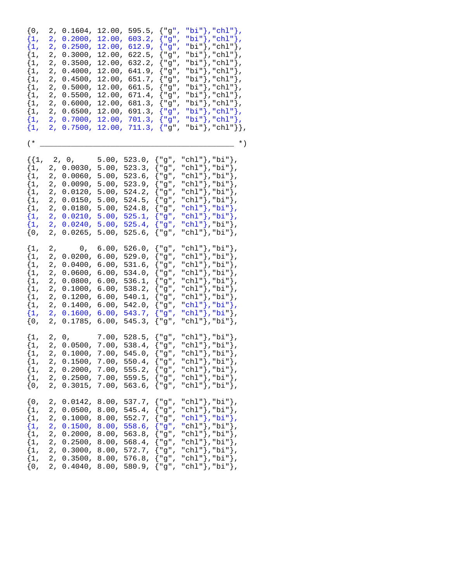$\{0, 2, 0.1604, 12.00, 595.5, \{ "g", "bi"} \}, "chl" \}$  $\{1, 2, 0.2000, 12.00, 603.2, \{ "g", "bi"} \}, "chl" \}$  $\{1, 2, 0.2500, 12.00, 612.9, \{ "g", "bi"} \}, "chl" \}$ ,  $\{1,\quad 2,\ \ 0.3000\text{,}\ \ 12.00\text{,}\ \ 622.5\text{,}\ \ \{\text{"g"}\text{,}\ \ \text{"bi"}\}\text{,}\ \text{"chl"}\}\text{,}$  $\{1, 2, 0.3500, 12.00, 632.2, \{ "g", "bi"} \}, "chl" \}$  $\{1, 2, 0.4000, 12.00, 641.9, \{ "g", "bi"} \}, "ch1" \}$  $\{1, 2, 0.4500, 12.00, 651.7, \{\texttt{"g", "bi"}\}, \texttt{"chl"}\}, \$ <br> $\{1, 2, 0.5000, 12.00, 661.5, \{\texttt{"g", "bi"}\}, \texttt{"chl"}\},$ {1, 2, 0.5000, 12.00, 661.5, {"g", "bi"},"chl"},  ${1, 2, 0.5500, 12.00, 671.4, { "g", "bi"} }, "chl" }$  $\{1, 2, 0.6000, 12.00, 681.3, \{ "g", "bi"} \}, "ch1" \}$  $\{1, 2, 0.6500, 12.00, 691.3, \{ "g", "bi"} \}, "chl" \},$  $\{1, 2, 0.7000, 12.00, 701.3, \{ "g", "bi"} \}, "chl" \}$  $\{1, 2, 0.7500, 12.00, 711.3, \{ "g", "bi"} \}, "ch1" \}$ ,  $(\begin{array}{cc} * & & \ast \end{array})$  $\{\{1, 2, 0, 5.00, 523.0, \{\texttt{"g", "chl"}\}, \texttt{"bi"}\},\}$  ${1, 2, 0.0030, 5.00, 523.3, { "g", "chl"} }$ , "bi"},  ${1, 2, 0.0060, 5.00, 523.6, { "g", "chl"} }$ , "bi"},  $\{1, 2, 0.0090, 5.00, 523.9, \{ "g", "chl"} \}$ , "bi" $\}$ ,  ${1, 2, 0.0120, 5.00, 524.2, { "g", "chl"} },$  $\{1, 2, 0.0150, 5.00, 524.5, \{ "g", "chl"} \},$  $\{1, 2, 0.0180, 5.00, 524.8, \{ "g", "chl"} \}$ , "bi" },  $\{1, 2, 0.0210, 5.00, 525.1, \{\texttt{"g", "chl"}\}, \texttt{"bi"}\},$  $\{1, 2, 0.0240, 5.00, 525.4, \{\texttt{"g"}\}, \texttt{"chl"}\},\texttt{"bi"}\}$  ${0, 2, 0.0265, 5.00, 525.6, { "g", "chl"} },$  ${1, 2, 0, 6.00, 526.0, { "g", "chl"} }$ , "bi" },  ${1, 2, 0.0200, 6.00, 529.0, { "g", "chl"}}, {1, 2, 0.0400, 6.00, 531.6, { "g", "chl"}}, "bi" }$  $\{1, 2, 0.0400, 6.00, 531.6, \}$ {1, 2, 0.0600, 6.00, 534.0,  ${^{w}g''}$ , "chl"}, "bi"}, {1, 2, 0.0800, 6.00, 536.1,  ${^{w}g''}$ , "chl"}, "bi"}, 2, 0.0800, 6.00, 536.1, {"g", "chl"},"bi"},<br>2, 0.1000, 6.00, 538.2, {"g", "chl"},"bi"},  $\{1, 2, 0.1000, 6.00, 538.2, \}$  $\{1, 2, 0.1200, 6.00, 540.1, \{ "g", "chl" \}$ , "bi" $\}$ ,  $\{1, 2, 0.1400, 6.00, 542.0, \{ "g", "chl"} \}$ , "bi" },  $\{1, 2, 0.1600, 6.00, 543.7, \{ "g", "chl"} \},\$  ${0, 2, 0.1785, 6.00, 545.3, \{ "g", "chl" }},$  ${1, 2, 0, 7.00, 528.5, { "g", "chl"} }$ , "bi" },  ${1, 2, 0.0500, 7.00, 538.4, { "g", "chl"} }$ , "bi"},  $\{1, 2, 0.1000, 7.00, 545.0, \{ "g", "chl"} \},\$  $\{1, 2, 0.1500, 7.00, 550.4, \{\texttt{"g", "chl"}\},\texttt{"bi"}\},$  ${1, 2, 0.2000, 7.00, 555.2, { "g", "chl"} }$ , "bi" },  ${1, 2, 0.2500, 7.00, 559.5, { "g", "chl"} }$ , "bi" },  $\{0, 2, 0.3015, 7.00, 563.6, \{ "g", "chl" \}$ , "bi" },  $\{0, 2, 0.0142, 8.00, 537.7, \{ "g", "chl"} \}$ , "bi" },  $\{1, 2, 0.0500, 8.00, 545.4, \{ "g", "chl" \}$ , "bi" $\}$ ,  $\begin{array}{ll} \{1, & 2, ~ 0.1000, ~ 8.00, ~ 552.7, ~ \left\{\texttt{"g"}\texttt{, "chl"}\right\}, \texttt{"bi"}\},\ \{1, & 2, ~ 0.1500, ~ 8.00, ~ 558.6, ~ \left\{\texttt{"g"}\texttt{, "chl"}\right\}, \texttt{"bi"}\}, \end{array}$  $\begin{array}{ll} \left[ \begin{matrix} 1, & 2, & 0.1500, & 8.00, & 558.6, & \left\{ \text{``g''}, & \text{``chl''} \right\}, \text{``bi''} \end{matrix} \right], \ \left[ \begin{matrix} 1, & 2, & 0.2000, & 8.00, & 563.8, & \left\{ \text{``g''}, & \text{``chl''} \right\}, \text{``bi''} \end{matrix} \right], \end{array}$  $\{1, 2, 0.2000, 8.00, 563.8,$  $\{1, 2, 0.2500, 8.00, 568.4, \{\texttt{"g", "chl"}\} \texttt{, "bi"}\}$  $\{1, 2, 0.3000, 8.00, 572.7, \{ "g", "chl"} \}$ ,  $\{1, 2, 0.3500, 8.00, 576.8, \{ "g", "chl"} \}, "bi" \},$ <br> $\{0, 2, 0.4040, 8.00, 580.9, \{ "g", "chl"} \}, "bi" \}.$ {0, 2, 0.4040, 8.00, 580.9, {"g", "chl"},"bi"},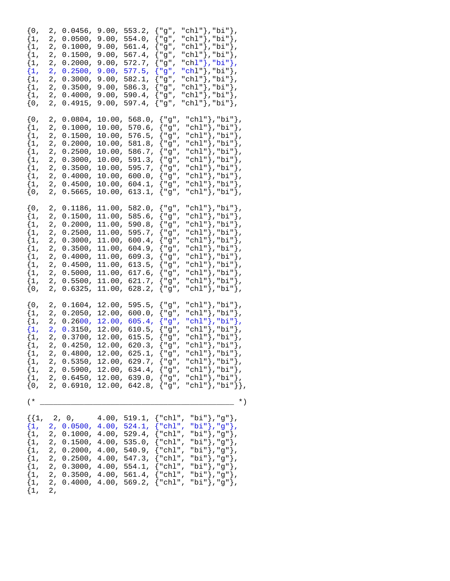| $\{0,$<br>$\{1,$<br>$\{1$ ,<br>$\{1$ ,<br>$\{1,$<br>$\{1,$<br>$\{1,$<br>$\{1,$<br>$\{1$ ,<br>$\{0,$             | 2,<br>0.0456,<br>2,<br>0.0500,<br>2,<br>0.1000,<br>2,<br>0.1500,<br>2,<br>0.2000,<br>2,<br>0.2500,<br>2,<br>0.3000,<br>2,<br>0.3500,<br>2,<br>0.4000,<br>2,<br>0.4915,                                                 | 553.2,<br>9.00,<br>9.00,<br>554.0,<br>9.00,<br>561.4,<br>$567.4$ ,<br>9.00,<br>$9.00$ ,<br>572.7,<br>9.00,<br>577.5,<br>9.00,<br>582.1,<br>$9.00$ ,<br>586.3,<br>$9.00$ ,<br>590.4,<br>$9.00$ ,<br>597.4,                      | {"g",<br>{"g",<br>{"g",<br>{"g",<br>{"g",<br>{"g",<br>{"g",<br>{"g",<br>{"g",<br>{"g",                                                           | "chl"}, "bi"},<br>"chl"}, "bi"},<br>"chl"},"bi"},<br>"chl"},"bi"},<br>"chl"},"bi"},<br>"chl" }, "bi" },<br>"chl" }, "bi" },<br>"chl" }, "bi" },<br>"chl"}, "bi"},<br>"chl"},"bi"},             |
|-----------------------------------------------------------------------------------------------------------------|------------------------------------------------------------------------------------------------------------------------------------------------------------------------------------------------------------------------|--------------------------------------------------------------------------------------------------------------------------------------------------------------------------------------------------------------------------------|--------------------------------------------------------------------------------------------------------------------------------------------------|------------------------------------------------------------------------------------------------------------------------------------------------------------------------------------------------|
| $\{0,$<br>$\{1$ ,<br>$\{1,$<br>$\{1$ ,<br>$\{1$ ,<br>$\{1,$<br>$\{1,$<br>$\{1$ ,<br>$\{1,$<br>$\{0,$            | 2,<br>0.0804,<br>2,<br>0.1000,<br>2,<br>0.1500,<br>$2\,$ ,<br>0.2000,<br>2,<br>0.2500,<br>2,<br>0.3000,<br>$\mathbf 2$ ,<br>0.3500,<br>2,<br>0.4000,<br>2,<br>0.4500,<br>$\sqrt{2}$ ,<br>0.5665,                       | 10.00,<br>568.0,<br>10.00,<br>$570.6$ ,<br>576.5,<br>10.00,<br>581.8,<br>10.00,<br>586.7,<br>10.00,<br>10.00,<br>591.3,<br>595.7,<br>10.00,<br>600.0,<br>10.00,<br>604.1,<br>10.00,<br>10.00,<br>613.1,                        | {"g",<br>{"g",<br>{"g",<br>{"g",<br>{"g",<br>{"g",<br>{"g",<br>{"g",<br>{"g",<br>{"g",                                                           | "chl"},"bi"},<br>"chl"},"bi"},<br>"chl"},"bi"},<br>"chl"},"bi"},<br>"chl"},"bi"},<br>"chl"},"bi"},<br>"chl"}, "bi"},<br>"chl"},"bi"},<br>"chl"},"bi"},<br>"chl"},"bi"},                        |
| $\{0,$<br>$\{1$ ,<br>$\{1$ ,<br>$\{1,$<br>$\{1,$<br>$\{1$ ,<br>$\{1,$<br>$\{1,$<br>$\{1$ ,<br>$\{1$ ,<br>$\{0,$ | 2,<br>0.1186,<br>2,<br>0.1500,<br>$2\,$ ,<br>0.2000,<br>2,<br>0.2500,<br>2,<br>0.3000,<br>$2\,$ ,<br>0.3500,<br>2,<br>0.4000,<br>$\mathbf 2$ ,<br>0.4500,<br>2,<br>0.5000,<br>2,<br>0.5500,<br>$\sqrt{2}$ ,<br>0.6325, | 11.00,<br>$582.0$ ,<br>11.00,<br>585.6,<br>11.00,<br>590.8,<br>595.7,<br>11.00,<br>11.00,<br>600.4,<br>604.9,<br>11.00,<br>11.00,<br>609.3,<br>11.00,<br>613.5,<br>11.00,<br>$617.6$ ,<br>621.7,<br>11.00,<br>628.2,<br>11.00, | {"g",<br>{"g",<br>{"g",<br>$\{$ "g",<br>{"g",<br>{"g",<br>{"g",<br>{"g",<br>{"g",<br>{"g",<br>{"g",                                              | "chl"},"bi"},<br>"chl"},"bi"},<br>"chl"},"bi"},<br>"chl"},"bi"},<br>"chl"},"bi"},<br>"chl"},"bi"},<br>"chl"},"bi"},<br>"chl"},"bi"},<br>"chl"},"bi"},<br>"chl" }, "bi" },<br>"chl"},"bi"},     |
| $\{0,$<br>$\{1$ ,<br>$\{1,$<br>$\{1,$<br>$\{1,$<br>$\{1,$<br>$\{1,$<br>$\{1,$<br>$\{1,$<br>$\{1$ ,<br>$\{0,$    | 2,<br>0.1604,<br>2,<br>0.2050,<br>2,<br>0.2600,<br>2,<br>0.3150,<br>2,<br>0.3700,<br>2,<br>0.4250,<br>2,<br>0.4800,<br>2, 0.5350,<br>2 <sub>r</sub><br>0.5900,<br>2 <sub>r</sub><br>0.6450,<br>0.6910,<br>2,           | 12.00,<br>595.5,<br>12.00,<br>600.0,<br>12.00,<br>605.4,<br>12.00,<br>610.5,<br>12.00,<br>615.5,<br>12.00,<br>620.3,<br>$12.00$ ,<br>625.1,<br>12.00,<br>629.7,<br>12.00,<br>634.4,<br>12.00,<br>639.0,<br>12.00, 642.8,       | {"g",<br>{"g",<br>{"g",<br>{"g",<br>{"g",<br>{"g",<br>${^{\prime}}$ "g",<br>{"g",<br>{"g",<br>$\frac{1}{2}$ "g",<br>${ "g",}$                    | "chl"},"bi"},<br>"chl"},"bi"},<br>"chl"},"bi"},<br>"chl"},"bi"},<br>"chl"}, "bi"},<br>"chl"},"bi"},<br>"chl"},"bi"},<br>"chl"},"bi"},<br>"chl"}, "bi"},<br>"chl"},"bi"},<br>"chl" }, "bi" } }, |
| $(*$<br>$\{1,$<br>$\{1,$<br>$\{1$ ,<br>$\{1$ ,<br>$\{1,$<br>$\{1,$<br>$\{1,$<br>$\{1,$<br>$\{1,$                | 2, 0,<br>2 <sub>r</sub><br>0.0500,<br>2,<br>0.1000,<br>2,<br>0.1500,<br>2,<br>0.2000,<br>2,<br>0.2500,<br>2,<br>0.3000,<br>2,<br>0.3500,<br>2,<br>0.4000,                                                              | 4.00, 519.1,<br>4.00,<br>524.1,<br>$4.00$ ,<br>$529.4$ ,<br>$4.00$ ,<br>535.0,<br>4.00,<br>540.9,<br>4.00,<br>547.3,<br>4.00,<br>554.1,<br>4.00,<br>$561.4$ ,<br>4.00,<br>569.2,                                               | $\{$ "chl",<br>$\langle$ "chl",<br>$\{\text{"chl",}$<br>$\{$ "chl",<br>{"chl",<br>$\{$ "chl",<br>$\{$ "chl",<br>$\{\text{"chl",}$<br>$\{$ "chl", | $^{\star}$ )<br>"bi"},"g"},<br>"bi"},"g"},<br>"bi"},"g"},<br>"bi"},"g"},<br>"bi"},"g"},<br>"bi"}, "g"},<br>"bi"},"g"},<br>"bi"},"g"},<br>"bi"},"g"},                                           |

 $\begin{bmatrix} 1, 2, 2 \end{bmatrix}$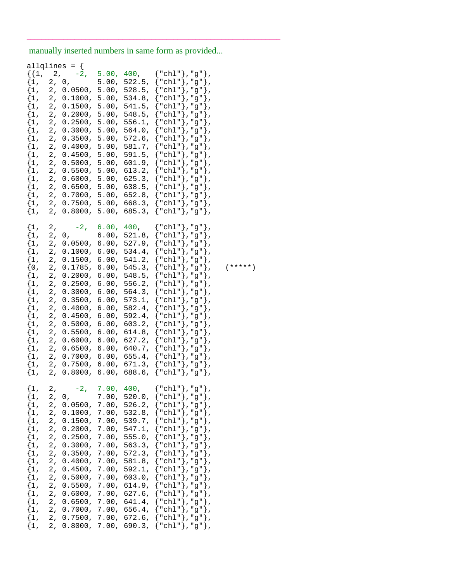manually inserted numbers in same form as provided...

\_\_\_\_\_\_\_\_\_\_\_\_\_\_\_\_\_\_\_\_\_\_\_\_\_\_\_\_\_\_\_\_\_\_\_\_\_\_\_\_\_\_\_\_\_\_\_\_\_\_\_\_\_\_\_\_\_\_\_\_\_\_\_\_\_\_\_\_\_

| $\{1,$<br>$\{1,$<br>$\{1$ ,<br>$\{1$ ,<br>$\{1,$<br>$\{1$ ,<br>$\{1$ ,<br>$\{1$ ,<br>$\{1$ ,<br>$\{1,$<br>$\{1,$<br>$\{1$ ,<br>$\{1$ ,<br>$\{1,$<br>$\{1$ ,<br>$\{1$ ,<br>$\{1,$<br>$\{1$ ,<br>$\{1,$<br>$\{1,$<br>$\{1,$<br>$\{1$ , | 2,<br>2 <sub>r</sub><br>2,<br>2,<br>2,<br>2,<br>2,<br>2,<br>2,<br>2,<br>2,<br>2,<br>2,<br>2,<br>$\overline{2}$ ,<br>2,<br>2,<br>2,<br>2,<br>2,<br>2,<br>2, | $-2$ ,<br>0,<br>0.0500,<br>0.1000,<br>0.1500,<br>0.2000,<br>0.2500,<br>0.3000,<br>0.3500,<br>0.4000,<br>0.4500,<br>0.5000,<br>0.5500,<br>0.6000,<br>0.6500,<br>0.7000,<br>0.7500,<br>0.8000,<br>$-2$ ,<br>0,<br>0.0500,<br>0.1000, | 5.00,<br>5.00,<br>5.00,<br>5.00,<br>5.00,<br>5.00,<br>5.00,<br>5.00,<br>5.00,<br>5.00,<br>5.00,<br>5.00,<br>5.00,<br>5.00,<br>5.00,<br>5.00,<br>5.00,<br>5.00,<br>6.00,<br>6.00,<br>6.00,<br>6.00, | 400,<br>522.5,<br>528.5,<br>534.8,<br>541.5,<br>548.5,<br>556.1,<br>564.0,<br>$572.6$ ,<br>581.7,<br>591.5,<br>601.9,<br>613.2,<br>625.3,<br>638.5,<br>652.8,<br>668.3,<br>685.3,<br>400,<br>521.8,<br>527.9,<br>534.4, | "chl"},"g"},<br>"chl"}, "g"},<br>"chl"},"g"<br>"chl"},"g"<br>"chl"},"g"<br>ł,<br>"chl"},"g"<br>"chl"},"g"<br>"chl"},"g"<br>"chl"},"g"<br>"chl"}, "g"<br>ł<br>ł,<br>"chl"}, "g"<br>},<br>"chl"}, "g"<br>"chl"},"g"},<br>"chl"},"g"<br>"chl" }, "g" },<br>"chl"},"g"<br>"chl"},"g"<br>$\}$ ,<br>"chl"},"g"<br>},<br>${ "chl" }$ ,"g"},<br>"chl"}, "g"},<br>"chl"},"g"},<br>ł<br>"chl"},"g"<br>ł, |
|--------------------------------------------------------------------------------------------------------------------------------------------------------------------------------------------------------------------------------------|------------------------------------------------------------------------------------------------------------------------------------------------------------|------------------------------------------------------------------------------------------------------------------------------------------------------------------------------------------------------------------------------------|----------------------------------------------------------------------------------------------------------------------------------------------------------------------------------------------------|-------------------------------------------------------------------------------------------------------------------------------------------------------------------------------------------------------------------------|------------------------------------------------------------------------------------------------------------------------------------------------------------------------------------------------------------------------------------------------------------------------------------------------------------------------------------------------------------------------------------------------|
| $\{1$ ,<br>$\{0,$<br>$\{1,$<br>$\{1$ ,<br>$\{1$ ,<br>$\{1,$<br>$\{1$ ,<br>$\{1$ ,<br>$\{1,$<br>$\{1$ ,<br>$\{1,$<br>$\{1$ ,<br>$\{1$ ,<br>$\{1$ ,<br>$\{1,$                                                                          | 2,<br>2,<br>2,<br>$\overline{2}$ ,<br>2,<br>2,<br>2,<br>2,<br>2,<br>2,<br>2,<br>2,<br>2,<br>2,<br>2,                                                       | 0.1500,<br>0.1785,<br>0.2000,<br>0.2500,<br>0.3000,<br>0.3500,<br>0.4000,<br>0.4500,<br>0.5000,<br>0.5500,<br>0.6000,<br>0.6500,<br>0.7000,<br>0.7500,<br>0.8000,                                                                  | 6.00,<br>6.00,<br>6.00,<br>6.00,<br>6.00,<br>6.00,<br>6.00,<br>6.00,<br>6.00,<br>6.00,<br>6.00,<br>6.00,<br>6.00,<br>6.00,<br>6.00,                                                                | 541.2,<br>545.3,<br>548.5,<br>556.2,<br>564.3,<br>573.1,<br>582.4,<br>592.4,<br>603.2,<br>614.8,<br>627.2,<br>640.7,<br>655.4,<br>671.3,<br>688.6,                                                                      | "chl"}, "g"<br>"chl"},"g"},<br>"chl"},"g"},<br>"chl"},"g"<br>"chl"},"g"<br>ł,<br>"chl"},"g"<br>ł,<br>"chl"}, "g"<br>"chl"},"g"<br>"chl"},"g"<br>"chl"},"g"<br>"chl"},"g"<br>ł<br>ł,<br>"chl"}, "g"<br>ł,<br>"chl"}, "g"<br>"chl"},"g"<br>$\}$ ,<br>"chl" }, "g"<br>ł<br>ł,                                                                                                                     |
| $\{1$ ,<br>$\{1$ ,<br>$\{1$ ,<br>$\{1,$<br>$\{1,$<br>$\{1,$<br>$\{1,$<br>$\{1,$<br>$\{1,$<br>$\{1,$<br>$\{1,$<br>$\{1,$<br>$\{1,$<br>$\{1$ ,<br>$\{1$ ,<br>$\{1,$<br>$\{1,$<br>$\{1,$                                                | 2,<br>2,<br>2,<br>2,<br>2,<br>2,<br>2,<br>2,<br>2,<br>2,<br>2,<br>2,<br>2,<br>2,<br>2,<br>2,<br>2,                                                         | $2, -2,$<br>0,<br>0.0500,<br>0.1000,<br>0.1500,<br>0.2000,<br>0.2500,<br>0.3000,<br>0.3500,<br>0.4000,<br>0.4500,<br>0.5000,<br>0.5500,<br>0.6000,<br>0.6500,<br>0.7000,<br>0.7500,<br>0.8000,                                     | 7.00,<br>7.00,<br>7.00,<br>7.00,<br>7.00,<br>7.00,<br>7.00,<br>7.00,<br>7.00,<br>7.00,<br>7.00,<br>7.00,<br>7.00,<br>7.00,<br>7.00,<br>7.00,<br>7.00,                                              | 7.00, 400,<br>520.0,<br>526.2,<br>532.8,<br>539.7,<br>547.1,<br>555.0,<br>563.3,<br>572.3,<br>581.8,<br>592.1,<br>603.0,<br>614.9,<br>627.6,<br>641.4,<br>656.4,<br>672.6,<br>690.3,                                    | ${ "ch1" }$ , "g" },<br>"chl"},"g"},<br>"chl"},"g"<br>"chl"},"g"},<br>"chl"},<br>"g"<br>"chl" $}$ ,<br>"g"<br>"chl"},"g"<br>"chl"},"g"<br>ł,<br>"chl"},"g"<br>ł,<br>"chl"},"g"<br>{"chl"},"g"<br>" $\chl$ " $\}$ ,<br>"g"},<br>"chl"},"g"<br>ł,<br>"chl"},"g"<br>},<br>"chl"},"g"<br>"chl"},"g"},<br>"chl"},"g"},<br>"chl"},"g"},                                                              |

 $(* * * * * )$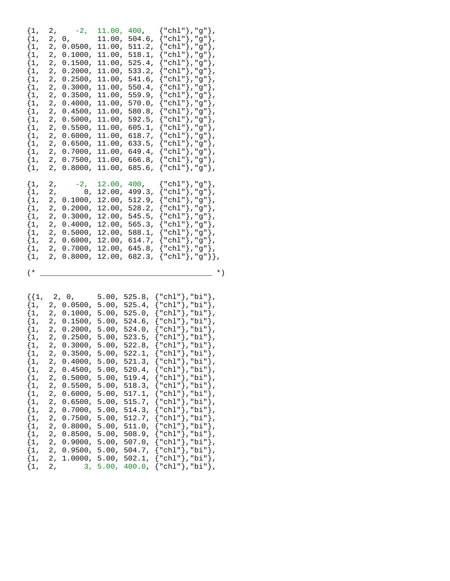| $\{1,$ | 2, $-2$ , 11.00, 400, ${\text{``chl''}}$ , "g"},                |                                          |  |              |  |
|--------|-----------------------------------------------------------------|------------------------------------------|--|--------------|--|
|        | $\{1, 2, 0,$                                                    | 11.00, 504.6, ${\text{ "chl"} }$ , "g"}, |  |              |  |
|        | $\{1, 2, 0.0500, 11.00, 511.2, \{\text{"chl"}\}, \text{"g"}\},$ |                                          |  |              |  |
|        | $\{1, 2, 0.1000, 11.00, 518.1, \{\text{"chl"}\}, \text{"g"}\},$ |                                          |  |              |  |
|        | $\{1, 2, 0.1500, 11.00, 525.4, \{\text{"chl"}\}, \text{"g"}\},$ |                                          |  |              |  |
|        | $\{1, 2, 0.2000, 11.00, 533.2, \{\text{"chl"}\}, \text{"g"}\},$ |                                          |  |              |  |
|        | $\{1, 2, 0.2500, 11.00, 541.6, \{\text{"chl"}\}, \text{"g"}\},$ |                                          |  |              |  |
|        | $\{1, 2, 0.3000, 11.00, 550.4, \{\text{"chl"}\}, \text{"g"}\},$ |                                          |  |              |  |
|        | $\{1, 2, 0.3500, 11.00, 559.9, \{\text{"chl"}\}, \text{"g"}\},$ |                                          |  |              |  |
|        | $\{1, 2, 0.4000, 11.00, 570.0, \{\text{"chl"}\}, \text{"g"}\},$ |                                          |  |              |  |
|        | $\{1, 2, 0.4500, 11.00, 580.8, \{\text{"chl"}\}, \text{"g"}\},$ |                                          |  |              |  |
|        | $\{1, 2, 0.5000, 11.00, 592.5, \{\text{"chl"}\}, \text{"g"}\},$ |                                          |  |              |  |
|        | $\{1, 2, 0.5500, 11.00, 605.1, \{\text{"chl"}\}, \text{"g"}\},$ |                                          |  |              |  |
|        | $\{1, 2, 0.6000, 11.00, 618.7, \{\text{"chl"}\}, \text{"g"}\},$ |                                          |  |              |  |
|        | $\{1, 2, 0.6500, 11.00, 633.5, \{ "chl"}\}, "g"\}.$             |                                          |  |              |  |
|        | $\{1, 2, 0.7000, 11.00, 649.4, \{\text{"chl"}\}, \text{"g"}\},$ |                                          |  |              |  |
|        | $\{1, 2, 0.7500, 11.00, 666.8, \{\text{"chl"}\}, \text{"g"}\},$ |                                          |  |              |  |
|        | $\{1, 2, 0.8000, 11.00, 685.6, \{\text{"chl"}\}, \text{"g"}\},$ |                                          |  |              |  |
|        | $\{1, 2, -2, \}$                                                | 12.00, 400, ${\text{ "chl"} }$ , "g" },  |  |              |  |
|        | $\{1, 2, 0, 12.00, 499.3, \{\text{"chl"}\}, \text{"g"}\},$      |                                          |  |              |  |
|        | $\{1, 2, 0.1000, 12.00, 512.9, \{\text{"chl"}\}, \text{"g"}\},$ |                                          |  |              |  |
|        | $\{1, 2, 0.2000, 12.00, 528.2, \{\text{"chl"}\}, \text{"g"}\},$ |                                          |  |              |  |
|        | $\{1, 2, 0.3000, 12.00, 545.5, \{ "chl"}\}, "g"\}.$             |                                          |  |              |  |
|        | $\{1, 2, 0.4000, 12.00, 565.3, \{\text{"chl"}\}, \text{"g"}\},$ |                                          |  |              |  |
|        | $\{1, 2, 0.5000, 12.00, 588.1, \{\text{"chl"}\}, \text{"g"}\},$ |                                          |  |              |  |
|        | $\{1, 2, 0.6000, 12.00, 614.7, \{\text{"chl"}\}, \text{"g"}\},$ |                                          |  |              |  |
|        | $\{1, 2, 0.7000, 12.00, 645.8, \{\text{"chl"}\}, \text{"g"}\},$ |                                          |  |              |  |
|        | $\{1, 2, 0.8000, 12.00, 682.3, \{ "chl"}\}, "g"\}$              |                                          |  |              |  |
| $(*$   |                                                                 |                                          |  | $^{\star}$ ) |  |
|        |                                                                 |                                          |  |              |  |

|        |  |  | $\{\{1, 2, 0, 5.00, 525.8, \{\text{"chl"}\}, \text{"bi"}\},\}$  |
|--------|--|--|-----------------------------------------------------------------|
|        |  |  | $\{1, 2, 0.0500, 5.00, 525.4, \{\text{"chl"}\}, \text{"bi"}\},$ |
|        |  |  | $\{1, 2, 0.1000, 5.00, 525.0, \{\text{"chl"}\}, \text{"bi"}\},$ |
|        |  |  | $\{1, 2, 0.1500, 5.00, 524.6, \{\text{"chl"}\}, \text{"bi"}\},$ |
|        |  |  | $\{1, 2, 0.2000, 5.00, 524.0, \{ "chl"} \}$ , "bi"},            |
|        |  |  | $\{1, 2, 0.2500, 5.00, 523.5, \{\text{"chl"}\}, \text{"bi"}\},$ |
|        |  |  | $\{1, 2, 0.3000, 5.00, 522.8, \{\text{"chl"}\}, \text{"bi"}\},$ |
|        |  |  | $\{1, 2, 0.3500, 5.00, 522.1, \{ "chl"} \}$ , "bi"},            |
|        |  |  | $\{1, 2, 0.4000, 5.00, 521.3, \{\text{"chl"}\}, \text{"bi"}\},$ |
|        |  |  | $\{1, 2, 0.4500, 5.00, 520.4, \{ "chl"} \},\$ "bi"},            |
|        |  |  | $\{1, 2, 0.5000, 5.00, 519.4, \{ "chl" \}$ , "bi"},             |
|        |  |  | $\{1, 2, 0.5500, 5.00, 518.3, \{\text{"chl"}\}, \text{"bi"}\},$ |
|        |  |  | $\{1, 2, 0.6000, 5.00, 517.1, \{\text{"chl"}\}, \text{"bi"}\},$ |
|        |  |  | $\{1, 2, 0.6500, 5.00, 515.7, \{\text{"chl"}\}, \text{"bi"}\}.$ |
|        |  |  | $\{1, 2, 0.7000, 5.00, 514.3, \{ "chl"} \}$ , "bi"},            |
|        |  |  | $\{1, 2, 0.7500, 5.00, 512.7, \{\text{"chl"}\}, \text{"bi"}\},$ |
|        |  |  | $\{1, 2, 0.8000, 5.00, 511.0, \{\text{"chl"}\}, \text{"bi"}\},$ |
|        |  |  | $\{1, 2, 0.8500, 5.00, 508.9, \{\text{"chl"}\}, \text{"bi"}\},$ |
|        |  |  | $\{1, 2, 0.9000, 5.00, 507.0, \{ "chl" \}$ , "bi" $\}$ ,        |
|        |  |  | $\{1, 2, 0.9500, 5.00, 504.7, \{ "chl" \}$ , "bi" $\}$ ,        |
|        |  |  | $\{1, 2, 1.0000, 5.00, 502.1, \{ "chl" \}$ , "bi" },            |
| $\{1,$ |  |  | 2, 3, 5.00, 400.0, {"chl"},"bi"},                               |
|        |  |  |                                                                 |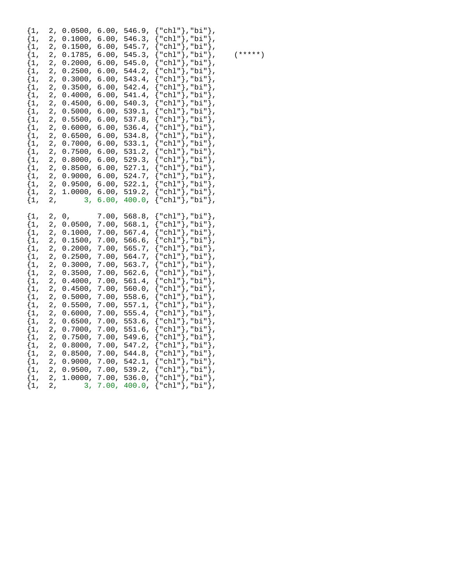| $\{1$ ,<br>$\{1$ ,<br>$\{1,$<br>$\{1,$<br>$\{1,$<br>$\{1,$<br>$\{1,$<br>$\{1,$<br>$\{1,$<br>$\{1,$<br>$\{1,$<br>$\{1,$<br>$\{1$ ,<br>$\{1,$<br>$\{1,$<br>$\{1,$<br>$\{1,$<br>$\{1,$<br>$\{1,$<br>$\{1,$<br>$\{1,$<br>$\{1,$ | 2,<br>2,<br>2,<br>2,<br>2,<br>2,<br>2,<br>$\overline{2}$ ,<br>2,<br>2,<br>2,<br>2,<br>$\overline{2}$ ,<br>2,<br>2,<br>2,<br>2,<br>$\overline{2}$ ,<br>2,<br>2,<br>2,<br>2, | 0.0500,<br>0.1000,<br>0.1500,<br>0.1785,<br>0.2000,<br>0.2500,<br>0.3000,<br>0.3500,<br>$0.4000$ ,<br>0.4500,<br>0.5000,<br>0.5500,<br>0.6000,<br>0.6500,<br>0.7000,<br>0.7500,<br>0.8000,<br>0.8500,<br>0.9000,<br>0.9500,<br>1.0000,<br>3, | 6.00,<br>6.00,<br>6.00,<br>6.00,<br>6.00,<br>6.00,<br>6.00,<br>6.00,<br>6.00,<br>6.00,<br>6.00,<br>6.00,<br>6.00,<br>6.00,<br>6.00,<br>6.00,<br>6.00,<br>6.00,<br>6.00,<br>6.00,<br>6.00,<br>6.00, | 546.9,<br>546.3,<br>545.7,<br>545.3,<br>$545.0$ ,<br>544.2,<br>543.4,<br>542.4,<br>541.4,<br>540.3,<br>539.1,<br>537.8,<br>$536.4$ ,<br>534.8,<br>533.1,<br>531.2,<br>529.3,<br>527.1,<br>524.7,<br>522.1,<br>519.2,<br>400.0,                | "chl"}, "bi"<br>"chl"},"bi"<br>"chl"}, "bi"<br>"chl"},"bi"<br>"chl"}, "bi"<br>"chl"},"bi"<br>"chl"},"bi"<br>"chl"},"bi"<br>"chl"}, "bi"<br>ſ | "chl"},"bi"},<br>"chl"},"bi"},<br>"chl"},"bi"},<br>"chl"},"bi"},<br>"chl"},"bi"},<br>"chl"},"bi"},<br>∤,<br>λ,<br>"chl"}, "bi"}<br>ļ<br>$\overline{ }$<br>},<br>"chl"},"bi"},<br>ļ<br>},<br>"chl"},"bi"},<br><sup>}</sup> ,<br>Ì,<br>"chl"},"bi"},<br>ł<br>$\overline{ }$<br>"chl"}, "bi"},<br>"chl" }, "bi" }<br>"chl"},"bi"},                                           |
|-----------------------------------------------------------------------------------------------------------------------------------------------------------------------------------------------------------------------------|----------------------------------------------------------------------------------------------------------------------------------------------------------------------------|----------------------------------------------------------------------------------------------------------------------------------------------------------------------------------------------------------------------------------------------|----------------------------------------------------------------------------------------------------------------------------------------------------------------------------------------------------|-----------------------------------------------------------------------------------------------------------------------------------------------------------------------------------------------------------------------------------------------|----------------------------------------------------------------------------------------------------------------------------------------------|---------------------------------------------------------------------------------------------------------------------------------------------------------------------------------------------------------------------------------------------------------------------------------------------------------------------------------------------------------------------------|
| $\{1,$<br>$\{1$ ,<br>$\{1,$<br>$\{1,$<br>$\{1,$<br>$\{1,$<br>$\{1,$<br>$\{1,$<br>$\{1,$<br>$\{1,$<br>$\{1,$<br>$\{1,$<br>$\{1,$<br>$\{1,$<br>$\{1,$<br>$\{1,$<br>$\{1,$<br>$\{1,$<br>$\{1,$<br>$\{1,$<br>$\{1,$<br>$\{1,$   | 2,<br>2,<br>2,<br>2,<br>2,<br>2,<br>2,<br>$\overline{2}$ ,<br>2,<br>2,<br>2,<br>2,<br>$\overline{2}$ ,<br>2,<br>2,<br>2,<br>2,<br>2,<br>2,<br>2,<br>2,<br>2,               | 0,<br>0.0500,<br>0.1000,<br>0.1500,<br>0.2000,<br>0.2500,<br>0.3000,<br>0.3500,<br>0.4000,<br>0.4500,<br>0.5000,<br>0.5500,<br>0.6000,<br>0.6500,<br>0.7000,<br>0.7500,<br>0.8000,<br>0.8500,<br>0.9000,<br>0.9500,<br>1.0000,<br>3,         | 7.00,<br>7.00,<br>7.00,<br>7.00,<br>7.00,<br>7.00,<br>7.00,<br>7.00,<br>7.00,<br>7.00,<br>7.00,<br>7.00,<br>7.00,<br>7.00,<br>7.00,<br>7.00,<br>7.00,<br>7.00,<br>7.00,<br>7.00,<br>7.00,<br>7.00, | 568.8,<br>568.1,<br>$567.4$ ,<br>566.6,<br>565.7,<br>564.7,<br>563.7,<br>$562.6$ ,<br>561.4,<br>560.0,<br>558.6,<br>557.1,<br>$555.4$ ,<br>$553.6$ ,<br>$551.6$ ,<br>549.6,<br>547.2,<br>$544.8$ ,<br>542.1,<br>539.2,<br>536.0,<br>$400.0$ , | "chl"}, "bi"<br>"chl"},"bi"<br>"chl"},"bi"<br>"chl"}, "bi"<br>"chl"},"bi"<br>"chl"},"bi"<br>"chl"},"bi"<br>"chl"},"bi"                       | "chl" }, "bi" },<br>"chl"},"bi"},<br>{"chl"},"bi"},<br>"chl"}, "bi"},<br>"chl"},"bi"},<br>"chl"},"bi"},<br>Ι,<br>"chl" }, "bi" },<br>"chl"},"bi"},<br>ļ<br>$\overline{ }$<br>},<br>"chl"},"bi"},<br>ł<br>$\overline{ }$<br>},<br>"chl"},"bi"},<br>ł<br>$\overline{ }$<br>},<br>"chl"},"bi"},<br>ł<br>$\overline{ }$<br>"chl"},"bi"},<br>"chl" }, "bi" },<br>"chl"},"bi"}, |

 $(* * * * * )$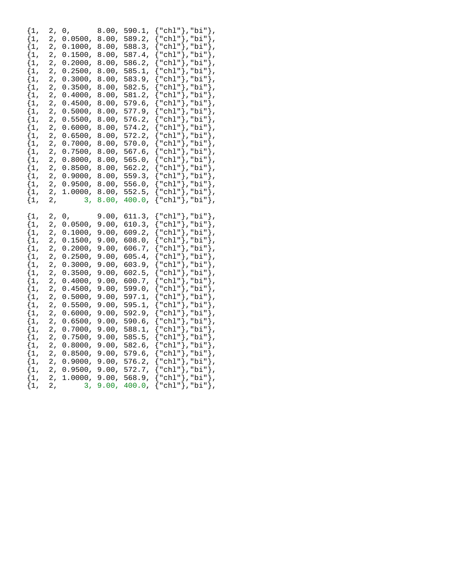| $\{1,$<br>$\{1$ ,<br>$\{1,$<br>$\{1,$<br>$\{1,$<br>$\{1$ ,<br>$\{1,$<br>$\{1\,$<br>$\{1,$<br>$\{1,$<br>$\{1,$                                                                                                                | 2,<br>$\mathbf 2$ ,<br>2,<br>$\mathbf 2$ ,<br>2,<br>2,<br>2,<br>$\mathbf 2$ ,<br>2,<br>2,<br>2,                                  | 0,<br>0.0500,<br>0.1000,<br>0.1500,<br>0.2000,<br>0.2500,<br>0.3000,<br>0.3500,<br>0.4000,<br>0.4500,<br>0.5000,                                                                                                                     | 8.00,<br>8.00,<br>8.00,<br>8.00,<br>8.00,<br>8.00,<br>8.00,<br>8.00,<br>8.00,<br>8.00,<br>8.00,                                                                                                    | 590.1,<br>589.2,<br>588.3,<br>587.4,<br>586.2,<br>585.1,<br>583.9,<br>582.5,<br>581.2,<br>579.6,<br>577.9,                                                                                                                  | "chl"},"bi"<br>"chl" $},$<br>"chl"},"bi"<br>"chl" $\rangle$ ,<br>"chl"},"bi"<br>"chl" $},$<br>"chl"}, "bi"                                                                                                                                                            | "chl" }, "bi" },<br>"chl"}, "bi"},<br>"bi"},<br>"chl"}, "bi"},<br>"bi"<br>"chl"},"bi"},<br>"bi"                                                                | },<br>ł,<br>١,<br>ł,<br>∤,<br>∤,                 |
|------------------------------------------------------------------------------------------------------------------------------------------------------------------------------------------------------------------------------|----------------------------------------------------------------------------------------------------------------------------------|--------------------------------------------------------------------------------------------------------------------------------------------------------------------------------------------------------------------------------------|----------------------------------------------------------------------------------------------------------------------------------------------------------------------------------------------------|-----------------------------------------------------------------------------------------------------------------------------------------------------------------------------------------------------------------------------|-----------------------------------------------------------------------------------------------------------------------------------------------------------------------------------------------------------------------------------------------------------------------|----------------------------------------------------------------------------------------------------------------------------------------------------------------|--------------------------------------------------|
| $\{1,$<br>$\{1$ ,<br>$\{1,$<br>$\{1,$<br>$\{1,$<br>$\{1,$<br>$\{1,$<br>$\{1$ ,<br>$\{1,$<br>$\{1,$<br>$\{1$ ,                                                                                                                | 2,<br>2,<br>2,<br>2,<br>2,<br>2,<br>2,<br>2,<br>2,<br>2,<br>2,                                                                   | 0.5500,<br>0.6000,<br>0.6500,<br>0.7000,<br>0.7500,<br>0.8000,<br>0.8500,<br>0.9000,<br>0.9500,<br>1.0000,<br>3 <sub>1</sub>                                                                                                         | 8.00,<br>8.00,<br>8.00,<br>8.00,<br>8.00,<br>8.00,<br>8.00,<br>8.00,<br>8.00,<br>$8.00$ ,<br>8.00,                                                                                                 | 576.2,<br>$574.2$ ,<br>572.2,<br>570.0,<br>$567.6$ ,<br>$565.0$ ,<br>562.2,<br>559.3,<br>556.0,<br>$552.5$ ,<br>400.0,                                                                                                      | "chl"},"bi"<br>"chl"},"bi"<br>" $\chl$ "}, " $bi$ "<br>" $\chl$ "}, " $bi$ "<br>" $\chl$ "}, " $bi$ "<br>${ "chl" }$ , "bi"},                                                                                                                                         | "chl" }, "bi" },<br>"chl"},"bi"},<br>"chl" }, "bi" },<br>"chl" }, "bi" },<br>"chl"}, "bi"},                                                                    | ł,<br>ł,<br>∤,<br>ł,                             |
| $\{1,$<br>$\{1$ ,<br>$\{1,$<br>$\{1,$<br>$\{1,$<br>$\{1,$<br>$\{1,$<br>$\{1,$<br>$\{1,$<br>$\{1,$<br>$\{1,$<br>$\{1,$<br>$\{1$ ,<br>$\{1,$<br>$\{1,$<br>$\{1,$<br>$\{1,$<br>$\{1$ ,<br>$\{1,$<br>$\{1,$<br>$\{1,$<br>$\{1$ , | 2,<br>2,<br>2,<br>2,<br>2,<br>2,<br>2,<br>2,<br>2,<br>2,<br>2,<br>2,<br>2,<br>2,<br>2,<br>2,<br>2,<br>2,<br>2,<br>2,<br>2,<br>2, | 0,<br>0.0500,<br>0.1000,<br>0.1500,<br>0.2000,<br>0.2500,<br>0.3000,<br>0.3500,<br>0.4000,<br>0.4500,<br>0.5000,<br>0.5500,<br>0.6000,<br>0.6500,<br>0.7000,<br>0.7500,<br>0.8000,<br>0.8500,<br>0.9000,<br>0.9500,<br>1.0000,<br>3, | 9.00,<br>9.00,<br>9.00,<br>9.00,<br>9.00,<br>9.00,<br>9.00,<br>9.00,<br>9.00,<br>9.00,<br>9.00,<br>9.00,<br>9.00,<br>9.00,<br>9.00,<br>9.00,<br>9.00,<br>9.00,<br>9.00,<br>9.00,<br>9.00,<br>9.00, | 611.3,<br>610.3,<br>609.2,<br>608.0,<br>606.7,<br>605.4,<br>603.9,<br>602.5,<br>600.7,<br>599.0,<br>597.1,<br>595.1,<br>592.9,<br>$590.6$ ,<br>588.1,<br>585.5,<br>582.6,<br>579.6,<br>576.2,<br>572.7,<br>568.9,<br>400.0, | ${ "ch1" }$ , "bi"},<br>${ "chl" }$ ,"bi" $}$ ,<br>"chl"},"bi"<br>"chl"}, "bi"<br>"chl"},"bi"<br>" $\chl$ "}, " $bi$ "<br>"chl"}, "bi"<br>"chl"}, "bi"<br>"chl"}, "bi"<br>"chl"},"bi"<br>"chl"}, "bi"<br>"chl" $},$<br>"chl" $},$<br>" $\chl$ "}, " $bi$ "<br>"chl"}, | "chl" $},$ "bi" $}$ ,<br>"chl" }, "bi" },<br>"chl" }, "bi" },<br>"chl" }, "bi" },<br>"chl"},"bi"},<br>"bi"<br>"bi"<br>"chl"},"bi"},<br>"bi"},<br>"chl"},"bi"}, | ∤,<br>ł,<br>∤,<br>∤,<br>$\}$ ,<br>ł,<br>ł,<br>}, |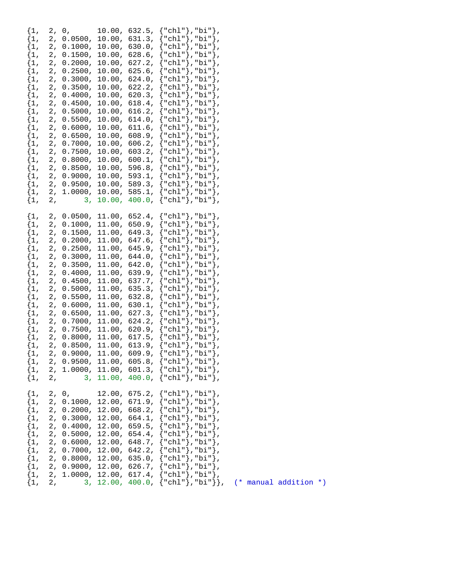| $\{1,$<br>$\{1,$<br>$\{1$ ,<br>$\{1,$<br>$\{1,$<br>$\{1,$<br>$\{1,$<br>$\{1,$<br>$\{1,$<br>$\{1,$<br>$\{1$ ,<br>$\{1$ ,<br>$\{1$ ,<br>$\{1$ ,<br>$\{1,$<br>$\{1$ ,<br>$\{1,$<br>$\{1,$<br>$\{1$ ,<br>$\{1,$<br>$\{1,$ | 2, |    |  | 2, 0, 10.00, 632.5, ${\text{\texttt{``chl''}}}, {\text{\texttt{"bi''}}},$<br>$0.0500, 10.00, 631.3, { "chl"} , "bi"}$ ,<br>2, 0.1000, 10.00, 630.0, ${\text{ "chl"} }$ , "bi" },<br>2, $0.1500$ , $10.00$ , $628.6$ , ${\text{``chl''}}$ , "bi"},<br>2, 0.2000, 10.00, 627.2, ${\text{ "chl"} }$ , "bi"},<br>2, 0.2500, 10.00, 625.6, ${\text{ "chl"} }$ , "bi"},<br>2, 0.3000, 10.00, 624.0, $\{\text{"chl"}\}$ , "bi"},<br>2, 0.3500, 10.00, 622.2, ${\text{ "chl"} }$ , "bi"},<br>2, 0.4000, 10.00, 620.3, {"chl"},"bi"},<br>2, 0.4500, 10.00, 618.4, $\{\text{"chl"}\}$ , "bi" $\}$ ,<br>2, 0.5000, 10.00, 616.2, {"chl"},"bi"},<br>2, 0.5500, 10.00, 614.0, {"chl"},"bi"},<br>2, 0.6000, 10.00, 611.6, ${\text{ "chl"}}, {\text{ "bi"}},$<br>2, 0.6500, 10.00, 608.9, {"chl"},"bi"},<br>2, 0.7000, 10.00, 606.2, {"chl"},"bi"},<br>2, 0.7500, 10.00, 603.2, {"chl"},"bi"},<br>2, 0.8000, 10.00, 600.1, {"chl"},"bi"},<br>2, 0.8500, 10.00, 596.8, {"chl"},"bi"},<br>2, 0.9000, 10.00, 593.1, {"chl"},"bi"},<br>2, 0.9500, 10.00, 589.3, {"chl"},"bi"},<br>2, 1.0000, 10.00, 585.1, {"chl"},"bi"},                                          |
|-----------------------------------------------------------------------------------------------------------------------------------------------------------------------------------------------------------------------|----|----|--|-------------------------------------------------------------------------------------------------------------------------------------------------------------------------------------------------------------------------------------------------------------------------------------------------------------------------------------------------------------------------------------------------------------------------------------------------------------------------------------------------------------------------------------------------------------------------------------------------------------------------------------------------------------------------------------------------------------------------------------------------------------------------------------------------------------------------------------------------------------------------------------------------------------------------------------------------------------------------------------------------------------------------------------------------------------------------------------------------------------------------------------------------|
| $\{1,$<br>$\{1,$<br>$\{1,$<br>$\{1$ ,<br>$\{1,$<br>$\{1$ ,<br>$\{1,$<br>$\{1,$<br>$\{1$ ,<br>$\{1,$<br>$\{1,$<br>$\{1,$<br>$\{1,$<br>$\{1$ ,<br>$\{1$ ,<br>$\{1$ ,<br>$\{1,$<br>$\{1,$<br>$\{1,$<br>$\{1,$            | 2, | 2, |  | 3, 10.00, 400.0, {"chl"},"bi"},<br>2, 0.0500, 11.00, 652.4, $\{\text{"chl"}\}$ , "bi" $\}$ ,<br>2, 0.1000, 11.00, 650.9, {"chl"},"bi"},<br>2, $0.1500$ , $11.00$ , $649.3$ , ${\text{``chl''}}$ , "bi"},<br>2, 0.2000, 11.00, 647.6, {"chl"},"bi"},<br>2, 0.2500, 11.00, 645.9, ${\text{``chl''}}$ , "bi" $}$ ,<br>2, 0.3000, 11.00, 644.0, {"chl"},"bi"},<br>2, 0.3500, 11.00, 642.0, ${\text{ "chl"} }$ , "bi" },<br>2, 0.4000, 11.00, 639.9, ${\text{\{ "chl"} }}, {\text{\{ "bi"} }},$<br>2, 0.4500, 11.00, 637.7, {"chl"},"bi"},<br>2, 0.5000, 11.00, 635.3, {"chl"},"bi"},<br>2, 0.5500, 11.00, 632.8, {"chl"},"bi"},<br>2, 0.6000, 11.00, 630.1, {"chl"},"bi"},<br>2, 0.6500, 11.00, 627.3, {"chl"},"bi"},<br>2, 0.7000, 11.00, 624.2, {"chl"},"bi"},<br>2, 0.7500, 11.00, 620.9, {"chl"},"bi"},<br>2, 0.8000, 11.00, 617.5, {"chl"},"bi"},<br>2, 0.8500, 11.00, 613.9, {"chl"},"bi"},<br>$\{1, 2, 0.9000, 11.00, 609.9, {\texttt{"chl"}}, \texttt{"bi"}}\}$<br>2, 0.9500, 11.00, 605.8, ${\text{ "chl"} }$ , "bi"},<br>$\{1, 2, 1.0000, 11.00, 601.3, \{\text{"chl"}\}, \text{"bi"}\},$<br>3, 11.00, 400.0, ${\text{ "chl"} }$ , "bi"}, |
| $\{1,$<br>$\{1,$<br>$\{1,$<br>$\{1$ ,<br>$\{1,$                                                                                                                                                                       |    |    |  | 2, 0, $12.00$ , $675.2$ , $\{\text{"chl"}\}$ , "bi" },<br>2, 0.1000, 12.00, 671.9, {"chl"},"bi"},<br>{1, 2, 0.2000, 12.00, 668.2, {"chl"},"bi"},<br>{1, 2, 0.3000, 12.00, 668.2, {"chl"},"bi"},<br>{1, 2, 0.3000, 12.00, 664.1, {"chl"},"bi"},<br>{1, 2, 0.5000, 12.00, 659.5, {"chl"},"bi"},<br>{1, 2, 0.5000, 12.00, 654.4, {"chl"},"bi"},<br>{<br>$\{1, 2, 0.7000, 12.00, 642.2, \{\text{"chl"}\}, \text{"bi"}\},$<br>$\{1, 2, 0.8000, 12.00, 635.0, \{\text{"chl"}\}, \text{"bi"}\},$<br>2, 0.9000, 12.00, 626.7, {"chl"},"bi"},<br>2, 1.0000, 12.00, 617.4, {"chl"},"bi"},<br>2, 3, 12.00, 400.0, {"chl"},"bi"}}, (* manual addition *)                                                                                                                                                                                                                                                                                                                                                                                                                                                                                                    |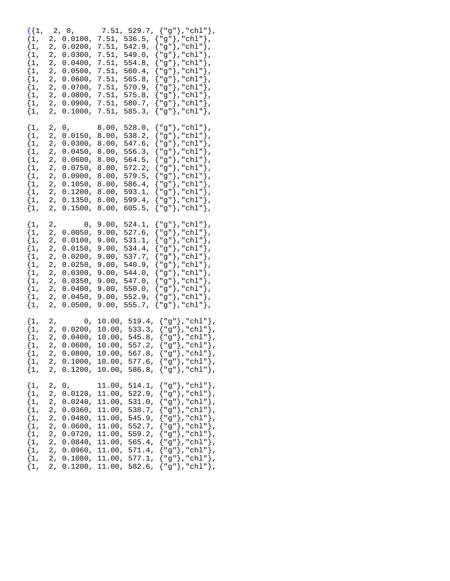| $\{1,$<br>$\{1,$<br>$\{1,$<br>$\{1,$<br>$\{1,$<br>$\{1,$<br>$\{1,$<br>$\{1,$<br>$\{1,$<br>2,<br>$\{1,$                                                                                      | $\{1,$<br>$\{1$ ,<br>$\{1,$<br>$\{1,$<br>$\{1$ ,<br>$\{1,$<br>$\{1,$                                                                                   | $\{1$ ,<br>$\{1$ ,<br>$\{1$ ,<br>$\{1,$<br>$\{1,$<br>$\{1,$<br>$\{1,$<br>$\{1,$<br>$\{1,$<br>$\{1,$<br>$\{1$ ,                                                                                     | $\{1$ ,<br>$\{1$ ,<br>$\{1,$<br>$\{1,$<br>$\{1$ ,<br>$\{1,$<br>$\{1,$<br>$\{1,$<br>$\{1,$<br>$\{1,$<br>$\{1$ ,                                                                                      | $\{1,$<br>$\{1$ ,<br>$\{1$ ,<br>$\{1,$<br>$\{1$ ,<br>$\{1,$<br>$\{1,$<br>$\{1,$<br>$\{1,$<br>$\{1,$<br>$\{1$ ,                                                             |
|---------------------------------------------------------------------------------------------------------------------------------------------------------------------------------------------|--------------------------------------------------------------------------------------------------------------------------------------------------------|----------------------------------------------------------------------------------------------------------------------------------------------------------------------------------------------------|-----------------------------------------------------------------------------------------------------------------------------------------------------------------------------------------------------|----------------------------------------------------------------------------------------------------------------------------------------------------------------------------|
| 2,<br>2,<br>2,<br>2,<br>2,<br>2,<br>2,<br>2,                                                                                                                                                | 2,<br>2,<br>2,<br>2,<br>2,                                                                                                                             | 2,<br>2,<br>2,<br>2,<br>2,<br>2,<br>2,<br>2,<br>2,<br>2,<br>2,                                                                                                                                     | 2,<br>2,<br>2,<br>2,<br>2,<br>2,<br>2,<br>2,<br>2,<br>2,<br>2,                                                                                                                                      | 2,<br>2,<br>2,<br>2,<br>2,<br>2,<br>2,<br>2,<br>2,<br>2,                                                                                                                   |
| 0,<br>0.0120,<br>0.0240,<br>$0.0360$ ,<br>0.0480,<br>0.0600,<br>$0.0720$ ,<br>0.0840,                                                                                                       | 0,<br>0.0200,<br>0.0400,<br>$0.0600$ ,<br>$0.0800$ ,<br>2, 0.1000,<br>2, 0.1200, 10.00,                                                                | 0,<br>0.0050,<br>0.0100,<br>0.0150,<br>0.0200,<br>0.0250,<br>0.0300,<br>0.0350,<br>0.0400,<br>0.0450,<br>0.0500,                                                                                   | 0,<br>0.0150,<br>0.0300,<br>0.0450,<br>0.0600,<br>0.0750,<br>0.0900,<br>0.1050,<br>0.1200,<br>0.1350,<br>0.1500,                                                                                    | 2, 0,<br>0.0100,<br>0.0200,<br>0.0300,<br>0.0400,<br>0.0500,<br>0.0600,<br>0.0700,<br>0.0800,<br>0.0900,<br>0.1000,                                                        |
| 11.00,<br>11.00,<br>11.00,<br>11.00,<br>11.00,<br>11.00,<br>11.00,<br>11.00,                                                                                                                | 10.00,<br>10.00,<br>10.00,<br>$10.00$ ,                                                                                                                | 9.00,<br>9.00,<br>9.00,<br>9.00,<br>9.00,<br>9.00,<br>9.00,<br>9.00,<br>9.00,<br>9.00,<br>9.00,                                                                                                    | 8.00,<br>8.00,<br>8.00,<br>8.00,<br>8.00,<br>8.00,<br>8.00,<br>8.00,<br>8.00,<br>8.00,<br>8.00,                                                                                                     | 7.51,<br>7.51,<br>7.51,<br>7.51,<br>7.51,<br>7.51,<br>7.51,<br>7.51,<br>7.51,<br>7.51,                                                                                     |
| 514.1,<br>522.9,<br>531.0,<br>538.7,<br>545.9,<br>552.7,<br>559.2,<br>565.4,<br>571.4,                                                                                                      | 10.00, 519.4,<br>533.3,<br>545.8,<br>557.2,<br>567.8,<br>10.00, 577.6,<br>586.8,                                                                       | 524.1,<br>527.6,<br>531.1,<br>534.4,<br>537.7,<br>540.9,<br>$544.0$ ,<br>$547.0$ ,<br>550.0,<br>552.9,<br>555.7,                                                                                   | $528.0$ ,<br>538.2,<br>547.6,<br>556.3,<br>564.5,<br>572.2,<br>$579.5$ ,<br>$586.4$ ,<br>593.1,<br>599.4,<br>605.5,                                                                                 | 7.51, 529.7,<br>536.5,<br>542.9,<br>$549.0$ ,<br>554.8,<br>$560.4$ ,<br>565.8,<br>$570.9$ ,<br>575.8,<br>580.7,<br>585.3,<br>ł                                             |
| ${ "g" }$ , "chl" $}$ ,<br>{"g"},"chl"},<br>${ "g" }$ ,"chl" $}$ ,<br>{"g"},"chl"},<br>"g"},"chl"},<br>$\lfloor$ "g" $\}$ , "chl" $\}$ ,<br>{"g"},"chl"},<br>"g"}, "chl"},<br>"g"}, "chl"}, | {"g"},"chl"},<br>${ "g" }$ ,"chl" $ },$<br>${ "g" }$ , "chl" },<br>"g"}, "chl"},<br>"g"},"chl"},<br>${ "g" }$ , "chl" $}$ ,<br>${ "g" }$ , "chl" $}$ , | ${ "g" }$ , "chl"},<br>${ "g" }$ , "chl"},<br>"g"}, "chl"},<br>"g"}, "chl"},<br>"g"},"chl"},<br>"g"}, "chl"},<br>"g"}, "chl"},<br>"g"}, "chl"},<br>"g"}, "chl"},<br>"g"}, "chl"},<br>"g"}, "chl"}, | ${ "g" }$ , "chl"},<br>${ "g" }$ ,"chl" $}$ ,<br>"g"}, "chl"},<br>"g"},"chl"},<br>"g"},"chl"},<br>"g"}, "chl"},<br>"g"},"chl"},<br>"g"}, "chl"},<br>"g"}, "chl"},<br>"g"}, "chl"},<br>"g"}, "chl"}, | ${ "g" }$ , "chl"},<br>"g"},"chl"},<br>"g" }, "chl" },<br>"g"},"chl"},<br>"g"}, "chl"},<br>"g"},"chl"},<br>"g"}, "chl"},<br>"g"}, "chl"},<br>"g"}, "chl"},<br>"g"},"chl"}, |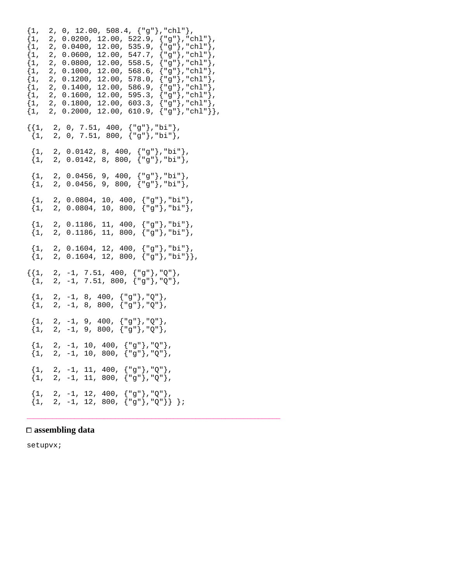```
\{1, 2, 0, 12.00, 508.4, \{ "g" \}, "chl" },
\{1, 2, 0.0200, 12.00, 522.9, \{ "g" \}, "chl"\},
\{1, 2, 0.0400, 12.00, 535.9, \{ "g" \}, "chl"\},
\{1, 2, 0.0600, 12.00, 547.7, \{ "g" \}, "chl" \},\{1, 2, 0.0800, 12.00, 558.5, \{\texttt{"g"}\}, \texttt{"chl"}\},\{1, 2, 0.1000, 12.00, 568.6, \{ "g" \}, "chl"\},
\{1, 2, 0.1200, 12.00, 578.0, \{\texttt{"g"}\}, \texttt{"chl"}\}, \\{1, 2, 0.1400, 12.00, 586.9, \{\texttt{"g"}\}, \texttt{"chl"}\},{1, 2, 0.1400, 12.00, 586.9, {"g"},"chl"},
{1, 2, 0.1600, 12.00, 595.3, { "g" } , "chl" }{1, 2, 0.1800, 12.00, 603.3, { "g" } , "chl" }\{1, 2, 0.2000, 12.00, 610.9, \{ "g" \}, "chl" } },
\{1, 2, 0, 7.51, 400, { "g" } , { "bi" } \},{1, 2, 0, 7.51, 800, { "g" } , "bi" }{1, 2, 0.0142, 8, 400, { "g"} }, "bi" },
 \{1, 2, 0.0142, 8, 800, \{\texttt{"g"}\}, \texttt{"bi"}\},\{1, 2, 0.0456, 9, 400, \{ "q" \} \}, "bi" },
 \{1, 2, 0.0456, 9, 800, \{\texttt{"g"}\}, \texttt{"bi"}\},\{1, 2, 0.0804, 10, 400, \{ "g" \} , "bi" \}{1, 2, 0.0804, 10, 800, { "g" }, "bi" }\{1, 2, 0.1186, 11, 400, \{ "g" \} , "bi" \}\{1, 2, 0.1186, 11, 800, \{ "g" \}, "bi" },
 \{1, 2, 0.1604, 12, 400, \{ "g" \}, "bi" },
 \{1, 2, 0.1604, 12, 800, \{\texttt{"g"}\}, \texttt{"bi"}\},\{\{1, 2, -1, 7.51, 400, \{ "g" \} \}, \mathbb{Q}"{1, 2, -1, 7.51, 800, { "g" } , "Q" }\{1, 2, -1, 8, 400, \{ "g" \} , "Q" \} , \<br>\{1, 2, -1, 8, 800, \{ "g" \} , "Q" \} ,{2, -1, 8, 800, { "g" }, "Q" }{1, 2, -1, 9, 400, { "g"} }, "2" },
 {1, 2, -1, 9, 800, { "g" } , "Q" }{1, 2, -1, 10, 400, { "g" } , "Q" }\{1, 2, -1, 10, 800, \{\texttt{"g"}\}, \texttt{"Q"}\},\{1, 2, -1, 11, 400, \{ "q" \} \}, \{0\}\{1, 2, -1, 11, 800, \{ "g" \} \text{, } "Q" \}{1, 2, -1, 12, 400, { "g" } , "Q" }{1, 2, -1, 12, 800, { "g" } , "Q" }
```
\_\_\_\_\_\_\_\_\_\_\_\_\_\_\_\_\_\_\_\_\_\_\_\_\_\_\_\_\_\_\_\_\_\_\_\_\_\_\_\_\_\_\_\_\_\_\_\_\_\_\_\_\_\_\_\_\_\_\_\_\_\_\_\_\_\_\_\_\_

#### **assembling data**

setupvx;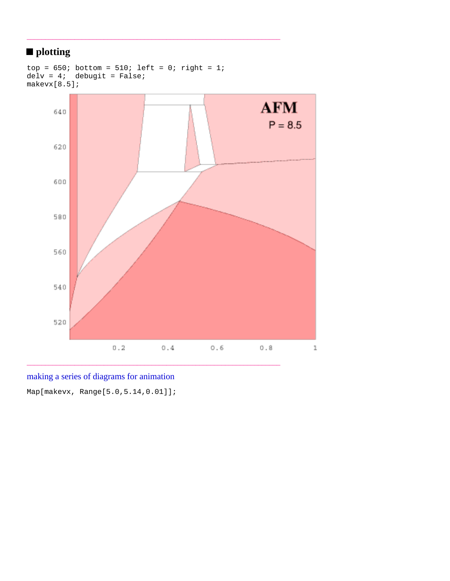# **plotting**



\_\_\_\_\_\_\_\_\_\_\_\_\_\_\_\_\_\_\_\_\_\_\_\_\_\_\_\_\_\_\_\_\_\_\_\_\_\_\_\_\_\_\_\_\_\_\_\_\_\_\_\_\_\_\_\_\_\_\_\_\_\_\_\_\_\_\_\_\_

## making a series of diagrams for animation

Map[makevx, Range[5.0,5.14,0.01]];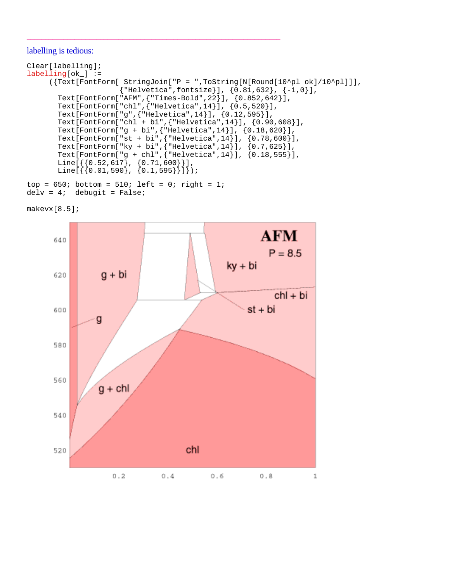#### labelling is tedious:

```
Clear[labelling];
labelling[ok_] :=
      ({Text[FontForm[ StringJoin["P = ",ToString[N[Round[10^pl ok]/10^pl]]],
                      {"Helvetica",fontsize}], {0.81,632}, {-1,0}],
 Text[FontForm["AFM",{"Times-Bold",22}], {0.852,642}],
 Text[FontForm["chl",{"Helvetica",14}], {0.5,520}],
       Text[FontForm["g",{"Helvetica",14}], {0.12,595}],
       Text[FontForm["chl + bi",{"Helvetica",14}], {0.90,608}],
      Text[FontForm["g + bi", {"Helvetica", 14}], {0.18, 620}],
      Text[FontForm["st + bi", {"Helvetica", 14], (0.78, 600)],
 Text[FontForm["ky + bi",{"Helvetica",14}], {0.7,625}],
 Text[FontForm["g + chl",{"Helvetica",14}], {0.18,555}],
       Line[{{0.52,617}, {0.71,600}}],
       Line[{{0.01,590}, {0.1,595}}]});
top = 650; bottom = 510; left = 0; right = 1;
```

```
delv = 4; debugit = False;
```

```
makevx[8.5];
```
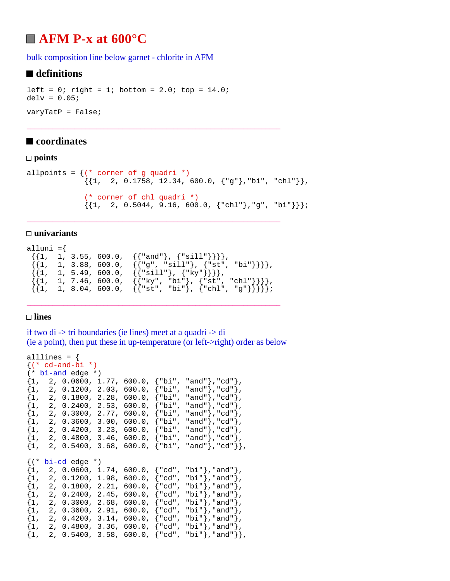# **AFM P-x at 600°C**

bulk composition line below garnet - chlorite in AFM

### ■ definitions

```
left = 0; right = 1; bottom = 2.0; top = 14.0;
delv = 0.05varyTatP = False;
```
### ■ coordinates

#### **points**

```
allpoints = \{ (* \text{ corner of } g \text{ quadri } *)\{ \{1, 2, 0.1758, 12.34, 600.0, \{ "g" \} \}, "chl" \}, (* corner of chl quadri *)
                 \{\{1, 2, 0.5044, 9.16, 600.0, \{\text{"chl"}\}, \text{"g"}\}, \text{"bi"}\}\};
```
\_\_\_\_\_\_\_\_\_\_\_\_\_\_\_\_\_\_\_\_\_\_\_\_\_\_\_\_\_\_\_\_\_\_\_\_\_\_\_\_\_\_\_\_\_\_\_\_\_\_\_\_\_\_\_\_\_\_\_\_\_\_\_\_\_\_\_\_\_

#### **univariants**

```
alluni =\{\{\{1, 1, 3.55, 600.0, \{\{\text{"and"\}, \{\text{``sill"\}\}\}\}\}\\{\{1, 1, 3.88, 600.0, \{\{\text{''g", "sill"}\}, \{\text{''st", "bi"}\}\}\}\},{\{1, 1, 5.49, 600.0, \{\{\text{``sill''}\}, \{\text{``ky''}\}\}\},\{\{1, 1, 7.46, 600.0, \{\{\text{``ky", "bi"}\}, \{\text{``st", "chl"}\}\}\}\},\{\{1, 1, 8.04, 600.0, \{\{\text{"st", 'bi"}}\}, \{\text{"chl", "g"}\}\}\};
```
\_\_\_\_\_\_\_\_\_\_\_\_\_\_\_\_\_\_\_\_\_\_\_\_\_\_\_\_\_\_\_\_\_\_\_\_\_\_\_\_\_\_\_\_\_\_\_\_\_\_\_\_\_\_\_\_\_\_\_\_\_\_\_\_\_\_\_\_\_

\_\_\_\_\_\_\_\_\_\_\_\_\_\_\_\_\_\_\_\_\_\_\_\_\_\_\_\_\_\_\_\_\_\_\_\_\_\_\_\_\_\_\_\_\_\_\_\_\_\_\_\_\_\_\_\_\_\_\_\_\_\_\_\_\_\_\_\_\_

#### **lines**

if two di -> tri boundaries (ie lines) meet at a quadri -> di (ie a point), then put these in up-temperature (or left->right) order as below

```
alllines = \{({*} cd-and-bi *)(* bi-and edge *)
\{1, 2, 0.0600, 1.77, 600.0, \{ "bi", "and"} \}, "cd"}\}{1, 2, 0.1200, 2.03, 600.0, {"bi", "and"}}, "cd";\{1, 2, 0.1800, 2.28, 600.0, \{ "bi", "and"} \}, "cd"}\{1, 2, 0.2400, 2.53, 600.0, \{"\text{bi", \text{and"}}\}\, "cd"\},
\{1, 2, 0.3000, 2.77, 600.0, \{\text{"bi", \text{"and"}}\}, \text{"cd"}\}\{1, 2, 0.3600, 3.00, 600.0, \{ "bi", "and"} \}, "cd"}\{1, 2, 0.4200, 3.23, 600.0, \{"\text{bi", \text{and"}}\}\, "cd"\},
\{1,\quad 2,\ \ 0.4800\,,\ \ 3.46\,,\ \ 600.0\,,\ \ \{\text{"bi"}\,,\ \ \text{"and"}\}\,,\text{"cd"}\}\{1, 2, 0.5400, 3.68, 600.0, \{\text{"bi", \text{"and"}}\}, \text{"cd"}\}\{(* \text{bi-cd edge } *){1, 2, 0.0600, 1.74, 600.0, {red", "bi"}}, "and";\{1, 2, 0.1200, 1.98, 600.0, \{"cd", "bi"\},"and"\}.\{1, 2, 0.1800, 2.21, 600.0, \{\text{"cd"}\}, \text{"bi"}\}, and"\},
\{1, 2, 0.2400, 2.45, 600.0, \{ "cd", "bi"}\}, "and"\},\{1, 2, 0.3000, 2.68, 600.0, \{ "cd", "bi"}\}, "and"\}.\{1, 2, 0.3600, 2.91, 600.0, \{ "cd", "bi"} \}, "and" \}\{1, 2, 0.4200, 3.14, 600.0, \{ "cd", "bi"}\}, "and"\}.\{1, 2, 0.4800, 3.36, 600.0, \{ "cd", "bi"} \}, "and" \}\{1, 2, 0.5400, 3.58, 600.0, \{ "cd", "bi"} \}, "and" \}
```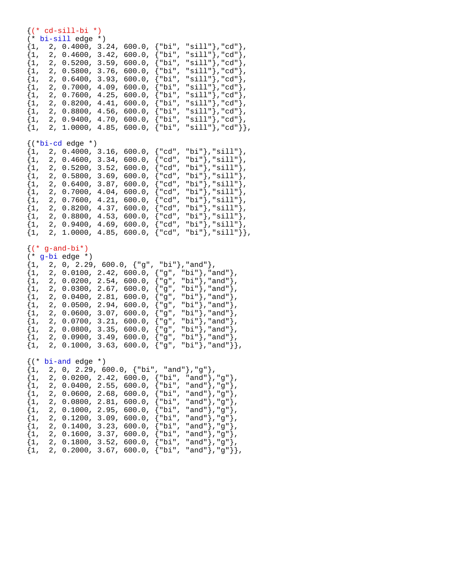#### $\{({*}$  cd-sill-bi  $*)$ (\* bi-sill edge \*)  ${1, 2, 0.4000, 3.24, 600.0, {"bi", "sill"}}, "cd"}$  ${1, 2, 0.4600, 3.42, 600.0, { "bi", "sill"} }$ ,"cd"},  $\{1,\quad 2,\ \ 0.5200\,,\ \ 3.59\,,\ \ 600.0\,,\ \ \{\text{"bi"}\,,\ \ \text{"sill"}\}\,, \text{"cd"}\}$  $\{1, 2, 0.5800, 3.76, 600.0, \{\text{"bi", "sill"}\}, \text{"cd"}\},$  ${1, 2, 0.6400, 3.93, 600.0, { "bi", "sill"} }$ , "cd"},  ${1, 2, 0.7000, 4.09, 600.0, \{ "bi", "sill"} \}, "cd"}$  $\{1, 2, 0.7600, 4.25, 600.0, \{\text{"bi", "sill"}\}, \text{"cd"}\},$  $\{1, 2, 0.8200, 4.41, 600.0, \{"\text{bi", "sill"}\},"cd"\}$  $\{1, 2, 0.8800, 4.56, 600.0, \{\text{"bi", "sill"}\}, \text{"cd"}\},$  $\{1, 2, 0.9400, 4.70, 600.0, \{\text{"bi", "sill"}\}, \text{"cd"}\},$  ${1, 2, 1.0000, 4.85, 600.0, \{"\text{bi", "sill";},"cd"\}}.$  $\{( *bi-cd \text{ edge } *)$  ${1, 2, 0.4000, 3.16, 600.0, {red", "bi"}}, "sill";}$  $\{1, 2, 0.4600, 3.34, 600.0, \{ "cd", "bi"} \}, "sill";\}$  $\{1, 2, 0.5200, 3.52, 600.0, \{"cd", "bi"\},"sill"\},$  $\{1, 2, 0.5800, 3.69, 600.0, \{"cd", "bi"\},"sill"\},$  ${1, 2, 0.6400, 3.87, 600.0, {"cd", "bi"}}, "sill";}$  $\{1, 2, 0.7000, 4.04, 600.0, \{\text{"cd"}\}$ , "bi" $\}$ , "sill" $\}$ ,  $\{1, 2, 0.7600, 4.21, 600.0, \{"cd", "bi"\}, "sill"\},$  $\{1, 2, 0.8200, 4.37, 600.0, \{ "cd", "bi"}\}, "sill"}\},$  $\{1, 2, 0.8800, 4.53, 600.0, \{ "cd", "bi"}\}, "sill"}\},$  $\{1, 2, 0.9400, 4.69, 600.0, \{\text{"cd"}\}, \text{"sill"}\},$  $\{1, 2, 1.0000, 4.85, 600.0, \{ "cd", "bi"} \}, "sill"} \},$  $\{ (*$  g-and-bi\*) (\* g-bi edge \*)  $\{1, 2, 0, 2.29, 600.0, \{ "g", "bi"} \}$ , "and" },  $\{1, 2, 0.0100, 2.42, 600.0, \{ "g", "bi"} \}, "and"\},$ <br> $\{1, 2, 0.0200, 2.54, 600.0, \{ "g", "bi"} \}, "and"\},$ {1, 2, 0.0200, 2.54, 600.0, {"g", "bi"},"and"},  $\{1, 2, 0.0300, 2.67, 600.0, \{ "g", "bi"} \}$ , "and" },  $\{1, 2, 0.0400, 2.81, 600.0, \{ "g", "bi"} \}, \text{rand"} \},$  $\{1, 2, 0.0500, 2.94, 600.0, \{ "g", "bi"} \}$ , "and" },  $\{1, 2, 0.0600, 3.07, 600.0, \{ "g", "bi"} \}$ , "and" },  ${1, 2, 0.0700, 3.21, 600.0, { "g", "bi" }, "and" }$  $\{1, 2, 0.0800, 3.35, 600.0, \{ "g", "bi"} \}$ , "and" },  $\{1, 2, 0.0900, 3.49, 600.0, \{ "g", "bi"} \}$ , "and" },  $\{1, 2, 0.1000, 3.63, 600.0, { "g", "bi"} \}, "and" \}$  $\{(* \text{bi-and edge } *)$  ${1, 2, 0, 2.29, 600.0, {"\bi", "and"}}, "g"\}$  ${1, 2, 0.0200, 2.42, 600.0, { "bi", "and"} }$ , "g" },  $\{1, 2, 0.0400, 2.55, 600.0, \{"\text{bi", \text{and"}}\},\text{"g"}\},$  ${1, 2, 0.0600, 2.68, 600.0, {\text{ "bi}}, \text{ "and"}}, {\text{ "g"}},$  $\{1, 2, 0.0800, 2.81, 600.0, \{ "bi", "and"\}, "g"\},$

 $\{1, 2, 0.1000, 2.95, 600.0, \{ "bi", "and"} \}, "g" \}$  $\{1, 2, 0.1200, 3.09, 600.0, \{\text{"bi"}\} \text{ and } \text{"s"}\}$  $\{1,\quad 2,\ \ 0.1400\,,\ \ 3.23\,,\ \ 600.0\,,\ \ \{\text{"bi"}\,,\ \ \text{"and"}\}\,,\text{"g"}\}\,,$  ${1, 2, 0.1600, 3.37, 600.0, { "bi", "and"} }$ , "g" },  ${1, 2, 0.1800, 3.52, 600.0, { "bi", "and"} }$ , "g"},  $\{1, 2, 0.2000, 3.67, 600.0, \{ "bi", "and"\}, "g"\}$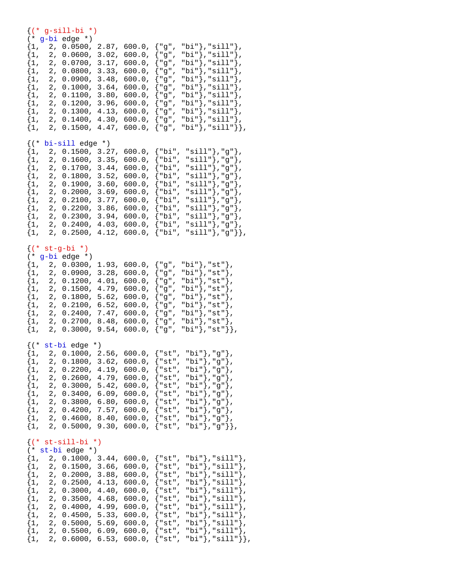#### {(\* g-sill-bi \*) (\* g-bi edge \*)  $\{1, 2, 0.0500, 2.87, 600.0, \{ "g", "bi"} \}$ , "sill" },  $\{1, 2, 0.0600, 3.02, 600.0, \{ "g", "bi"} \}$ , "sill" },  $\{1, 2, 0.0700, 3.17, 600.0, \{ "g", "bi"} \}$ , "sill" },  $\{1, 2, 0.0800, 3.33, 600.0, \{ "g", "bi"} \}$ , "sill" },

 $\{1, 2, 0.0900, 3.48, 600.0, \{\texttt{"g", "bi"}}\}, \texttt{"sill"}\},$ 

| $\{1$ ,<br>$\{1,$<br>$\{1,$<br>$\{1,$<br>$\{1,$<br>$\{1,$                                                                | 2,<br>2,<br>2,<br>2,<br>2,<br>2,                                                                              | 0.1000,<br>0.1100,<br>0.1200,<br>0.1300,<br>0.1400,<br>0.1500,                                                                                                                                                                                                  | 3.64,<br>3.80,<br>3.96,<br>4.13,<br>$4.30$ ,<br>4.47,                                  | $600.0$ ,<br>$600.0$ ,<br>600.0,<br>600.0,<br>600.0,<br>600.0,                                                         | {"g",<br>$\{$ "g",<br>{"g",<br>{"g",<br>{"g",<br>{"g",                                                                  |                                                                                                                                | "bi"},"sill"},<br>"bi"},"sill"},<br>"bi"},"sill"},<br>"bi"},"sill"},<br>"bi"}, "sill"},<br>"bi"},"sill"}},                                                                                                                                                                  |
|--------------------------------------------------------------------------------------------------------------------------|---------------------------------------------------------------------------------------------------------------|-----------------------------------------------------------------------------------------------------------------------------------------------------------------------------------------------------------------------------------------------------------------|----------------------------------------------------------------------------------------|------------------------------------------------------------------------------------------------------------------------|-------------------------------------------------------------------------------------------------------------------------|--------------------------------------------------------------------------------------------------------------------------------|-----------------------------------------------------------------------------------------------------------------------------------------------------------------------------------------------------------------------------------------------------------------------------|
| $\{ ( *$<br>$\{1,$<br>$\{1,$<br>$\{1,$<br>$\{1$ ,<br>$\{1$ ,<br>$\{1,$<br>$\{1,$<br>$\{1,$<br>$\{1,$<br>$\{1,$<br>$\{1,$ | 2,<br>2,<br>2,<br>2 <sub>r</sub><br>2,<br>2,<br>2,<br>2 <sub>r</sub><br>2,<br>2,<br>2 <sub>r</sub>            | bi-sill edge *)<br>0.1500,<br>0.1600,<br>0.1700,<br>0.1800,<br>0.1900,<br>0.2000,<br>0.2100,<br>0.2200,<br>0.2300,<br>0.2400, 4.03,<br>0.2500,                                                                                                                  | 3.27,<br>3.35,<br>3.44,<br>3.52,<br>3.60,<br>3.69,<br>3.77,<br>3.86,<br>3.94,<br>4.12, | 600.0,<br>$600.0$ ,<br>600.0,<br>600.0,<br>$600.0$ ,<br>$600.0$ ,<br>600.0,<br>$600.0$ ,<br>600.0,<br>600.0,<br>600.0, | {"bi",<br>{"bi",<br>{"bi",<br>{"bi",<br>$\{\mathsf{"bi"}$ ,<br>{"bi",<br>{"bi",<br>{"bi",<br>{"bi",<br>{"bi",<br>{"bi", |                                                                                                                                | "sill"},"g"},<br>"sill"},"g"},<br>" $\text{sill"}, "g"$ ),<br>"sill" }, "g" },<br>" $\text{sill"}, "g"$ , ",<br>" $\text{sill"}$ , "g"},<br>" $sill$ "}, "g"},<br>" $\text{sill"}, "g"$ ,<br>" $\text{sill"}, "g"$ , ",<br>" $\text{sill"}, "g"$ , ",<br>"sill" }, "g" } }, |
| $\{ ( * )$<br>$\{1$ ,<br>$\{1$ ,<br>$\{1$ ,<br>$\{1,$<br>$\{1,$<br>$\{1$ ,<br>$\{1,$<br>$\{1,$<br>$\{1$ ,                | (* g-bi<br>2,<br>2 <sub>r</sub><br>2 <sub>r</sub><br>2,<br>2,<br>2,<br>2 <sub>r</sub><br>2,<br>2 <sub>r</sub> | $st-g-bi *$<br>edge $*$ )<br>0.0300,<br>0.0900,<br>0.1200,<br>0.1500,<br>0.1800,<br>0.2100,<br>0.2400,<br>0.2700,<br>0.3000,                                                                                                                                    | 1.93,<br>3.28,<br>4.01,<br>4.79,<br>5.62,<br>6.52,<br>7.47,<br>$8.48$ ,<br>9.54,       | 600.0,<br>$600.0$ ,<br>600.0,<br>$600.0$ ,<br>600.0,<br>$600.0$ ,<br>600.0,<br>600.0,<br>600.0,                        | {"g",<br>{"g",<br>$\{$ "g",<br>$\{$ "g",<br>{"g",<br>{"g",<br>{"g",<br>{"g",<br>$\{$ "g",                               | "bi"},"st"},<br>"bi"},"st"},<br>"bi"},"st"},<br>"bi"}, "st"},<br>"bi"},"st"},<br>"bi"}, "st"},<br>"bi"},"st"},<br>"bi"},"st"}, | "bi" }, "st" } },                                                                                                                                                                                                                                                           |
| $\{ ( *$<br>$\{1,$<br>$\{1,$<br>$\{1,$<br>$\{1$ ,<br>$\{1,$<br>$\{1,$<br>$\{1,$<br>$\{1,$                                | 2,<br>2,<br>2 <sub>r</sub><br>2,<br>2,<br>$\mathbf 2$ ,                                                       | st-bi edge *)<br>2, 0.1000,<br>0.1800,<br>0.2200,<br>0.2600,<br>0.3000,<br>0.3400,<br>2, 0.3800,<br>0.4200,<br>$\{1, 2, 0.4600, 8.40, 600.0, \{\texttt{st", bii'}\}, \texttt{g''}\},$<br>$\{1, 2, 0.5000, 9.30, 600.0, \{\texttt{st", bii'}\}, \texttt{g''}\},$ | $2.56$ ,<br>3.62,<br>4.19,<br>4.79,<br>5.42,<br>6.09,<br>6.80,<br>7.57,                | $600.0$ ,<br>600.0,<br>600.0,<br>600.0,<br>$600.0$ ,<br>600.0,<br>600.0,<br>$600.0$ ,                                  | $\{$ "st",<br>$\{$ "st",<br>{"st",<br>$\{$ "st",<br>$\{$ "st",<br>$\{$ "st",<br>$\{$ "st",<br>{"st",                    |                                                                                                                                | "bi"},"g"},<br>"bi"},"g"},<br>"bi"},"g"},<br>"bi"},"g"},<br>"bi"},"g"},<br>"bi"},"g"},<br>"bi"},"g"},<br>"bi"},"g"},                                                                                                                                                        |
| $\{1,$<br>$\{1$ ,<br>$\{1$ ,<br>$\{1,$<br>$\{1,$<br>$\{1$ ,<br>$\{1,$<br>$\{1,$<br>$\{1,$                                | 2,<br>2,                                                                                                      | $\{ (* str-sill-bi * )$<br>$(* st-bi edge *)$<br>2, 0.1000, 3.44,<br>2, 0.1500, 3.66,<br>2, 0.2000,<br>0.2500, 4.13,<br>0.3000,<br>2, 0.3500,<br>2, 0.4000, 4.99,<br>2, 0.4500, 5.33,<br>2, 0.5000, 5.69,                                                       | 3.88,<br>$4.40$ ,<br>4.68,                                                             | 600.0,<br>600.0,<br>600.0,<br>600.0,<br>600.0,<br>600.0,<br>600.0,<br>600.0,<br>600.0,                                 | $\{$ "st",<br>$\{$ "st",<br>{"st",<br>$\{$ "st",<br>$\{$ "st",<br>$\{$ "st",<br>{"st",                                  |                                                                                                                                | ${ "st", "bi"} , "sill"} },$<br>${ "st", "bi"} , "sill"; }$<br>"bi"},"sill"},<br>"bi" }, "sill" },<br>"bi"}, "sill"},<br>"bi"},"sill"},<br>"bi"}, "sill"},<br>"bi"}, "sill"},<br>"bi" }, "sill" },                                                                          |

 $\{1, 2, 0.5500, 6.09, 600.0, \{ "st", "bi"} \}$ , "sill" },  $\{1, 2, 0.6000, 6.53, 600.0, \{ "st", "bi"} \}$ , "sill"}},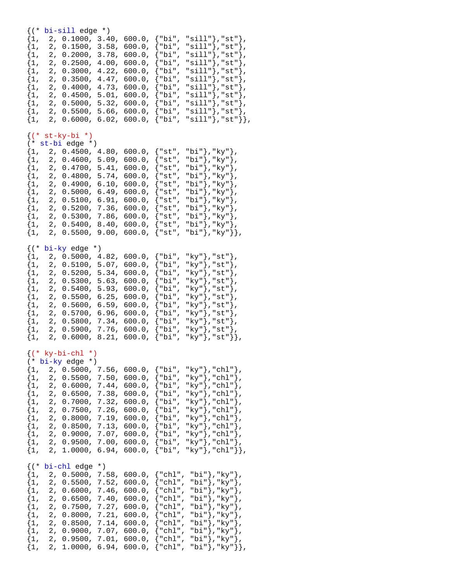| $\{$ ( $*$<br>$\{1,$<br>$\{1$ ,<br>$\{1$ ,<br>$\{1$ ,<br>$\{1,$<br>$\{1,$<br>$\{1,$<br>$\{1,$<br>$\{1,$<br>$\{1,$<br>$\{1,$             | 2,<br>0.1500,<br>2,<br>2,<br>0.2000,<br>2,<br>2,<br>0.3000,<br>2,<br>0.3500,<br>2,<br>0.4000,<br>2,<br>0.4500,<br>2,<br>2,<br>2,                                                                                           | $bi-sill$ edge $*)$<br>0.1000,<br>3.40,<br>3.58,<br>3.78,<br>0.2500,<br>4.00,<br>4.22,<br>4.47,<br>4.73,<br>5.01,<br>5.32,<br>0.5000,<br>0.5500,<br>5.66,<br>0.6000,<br>6.02,      | 600.0,<br>600.0,<br>$600.0$ ,<br>600.0,<br>600.0,<br>$600.0$ ,<br>600.0,<br>600.0,<br>$600.0$ ,<br>600.0,<br>$600.0$ , | {"bi",<br>{"bi",<br>{"bi",<br>{"bi",<br>{"bi",<br>{"bi",<br>{"bi",<br>{"bi",<br>{"bi",<br>{"bi",<br>{"bi",                                                     | "sill"},"st"},<br>" $sill$ "}, " $st$ "},<br>" $sill$ "}, " $st$ "},<br>"sill"},"st"},<br>"sill" }, "st" },<br>"sill"},"st"},<br>" $\text{sill"}$ , " $\text{st"}$ ,<br>" $sill$ "}, " $st$ "},<br>" $sill$ "}, " $st$ "},<br>"sill"},"st"},<br>"sill" }, "st" } }, |
|-----------------------------------------------------------------------------------------------------------------------------------------|----------------------------------------------------------------------------------------------------------------------------------------------------------------------------------------------------------------------------|------------------------------------------------------------------------------------------------------------------------------------------------------------------------------------|------------------------------------------------------------------------------------------------------------------------|----------------------------------------------------------------------------------------------------------------------------------------------------------------|---------------------------------------------------------------------------------------------------------------------------------------------------------------------------------------------------------------------------------------------------------------------|
| $\{ ( * )$<br>$(*$<br>$\{1,$<br>$\{1,$<br>$\{1$ ,<br>$\{1$ ,<br>$\{1$ ,<br>$\{1$ ,<br>$\{1$ ,<br>$\{1$ ,<br>$\{1,$<br>$\{1,$<br>$\{1$ , | $st-ky-bi *$<br>st-bi edge *)<br>2 <sub>r</sub><br>2,<br>0.4600,<br>2,<br>0.4700,<br>0.4800,<br>2,<br>2,<br>0.4900,<br>2,<br>0.5000,<br>2 <sub>r</sub><br>2,<br>0.5200,<br>2,<br>0.5300,<br>0.5400,<br>2,<br>2,<br>0.5500, | 0.4500,<br>4.80,<br>5.09,<br>5.41,<br>5.74,<br>6.10,<br>6.49,<br>0.5100,<br>6.91,<br>7.36,<br>7.86,<br>8.40,<br>9.00,                                                              | 600.0,<br>600.0,<br>600.0,<br>600.0,<br>600.0,<br>600.0,<br>$600.0$ ,<br>600.0,<br>600.0,<br>600.0,<br>600.0,          | $\{$ "st",<br>$\{$ "st",<br>{"st",<br>{"st",<br>{"st",<br>{"st",<br>$\{$ "st",<br>$\{$ "st",<br>{"st",<br>{"st",<br>$\{$ "st",                                 | "bi"},"ky"},<br>"bi"},"ky"},<br>"bi"},"ky"},<br>"bi"},"ky"},<br>"bi"},"ky"},<br>"bi"}, "ky"},<br>"bi"},"ky"},<br>"bi"}, "ky"},<br>"bi"}, "ky"},<br>"bi"}, "ky"},<br>"bi"},"ky"}},                                                                                   |
| $\{ ( *$<br>$\{1,$<br>$\{1,$<br>$\{1,$<br>$\{1,$<br>$\{1,$<br>$\{1,$<br>$\{1,$<br>$\{1,$<br>$\{1,$<br>$\{1,$<br>$\{1,$                  | $bi$ -ky edge *)<br>2,<br>2,<br>0.5100,<br>2,<br>0.5200,<br>2,<br>0.5300,<br>2,<br>0.5400,<br>2,<br>2,<br>0.5600,<br>2,<br>0.5700,<br>0.5800,<br>2,<br>2,<br>0.5900,<br>2,<br>0.6000,                                      | 0.5000,<br>4.82,<br>5.07,<br>5.34,<br>5.63,<br>5.93,<br>0.5500,<br>6.25,<br>6.59,<br>6.96,<br>7.34,<br>7.76,<br>8.21,                                                              | 600.0,<br>600.0,<br>600.0,<br>600.0,<br>600.0,<br>$600.0$ ,<br>600.0,<br>600.0,<br>600.0,<br>600.0,<br>600.0,          | {"bi",<br>{"bi",<br>{"bi",<br>{"bi",<br>{"bi",<br>{"bi",<br>{"bi",<br>{"bi",<br>{"bi",<br>{"bi",<br>{"bi",                                                     | "ky"},"st"},<br>"ky"},"st"},<br>"ky"},"st"},<br>"ky"},"st"},<br>"ky"},"st"},<br>"ky"},"st"},<br>"ky"},"st"},<br>"ky"},"st"},<br>"ky"},"st"},<br>"ky"},"st"},<br>"ky"},"st"}},                                                                                       |
| $\{1,$<br>$\{1$ ,<br>$\{1,$<br>$\{1,$<br>$\{1,$<br>$\{1$ ,<br>$\{1,$<br>$\{1,$<br>$\{1$ ,<br>$\{1$ ,<br>$\{1$ ,                         | $\{ (* ky-bi-chl * )$<br>$(* bi-ky edge *)$<br>2,<br>2,<br>2,<br>2,<br>0.7000,<br>2,<br>0.7500,<br>2,<br>0.8000,<br>2,<br>0.8500,<br>2,<br>2 <sub>r</sub><br>2,                                                            | 2, 0.5000, 7.56,<br>7.50,<br>0.5500,<br>7.44,<br>0.6000,<br>7.38,<br>0.6500,<br>7.32,<br>$7.26$ ,<br>7.19,<br>7.13,<br>7.07,<br>0.9000,<br>$7.00$ ,<br>0.9500,<br>6.94,<br>1.0000, | 600.0,<br>600.0,<br>600.0,<br>600.0,<br>600.0,<br>600.0,<br>600.0,<br>600.0,<br>$600.0$ ,<br>600.0,<br>600.0,          | {"bi",<br>{"bi",<br>{"bi",<br>$\{\mathsf{``bi''},$<br>{"bi",<br>$\{\mathsf{"bi"}$ ,<br>{"bi",<br>{"bi",<br>{"bi",<br>{"bi",<br>{"bi",                          | "ky"}, "chl"},<br>"ky"},"chl"},<br>"ky"},"chl"},<br>"ky"},"chl"},<br>"ky"},"chl"},<br>"ky"},"chl"},<br>"ky"}, "chl"},<br>"ky"},"chl"},<br>"ky" }, "chl" },<br>"ky"}, "chl"},<br>"ky"},"chl"}},                                                                      |
| $\{ ( *$<br>$\{1,$<br>$\{1,$<br>$\{1,$<br>$\{1,$<br>$\{1$ ,<br>$\{1,$<br>$\{1,$<br>$\{1$ ,<br>$\{1$ ,<br>$\{1,$                         | bi-chl edge<br>2, 0.5000,<br>2,<br>0.5500,<br>2,<br>0.6000,<br>0.6500,<br>2,<br>2,<br>0.7500,<br>2,<br>0.8000,<br>2,<br>0.8500,<br>2,<br>2 <sub>r</sub><br>2,                                                              | $^{\star}$ )<br>7.58,<br>7.52,<br>7.46,<br>$7.40$ ,<br>7.27,<br>7.21,<br>$7.14$ ,<br>7.07,<br>0.9000,<br>7.01,<br>0.9500,<br>$1.0000$ ,<br>6.94,                                   | 600.0,<br>$600.0$ ,<br>600.0,<br>600.0,<br>600.0,<br>600.0,<br>600.0,<br>600.0,<br>600.0,<br>600.0,                    | $\{$ "chl",<br>$\{$ "chl",<br>$\langle$ "chl" ,<br>$\{\text{"chl",}$<br>$\{$ "chl",<br>$\{$ "chl",<br>$\{$ "chl",<br>$\{$ "chl",<br>$\{$ "chl",<br>$\{$ "chl", | "bi"},"ky"},<br>"bi"}, "ky"},<br>"bi"},"ky"},<br>"bi"},"ky"},<br>"bi"},"ky"},<br>"bi"},"ky"},<br>"bi"},"ky"},<br>"bi"}, "ky"},<br>"bi"},"ky"},<br>"bi"}, "ky"}},                                                                                                    |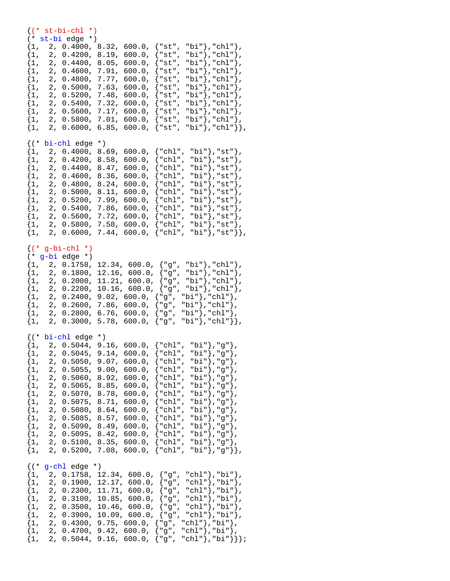#### $\{(* str-bi-chl *)$ (\* st-bi edge \*)  ${1, 2, 0.4000, 8.32, 600.0, { "st", "bi"}}, "chl" }$  $\{1,\quad 2,\ \ 0.4200\,,\ \ 8.19\,,\ \ 600.0\,,\ \ \{\text{"st", "bi"}\}\,,\text{"chl"}\}\,,$  $\{1, 2, 0.4400, 8.05, 600.0, \{\texttt{``st", "bi"}\},\texttt{``chl"}\},$  $\{1, 2, 0.4600, 7.91, 600.0, \{ "st", "bi"} \}, "ch1" \}$  ${1, 2, 0.4800, 7.77, 600.0, { "st", "bi"}}, "chl" }$ ,  ${1, 2, 0.5000, 7.63, 600.0, {"\st", "bi"}}, "chl";$  $\{1, 2, 0.5200, 7.48, 600.0, \{"st", "bi"\}, "chl"\}.$  $\{1, 2, 0.5400, 7.32, 600.0, \{"\text{st", "bi"}\},\text{"chl"}\},$  $\{1, 2, 0.5600, 7.17, 600.0, \{\text{"st", 'bi"}}\}, \text{"chl"}\},$  $\{1, 2, 0.5800, 7.01, 600.0, \{ "st", "bi"} \}, "chl" \}$  ${1, 2, 0.6000, 6.85, 600.0, {"\text{st", bibi"}}, \text{"chl"}}.$ {(\* bi-chl edge \*)  ${1, 2, 0.4000, 8.69, 600.0, {"chl", "bi"}}, "st"\}$  ${1, 2, 0.4200, 8.58, 600.0, {"\chl", "bi"}}, "st"\}$  $\{1, 2, 0.4400, 8.47, 600.0, \{\text{"chl", "bi"}\}, \text{"st"}\}$  ${1, 2, 0.4600, 8.36, 600.0, {"\chl", "bi"}}, "st"\}$  $\{1, 2, 0.4800, 8.24, 600.0, \{\text{"chl", "bi"}\}, \text{"st"}\},$  ${1, 2, 0.5000, 8.11, 600.0, {"\chl", "bi"}}, "st"\}.$  ${1, 2, 0.5200, 7.99, 600.0, {\text{ "chl", "bi"}}, \text{ "st"}},$  $\{1, 2, 0.5400, 7.86, 600.0, \{\text{"chl", "bi"}\}, \text{"st"}\},$  $\{1, 2, 0.5600, 7.72, 600.0, \{ "chl", "bi"} \}$ , "st" },  $\{1, 2, 0.5800, 7.58, 600.0, \{\text{"chl", "bi"}\}, \text{"st"}\}$  $\{1, 2, 0.6000, 7.44, 600.0, \{ "chl", "bi"} \}, "st" \}$  $\{ (*$  g-bi-chl \*) (\* g-bi edge \*)  $\{1, 2, 0.1758, 12.34, 600.0, \{ "g", "bi"} \}$ , "chl" },  $\{1, 2, 0.1800, 12.16, 600.0, \{ "g", "bi"} \}, "chl" \}$  $\{1, 2, 0.2000, 11.21, 600.0, { "g", "bi"} \}, "chl" \}$  ${1, 2, 0.2200, 10.16, 600.0, {"g", "bi"}}, "chl";$  $\{1, 2, 0.2400, 9.02, 600.0, \{ "g", "bi"} \}, "chl" \}$  $\{1, 2, 0.2600, 7.86, 600.0, \{ "g", "bi"} \}, "chl" \}$  $\{1, 2, 0.2800, 6.76, 600.0, \{\texttt{"g", "bi"}}\}, \texttt{"chl"}\},$  $\{1, 2, 0.3000, 5.78, 600.0, \{ "g", "bi"} \}, "chl" \}$ {(\* bi-chl edge \*)  ${1, 2, 0.5044, 9.16, 600.0, {"chl", "bi"}}, "g"},$  ${1, 2, 0.5045, 9.14, 600.0, {"\chl", "bi"}}, "g";$  $\{1, 2, 0.5050, 9.07, 600.0, \{\text{"chl", "bi"}\}, \text{"g"}\},$  ${1, 2, 0.5055, 9.00, 600.0, {"\text{chl", "bi"}}, "g"}\},$  ${1, 2, 0.5060, 8.92, 600.0, {"chl", "bi"}}, "g",$  ${1, 2, 0.5065, 8.85, 600.0, { "chl", "bi"} }$ , "g"},  ${1, 2, 0.5070, 8.78, 600.0, {\text{ "chl", "bi"}}, \text{ "g"}}.}$  ${1, 2, 0.5075, 8.71, 600.0, {"chl", "bi"}}, "g"},$  $\{1, 2, 0.5080, 8.64, 600.0, \{ "chl", "bi"} \}, "g" \}$  $\{1, 2, 0.5085, 8.57, 600.0, \{\text{"chl", "bi"}}\}, \text{"g"}\}$  $\{1,\quad 2,\ \ 0.5090\text{,}\ \ 8.49\text{,}\ \ 600.0\text{,}\ \ \{\text{"chl"}\ \text{,}\ \ \text{"bi"}\ \text{,}\ \ \text{"g"}\ \}$  ${1, 2, 0.5095, 8.42, 600.0, {"chl", "bi"}}, "g"}.$  ${1, 2, 0.5100, 8.35, 600.0, {"chl", "bi"}}, "g"}.$  $\{1, 2, 0.5200, 7.08, 600.0, \{ "chl", "bi"} \}, "g" \}$  $\{('s = -ch1)$  edge  $*)$ {1, 2, 0.1758, 12.34, 600.0, {"g", "chl"},"bi"}, {1, 2, 0.1900, 12.17, 600.0, {"g", "chl"},"bi"},  $\{1, 2, 0.2300, 11.71, 600.0, \{ "g", "chl" \}$ , "bi" $\}$ ,  $\{1, 2, 0.3100, 10.85, 600.0, \{ "g", "chl"} \},\$  $\{1, 2, 0.3500, 10.46, 600.0, \{ "g", "chl"} \},$ "bi" $\}$ ,  $\{1, 2, 0.3900, 10.09, 600.0, \{ "g", "chl" \} , \{ "bi" \} \}$  $\{1, 2, 0.4300, 9.75, 600.0, \{ "g", "chl"} \}$ , "bi" },  $\{1, 2, 0.4700, 9.42, 600.0, \{\texttt{"g", "chl"}\}, \texttt{"bi"}\},$  $\{1, 2, 0.5044, 9.16, 600.0, \{ "g", "chl" \} \}$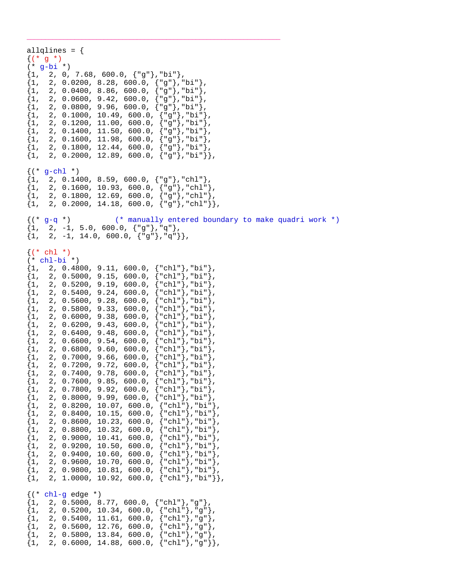allqlines = {  $\{(* g * )$ (\* g-bi \*)  $\{1, 2, 0, 7.68, 600.0, \{ "g" \} \text{, "bi" } \},$  ${1, 2, 0.0200, 8.28, 600.0, { "g" } }$ , "bi"},  $\{1, 2, 0.0400, 8.86, 600.0, \{ "g" \}$ , "bi" $\},$  ${1, 2, 0.0600, 9.42, 600.0, { "g" } }$ , "bi" }, {1, 2, 0.0800, 9.96, 600.0, {"g"},"bi"},  ${1, 2, 0.1000, 10.49, 600.0, { "g" } }$ , "bi"},  $\{1,\quad 2,\ \ 0.1200\text{, } 11.00\text{, } 600.0\text{, } \left\{\text{"g"}\right\}\text{, } \text{"bi"}\},$  ${1,\quad 2,\ \ 0.1400,\ \ 11.50,\ \ 600.0,\ \ \{{\mathbb T} {\texttt{g}}^{\mathbb T}\}$ ,"bi"},  ${1, 2, 0.1600, 11.98, 600.0, { "g" } , "bi" }$ {1, 2, 0.1800, 12.44, 600.0, {"g"},"bi"},  $\{1, 2, 0.2000, 12.89, 600.0, \{ "g" \}$ ,"bi"}}  $({*}$  q-chl  $*)$  $\{1, 2, 0.1400, 8.59, 600.0, \{\texttt{"g"}\},\texttt{"chl"}\}$  $\{1, 2, 0.1600, 10.93, 600.0, \{ "g" \}$ , "chl" $\}$ ,  $\{1, 2, 0.1800, 12.69, 600.0, \{ "g" \}$ , "chl" },  $\{1, 2, 0.2000, 14.18, 600.0, \{ "g" \}$ , "chl"  $\}$ , {(\* g-q \*) (\* manually entered boundary to make quadri work \*)  $\{1, 2, -1, 5.0, 600.0, \{\texttt{"g"}\}, \texttt{"q"}\}$  $\{1, 2, -1, 14.0, 600.0, \{ "g" \} \}$  $\{(* \text{ chl } *)$  $(*$  chl-bi  $*)$  $\{1, 2, 0.4800, 9.11, 600.0, \{ "chl" \}$ , "bi" },  $\{1, 2, 0.5000, 9.15, 600.0, \{\text{"chl"}\}, \text{"bi"}\},$  ${1, 2, 0.5200, 9.19, 600.0, { "chl"} },$  $\{1, 2, 0.5400, 9.24, 600.0, \{ "chl" \}$ , "bi" }, {1, 2, 0.5600, 9.28, 600.0, {"chl"},"bi"},  $\{1, 2, 0.5800, 9.33, 600.0, \{ "chl" \}$ , "bi"  ${1, 2, 0.6000, 9.38, 600.0, {"chl"}}$ , "bi" {1, 2, 0.6200, 9.43, 600.0, {"chl"},"bi"},  $\begin{cases} 1, & 2, 0.6400, 9.48, 600.0, \end{cases}$  $\{1, 2, 0.6600, 9.54, 600.0, \{\text{"chl"}\}$ , "bi"<br> $\{1, 2, 0.6800, 9.60, 600.0, \{\text{"chl"}\}$ , "bi" {1, 2, 0.6800, 9.60, 600.0, {"chl"},"bi"},  $\{1, 2, 0.7000, 9.66, 600.0,$  $\{1, 2, 0.7200, 9.72, 600.0, \{\text{"chl"}\}, \text{"bi"}\}$ <br> $\{1, 2, 0.7400, 9.78, 600.0, \{\text{"chl"}\}, \text{"bi"}\}$  ${2, 0.7400, 9.78, 600.0, { "chl"} }$ , "bi"  $\{1, 2, 0.7600, 9.85, 600.0, \{\text{"chl"}\}, \text{"bi"}\}$  ${1, 2, 0.7800, 9.92, 600.0, {"chl"}}$ , "bi"  $\{1, 2, 0.8000, 9.99, 600.0, \{ "chl" \}$ , "bi"  ${1, 2, 0.8200, 10.07, 600.0, { "chl"} }$ , "bi"  ${1, 2, 0.8400, 10.15, 600.0, \{ "chl" } \}$ , "bi"), {1, 2, 0.8600, 10.23, 600.0, {"chl"},"bi"},  ${1, 2, 0.8800, 10.32, 600.0, \{ "chl" \} }$ , "bi"},  $\{1,\quad 2,\ \ 0.9000,\ \ 10.41,\ \ 600.0,\ \ \{\text{"chl"}\}\text{, }\text{"bi"}\}\text{,}$ {1, 2, 0.9200, 10.50, 600.0, {"chl"},"bi"},  $\{1,\quad 2,\ \ 0.9400,\ \ 10.60,\ \ 600.0,\ \ \{\text{"chl"}\}\text{, }\text{"bi"}\}\text{,}$  $\{1, 2, 0.9600, 10.70, 600.0, \{ "chl" \}$ ,"bi" $\}$ ,  $\{1, 2, 0.9800, 10.81, 600.0, \{\text{"chl"}\}, \text{"bi"}\},$  $\{1, 2, 1.0000, 10.92, 600.0, \{ "chl" \}$ , "bi" },  $\{('* chl-g edge * )\}$  ${1, 2, 0.5000, 8.77, 600.0, {"chl"}$ , "g"},  $\{1,\quad 2,\ \ 0.5200\text{, } \ 10.34\text{, } \ 600.0\text{, } \left\{\text{"chl"}\right\} \text{, } \text{"g"}\}\text{,}$  ${1,\quad 2,\ \ 0.5400\,,\ \ 11.61,\ \ 600.0\,,\ \ \{{\rm "chl"}\}\,, {\rm "g"}\}}\,,$  $\{1,\quad 2,\ \ 0.5600\, ,\ \ 12.76\, ,\ \ 600.0\, ,\ \ \{\text{"chl"}\}\, ,\text{"g"}\}\, ,$  $\{1, 2, 0.5800, 13.84, 600.0, \{\text{"chl"}\}, \text{"g"}\}$  $\{1, 2, 0.6000, 14.88, 600.0, \{ "chl" \} \}$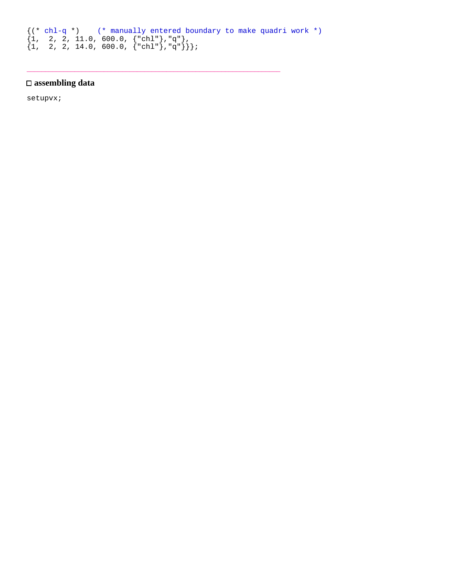```
{(* chl-q *) (* manually entered boundary to make quadri work *)
\{1, 2, 2, 11.0, 600.0, {\text{ "chl"}}, \text{ "q"}\},\{1, 2, 2, 14.0, 600.0, \{\text{"chl"}\}, \text{"q"}\}\};
```
\_\_\_\_\_\_\_\_\_\_\_\_\_\_\_\_\_\_\_\_\_\_\_\_\_\_\_\_\_\_\_\_\_\_\_\_\_\_\_\_\_\_\_\_\_\_\_\_\_\_\_\_\_\_\_\_\_\_\_\_\_\_\_\_\_\_\_\_\_

## **assembling data**

setupvx;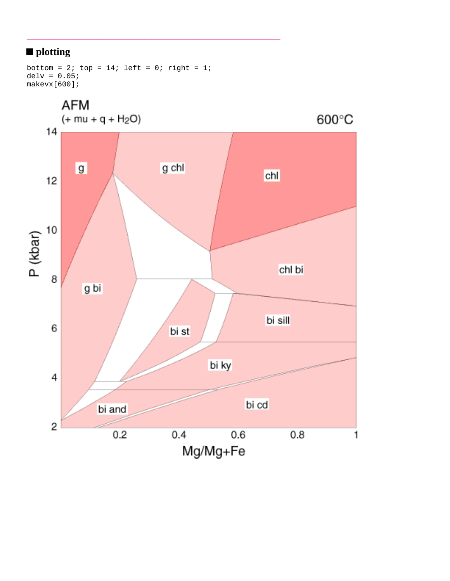# ■ plotting

```
bottom = 2; top = 14; left = 0; right = 1;
delv = 0.05;
makevx[600];
```
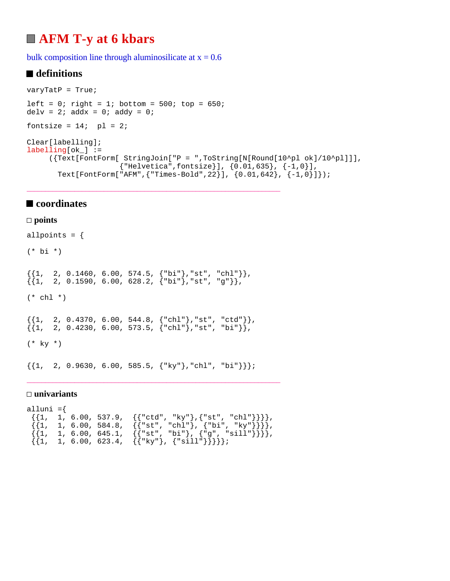# **AFM T-y at 6 kbars**

bulk composition line through aluminosilicate at  $x = 0.6$ 

## ■ definitions

```
varyTatP = True;
left = 0; right = 1; bottom = 500; top = 650;
delv = 2; addx = 0; addy = 0;
fontsize = 14; pl = 2;
Clear[labelling];
labelling[ok] := ({Text[FontForm[ StringJoin["P = ",ToString[N[Round[10^pl ok]/10^pl]]],
                      {"Helvetica",fontsize}], {0.01,635}, {-1,0}],
        Text[FontForm["AFM",{"Times-Bold",22}], {0.01,642}, {-1,0}]});
```
## ■ coordinates

#### **points**

allpoints =  $\{$ (\* bi \*)  $\{\{1, 2, 0.1460, 6.00, 574.5, {\texttt{'b}}\}, \texttt{'st''}, \texttt{'chl''}\},$  $\{ \{1, 2, 0.1590, 6.00, 628.2, \{\text{"bi"}}\}, \text{"st", "g"}\},$  $(* chl * )$  $\{\{1, 2, 0.4370, 6.00, 544.8, \{\text{"chl"}\}, \text{"st"}, \text{"ctd"}\}\},$  $\{ \{1, 2, 0.4230, 6.00, 573.5, \{ "chl"} \}, "st", "bi"} \},$  $(* \; ky * )$  $\{\{1, 2, 0.9630, 6.00, 585.5, \{\text{"ky"}\}, \text{"chl"}, \text{"bi"}\}\};$ 

\_\_\_\_\_\_\_\_\_\_\_\_\_\_\_\_\_\_\_\_\_\_\_\_\_\_\_\_\_\_\_\_\_\_\_\_\_\_\_\_\_\_\_\_\_\_\_\_\_\_\_\_\_\_\_\_\_\_\_\_\_\_\_\_\_\_\_\_\_

#### **univariants**

```
alluni =\{\{\{1, 1, 6.00, 537.9, \{\{\text{"ctd"}, "ky"\}, \{\text{"st"}, "chl"}\}\}\},\{\{1, 1, 6.00, 584.8, \{\{\text{"st", "chl"}\}, \{\text{"bi", "ky"}\}\}\},\{\{1, 1, 6.00, 645.1, \{\{\texttt{"st", "bi"}}\}, \{\texttt{"g", "sill"}}\}\}\\{\{1, 1, 6.00, 623.4, \{\{\text{``ky"}\}, \{\text{``sill"}\}\}\}\};
```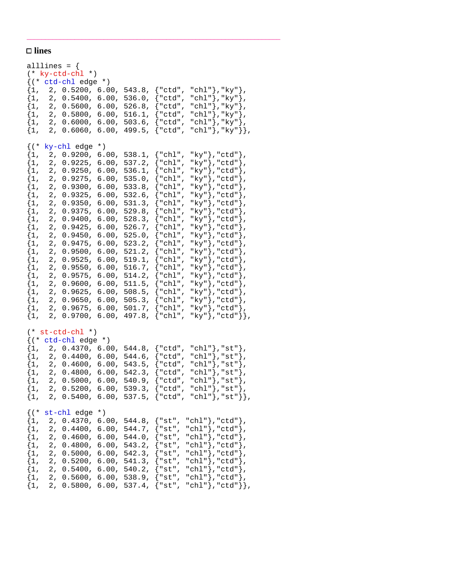## □ lines

|            | alllines = $\{$ | $(* ky-ctd-chl * )$               |                         |                         |                                  |                                                                                                                                        |  |
|------------|-----------------|-----------------------------------|-------------------------|-------------------------|----------------------------------|----------------------------------------------------------------------------------------------------------------------------------------|--|
|            |                 |                                   |                         |                         |                                  |                                                                                                                                        |  |
|            |                 | $\{({*}~ctd\text{-}ch1~edge~*)\}$ |                         |                         |                                  |                                                                                                                                        |  |
| $\{1,$     | 2 <sub>r</sub>  | 0.5200,                           | 6.00,                   | 543.8,                  | $\{$ "ctd",                      | "chl"},"ky"},                                                                                                                          |  |
| $\{1, \}$  | 2,              | $0.5400$ ,                        | 6.00,                   | 536.0,                  | $\{$ "ctd",                      | "chl"},"ky"},                                                                                                                          |  |
| $\{1,$     | 2 <sub>r</sub>  | 0.5600,                           | 6.00,                   | 526.8,                  | $\{$ "ctd",                      | "chl"},"ky"},                                                                                                                          |  |
| $\{1,$     |                 |                                   | 2, 0.5800, 6.00,        | 516.1,                  | $\{$ "ctd",                      | "chl"}, "ky"},                                                                                                                         |  |
| $\{1,$     |                 |                                   | 2, 0.6000, 6.00,        | 503.6,                  | {"ctd",                          | "chl" }, "ky" },                                                                                                                       |  |
|            |                 |                                   | $\{1, 2, 0.6060, 6.00,$ | 499.5,                  | $\{$ "ctd",                      | "chl" }, "ky" } },                                                                                                                     |  |
| $\{$ ( $*$ |                 | ky-chl edge                       | $*$ )                   |                         |                                  |                                                                                                                                        |  |
| $\{1,$     | 2 <sub>r</sub>  | 0.9200,                           | 6.00,                   | 538.1,                  | $\{\text{"chl",}$                | "ky"},"ctd"},                                                                                                                          |  |
| $\{1,$     | 2,              | 0.9225,                           | 6.00,                   | 537.2,                  | $\{\mathord{\texttt{``chl''}}$ , | "ky"},"ctd"},                                                                                                                          |  |
|            | 2,              |                                   |                         |                         |                                  |                                                                                                                                        |  |
| $\{1,$     |                 | 0.9250,                           | 6.00,                   | 536.1,                  | " $\chl$ ",                      | "ky"},"ctd"},                                                                                                                          |  |
| $\{1$ ,    | 2,              | 0.9275,                           | 6.00,                   | 535.0,                  | $\{$ "chl",                      | "ky"}, "ctd"},                                                                                                                         |  |
| $\{1$ ,    | 2 <sub>r</sub>  | 0.9300,                           | 6.00,                   | 533.8,                  | " $ch1$ ",                       | "ky"},"ctd"},                                                                                                                          |  |
| $\{1$ ,    | 2,              | 0.9325,                           | $6.00$ ,                | $532.6$ ,               | "chl",                           | "ky"},"ctd"},                                                                                                                          |  |
| $\{1,$     | 2,              | 0.9350,                           | 6.00,                   | 531.3,                  | $\{$ "chl",                      | "ky"},"ctd"},                                                                                                                          |  |
| $\{1,$     | 2,              | 0.9375,                           | 6.00,                   | 529.8,                  | {"chl",                          | "ky"},"ctd"},                                                                                                                          |  |
| $\{1,$     | 2,              | 0.9400,                           | 6.00,                   | 528.3,                  | $\{$ "chl",                      | "ky"}, "ctd"},                                                                                                                         |  |
| $\{1,$     | 2,              | 0.9425,                           | 6.00,                   | 526.7,                  | $\{$ "chl",                      | "ky"}, "ctd"},                                                                                                                         |  |
| $\{1$ ,    | 2,              | 0.9450,                           | 6.00,                   | 525.0,                  | " $ch1$ ",                       | "ky" }, "ctd" },                                                                                                                       |  |
| $\{1$ ,    | 2,              | 0.9475,                           | 6.00,                   | 523.2,                  | "chl",                           | "ky"},"ctd"},                                                                                                                          |  |
|            |                 |                                   |                         |                         |                                  |                                                                                                                                        |  |
| $\{1,$     | 2,              | 0.9500,                           | 6.00,                   | 521.2,                  | $\{$ "chl",                      | "ky"},"ctd"},                                                                                                                          |  |
| $\{1,$     | 2,              | 0.9525,                           | 6.00,                   | 519.1,                  | {"chl",                          | "ky"},"ctd"},                                                                                                                          |  |
| $\{1$ ,    | 2,              | 0.9550,                           | 6.00,                   | 516.7,                  | "chl",                           | "ky"},"ctd"},                                                                                                                          |  |
| $\{1$ ,    | 2,              | 0.9575,                           | 6.00,                   | 514.2,                  | $\{$ "chl",                      | "ky"}, "ctd"},                                                                                                                         |  |
| $\{1$ ,    | 2,              | 0.9600,                           | 6.00,                   | 511.5,                  | "chl",                           | "ky"},"ctd"},                                                                                                                          |  |
| $\{1$ ,    | 2 <sub>r</sub>  | 0.9625,                           | $6.00$ ,                | 508.5,                  | " $chl$ ",                       | "ky"},"ctd"},                                                                                                                          |  |
| $\{1,$     | 2,              | 0.9650,                           | 6.00,                   | 505.3,                  | $\{$ "chl",                      | "ky"},"ctd"},                                                                                                                          |  |
| $\{1,$     | 2,              | 0.9675,                           | 6.00,                   | 501.7,                  | { "chl",                         | "ky"},"ctd"},                                                                                                                          |  |
| $\{1,$     | 2,              | $0.9700$ ,                        | 6.00,                   | 497.8,                  | $\{$ "chl",                      | "ky"}, "ctd"}},                                                                                                                        |  |
|            |                 | $(*st-ctd-chl*)$                  |                         |                         |                                  |                                                                                                                                        |  |
|            |                 | $\{(' * ctd-chl edge *)$          |                         |                         |                                  |                                                                                                                                        |  |
| $\{1,$     |                 |                                   | 2, 0.4370, 6.00,        | 544.8,                  | $\{$ "ctd",                      | "chl" $},$ "st" $},$                                                                                                                   |  |
| $\{1,$     |                 | 2, 0.4400,                        | 6.00,                   | 544.6,                  | {"ctd",                          | "chl" }, "st" },                                                                                                                       |  |
| $\{1,$     |                 |                                   | 2, 0.4600, 6.00,        | 543.5,                  |                                  |                                                                                                                                        |  |
|            |                 |                                   |                         |                         | ${$ "ctd",                       | $"\mathrm{chl}" \bigr\}$ , $"\mathrm{st}" \bigr\}$ ,                                                                                   |  |
| $\{1,$     |                 |                                   | 2, 0.4800, 6.00,        | 542.3,                  | ${``ctd",}$                      | "chl" }, "st" },                                                                                                                       |  |
|            |                 | $\{1, 2, 0.5000,$                 | 6.00,                   | 540.9,                  | ${red$ ",                        | "chl" }, "st" },                                                                                                                       |  |
| $\{1,$     |                 |                                   |                         |                         |                                  |                                                                                                                                        |  |
| $\{1,$     |                 |                                   |                         |                         |                                  | 2, 0.5200, 6.00, 539.3, $\{\text{"ctd", "chl"}\}, \text{"st"}\},$<br>2, 0.5400, 6.00, 537.5, $\{\text{"ctd", "chl"}\}, \text{"st"}\},$ |  |
|            |                 | $\{ (* str-chl edge * )\}$        |                         |                         |                                  |                                                                                                                                        |  |
|            |                 | $\{1, 2, 0.4370,$                 | 6.00,                   | 544.8,                  |                                  | ${ "st", "chl"} , "ctd"}$ ,                                                                                                            |  |
| $\{1,$     |                 | 2, 0.4400,                        | 6.00,                   | 544.7,                  |                                  | ${ "st", "chl"} } , "ctd" }$ ,                                                                                                         |  |
| $\{1,$     | 2,              | $0.4600$ ,                        |                         |                         |                                  | 6.00, 544.0, ${\text{\{ "st", "chl"}\}, \text{"ctd"}\}$ ,                                                                              |  |
| $\{1,$     | 2 <sub>r</sub>  | $0.4800$ ,                        |                         |                         |                                  | 6.00, 543.2, ${\text{\{ "st", "chl"}\}, \text{ "ctd"}\}}$ ,                                                                            |  |
| $\{1,$     |                 |                                   |                         |                         |                                  | 2, 0.5000, 6.00, 542.3, {"st", "chl"},"ctd"},                                                                                          |  |
| $\{1,$     |                 |                                   |                         |                         |                                  |                                                                                                                                        |  |
|            |                 |                                   |                         |                         |                                  | 2, 0.5200, 6.00, 541.3, $\{ "st", "chl"; "ctd"; \}$ ,                                                                                  |  |
| $\{1,$     |                 |                                   |                         |                         |                                  | 2, 0.5400, 6.00, 540.2, {"st", "chl"}, "ctd"},                                                                                         |  |
| $\{1,$     |                 |                                   |                         | 2, 0.5600, 6.00, 538.9, | $\{$ "st",                       | "chl" }, "ctd" },                                                                                                                      |  |
| $\{1,$     | 2,              |                                   |                         |                         |                                  | $0.5800, 6.00, 537.4, { "st", "chl"}}, "ctd" }$ ,                                                                                      |  |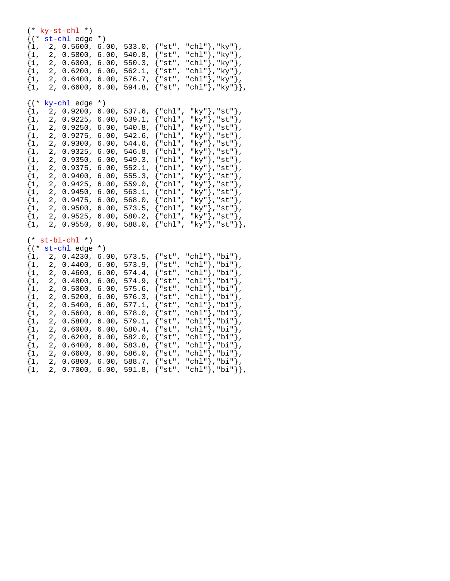| $\{$ ( $*$<br>$\{1,$<br>$\{1,$<br>$\{1,$<br>$\{1$ ,<br>$\{1$ ,<br>$\{1$ ,                                                                                              | $(* ky-st-chl * )$<br>st-chl edge<br>2, 0.5600,<br>0.5800,<br>2,<br>2, 0.6000,<br>2,<br>0.6200,<br>2,<br>0.6400,<br>2,<br>0.6600,                                                                                                                                                                                   | $^{\star}$ )<br>6.00,<br>6.00,<br>6.00,<br>6.00,<br>$6.00$ ,<br>6.00,                                                                               | 533.0,<br>540.8,<br>550.3,<br>562.1,<br>576.7,<br>594.8,                                                                                                    | "chl"},"ky"},<br>{"st",<br>"chl"},"ky"},<br>{"st",<br>"chl"}, "ky"},<br>$\{$ "st",<br>"chl" }, "ky" },<br>{"st",<br>"chl" }, "ky" },<br>{"st",<br>"chl"}, "ky"}},<br>$\{$ "st",                                                                                                                                                                                                                                                                                       |
|------------------------------------------------------------------------------------------------------------------------------------------------------------------------|---------------------------------------------------------------------------------------------------------------------------------------------------------------------------------------------------------------------------------------------------------------------------------------------------------------------|-----------------------------------------------------------------------------------------------------------------------------------------------------|-------------------------------------------------------------------------------------------------------------------------------------------------------------|-----------------------------------------------------------------------------------------------------------------------------------------------------------------------------------------------------------------------------------------------------------------------------------------------------------------------------------------------------------------------------------------------------------------------------------------------------------------------|
| $\{ ( *$<br>$\{1,$<br>$\{1,$<br>$\{1,$<br>$\{1,$<br>$\{1,$<br>$\{1,$<br>$\{1,$<br>$\{1,$<br>$\{1,$<br>$\{1,$<br>$\{1,$<br>$\{1,$<br>$\{1,$<br>$\{1,$<br>$\{1,$         | ky-chl edge<br>2,<br>0.9200,<br>2,<br>0.9225,<br>2,<br>0.9250,<br>2,<br>0.9275,<br>2,<br>0.9300,<br>2,<br>0.9325,<br>2,<br>0.9350,<br>2,<br>0.9375,<br>2,<br>0.9400,<br>$\mathbf 2$ ,<br>0.9425,<br>2,<br>0.9450,<br>2,<br>0.9475,<br>2,<br>0.9500,<br>2,<br>0.9525,<br>0.9550,<br>2,                               | $^{\star}$ )<br>6.00,<br>6.00,<br>6.00,<br>6.00,<br>6.00,<br>6.00,<br>6.00,<br>6.00,<br>6.00,<br>6.00,<br>6.00,<br>6.00,<br>6.00,<br>6.00,<br>6.00, | $537.6$ ,<br>539.1,<br>$540.8$ ,<br>542.6,<br>544.6,<br>546.8,<br>549.3,<br>552.1,<br>555.3,<br>559.0,<br>563.1,<br>$568.0$ ,<br>573.5,<br>580.2,<br>588.0, | "ky"},"st"},<br>{ "chl",<br>"ky"},"st"},<br>{ "chl",<br>"ky"},"st"},<br>{ "chl",<br>"ky"},"st"},<br>" $\chl$ ",<br>"ky"},"st"},<br>{ "chl",<br>"ky"},"st"},<br>{"chl",<br>"ky"},"st"},<br>$\{$ "chl",<br>" $ky$ "}, " $st$ "},<br>$\{$ "chl",<br>"ky"},"st"},<br>{ "chl",<br>"ky"},"st"},<br>{"chl",<br>"ky"},"st"},<br>{ "chl",<br>" $ky$ "}, " $st$ "},<br>$\{$ "chl",<br>"ky"},"st"},<br>{ "chl " ,<br>"ky" }, "st" },<br>{ "chl "<br>$\{$ "chl",<br>"ky"},"st"}}, |
| $(*$<br>$\{ ( *$<br>$\{1,$<br>$\{1,$<br>$\{1,$<br>$\{1,$<br>$\{1,$<br>$\{1,$<br>$\{1,$<br>$\{1,$<br>$\{1,$<br>$\{1,$<br>$\{1,$<br>$\{1,$<br>$\{1,$<br>$\{1,$<br>$\{1,$ | $st-bi-chl$ *)<br>st-chl edge<br>2 <sub>r</sub><br>0.4230,<br>2,<br>0.4400,<br>2,<br>0.4600,<br>2,<br>0.4800,<br>2,<br>0.5000,<br>2,<br>0.5200,<br>2,<br>0.5400,<br>2,<br>0.5600,<br>2,<br>0.5800,<br>2,<br>0.6000,<br>2,<br>0.6200,<br>2,<br>0.6400,<br>2,<br>0.6600,<br>2,<br>0.6800,<br>$\mathbf 2$ ,<br>0.7000, | $*$ )<br>6.00,<br>6.00,<br>6.00,<br>6.00,<br>6.00,<br>6.00,<br>6.00,<br>6.00,<br>6.00,<br>6.00,<br>6.00,<br>6.00,<br>6.00,<br>6.00,<br>6.00,        | 573.5,<br>573.9,<br>574.4,<br>574.9,<br>$575.6$ ,<br>576.3,<br>577.1,<br>578.0,<br>579.1,<br>580.4,<br>582.0,<br>583.8,<br>$586.0$ ,<br>588.7,<br>591.8,    | "chl" }, "bi" },<br>$\{$ "st",<br>"chl" }, "bi" },<br>{"st",<br>"chl"},"bi"},<br>{"st",<br>"chl"}, "bi"},<br>$\{$ "st",<br>"chl" }, "bi" },<br>$\{$ "st",<br>"chl"},"bi"},<br>$"st"$ ,<br>"chl"},"bi"},<br>{"st",<br>"chl" }, "bi" },<br>$\{$ "st",<br>"chl"}, "bi"<br>{"st",<br>∤,<br>"chl"},"bi"},<br>{"st",<br>"chl"},"bi"},<br>{"st",<br>"chl"},"bi"},<br>{"st",<br>"chl" }, "bi" },<br>"st",<br>"chl"},"bi"},<br>{"st",<br>{"st",<br>"chl"},"bi"}},              |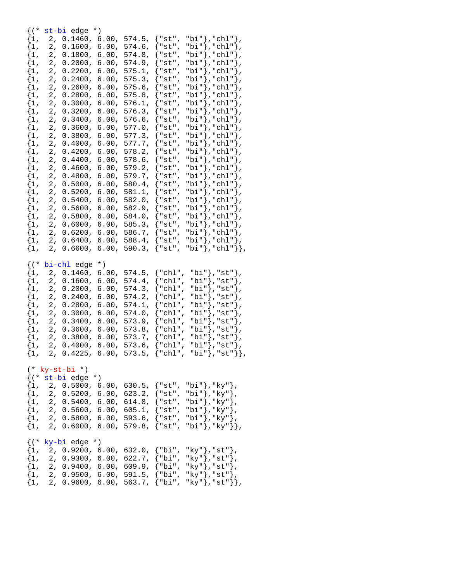| {(*                                                         |                   | st-bi edge              | $^{\star}$ )     |                                    |             |                                                                                                                                                                                           |
|-------------------------------------------------------------|-------------------|-------------------------|------------------|------------------------------------|-------------|-------------------------------------------------------------------------------------------------------------------------------------------------------------------------------------------|
| $\{1$ ,                                                     | 2,                | 0.1460,                 | 6.00,            | 574.5,                             | {"st",      | "bi"},"chl"},                                                                                                                                                                             |
| $\{1,$                                                      | 2,                | 0.1600,                 | 6.00,            | 574.6,                             | " $st$ ",   | "bi"},"chl"},                                                                                                                                                                             |
| $\{1$ ,                                                     | 2,                | 0.1800,                 | 6.00,            | 574.8,                             | {"st",      | "bi"},"chl"},                                                                                                                                                                             |
|                                                             |                   |                         |                  |                                    |             |                                                                                                                                                                                           |
| $\{1,$                                                      | 2,                | 0.2000,                 | 6.00,            | 574.9,                             | "st",       | "bi"},"chl"},                                                                                                                                                                             |
| $\{1,$                                                      | 2,                | 0.2200,                 | 6.00,            | $575.1$ ,                          | " $st$ ",   | "bi"},"chl"},                                                                                                                                                                             |
| $\{1$ ,                                                     | 2,                | 0.2400,                 | 6.00,            | 575.3,                             | " $st$ ",   | "bi"}, "chl"},                                                                                                                                                                            |
| $\{1$ ,                                                     | 2,                | 0.2600,                 | 6.00,            | 575.6,                             | " $st$ ",   | "bi"},"chl"},                                                                                                                                                                             |
| $\{1,$                                                      | 2,                | 0.2800,                 | 6.00,            | 575.8,                             | " $st$ ",   | "bi"},"chl"},                                                                                                                                                                             |
| $\{1$ ,                                                     | 2,                | 0.3000,                 | 6.00,            | 576.1,                             | "st",       | "bi"},"chl"},                                                                                                                                                                             |
|                                                             |                   |                         |                  |                                    |             |                                                                                                                                                                                           |
| $\{1,$                                                      | 2,                | 0.3200,                 | 6.00,            | 576.3,                             | "st",       | "bi"},"chl"},                                                                                                                                                                             |
| $\{1,$                                                      | 2,                | 0.3400,                 | 6.00,            | 576.6,                             | "st",       | "bi"},"chl"},                                                                                                                                                                             |
| $\{1$ ,                                                     | 2,                | 0.3600,                 | 6.00,            | 577.0,                             | " $st$ ",   | "bi"},"chl"},                                                                                                                                                                             |
| $\{1,$                                                      | 2,                | 0.3800,                 | 6.00,            | 577.3,                             | "st",       | "bi"},"chl"},                                                                                                                                                                             |
| $\{1,$                                                      | 2,                | 0.4000,                 | 6.00,            | 577.7,                             | " $st$ ",   | "bi"},"chl"},                                                                                                                                                                             |
| $\{1$ ,                                                     | 2,                | 0.4200,                 | 6.00,            | 578.2,                             | "st",       | "bi"},"chl"},                                                                                                                                                                             |
| $\{1,$                                                      | 2,                | 0.4400,                 | 6.00,            | 578.6,                             |             |                                                                                                                                                                                           |
|                                                             |                   |                         |                  |                                    | "st",       | "bi"},"chl"},                                                                                                                                                                             |
| $\{1,$                                                      | 2,                | 0.4600,                 | 6.00,            | 579.2,                             | "st",       | "bi"}, "chl"},                                                                                                                                                                            |
| $\{1,$                                                      | 2,                | 0.4800,                 | 6.00,            | 579.7,                             | " $st$ ",   | "bi"}, "chl"},                                                                                                                                                                            |
| $\{1$ ,                                                     | 2,                | 0.5000,                 | 6.00,            | 580.4,                             | " $st$ ",   | "bi"},"chl"},                                                                                                                                                                             |
| $\{1,$                                                      | 2,                | 0.5200,                 | 6.00,            | 581.1,                             | " $st$ ",   | "bi"},"chl"},                                                                                                                                                                             |
| $\{1$ ,                                                     | 2,                | 0.5400,                 | 6.00,            | 582.0,                             | "st",       | "bi"},"chl"},                                                                                                                                                                             |
| $\{1,$                                                      | 2,                | 0.5600,                 | 6.00,            | 582.9,                             | "st",       | "bi"},"chl"},                                                                                                                                                                             |
|                                                             |                   |                         |                  |                                    |             |                                                                                                                                                                                           |
| $\{1,$                                                      | 2,                | 0.5800,                 | 6.00,            | 584.0,                             | {"st",      | "bi"},"chl"},                                                                                                                                                                             |
| $\{1,$                                                      | 2,                | 0.6000,                 | 6.00,            | 585.3,                             | "st",       | "bi"},"chl"},                                                                                                                                                                             |
| $\{1,$                                                      | 2,                | 0.6200,                 | 6.00,            | 586.7,                             | " $st$ ",   | "bi"},"chl"},                                                                                                                                                                             |
| $\{1$ ,                                                     | 2,                | 0.6400,                 | 6.00,            | 588.4,                             | " $st$ ",   | "bi"},"chl"},                                                                                                                                                                             |
| $\{1$ ,                                                     | 2,                | 0.6600,                 | 6.00,            | 590.3,                             | {"st",      | "bi"},"chl"}},                                                                                                                                                                            |
| $\{ ( *$                                                    | bi-chl edge       |                         | $^{\star}$ )     |                                    |             |                                                                                                                                                                                           |
|                                                             |                   |                         |                  |                                    |             |                                                                                                                                                                                           |
| $\{1,$                                                      | 2,                | 0.1460,                 | 6.00,            | 574.5,                             | {"chl",     | "bi"},"st"},                                                                                                                                                                              |
|                                                             | 2,                | 0.1600,                 | 6.00,            | 574.4,                             | ł<br>"chl", |                                                                                                                                                                                           |
| $\{1,$                                                      |                   |                         |                  |                                    |             | "bi"},"st"},                                                                                                                                                                              |
| $\{1,$                                                      | $\mathbf 2$ ,     | 0.2000,                 | 6.00,            | 574.3,                             | "chl",      | "bi"},"st"},                                                                                                                                                                              |
| $\{1$ ,                                                     | 2,                | 0.2400,                 | 6.00,            | 574.2,                             | "chl",      | "bi"},"st"},                                                                                                                                                                              |
| $\{1,$                                                      | 2,                | 0.2800,                 | 6.00,            | 574.1,                             | "chl",      | "bi"},"st"},                                                                                                                                                                              |
| $\{1,$                                                      | 2,                | 0.3000,                 | 6.00,            | 574.0,                             | "chl",      | "bi"},"st"},                                                                                                                                                                              |
| $\{1$ ,                                                     | 2,                | 0.3400,                 | 6.00,            | 573.9,                             | "chl",      | "bi"},"st"},                                                                                                                                                                              |
| $\{1,$                                                      | 2,                | 0.3600,                 | 6.00,            | 573.8,                             | "chl",      | "bi"},"st"},                                                                                                                                                                              |
| $\{1,$                                                      | 2,                | 0.3800,                 | 6.00,            | 573.7,                             | "chl",      | "bi"},"st"},                                                                                                                                                                              |
|                                                             | 2,                | 0.4000,                 | 6.00,            | 573.6,                             | "chl",      |                                                                                                                                                                                           |
| $\{1,$                                                      | $\overline{2}$ ,  | 0.4225,                 |                  | $573.5$ ,                          | "chl",      | "bi"},"st"},                                                                                                                                                                              |
| $\{1,$                                                      |                   |                         | 6.00,            |                                    |             | "bi"},"st"}},                                                                                                                                                                             |
|                                                             |                   |                         |                  |                                    |             |                                                                                                                                                                                           |
|                                                             | $(* ky-st-bi * )$ |                         |                  |                                    |             |                                                                                                                                                                                           |
|                                                             |                   | $\{ (* str-bi edge * )$ |                  |                                    |             |                                                                                                                                                                                           |
| $\{1,$                                                      |                   |                         |                  |                                    |             | 2, 0.5000, 6.00, 630.5, {"st", "bi"},"ky"},                                                                                                                                               |
|                                                             |                   |                         |                  |                                    |             | $\{1, 2, 0.5200, 6.00, 623.2, \{\text{"st", "bi"}\}, \text{"ky"}\},\$                                                                                                                     |
|                                                             |                   |                         |                  |                                    |             | $\{1, 2, 0.5400, 6.00, 614.8, \{"\text{st", "bi"}\}, "\text{ky"}\},\}$                                                                                                                    |
| $\{1,$                                                      |                   |                         |                  |                                    |             |                                                                                                                                                                                           |
|                                                             |                   |                         |                  |                                    |             |                                                                                                                                                                                           |
| $\left\{1, \right\}$<br>$\{1,$                              |                   |                         |                  |                                    |             | 2, 0.5600, 6.00, 605.1, $\{\text{"st", "bi"}\}, \text{"ky"}\},$<br>2, 0.5800, 6.00, 593.6, $\{\text{"st", "bi"}\}, \text{"ky"}\},$<br>2, 0.6000, 6.00, 579.8, $\{ "st", "bi", "ky" } \},$ |
|                                                             |                   |                         |                  |                                    |             |                                                                                                                                                                                           |
|                                                             |                   |                         |                  |                                    |             |                                                                                                                                                                                           |
|                                                             |                   | $\{ (* ky-bi edge *)$   |                  |                                    |             |                                                                                                                                                                                           |
|                                                             |                   |                         |                  |                                    |             | $\{1, 2, 0.9200, 6.00, 632.0, \{\text{"bi", "ky"}\}, \text{"st"}\}$                                                                                                                       |
|                                                             |                   |                         | 2, 0.9300, 6.00, | 622.7,                             | {"bi",      | "ky"},"st"},                                                                                                                                                                              |
| $\{1,$                                                      |                   |                         |                  | 2, 0.9400, 6.00, 609.9, {"bi",     |             | " $ky$ "}, " $st$ "},                                                                                                                                                                     |
| $\begin{cases} 1 \\ 1 \\ 1 \end{cases}$<br>$\{1,$<br>$\{1,$ |                   |                         |                  | $2, 0.9500, 6.00, 591.5, { "bi",}$ |             | " $ky$ "}, " $st$ "},<br>2, 0.9600, 6.00, 563.7, {"bi", "ky"}, "st"}},                                                                                                                    |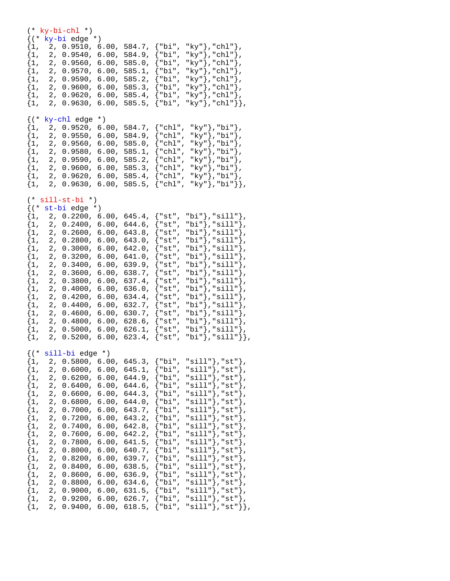(\* ky-bi-chl \*) {(\* ky-bi edge \*)  ${1, 2, 0.9510, 6.00, 584.7, {"\bi", "\ky"\},"chl"\}$  $\{1,\quad 2,\ \ 0.9540\,,\ \ 6.00\,,\ \ 584.9\,,\ \{\text{"bi"}\}$ , " $\text{ky}$ "}," $\text{chl}"\}$ , {1, 2, 0.9560, 6.00, 585.0, {"bi", "ky"},"chl"},  $\{1, 2, 0.9570, 6.00, 585.1, \}$  ${1, 2, 0.9590, 6.00, 585.2, {"\bi", "\ky"\}$ , "chl"},  ${1, 2, 0.9600, 6.00, 585.3, {"\bi", "\ky"\},"ch1"\},$  $\{1, 2, 0.9620, 6.00, 585.4, \{"\text{bi", "ky"}\},\text{"chl"}\},$  $\{1, 2, 0.9630, 6.00, 585.5, \{\text{"bi", "ky"}\}, \text{"chl"}\},$  $({*}$  ky-chl edge  $*)$  ${1, 2, 0.9520, 6.00, 584.7, { "chl", "ky"} }$ , "bi"},  $\{1, 2, 0.9550, 6.00, 584.9, \{\texttt{"chl", "ky"}\}, \texttt{"bi"}\},$  $\{1,\quad 2,\ \ 0.9560\text{, }\ \ 6.00\text{, }\ 585.0\text{, }\ \left\{\text{"chl", "ky"}\right\} \text{, }\text{"bi"}\},$  $\{1,\quad 2,\ \ 0.9580\,,\ \ 6.00\,,\ \ 585.1\,,\ \{\text{"chl"}\,\, \ \text{"ky"}\}\,,\text{"bi"}\}\,,$  ${1, 2, 0.9590, 6.00, 585.2, {"\chl", "\ky"\},\text{"bi"}},$  $\{1, 2, 0.9600, 6.00, 585.3, \{\text{"chl", "ky"}\}, \text{"bi"}\},$  ${1, 2, 0.9620, 6.00, 585.4, { "chl", "ky"} }$ , "bi"},  $\{1, 2, 0.9630, 6.00, 585.5, \{ "chl", "ky"} \}, "bi" \}$ (\* sill-st-bi \*)  $\{({*}$  st-bi edge  $*)$ {1, 2, 0.2200, 6.00, 645.4, {"st", "bi"},"sill"},  $\{1, 2, 0.2400, 6.00, 644.6, \{\text{"st", "bi"}}\}, \text{"sill"}\},$  $\{1, \quad 2, \ \ 0.2600, \ \ 6.00, \ \ 643.8, \ \ \{\texttt{``st"}\} \text{, "sill"}\},$  $\{1, 2, 0.2800, 6.00, 643.0, \{\texttt{"st", "bi"}}\}, \texttt{"sill"}\}$  $\{1,\quad 2,\ \ 0.3000,\ \ 6.00,\ \ 642.0,\ \ \{\text{"st", "bi"}}\},\text{"sill"}\}$  ,  $\{1, 2, 0.3200, 6.00, 641.0, \{ "st", "bi"} \}, "sill";$  $\{1, 2, 0.3400, 6.00, 639.9, \{"\text{st", "bi"}\},\text{"sill"}\},$  $\{1, 2, 0.3600, 6.00, 638.7, \{\text{"st", "bi"}\}, \text{"sill"}\}, \$ <br> $\{1, 2, 0.3800, 6.00, 637.4, \{\text{"st", "bi"}\}, \text{"sill"}\},$  ${2, 0.3800, 6.00, 637.4, \{ "st", "bi"} \}, "sill"} }$ ,  $\{1, 2, 0.4000, 6.00, 636.0, \{\texttt{''st''}, \texttt{"bi''}\}, \texttt{"sill''}\},$  $\{1, 2, 0.4200, 6.00, 634.4, \{"\text{st", "bi"}\},\text{"sill"}\},$  $\{1, 2, 0.4400, 6.00, 632.7, \{\text{``st", "bi"}\}, \text{``sill"}\},$  $\{1, 2, 0.4600, 6.00, 630.7, \{ "st", "bi"} \}$ , "sill" },  $\{1, 2, 0.4800, 6.00, 628.6, \{\text{"st", "bi"}}\}, \text{"sill"}\},$  $\{1, 2, 0.5000, 6.00, 626.1, \{\text{``st", "bi"}\}, \text{``sill"}\},$  $\{1, 2, 0.5200, 6.00, 623.4, \{ "st", "bi"} \}$ , "sill"}}, {(\* sill-bi edge \*)  $\{1, 2, 0.5800, 6.00, 645.3, \{\text{"bi", "sill"}\}, \text{"st"}\},$  ${1, 2, 0.6000, 6.00, 645.1, {"bi", "sill";}$ , "st"},  $\{1,\quad 2,\ \ 0.6200\,,\ \ 6.00\,,\ \ 644.9\,,\ \{\text{"bi", "sill"}\}\,,\text{"st"}\} \,,$  $\{1, 2, 0.6400, 6.00, 644.6, \{\text{"bi", "sill"}\}, \text{"st"}\}$  $\{1, 2, 0.6600, 6.00, 644.3, \{\text{"bi", "sill"}\}, \text{"st"}\},$  $\{1,\quad 2,\ \ 0.6800\,,\ \ 6.00\,,\ \ 644.0\,,\ \ \{\text{"bi", "sill"}\}\,,\text{"st"}\}\,,$  $\{1, \quad 2, \ \ 0.7000, \ \ 6.00, \ \ 643.7, \ \ \{\text{"bi", \ still"}} \} \text{,}$  $\begin{array}{ll} \{1, & 2, ~ 0.7200, ~ 6.00, ~ 643.2, ~ \left\{ \text{"bi"} \, , ~ \text{"sill"} \right\}, \text{"st"} \}, \ \{1, & 2, ~ 0.7400, ~ 6.00, ~ 642.8, ~ \left\{ \text{"bi"} \, , ~ \text{"sill"} \right\}, \text{"st"} \}, \end{array}$ {1, 2, 0.7400, 6.00, 642.8, {"bi", "sill"},"st"},  $\{1, \quad 2, \ \ 0.7600, \ \ 6.00, \ \ 642.2, \nonumber$  $\{1,\quad 2,\ \ 0.7800\,,\ \ 6.00\,,\ \ 641.5\,,\ \ \{\text{"bi"}\,,\ \ \text{"sill"}\}\,,\text{"st"}\}\,,$ {1, 2, 0.8000, 6.00, 640.7, {"bi", "sill"},"st"},  $\{1, 2, 0.8200, 6.00, 639.7, \}$  $\{1, 2, 0.8400, 6.00, 638.5, \{\text{"bi", "sill"}\}, \text{"st"}\},\$ <br> $\{1, 2, 0.8600, 6.00, 636.9, \{\text{"bi", "sill"}\}, \text{"st"}\},\}$  ${2, 0.8600, 6.00, 636.9, \{ "bi", "sill"} }$ , "st" },  $\{1, 2, 0.8800, 6.00, 634.6, \{"\text{bi", "sill"}\},"st"\}$  $\{1, 2, 0.9000, 6.00, 631.5, \{"\text{bi", "sill"}\},"st"\}$  $\{1, 2, 0.9200, 6.00, 626.7, \{\text{"bi", "sill"}\}, \text{"st"}\},$  $\{1, 2, 0.9400, 6.00, 618.5, \{\text{"bi", "sill"}\}, \text{"st"}\},$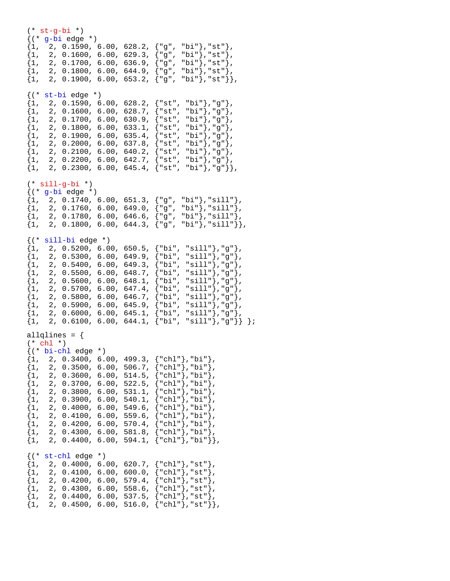$(* str-q-bi *)$ {(\* g-bi edge \*)  ${1, 2, 0.1590, 6.00, 628.2, {"g", "bi"}}, "st"}$  ${1, 2, 0.1600, 6.00, 629.3, {"g", "bi"}}, "st"}$  $\{1, 2, 0.1700, 6.00, 636.9, \{ "g", "bi"} \}$ , "st" },  $\{1, 2, 0.1800, 6.00, 644.9, \{ "g", "bi"}\}, "st"\}.$  ${1, 2, 0.1900, 6.00, 653.2, { "g", "bi"}}, "st" }$  $\{(\text{* st-bi edge *})$ <br> $\{1, 2, 0.1590, 6\}$ {1, 2, 0.1590, 6.00, 628.2, {"st", "bi"},"g"},  ${1, 2, 0.1600, 6.00, 628.7, {"st", "bi"}}, "g";$  $\{1, 2, 0.1700, 6.00, 630.9, \{ "st", "bi"} \}, "g" \}$  $\{1, 2, 0.1800, 6.00, 633.1, \{\texttt{"st", "bi"}}\}, \texttt{"g"}\},$  $\{1, 2, 0.1900, 6.00, 635.4, \{\texttt{"st", "bi"}}\}, \texttt{"g"}\}$  $\{1, 2, 0.2000, 6.00, 637.8, \{\texttt{"st", 'bi"}}\}, \texttt{"g"}\},$  ${1, 2, 0.2100, 6.00, 640.2, {"st", "bi"}}, "g";$  ${1, 2, 0.2200, 6.00, 642.7, {"st", "bi"}}, "g";$  $\{1, 2, 0.2300, 6.00, 645.4, \{\text{"st", 'bi"}}\}, \text{"g"}\},$ (\* sill-g-bi \*)  $\{(' * g-bi edge * )$  $\{1, 2, 0.1740, 6.00, 651.3, \{ "g", "bi"} \}$ , "sill" },  $\{1, 2, 0.1760, 6.00, 649.0, { "g", "bi"} \}$ , "sill" },  $\{1, 2, 0.1780, 6.00, 646.6, \{\texttt{"g", "bi"}}\}, \texttt{"sill"}\},$  $\{1, 2, 0.1800, 6.00, 644.3, \{ "g", "bi"}\}, "sill" \}$  $\{('*) \text{sil}-bi \text{ edge } * \}$  ${1, 2, 0.5200, 6.00, 650.5, { "bi", "sill"} } , "g" }$  ${1, 2, 0.5300, 6.00, 649.9, { "bi", "sill"} } , "g" }$  $\{1, 2, 0.5400, 6.00, 649.3, \{\text{"bi", "sill"}\}, \text{"g"}\},$ {1, 2, 0.5500, 6.00, 648.7,  ${\n \text{bi}}, \text{ sii}, \text{a}}$ <br>{1, 2, 0.5600, 6.00, 648.1,  ${\n \text{bi}}, \text{ sii}, \text{a}}$ ,  ${\n \text{cii}}, \text{a}}$  ${2, 0.5600, 6.00, 648.1,}$  $\{1, 2, 0.5700, 6.00, 647.4, \{"\text{bi", "sill"}\},\text{"g"}\},$  $\{1, 2, 0.5800, 6.00, 646.7, \{"\text{bi", "sill"}\}, "g"\}.$  $\{1, 2, 0.5900, 6.00, 645.9, \{\text{"bi", "sill"}\}, \text{"g"}\},$  $\{1, 2, 0.6000, 6.00, 645.1, \{ "bi", "sill"; \}$ , "g" $\}$ ,  $\{1, 2, 0.6100, 6.00, 644.1, \{\text{"bi", "sill"}}, \text{"g"}\}\};$ allglines =  $\{$ (\* chl \*) {(\* bi-chl edge \*)  ${1, 2, 0.3400, 6.00, 499.3, { "chl"} }$ , "bi"},  $\{1, 2, 0.3500, 6.00, 506.7, \{ "ch1" \}$ , "bi" $\}$ ,  $\{1, 2, 0.3600, 6.00, 514.5, \{\text{"chl"}\}, \text{"bi"}\},$  $\{1, \quad 2, \ \ 0.3700, \ \ 6.00, \ \ 522.5, \ \ \{\text{"chl"}\} \text{, "bi"}\},$  ${1, 2, 0.3800, 6.00, 531.1, {"chl"}}, "bi"}$  $\{1, 2, 0.3900, 6.00, 540.1, \{\texttt{"chl"}\}, \texttt{"bi"}\},$  $\{1, 2, 0.4000, 6.00, 549.6, \{\text{"chl"}\}, \text{"bi"}\},$  $\{1, 2, 0.4100, 6.00, 559.6, \{ "chl"} \},$ "bi"},  $\{1, 2, 0.4200, 6.00, 570.4, \{ "chl" \}$ , "bi" },  ${1, 2, 0.4300, 6.00, 581.8, { "chl"} }$ , "bi"},  $\{1, 2, 0.4400, 6.00, 594.1, \{ "chl" \}$ , "bi" $\}$ ,  $({*}$  st-chl edge  $*)$  $\{1, 2, 0.4000, 6.00, 620.7, \{ "chl" \}$ , "st" },  $\{1,\quad 2,\ \ 0.4100,\ \ 6.00,\ \ 600.0,\ \ \{\text{"chl"}\}$ ,"st" $\}$ ,  $\{1, 2, 0.4200, 6.00, 579.4, \{\text{"chl"}\}, \text{"st"}\},\$  $\{1, 2, 0.4300, 6.00, 558.6, \{\text{"chl"}\}, \text{"st"}\}.$ {1, 2, 0.4300, 6.00, 558.6, {"chl"},"st"},  $\{1, 2, 0.4400, 6.00, 537.5, \{\text{"chl"}\}, \text{"st"}\}$  $\{1, 2, 0.4500, 6.00, 516.0, \{ "chl" \}$ , "st" $\}$ ,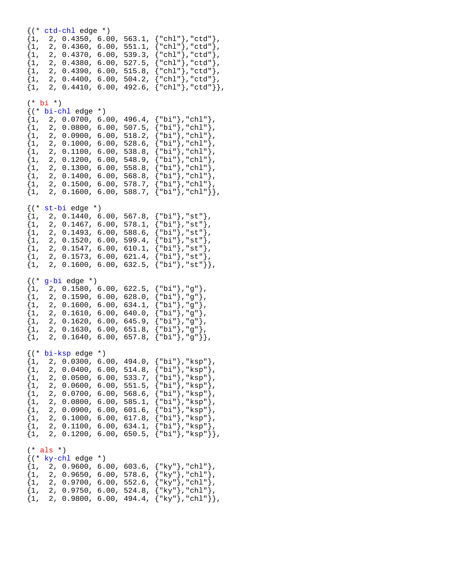{(\* ctd-chl edge \*) {1, 2, 0.4350, 6.00, 563.1, {"chl"},"ctd"},  $\{1,\quad 2,\ \ 0.4360\,,\ \ 6.00\,,\ \ 551.1,\ \{\text{"chl"}\}$ ,"ctd" $\}$ ,  $\{1,\quad 2,\ \ 0.4370\,,\ \ 6.00\,,\ \ 539.3\,,\ \ \{\text{"chl"}\} \text{,"ctd"}\} \,.$  ${1, 2, 0.4380, 6.00, 527.5, {"chl"}$ ,"ctd"},  $\{1, 2, 0.4390, 6.00, 515.8, \{ "chl"} \}$ , "ctd" },  ${1, 2, 0.4400, 6.00, 504.2, {"chl"}$ , "ctd"},  $\{1, 2, 0.4410, 6.00, 492.6, \{\text{"chl"}\}, \text{"ctd"}\},$  $(* b<sup>i</sup> * )$ {(\* bi-chl edge \*)  ${1, 2, 0.0700, 6.00, 496.4, { "bi" }, "chl" }$  $\{1, 2, 0.0800, 6.00, 507.5, \{\text{"bi"}\}, \text{"chl"}\},$  $\{1, 2, 0.0900, 6.00, 518.2, \{\text{"bi"}\}, \text{"chl"}\},$  $\{1,\quad 2,\ \ 0.1000\text{, }\ 6.00\text{, }\ 528.6\text{, }\left\{\text{"bi"}\right\}\text{, }\text{"chl"}\}\text{,}$  $\{1,\quad 2,\ \ 0.1100\,,\ \ 6.00\,,\ \ 538.8\,,\ \ \{\text{"bi"}\}\,,\text{"chl"}\}\,,$  $\{1, 2, 0.1200, 6.00, 548.9, \{\text{"bi"}\}, \text{"chl"}\},$  ${1, 2, 0.1300, 6.00, 558.8, { "bi"}}, "chl" }$  ${1, 2, 0.1400, 6.00, 568.8, {"\bi"}}, "chl"}$  $\{1, 2, 0.1500, 6.00, 578.7, \{\text{"bi"}\}, \text{"chl"}\},$  $\{1, 2, 0.1600, 6.00, 588.7, \{ "bi" \}, "chl" \}$ {(\* st-bi edge \*)  $\begin{array}{ll} \{1, & 2, \:\: 0.1440, \:\: 6.00, \:\: 567.8, \:\: \{\text{"bi"}\}, \text{"st"}\}, \ \{1, & 2, \:\: 0.1467, \:\: 6.00, \:\: 578.1, \:\: \{\text{"bi"}\}, \text{"st"}\}, \end{array}$  $\{1, \quad 2, \ \ 0.1467, \ \ 6.00, \ \ 578.1, \$  $\{1, 2, 0.1493, 6.00, 588.6, \{\text{"bi"}\}, \text{"st"}\},$  ${1, 2, 0.1520, 6.00, 599.4, { "bi"}}, "st"}$  ${1, 2, 0.1547, 6.00, 610.1, { "bi"}}, "st"}$  ${1, 2, 0.1573, 6.00, 621.4, {"bi"}}, "st"}$  $\{1, 2, 0.1600, 6.00, 632.5, \{ "bi"} \}, "st" \}$  $({*}$  g-bi edge  $*)$  $\{1, 2, 0.1580, 6.00, 622.5, \{ "bi"} \}$ , "g" },  $\{1, 2, 0.1590, 6.00, 628.0, \{"\text{bi"}\}, "g"\}.$  $\{1, 2, 0.1600, 6.00, 634.1, \{\text{"bi"}\}, \text{"g"}\},$  $\{1, 2, 0.1610, 6.00, 640.0, \{\text{"bi"}\}, \text{"g"}\},$  ${1, 2, 0.1620, 6.00, 645.9, { "bi" }, "g" }$ {1, 2, 0.1630, 6.00, 651.8, {"bi"},"g"},  $\{1, 2, 0.1640, 6.00, 657.8, \{ "bi"}\}, "g" \}$ {(\* bi-ksp edge \*)  $\{1, 2, 0.0300, 6.00, 494.0, \{ "bi" \}, "ksp" \},$  $\{1, 2, 0.0400, 6.00, 514.8, \{\text{"bi"}\}, \text{"ksp"}\},$  ${1, 2, 0.0500, 6.00, 533.7, { "bi"} }$ , "ksp" $},$  ${1, 2, 0.0600, 6.00, 551.5, {"bi"}}, "ksp"}$  ${1, 2, 0.0700, 6.00, 568.6, { "bi"} }$ , "ksp"},  $\{1, 2, 0.0800, 6.00, 585.1, \{\text{"bi"}\}, \text{"ksp"}\},$  $\{1, 2, 0.0900, 6.00, 601.6, \{\text{"bi"}\}, \text{"ksp"}\},$  $\{1, 2, 0.1000, 6.00, 617.8, \{\text{"bi"}\}, \text{"ksp"}\},$  ${1, 2, 0.1100, 6.00, 634.1, { "bi"} }$ , " $ksp" }$  ${1, 2, 0.1200, 6.00, 650.5, { "bi"}}, "ksp" }$  $(*$  als  $*)$  $({*}$  ky-chl edge  $*)$  $\{1, 2, 0.9600, 6.00, 603.6, \{\text{"ky"}\}, \text{"chl"}\},$  ${1, 2, 0.9650, 6.00, 578.6, { "ky"} }$ , "chl"},  ${1, 2, 0.9700, 6.00, 552.6, { "ky"} }$ , "chl"},  $\{1, 2, 0.9750, 6.00, 524.8, \{ "ky"} \}$ , "chl" $\}$ ,  ${1, 2, 0.9800, 6.00, 494.4, { "ky"}}, "chl" }$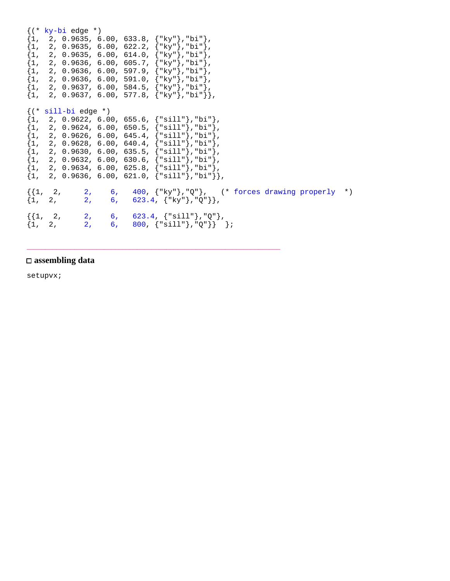```
{(* ky-bi edge *)
\begin{Bmatrix} 1, & 2, & 0.9635, & 6.00, & 633.8, & \{\text{"ky"}\}, \text{"bi"} \end{Bmatrix}{1, 2, 0.9635, 6.00, 622.2, { "ky"} }, "bi"},
\{1, 2, 0.9635, 6.00, 614.0, \{\mathrm{"ky"}\}, \mathrm{"bi"}\},{1, 2, 0.9636, 6.00, 605.7, { "ky"}}, "bi" }\{1, 2, 0.9636, 6.00, 597.9, \{\text{"ky"}\}, \text{"bi"}\},\{1, 2, 0.9636, 6.00, 591.0, \{ "ky" \}, "bi" },
\{1, 2, 0.9637, 6.00, 584.5, \{\text{"ky"}\}, \text{"bi"}\},\{1, 2, 0.9637, 6.00, 577.8, \{ "ky" \}, "bi" },
{(* sill-bi edge *)
{1, 2, 0.9622, 6.00, 655.6, {``sill"}}, "bi"},
\{1, 2, 0.9624, 6.00, 650.5, \{\text{"sill"}\}, \text{"bi"}\},\{1, 2, 0.9626, 6.00, 645.4, \{\text{"sill"}\}, \text{"bi"}\},\{1, 2, 0.9628, 6.00, 640.4, \{\text{"sill"}\}, \text{"bi"}\},{1, 2, 0.9630, 6.00, 635.5, {"sill"}},"bi"},
\{1, 2, 0.9632, 6.00, 630.6, \{\text{"sill"}\}, \text{"bi"}\},\{1, 2, 0.9634, 6.00, 625.8, \{\text{"sill"}\}, \text{"bi"}\},\{1, 2, 0.9636, 6.00, 621.0, \{ "sill"} \},"bi"}},
\{\{1, 2, 2, 6, 400, \{\text{``ky"}\}, \text{``Q"}\}, (\text{`` forces drawing properly '*)}\}\{1, 2, 2, 6, 623.4, \{\text{"ky"}\}, \text{"Q"}\},\{1, 2, 2, 6, 623.4, \{"\text{sill"}\}, "\mathbb{Q}"\},\{1, 2, 2, 6, 800, \{\text{"sill"}\}, \text{"Q"}\}\}
```
\_\_\_\_\_\_\_\_\_\_\_\_\_\_\_\_\_\_\_\_\_\_\_\_\_\_\_\_\_\_\_\_\_\_\_\_\_\_\_\_\_\_\_\_\_\_\_\_\_\_\_\_\_\_\_\_\_\_\_\_\_\_\_\_\_\_\_\_\_

#### **assembling data**

setupvx;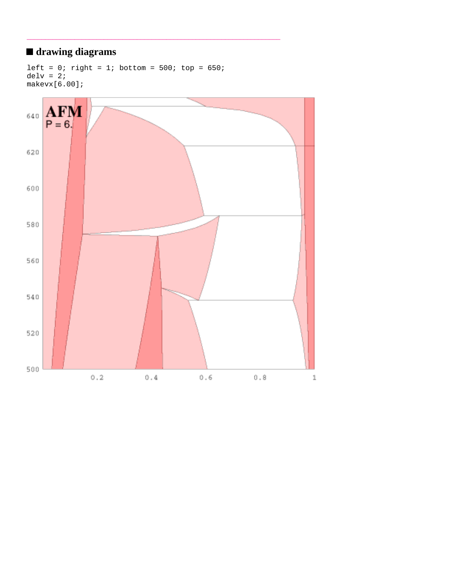# **drawing diagrams**

```
left = 0; right = 1; bottom = 500; top = 650;
delv = 2imakevx[6.00];
```
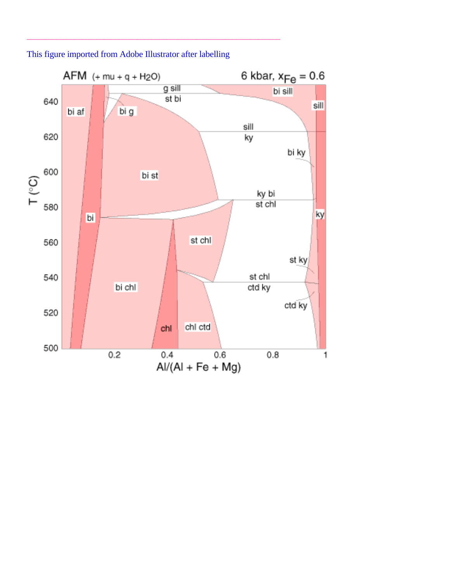

This figure imported from Adobe Illustrator after labelling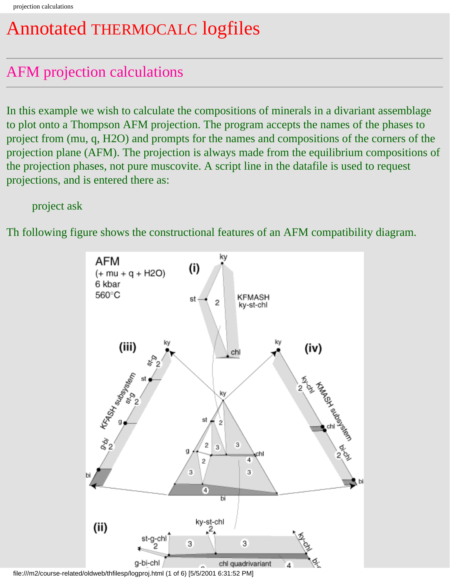# Annotated THERMOCALC logfiles

# AFM projection calculations

In this example we wish to calculate the compositions of minerals in a divariant assemblage to plot onto a Thompson AFM projection. The program accepts the names of the phases to project from (mu, q, H2O) and prompts for the names and compositions of the corners of the projection plane (AFM). The projection is always made from the equilibrium compositions of the projection phases, not pure muscovite. A script line in the datafile is used to request projections, and is entered there as:

project ask

Th following figure shows the constructional features of an AFM compatibility diagram.



file:///m2/course-related/oldweb/thfilesp/logproj.html (1 of 6) [5/5/2001 6:31:52 PM]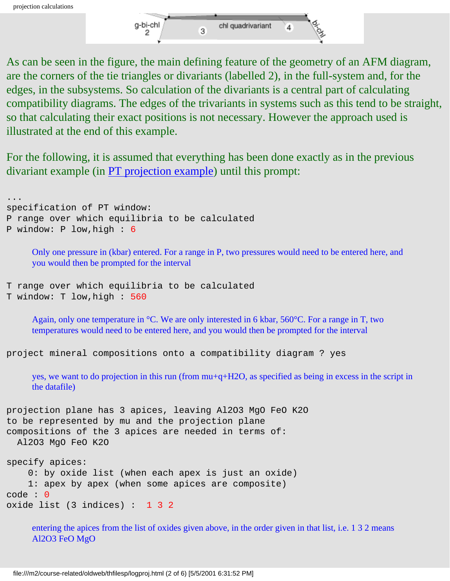

As can be seen in the figure, the main defining feature of the geometry of an AFM diagram, are the corners of the tie triangles or divariants (labelled 2), in the full-system and, for the edges, in the subsystems. So calculation of the divariants is a central part of calculating compatibility diagrams. The edges of the trivariants in systems such as this tend to be straight, so that calculating their exact positions is not necessary. However the approach used is illustrated at the end of this example.

For the following, it is assumed that everything has been done exactly as in the previous divariant example (in [PT projection example](#page-19-0)) until this prompt:

... specification of PT window: P range over which equilibria to be calculated P window: P low,high : 6

> Only one pressure in (kbar) entered. For a range in P, two pressures would need to be entered here, and you would then be prompted for the interval

```
T range over which equilibria to be calculated
T window: T low,high : 560
```
Again, only one temperature in °C. We are only interested in 6 kbar, 560°C. For a range in T, two temperatures would need to be entered here, and you would then be prompted for the interval

project mineral compositions onto a compatibility diagram ? yes

yes, we want to do projection in this run (from mu+q+H2O, as specified as being in excess in the script in the datafile)

```
projection plane has 3 apices, leaving Al2O3 MgO FeO K2O 
to be represented by mu and the projection plane
compositions of the 3 apices are needed in terms of: 
   Al2O3 MgO FeO K2O 
specify apices:
     0: by oxide list (when each apex is just an oxide)
     1: apex by apex (when some apices are composite)
```

```
code : 0
oxide list (3 indices) : 1 3 2
```
entering the apices from the list of oxides given above, in the order given in that list, i.e. 1 3 2 means Al2O3 FeO MgO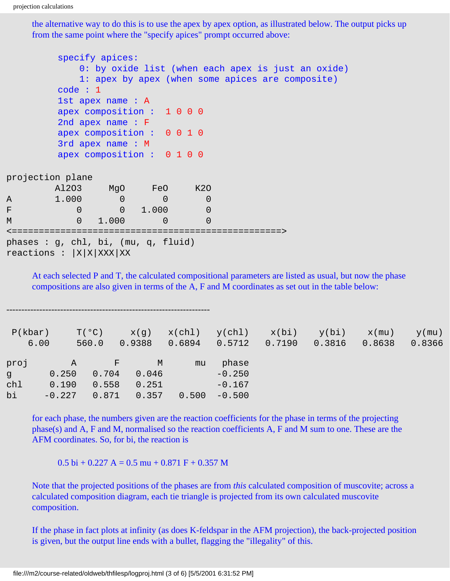the alternative way to do this is to use the apex by apex option, as illustrated below. The output picks up from the same point where the "specify apices" prompt occurred above:

|               |                                                                        | specify apices:            |                |                | 0: by oxide list (when each apex is just an oxide)<br>1: apex by apex (when some apices are composite) |  |
|---------------|------------------------------------------------------------------------|----------------------------|----------------|----------------|--------------------------------------------------------------------------------------------------------|--|
|               | code : 1                                                               |                            |                |                |                                                                                                        |  |
|               |                                                                        | 1st apex name: A           |                |                |                                                                                                        |  |
|               |                                                                        | apex composition : 1000    |                |                |                                                                                                        |  |
|               |                                                                        | 2nd apex name $: F$        |                |                |                                                                                                        |  |
|               |                                                                        | apex composition : 0 0 1 0 |                |                |                                                                                                        |  |
|               |                                                                        | 3rd apex name: M           |                |                |                                                                                                        |  |
|               |                                                                        | apex composition : 0 1 0 0 |                |                |                                                                                                        |  |
|               | projection plane                                                       |                            |                |                |                                                                                                        |  |
|               |                                                                        | Al2O3 MgO FeO K2O          |                |                |                                                                                                        |  |
| $\mathcal{A}$ | $1.000$ 0                                                              |                            | $\Omega$       | $\overline{0}$ |                                                                                                        |  |
| $\mathbf F$   | $\overline{0}$                                                         | $0 \quad 1.000$            |                | $\overline{0}$ |                                                                                                        |  |
| M             |                                                                        | $0 \quad 1.000$            | $\Omega$       | $\overline{0}$ |                                                                                                        |  |
|               |                                                                        |                            | ============== |                |                                                                                                        |  |
|               | phases : $g$ , chl, bi, (mu, $g$ , fluid)<br>reactions : $ X X XXX XX$ |                            |                |                |                                                                                                        |  |

At each selected P and T, the calculated compositional parameters are listed as usual, but now the phase compositions are also given in terms of the A, F and M coordinates as set out in the table below:

| P(kbar) |          | $T(^{\circ}C)$ | x(g)   | x(ch1) | y(chl)   | x(bi)  | y(bi)  | $x$ (mu) | $y$ (mu) |
|---------|----------|----------------|--------|--------|----------|--------|--------|----------|----------|
|         | 6.00     | 560.0          | 0.9388 | 0.6894 | 0.5712   | 0.7190 | 0.3816 | 0.8638   | 0.8366   |
| proj    | Α        | $_{\rm F}$     | M      | mu     | phase    |        |        |          |          |
| g       | 0.250    | 0.704          | 0.046  |        | $-0.250$ |        |        |          |          |
| ch1     | 0.190    | 0.558          | 0.251  |        | $-0.167$ |        |        |          |          |
| bi      | $-0.227$ | 0.871          | 0.357  | 0.500  | $-0.500$ |        |        |          |          |
|         |          |                |        |        |          |        |        |          |          |

for each phase, the numbers given are the reaction coefficients for the phase in terms of the projecting phase(s) and A, F and M, normalised so the reaction coefficients A, F and M sum to one. These are the AFM coordinates. So, for bi, the reaction is

 $0.5$  bi + 0.227 A = 0.5 mu + 0.871 F + 0.357 M

Note that the projected positions of the phases are from *this* calculated composition of muscovite; across a calculated composition diagram, each tie triangle is projected from its own calculated muscovite composition.

If the phase in fact plots at infinity (as does K-feldspar in the AFM projection), the back-projected position is given, but the output line ends with a bullet, flagging the "illegality" of this.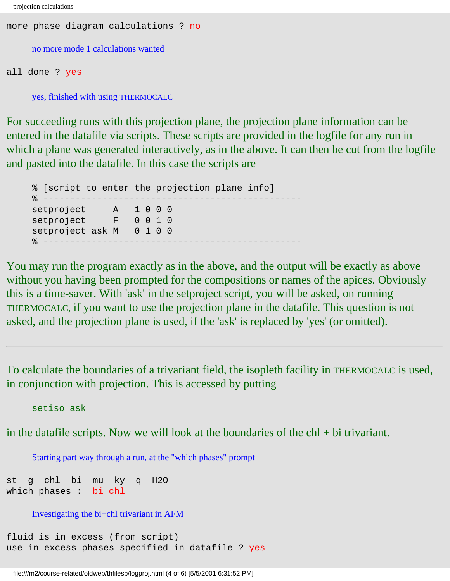```
projection calculations
```

```
more phase diagram calculations ? no
     no more mode 1 calculations wanted
all done ? yes
```
yes, finished with using THERMOCALC

For succeeding runs with this projection plane, the projection plane information can be entered in the datafile via scripts. These scripts are provided in the logfile for any run in which a plane was generated interactively, as in the above. It can then be cut from the logfile and pasted into the datafile. In this case the scripts are

% [script to enter the projection plane info] % ----------------------------------------------- setproject A 1 0 0 0 setproject F 0 0 1 0 setproject ask M 0 1 0 0 % ------------------------------------------------

You may run the program exactly as in the above, and the output will be exactly as above without you having been prompted for the compositions or names of the apices. Obviously this is a time-saver. With 'ask' in the setproject script, you will be asked, on running THERMOCALC, if you want to use the projection plane in the datafile. This question is not asked, and the projection plane is used, if the 'ask' is replaced by 'yes' (or omitted).

To calculate the boundaries of a trivariant field, the isopleth facility in THERMOCALC is used, in conjunction with projection. This is accessed by putting

setiso ask

in the datafile scripts. Now we will look at the boundaries of the  $\text{ch}l + \text{bi}$  trivariant.

Starting part way through a run, at the "which phases" prompt

st g chl bi mu ky q H2O which phases : bi chl

Investigating the bi+chl trivariant in AFM

```
fluid is in excess (from script)
use in excess phases specified in datafile ? yes
```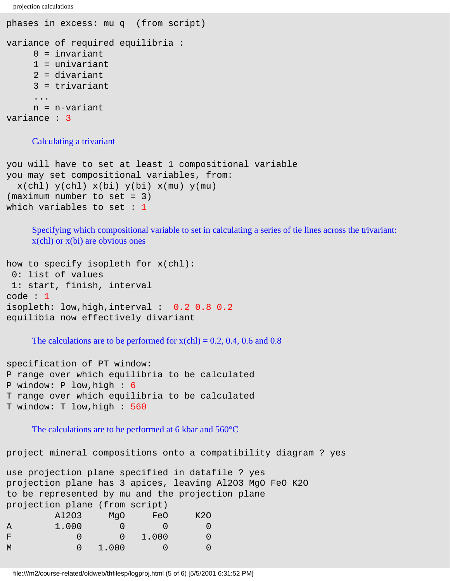projection calculations

```
phases in excess: mu q (from script)
variance of required equilibria :
     0 = invariant
     1 = univariant
      2 = divariant
      3 = trivariant
      ...
      n = n-variant
variance : 3
```
#### Calculating a trivariant

```
you will have to set at least 1 compositional variable
you may set compositional variables, from:
  x(\text{chl}) y(\text{chl}) x(\text{bi}) y(\text{bi}) x(\text{mu}) y(\text{mu})(maximum number to set = 3)which variables to set : 1
```
Specifying which compositional variable to set in calculating a series of tie lines across the trivariant: x(chl) or x(bi) are obvious ones

```
how to specify isopleth for x(chl):
  0: list of values
  1: start, finish, interval
code : 1
isopleth: low,high,interval : 0.2 0.8 0.2
equilibia now effectively divariant
```
The calculations are to be performed for  $x$ (chl) = 0.2, 0.4, 0.6 and 0.8

specification of PT window: P range over which equilibria to be calculated P window: P low,high : 6 T range over which equilibria to be calculated T window: T low,high : 560

The calculations are to be performed at 6 kbar and 560°C

project mineral compositions onto a compatibility diagram ? yes

|                                |       |          |       | use projection plane specified in datafile ? yes |                                                          |  |
|--------------------------------|-------|----------|-------|--------------------------------------------------|----------------------------------------------------------|--|
|                                |       |          |       |                                                  | projection plane has 3 apices, leaving Al2O3 MgO FeO K2O |  |
|                                |       |          |       | to be represented by mu and the projection plane |                                                          |  |
| projection plane (from script) |       |          |       |                                                  |                                                          |  |
|                                | A1203 | MqO      | FeO   | K20                                              |                                                          |  |
| A                              | 1.000 |          |       |                                                  |                                                          |  |
| F                              |       | $\Omega$ | 1,000 |                                                  |                                                          |  |
| M                              |       | 1.000    |       |                                                  |                                                          |  |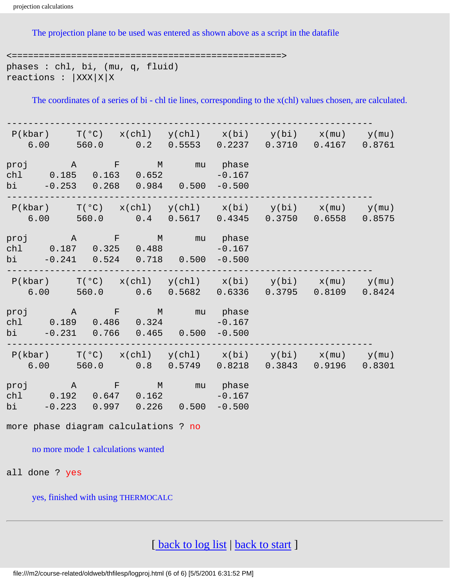The projection plane to be used was entered as shown above as a script in the datafile

<==================================================> phases : chl, bi, (mu, q, fluid) reactions :  $|XXX|X|X$ 

The coordinates of a series of bi - chl tie lines, corresponding to the x(chl) values chosen, are calculated.

|  | $P(kbar)$ $T(°C)$ $x(chl)$ $y(chl)$ $x(bi)$ $y(bi)$ $x(mu)$ $y(mu)$<br>$6.00$ $560.0$ $0.2$ $0.5553$ $0.2237$ $0.3710$ $0.4167$ $0.8761$  |  |  |  |
|--|-------------------------------------------------------------------------------------------------------------------------------------------|--|--|--|
|  | proj A F M mu phase<br>chl 0.185 0.163 0.652 -0.167<br>bi $-0.253$ 0.268 0.984 0.500 $-0.500$                                             |  |  |  |
|  | $P(kbar)$ $T(°C)$ $x(chl)$ $y(chl)$ $x(bi)$ $y(bi)$ $x(mu)$ $y(mu)$<br>$6.00$ $560.0$ $0.4$ $0.5617$ $0.4345$ $0.3750$ $0.6558$ $0.8575$  |  |  |  |
|  | proj A F M mu phase<br>chl 0.187 0.325 0.488 -0.167<br>bi $-0.241$ $0.524$ $0.718$ $0.500$ $-0.500$                                       |  |  |  |
|  | $P(kbar)$ $T(^oC)$ $x(chl)$ $y(chl)$ $x(bi)$ $y(bi)$ $x(mu)$ $y(mu)$<br>$6.00$ $560.0$ $0.6$ $0.5682$ $0.6336$ $0.3795$ $0.8109$ $0.8424$ |  |  |  |
|  | proj A F M mu phase<br>chl 0.189 0.486 0.324 -0.167<br>bi $-0.231$ 0.766 0.465 0.500 $-0.500$                                             |  |  |  |
|  | $P(kbar)$ $T(°C)$ $x(chl)$ $y(chl)$ $x(bi)$ $y(bi)$ $x(mu)$ $y(mu)$<br>$6.00$ $560.0$ $0.8$ $0.5749$ $0.8218$ $0.3843$ $0.9196$ $0.8301$  |  |  |  |
|  | proj A F M mu phase<br>chl 0.192 0.647 0.162 -0.167<br>bi $-0.223$ 0.997 0.226 0.500 $-0.500$                                             |  |  |  |

more phase diagram calculations ? no

no more mode 1 calculations wanted

all done ? yes

yes, finished with using THERMOCALC

[back to log list | [back to start](#page-0-0) ]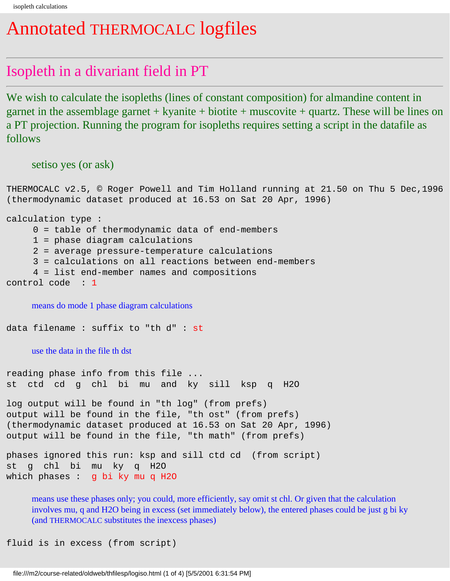### Annotated THERMOCALC logfiles

#### Isopleth in a divariant field in PT

We wish to calculate the isopleths (lines of constant composition) for almandine content in garnet in the assemblage garnet  $+$  kyanite  $+$  biotite  $+$  muscovite  $+$  quartz. These will be lines on a PT projection. Running the program for isopleths requires setting a script in the datafile as follows

setiso yes (or ask)

THERMOCALC v2.5, © Roger Powell and Tim Holland running at 21.50 on Thu 5 Dec,1996 (thermodynamic dataset produced at 16.53 on Sat 20 Apr, 1996)

calculation type :

0 = table of thermodynamic data of end-members

1 = phase diagram calculations

2 = average pressure-temperature calculations

3 = calculations on all reactions between end-members

4 = list end-member names and compositions

control code : 1

means do mode 1 phase diagram calculations

data filename : suffix to "th d" : st

use the data in the file th dst

reading phase info from this file ... st ctd cd g chl bi mu and ky sill ksp q H2O

log output will be found in "th log" (from prefs) output will be found in the file, "th ost" (from prefs) (thermodynamic dataset produced at 16.53 on Sat 20 Apr, 1996) output will be found in the file, "th math" (from prefs)

```
phases ignored this run: ksp and sill ctd cd (from script)
st g chl bi mu ky q H2O 
which phases : g bi ky mu q H2O
```
means use these phases only; you could, more efficiently, say omit st chl. Or given that the calculation involves mu, q and H2O being in excess (set immediately below), the entered phases could be just g bi ky (and THERMOCALC substitutes the inexcess phases)

fluid is in excess (from script)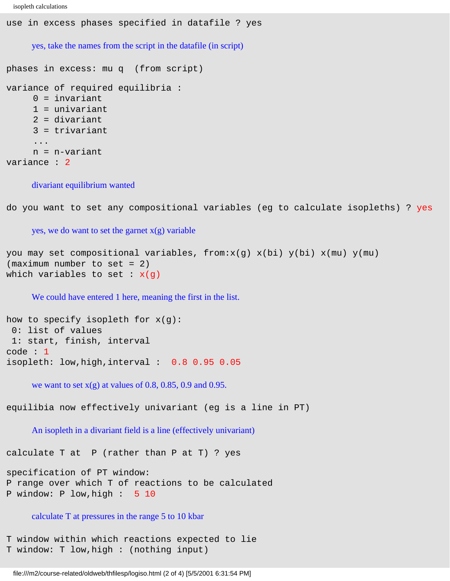```
isopleth calculations
```
use in excess phases specified in datafile ? yes yes, take the names from the script in the datafile (in script) phases in excess: mu q (from script)

```
variance of required equilibria :
     0 = invariant
      1 = univariant
      2 = divariant
      3 = trivariant
      ...
      n = n-variant
variance : 2
```
#### divariant equilibrium wanted

do you want to set any compositional variables (eg to calculate isopleths) ? yes

yes, we do want to set the garnet  $x(g)$  variable

you may set compositional variables, from: $x(g)$   $x(bi)$   $y(bi)$   $x(mu)$   $y(mu)$ (maximum number to set = 2) which variables to set :  $x(q)$ 

We could have entered 1 here, meaning the first in the list.

```
how to specify isopleth for x(g):
  0: list of values
  1: start, finish, interval
code : 1
isopleth: low,high,interval : 0.8 0.95 0.05
```
we want to set  $x(g)$  at values of 0.8, 0.85, 0.9 and 0.95.

equilibia now effectively univariant (eg is a line in PT)

An isopleth in a divariant field is a line (effectively univariant)

calculate T at P (rather than P at T) ? yes

```
specification of PT window:
P range over which T of reactions to be calculated
P window: P low,high : 5 10
```
#### calculate T at pressures in the range 5 to 10 kbar

```
T window within which reactions expected to lie
T window: T low,high : (nothing input)
```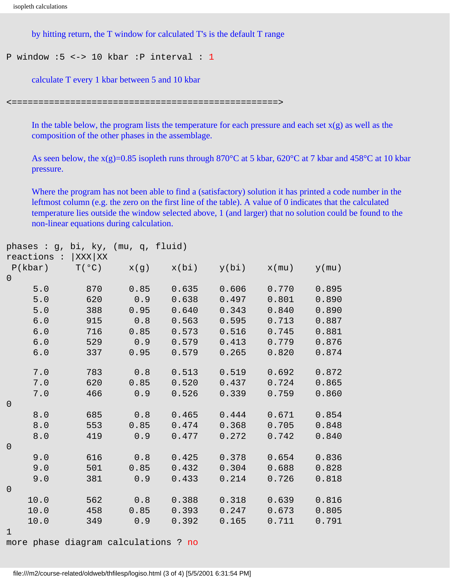```
isopleth calculations
```
by hitting return, the T window for calculated T's is the default T range

```
P window :5 <-> 10 kbar :P interval : 1
```
calculate T every 1 kbar between 5 and 10 kbar

<==================================================>

In the table below, the program lists the temperature for each pressure and each set  $x(g)$  as well as the composition of the other phases in the assemblage.

As seen below, the  $x(g)=0.85$  isopleth runs through  $870^{\circ}$ C at 5 kbar,  $620^{\circ}$ C at 7 kbar and  $458^{\circ}$ C at 10 kbar pressure.

Where the program has not been able to find a (satisfactory) solution it has printed a code number in the leftmost column (e.g. the zero on the first line of the table). A value of 0 indicates that the calculated temperature lies outside the window selected above, 1 (and larger) that no solution could be found to the non-linear equations during calculation.

| phases : g, bi, ky, (mu, q, fluid) |     |                |       |       |          |          |
|------------------------------------|-----|----------------|-------|-------|----------|----------|
| reactions : $ XXX XX$              |     |                |       |       |          |          |
| P(kbar)                            |     | $T(°C)$ $x(g)$ | x(bi) | y(bi) | $x$ (mu) | $y$ (mu) |
| $\overline{0}$                     |     |                |       |       |          |          |
| 5.0                                | 870 | 0.85           | 0.635 | 0.606 | 0.770    | 0.895    |
| 5.0                                | 620 | 0.9            | 0.638 | 0.497 | 0.801    | 0.890    |
| $5.0$                              | 388 | 0.95           | 0.640 | 0.343 | 0.840    | 0.890    |
| $6.0$                              | 915 | 0.8            | 0.563 | 0.595 | 0.713    | 0.887    |
| $6.0$                              | 716 | 0.85           | 0.573 | 0.516 | 0.745    | 0.881    |
| 6.0                                | 529 | 0.9            | 0.579 | 0.413 | 0.779    | 0.876    |
| $6.0$                              | 337 | 0.95           | 0.579 | 0.265 | 0.820    | 0.874    |
| $7 \, . \, 0$                      | 783 | 0.8            | 0.513 | 0.519 | 0.692    | 0.872    |
| $7.0$                              | 620 | 0.85           | 0.520 | 0.437 | 0.724    | 0.865    |
| 7.0                                | 466 | 0.9            | 0.526 | 0.339 | 0.759    | 0.860    |
| $\mathbf 0$                        |     |                |       |       |          |          |
| 8.0                                | 685 | 0.8            | 0.465 | 0.444 | 0.671    | 0.854    |
| 8.0                                | 553 | 0.85           | 0.474 | 0.368 | 0.705    | 0.848    |
| 8.0                                | 419 | 0.9            | 0.477 | 0.272 | 0.742    | 0.840    |
| $\mathsf{O}$                       |     |                |       |       |          |          |
| 9.0                                | 616 | 0.8            | 0.425 | 0.378 | 0.654    | 0.836    |
| 9.0                                | 501 | 0.85           | 0.432 | 0.304 | 0.688    | 0.828    |
| 9.0                                | 381 | 0.9            | 0.433 | 0.214 | 0.726    | 0.818    |
| $\mathsf{O}\xspace$                |     |                |       |       |          |          |
| 10.0                               | 562 | 0.8            | 0.388 | 0.318 | 0.639    | 0.816    |
| 10.0                               | 458 | 0.85           | 0.393 | 0.247 | 0.673    | 0.805    |
| 10.0                               | 349 | 0.9            | 0.392 | 0.165 | 0.711    | 0.791    |
| $\mathbf 1$                        |     |                |       |       |          |          |

more phase diagram calculations ? no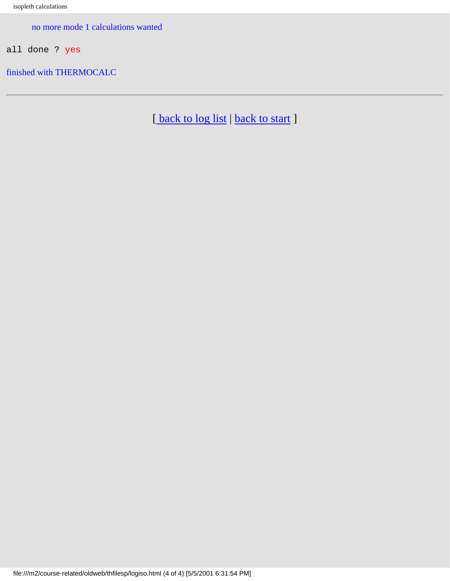no more mode 1 calculations wanted

all done ? yes

finished with THERMOCALC

[back to log list | [back to start](#page-0-0) ]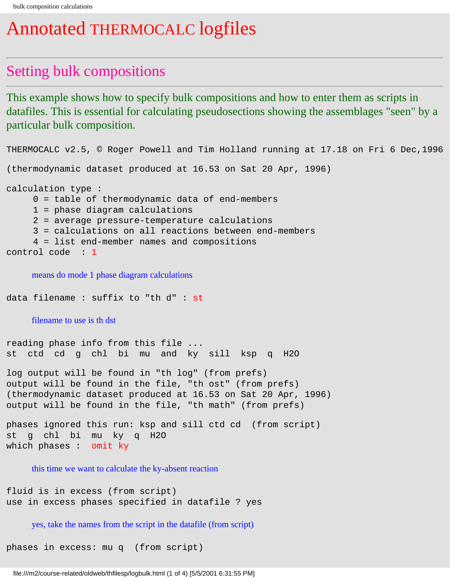## Annotated THERMOCALC logfiles

#### Setting bulk compositions

This example shows how to specify bulk compositions and how to enter them as scripts in datafiles. This is essential for calculating pseudosections showing the assemblages "seen" by a particular bulk composition.

```
THERMOCALC v2.5, © Roger Powell and Tim Holland running at 17.18 on Fri 6 Dec,1996
(thermodynamic dataset produced at 16.53 on Sat 20 Apr, 1996)
calculation type :
      0 = table of thermodynamic data of end-members
      1 = phase diagram calculations
      2 = average pressure-temperature calculations
      3 = calculations on all reactions between end-members
      4 = list end-member names and compositions
control code : 1
    means do mode 1 phase diagram calculations
data filename : suffix to "th d" : st
    filename to use is th dst
reading phase info from this file ...
st ctd cd g chl bi mu and ky sill ksp q H2O 
log output will be found in "th log" (from prefs)
output will be found in the file, "th ost" (from prefs)
(thermodynamic dataset produced at 16.53 on Sat 20 Apr, 1996)
output will be found in the file, "th math" (from prefs)
phases ignored this run: ksp and sill ctd cd (from script)
st g chl bi mu ky q H2O 
which phases : omit ky
    this time we want to calculate the ky-absent reaction
fluid is in excess (from script)
use in excess phases specified in datafile ? yes
```
yes, take the names from the script in the datafile (from script)

phases in excess: mu q (from script)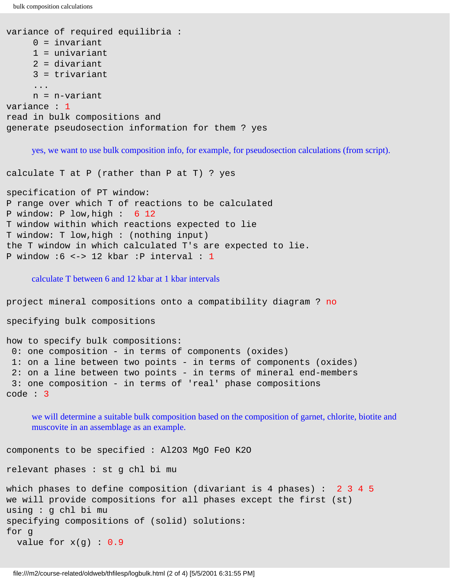bulk composition calculations

```
variance of required equilibria :
      0 = invariant
      1 = univariant
      2 = divariant
      3 = trivariant
      ...
      n = n-variant
variance : 1
read in bulk compositions and 
generate pseudosection information for them ? yes
```
yes, we want to use bulk composition info, for example, for pseudosection calculations (from script).

calculate T at P (rather than P at T) ? yes

```
specification of PT window:
P range over which T of reactions to be calculated
P window: P low,high : 6 12 
T window within which reactions expected to lie
T window: T low,high : (nothing input)
the T window in which calculated T's are expected to lie.
P window :6 <-> 12 kbar :P interval : 1
```
calculate T between 6 and 12 kbar at 1 kbar intervals

```
project mineral compositions onto a compatibility diagram ? no
specifying bulk compositions
how to specify bulk compositions:
  0: one composition - in terms of components (oxides)
  1: on a line between two points - in terms of components (oxides)
  2: on a line between two points - in terms of mineral end-members
  3: one composition - in terms of 'real' phase compositions
code : 3
```
we will determine a suitable bulk composition based on the composition of garnet, chlorite, biotite and muscovite in an assemblage as an example.

```
components to be specified : Al2O3 MgO FeO K2O 
relevant phases : st g chl bi mu 
which phases to define composition (divariant is 4 phases) : 2 3 4 5 
we will provide compositions for all phases except the first (st)
using : g chl bi mu 
specifying compositions of (solid) solutions:
for g 
  value for x(g) : 0.9
```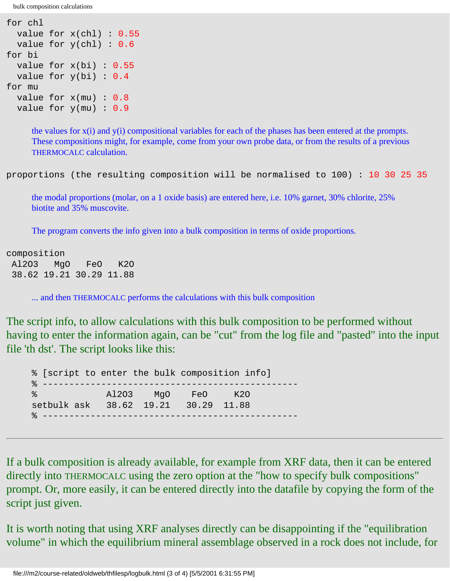bulk composition calculations

```
for chl 
  value for x(chl) : 0.55
  value for y(chl) : 0.6
for bi 
 value for x(bi) : 0.55
 value for y(bi) : 0.4for mu 
 value for x(mu) : 0.8value for y(mu) : 0.9
```
the values for x(i) and y(i) compositional variables for each of the phases has been entered at the prompts. These compositions might, for example, come from your own probe data, or from the results of a previous THERMOCALC calculation.

proportions (the resulting composition will be normalised to 100) : 10 30 25 35

the modal proportions (molar, on a 1 oxide basis) are entered here, i.e. 10% garnet, 30% chlorite, 25% biotite and 35% muscovite.

The program converts the info given into a bulk composition in terms of oxide proportions.

composition Al2O3 MgO FeO K2O 38.62 19.21 30.29 11.88

... and then THERMOCALC performs the calculations with this bulk composition

The script info, to allow calculations with this bulk composition to be performed without having to enter the information again, can be "cut" from the log file and "pasted" into the input file 'th dst'. The script looks like this:

% [script to enter the bulk composition info] % ------------------------------------------------ % Al2O3 MgO FeO K2O setbulk ask 38.62 19.21 30.29 11.88 % ------------------------------------------------

If a bulk composition is already available, for example from XRF data, then it can be entered directly into THERMOCALC using the zero option at the "how to specify bulk compositions" prompt. Or, more easily, it can be entered directly into the datafile by copying the form of the script just given.

It is worth noting that using XRF analyses directly can be disappointing if the "equilibration volume" in which the equilibrium mineral assemblage observed in a rock does not include, for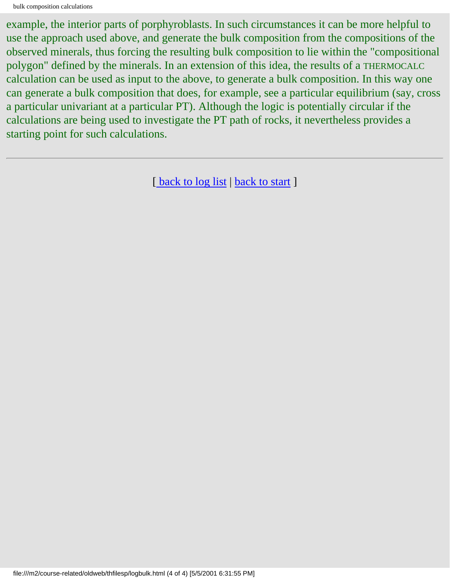example, the interior parts of porphyroblasts. In such circumstances it can be more helpful to use the approach used above, and generate the bulk composition from the compositions of the observed minerals, thus forcing the resulting bulk composition to lie within the "compositional polygon" defined by the minerals. In an extension of this idea, the results of a THERMOCALC calculation can be used as input to the above, to generate a bulk composition. In this way one can generate a bulk composition that does, for example, see a particular equilibrium (say, cross a particular univariant at a particular PT). Although the logic is potentially circular if the calculations are being used to investigate the PT path of rocks, it nevertheless provides a starting point for such calculations.

[ [back to log list](#page-18-0) | [back to start](#page-0-0) ]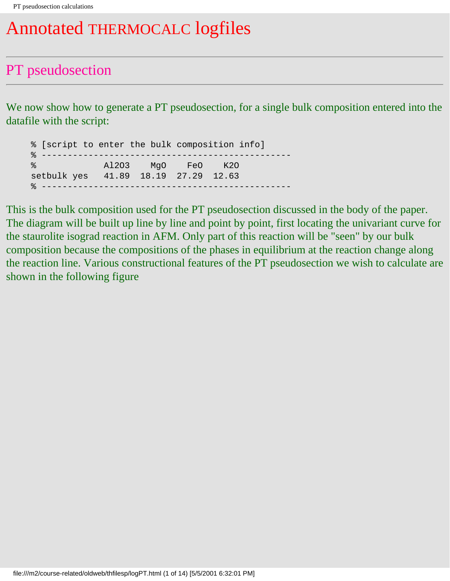# Annotated THERMOCALC logfiles

### PT pseudosection

We now show how to generate a PT pseudosection, for a single bulk composition entered into the datafile with the script:

% [script to enter the bulk composition info] % ------------------------------------------------ % Al2O3 MgO FeO K2O setbulk yes 41.89 18.19 27.29 12.63 % ------------------------------------------------

This is the bulk composition used for the PT pseudosection discussed in the body of the paper. The diagram will be built up line by line and point by point, first locating the univariant curve for the staurolite isograd reaction in AFM. Only part of this reaction will be "seen" by our bulk composition because the compositions of the phases in equilibrium at the reaction change along the reaction line. Various constructional features of the PT pseudosection we wish to calculate are shown in the following figure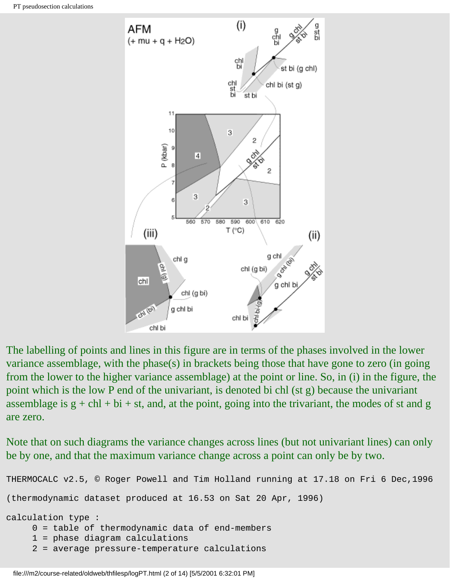

The labelling of points and lines in this figure are in terms of the phases involved in the lower variance assemblage, with the phase(s) in brackets being those that have gone to zero (in going from the lower to the higher variance assemblage) at the point or line. So, in (i) in the figure, the point which is the low P end of the univariant, is denoted bi chl (st g) because the univariant assemblage is  $g + chl + bi + st$ , and, at the point, going into the trivariant, the modes of st and g are zero.

Note that on such diagrams the variance changes across lines (but not univariant lines) can only be by one, and that the maximum variance change across a point can only be by two.

```
THERMOCALC v2.5, © Roger Powell and Tim Holland running at 17.18 on Fri 6 Dec,1996
(thermodynamic dataset produced at 16.53 on Sat 20 Apr, 1996)
calculation type :
      0 = table of thermodynamic data of end-members
      1 = phase diagram calculations
      2 = average pressure-temperature calculations
```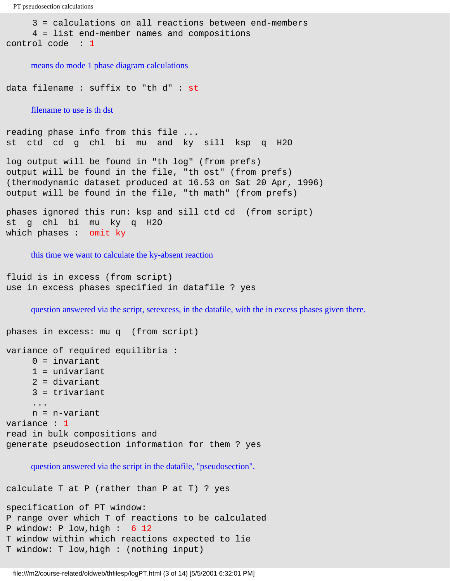```
 3 = calculations on all reactions between end-members
      4 = list end-member names and compositions
control code : 1
```
means do mode 1 phase diagram calculations

data filename : suffix to "th d" : st

filename to use is th dst

reading phase info from this file ... st ctd cd g chl bi mu and ky sill ksp q H2O

log output will be found in "th log" (from prefs) output will be found in the file, "th ost" (from prefs) (thermodynamic dataset produced at 16.53 on Sat 20 Apr, 1996) output will be found in the file, "th math" (from prefs)

phases ignored this run: ksp and sill ctd cd (from script) st g chl bi mu ky q H2O which phases : omit ky

this time we want to calculate the ky-absent reaction

```
fluid is in excess (from script)
use in excess phases specified in datafile ? yes
```
question answered via the script, setexcess, in the datafile, with the in excess phases given there.

```
phases in excess: mu q (from script)
variance of required equilibria :
      0 = invariant
      1 = univariant
      2 = divariant
      3 = trivariant
       ...
      n = n-variant
variance : 1
read in bulk compositions and 
generate pseudosection information for them ? yes
     question answered via the script in the datafile, "pseudosection". 
calculate T at P (rather than P at T) ? yes
```

```
specification of PT window:
P range over which T of reactions to be calculated
P window: P low,high : 6 12 
T window within which reactions expected to lie
T window: T low,high : (nothing input)
```
file:///m2/course-related/oldweb/thfilesp/logPT.html (3 of 14) [5/5/2001 6:32:01 PM]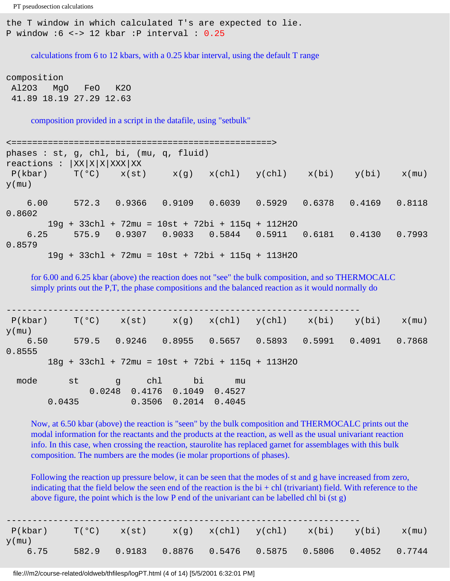the T window in which calculated T's are expected to lie. P window  $:6 \le -2$  12 kbar :P interval :  $0.25$ 

calculations from 6 to 12 kbars, with a 0.25 kbar interval, using the default T range

composition Al2O3 MgO FeO K2O 41.89 18.19 27.29 12.63

composition provided in a script in the datafile, using "setbulk"

<==================================================> phases : st, g, chl, bi, (mu, q, fluid)  $reactions : |XX|X|X|XXX|XX$  $P(kbar)$   $T(°C)$   $x(st)$   $x(g)$   $x(chl)$   $y(chl)$   $x(bi)$   $y(bi)$   $x(mu)$  $y$ (mu) 6.00 572.3 0.9366 0.9109 0.6039 0.5929 0.6378 0.4169 0.8118 0.8602 19g + 33chl + 72mu = 10st + 72bi + 115q + 112H2O 6.25 575.9 0.9307 0.9033 0.5844 0.5911 0.6181 0.4130 0.7993 0.8579 19g + 33chl + 72mu = 10st + 72bi + 115q + 113H2O

for 6.00 and 6.25 kbar (above) the reaction does not "see" the bulk composition, and so THERMOCALC simply prints out the P,T, the phase compositions and the balanced reaction as it would normally do

--------------------------------------------------------------------  $P(kbar)$   $T(°C)$   $x(st)$   $x(g)$   $x(chl)$   $y(chl)$   $x(bi)$   $y(bi)$   $x(mu)$ y(mu) 6.50 579.5 0.9246 0.8955 0.5657 0.5893 0.5991 0.4091 0.7868 0.8555 18g + 33chl + 72mu = 10st + 72bi + 115q + 113H2O mode st g chl bi mu 0.0248 0.4176 0.1049 0.4527 0.0435 0.3506 0.2014 0.4045

Now, at 6.50 kbar (above) the reaction is "seen" by the bulk composition and THERMOCALC prints out the modal information for the reactants and the products at the reaction, as well as the usual univariant reaction info. In this case, when crossing the reaction, staurolite has replaced garnet for assemblages with this bulk composition. The numbers are the modes (ie molar proportions of phases).

Following the reaction up pressure below, it can be seen that the modes of st and g have increased from zero, indicating that the field below the seen end of the reaction is the  $bi + chl$  (trivariant) field. With reference to the above figure, the point which is the low P end of the univariant can be labelled chl bi (st g)

| P(kbar)  | $T(°C)$ $x(st)$ |  | $x(g)$ $x(chl)$ $y(chl)$ $x(bi)$ $y(bi)$        |  | x(mu)  |
|----------|-----------------|--|-------------------------------------------------|--|--------|
| $y$ (mu) |                 |  |                                                 |  |        |
| 6.75     |                 |  | 582.9 0.9183 0.8876 0.5476 0.5875 0.5806 0.4052 |  | 0.7744 |

file:///m2/course-related/oldweb/thfilesp/logPT.html (4 of 14) [5/5/2001 6:32:01 PM]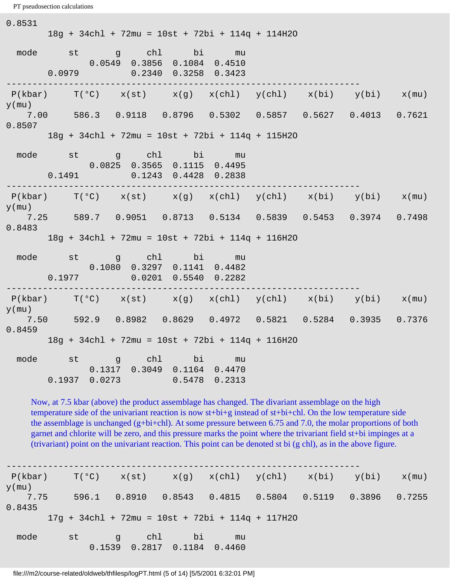```
PT pseudosection calculations
```
 $\sim$   $\sim$   $\sim$   $\sim$ 

| 0.8531             |        |                      |                                       | 18g + 34chl + 72mu = 10st + 72bi + 114q + 114H2O                                            |                                                                             |  |  |
|--------------------|--------|----------------------|---------------------------------------|---------------------------------------------------------------------------------------------|-----------------------------------------------------------------------------|--|--|
|                    |        |                      |                                       | mode st g chl bi mu<br>$0.0549$ 0.3856 0.1084 0.4510<br>$0.0979$ $0.2340$ $0.3258$ $0.3423$ |                                                                             |  |  |
| $y$ (mu)           |        |                      |                                       |                                                                                             | $P(kbar)$ $T(^oC)$ $x(st)$ $x(g)$ $x(chl)$ $y(chl)$ $x(bi)$ $y(bi)$ $x(mu)$ |  |  |
| 0.8507             |        |                      |                                       |                                                                                             | 7.00 586.3 0.9118 0.8796 0.5302 0.5857 0.5627 0.4013 0.7621                 |  |  |
|                    |        |                      |                                       | 18g + 34chl + 72mu = 10st + 72bi + 114q + 115H2O                                            |                                                                             |  |  |
| -----------        | 0.1491 |                      |                                       | mode st g chl bi mu<br>$0.0825$ 0.3565 0.1115 0.4495<br>0.1243  0.4428  0.2838              |                                                                             |  |  |
| y(mu)              |        |                      |                                       |                                                                                             | $P(kbar)$ $T(°C)$ $x(st)$ $x(g)$ $x(chl)$ $y(chl)$ $x(bi)$ $y(bi)$ $x(mu)$  |  |  |
| 0.8483             |        |                      |                                       |                                                                                             | 7.25 589.7 0.9051 0.8713 0.5134 0.5839 0.5453 0.3974 0.7498                 |  |  |
|                    |        |                      |                                       | 18g + 34chl + 72mu = 10st + 72bi + 114q + 116H2O                                            |                                                                             |  |  |
|                    |        |                      | . _ _ _ _ _ _ _ _ _ _ _ _ _ _ _ _ _ _ | mode st g chl bi mu<br>$0.1080$ $0.3297$ $0.1141$ $0.4482$<br>$0.1977$ 0.0201 0.5540 0.2282 |                                                                             |  |  |
|                    |        |                      |                                       |                                                                                             | $P(kbar)$ $T(°C)$ $x(st)$ $x(g)$ $x(chl)$ $y(chl)$ $x(bi)$ $y(bi)$ $x(mu)$  |  |  |
| $y$ (mu)<br>0.8459 |        |                      |                                       |                                                                                             | 7.50 592.9 0.8982 0.8629 0.4972 0.5821 0.5284 0.3935 0.7376                 |  |  |
|                    |        |                      |                                       | 18g + 34chl + 72mu = 10st + 72bi + 114q + 116H2O                                            |                                                                             |  |  |
|                    |        | 0.1937 0.0273 0.5478 |                                       | mode st g chl bi mu<br>$0.1317$ $0.3049$ $0.1164$ $0.4470$<br>0.2313                        |                                                                             |  |  |

Now, at 7.5 kbar (above) the product assemblage has changed. The divariant assemblage on the high temperature side of the univariant reaction is now st+bi+g instead of st+bi+chl. On the low temperature side the assemblage is unchanged (g+bi+chl). At some pressure between 6.75 and 7.0, the molar proportions of both garnet and chlorite will be zero, and this pressure marks the point where the trivariant field st+bi impinges at a (trivariant) point on the univariant reaction. This point can be denoted st bi (g chl), as in the above figure.

--------------------------------------------------------------------  $P(kbar)$   $T(^{o}C)$   $x(st)$   $x(g)$   $x(chl)$   $y(chl)$   $x(bi)$   $y(bi)$   $x(mu)$  $y$ (mu) 7.75 596.1 0.8910 0.8543 0.4815 0.5804 0.5119 0.3896 0.7255 0.8435 17g + 34chl + 72mu = 10st + 72bi + 114q + 117H2O mode st g chl bi mu 0.1539 0.2817 0.1184 0.4460

file:///m2/course-related/oldweb/thfilesp/logPT.html (5 of 14) [5/5/2001 6:32:01 PM]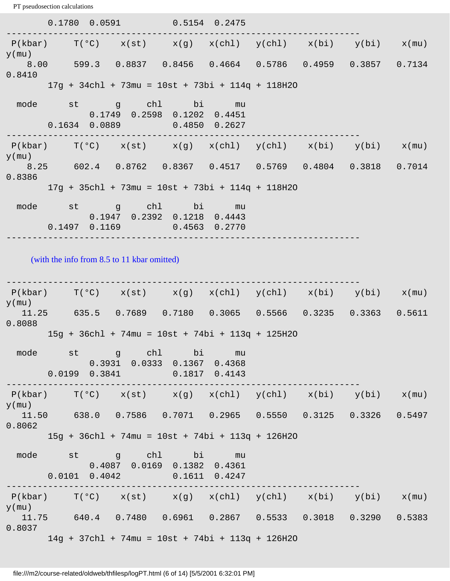0.1780 0.0591 0.5154 0.2475 --------------------------------------------------------------------  $P(kbar)$   $T(^{\circ}C)$   $x(st)$   $x(g)$   $x(chl)$   $y(chl)$   $x(bi)$   $y(bi)$   $x(mu)$  $y$ (mu) 8.00 599.3 0.8837 0.8456 0.4664 0.5786 0.4959 0.3857 0.7134 0.8410 17g + 34chl + 73mu = 10st + 73bi + 114q + 118H2O mode st g chl bi mu 0.1749 0.2598 0.1202 0.4451 0.1634 0.0889 0.4850 0.2627 --------------------------------------------------------------------  $P(kbar)$   $T(°C)$   $x(st)$   $x(g)$   $x(chl)$   $y(chl)$   $x(bi)$   $y(bi)$   $x(mu)$ y(mu) 8.25 602.4 0.8762 0.8367 0.4517 0.5769 0.4804 0.3818 0.7014 0.8386 17g + 35chl + 73mu = 10st + 73bi + 114q + 118H2O mode st q chl bi mu 0.1947 0.2392 0.1218 0.4443 0.1497 0.1169 0.4563 0.2770 --------------------------------------------------------------------

(with the info from 8.5 to 11 kbar omitted)

--------------------------------------------------------------------  $P(kbar)$   $T(^{o}C)$   $x(st)$   $x(q)$   $x(chl)$   $y(chl)$   $x(bi)$   $y(bi)$   $x(mu)$ y(mu) 11.25 635.5 0.7689 0.7180 0.3065 0.5566 0.3235 0.3363 0.5611 0.8088 15g + 36chl + 74mu = 10st + 74bi + 113q + 125H2O mode st g chl bi mu 0.3931 0.0333 0.1367 0.4368 0.0199 0.3841 0.1817 0.4143 --------------------------------------------------------------------  $P(kbar)$   $T(°C)$   $x(st)$   $x(g)$   $x(ch1)$   $y(ch1)$   $x(bi)$   $y(bi)$   $x(mu)$ y(mu) 11.50 638.0 0.7586 0.7071 0.2965 0.5550 0.3125 0.3326 0.5497 0.8062 15g + 36chl + 74mu = 10st + 74bi + 113q + 126H2O mode st g chl bi mu 0.4087 0.0169 0.1382 0.4361 0.0101 0.4042 0.1611 0.4247 --------------------------------------------------------------------  $P(kbar)$   $T(°C)$   $x(st)$   $x(g)$   $x(chl)$   $y(chl)$   $x(bi)$   $y(bi)$   $x(mu)$  $y$ (mu) 11.75 640.4 0.7480 0.6961 0.2867 0.5533 0.3018 0.3290 0.5383 0.8037 14g + 37chl + 74mu = 10st + 74bi + 113q + 126H2O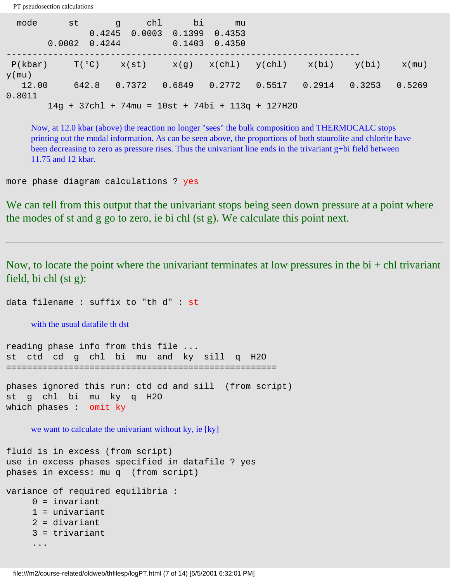mode st g chl bi mu 0.4245 0.0003 0.1399 0.4353 0.0002 0.4244 0.1403 0.4350 --------------------------------------------------------------------  $P(kbar)$   $T(^{o}C)$   $x(st)$   $x(g)$   $x(chl)$   $y(chl)$   $x(bi)$   $y(bi)$   $x(mu)$  $y$ (mu) 12.00 642.8 0.7372 0.6849 0.2772 0.5517 0.2914 0.3253 0.5269 0.8011 14g + 37chl + 74mu = 10st + 74bi + 113q + 127H2O

Now, at 12.0 kbar (above) the reaction no longer "sees" the bulk composition and THERMOCALC stops printing out the modal information. As can be seen above, the proportions of both staurolite and chlorite have been decreasing to zero as pressure rises. Thus the univariant line ends in the trivariant g+bi field between 11.75 and 12 kbar.

more phase diagram calculations ? yes

PT pseudosection calculations

We can tell from this output that the univariant stops being seen down pressure at a point where the modes of st and g go to zero, ie bi chl (st g). We calculate this point next.

Now, to locate the point where the univariant terminates at low pressures in the  $bi + ch$  trivariant field, bi chl (st g):

data filename : suffix to "th d" : st

with the usual datafile th dst

reading phase info from this file ... st ctd cd g chl bi mu and ky sill q H2O ====================================================

phases ignored this run: ctd cd and sill (from script) st g chl bi mu ky q H2O which phases : omit ky

we want to calculate the univariant without ky, ie [ky]

```
fluid is in excess (from script)
use in excess phases specified in datafile ? yes
phases in excess: mu q (from script)
```

```
variance of required equilibria :
      0 = invariant
      1 = univariant
      2 = divariant
```

```
 3 = trivariant
```

```
 ...
```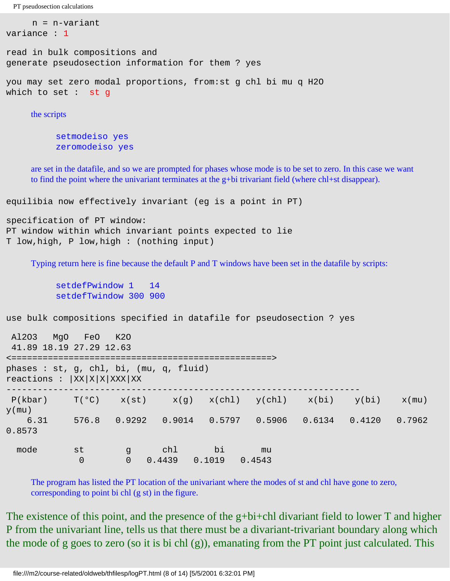n = n-variant

```
variance : 1
read in bulk compositions and 
generate pseudosection information for them ? yes
you may set zero modal proportions, from:st g chl bi mu q H2O 
which to set : st g
```
the scripts

setmodeiso yes zeromodeiso yes

are set in the datafile, and so we are prompted for phases whose mode is to be set to zero. In this case we want to find the point where the univariant terminates at the g+bi trivariant field (where chl+st disappear).

equilibia now effectively invariant (eg is a point in PT)

```
specification of PT window:
PT window within which invariant points expected to lie
T low,high, P low,high : (nothing input)
```
Typing return here is fine because the default P and T windows have been set in the datafile by scripts:

setdefPwindow 1 14 setdefTwindow 300 900

use bulk compositions specified in datafile for pseudosection ? yes

| MqO<br>A1203<br>41.89 18.19 27.29 12.63                               | FeO                  | K20                   |               |              |                                                  |  |        |          |  |  |
|-----------------------------------------------------------------------|----------------------|-----------------------|---------------|--------------|--------------------------------------------------|--|--------|----------|--|--|
| phases : st, g, chl, bi, (mu, q, fluid)<br>reactions :  XX X X XXX XX |                      |                       |               |              |                                                  |  |        |          |  |  |
| P(kbar)<br>$y$ (mu)                                                   | T(°C)                |                       |               |              | $x(st)$ $x(q)$ $x(chl)$ $y(chl)$ $x(bi)$ $y(bi)$ |  |        | $x$ (mu) |  |  |
| 6.31<br>0.8573                                                        |                      | 576.8 0.9292          |               |              | $0.9014$ 0.5797 0.5906 0.6134                    |  | 0.4120 | 0.7962   |  |  |
| mode                                                                  | st<br>$\overline{0}$ | g d<br>$\overline{0}$ | chl<br>0.4439 | bi<br>0.1019 | mu<br>0.4543                                     |  |        |          |  |  |

The program has listed the PT location of the univariant where the modes of st and chl have gone to zero, corresponding to point bi chl (g st) in the figure.

The existence of this point, and the presence of the g+bi+chl divariant field to lower T and higher P from the univariant line, tells us that there must be a divariant-trivariant boundary along which the mode of g goes to zero (so it is bi chl (g)), emanating from the PT point just calculated. This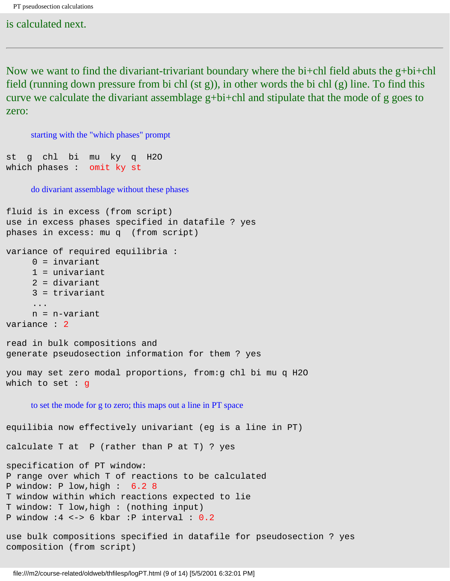is calculated next.

Now we want to find the divariant-trivariant boundary where the bi+chl field abuts the  $g+bi+chl$ field (running down pressure from bi chl (st g)), in other words the bi chl (g) line. To find this curve we calculate the divariant assemblage g+bi+chl and stipulate that the mode of g goes to zero:

```
starting with the "which phases" prompt
st g chl bi mu ky q H2O 
which phases : omit ky st
     do divariant assemblage without these phases
fluid is in excess (from script)
use in excess phases specified in datafile ? yes
phases in excess: mu q (from script)
variance of required equilibria :
     0 = invariant
      1 = univariant
      2 = divariant
      3 = trivariant
      ...
      n = n-variant
variance : 2
read in bulk compositions and 
generate pseudosection information for them ? yes
you may set zero modal proportions, from:g chl bi mu q H2O 
which to set : g
     to set the mode for g to zero; this maps out a line in PT space
equilibia now effectively univariant (eg is a line in PT)
calculate T at P (rather than P at T) ? yes
specification of PT window:
P range over which T of reactions to be calculated
P window: P low,high : 6.2 8 
T window within which reactions expected to lie
T window: T low,high : (nothing input)
P window :4 <-> 6 kbar :P interval : 0.2
use bulk compositions specified in datafile for pseudosection ? yes
```
composition (from script)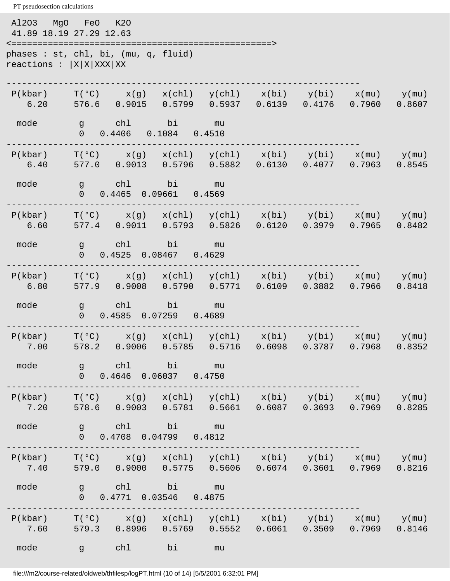PT pseudosection calculations Al2O3 MgO FeO K2O 41.89 18.19 27.29 12.63 <==================================================> phases : st, chl, bi, (mu, q, fluid) reactions :  $|X|X|XXX|XX$ --------------------------------------------------------------------  $P(kbar)$   $T(^{\circ}C)$   $x(g)$   $x(chl)$   $y(chl)$   $x(bi)$   $y(bi)$   $x(mu)$   $y(mu)$  6.20 576.6 0.9015 0.5799 0.5937 0.6139 0.4176 0.7960 0.8607 mode g chl bi mu 0 0.4406 0.1084 0.4510 --------------------------------------------------------------------  $P(kbar)$  T(°C)  $x(g)$   $x(chl)$   $y(chl)$   $x(bi)$   $y(bi)$   $x(mu)$   $y(mu)$  6.40 577.0 0.9013 0.5796 0.5882 0.6130 0.4077 0.7963 0.8545 mode g chl bi mu 0 0.4465 0.09661 0.4569 --------------------------------------------------------------------  $P(kbar)$   $T(^{\circ}C)$   $x(g)$   $x(chl)$   $y(chl)$   $x(bi)$   $y(bi)$   $x(mu)$   $y(mu)$  6.60 577.4 0.9011 0.5793 0.5826 0.6120 0.3979 0.7965 0.8482 mode g chl bi mu 0 0.4525 0.08467 0.4629 --------------------------------------------------------------------  $P(kbar)$   $T(°C)$   $x(g)$   $x(ch1)$   $y(ch1)$   $x(bi)$   $y(bi)$   $x(mu)$   $y(mu)$  6.80 577.9 0.9008 0.5790 0.5771 0.6109 0.3882 0.7966 0.8418 mode g chl bi mu 0 0.4585 0.07259 0.4689 --------------------------------------------------------------------  $P(kbar)$   $T(^{\circ}C)$   $x(g)$   $x(chl)$   $y(chl)$   $x(bi)$   $y(bi)$   $x(mu)$   $y(mu)$  7.00 578.2 0.9006 0.5785 0.5716 0.6098 0.3787 0.7968 0.8352 mode g chl bi mu 0 0.4646 0.06037 0.4750 --------------------------------------------------------------------  $P(kbar)$   $T(^{\circ}C)$   $x(g)$   $x(chl)$   $y(chl)$   $x(bi)$   $y(bi)$   $x(mu)$   $y(mu)$  7.20 578.6 0.9003 0.5781 0.5661 0.6087 0.3693 0.7969 0.8285 mode g chl bi mu 0 0.4708 0.04799 0.4812 --------------------------------------------------------------------  $P(kbar)$   $T(°C)$   $x(g)$   $x(chl)$   $y(chl)$   $x(bi)$   $y(bi)$   $x(mu)$   $y(mu)$  7.40 579.0 0.9000 0.5775 0.5606 0.6074 0.3601 0.7969 0.8216 mode g chl bi mu 0 0.4771 0.03546 0.4875 --------------------------------------------------------------------  $P(kbar)$   $T(^{\circ}C)$   $x(g)$   $x(chl)$   $y(chl)$   $x(bi)$   $y(bi)$   $x(mu)$   $y(mu)$  7.60 579.3 0.8996 0.5769 0.5552 0.6061 0.3509 0.7969 0.8146 mode g chl bi mu

file:///m2/course-related/oldweb/thfilesp/logPT.html (10 of 14) [5/5/2001 6:32:01 PM]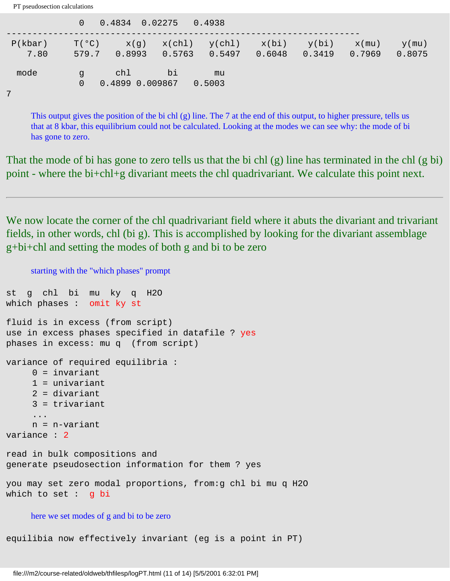|                 | $\Omega$                | 0.4834 0.02275         |        | 0.4938                                             |        |        |                    |                    |
|-----------------|-------------------------|------------------------|--------|----------------------------------------------------|--------|--------|--------------------|--------------------|
| P(kbar)<br>7.80 | $T(^{\circ}C)$<br>579.7 | 0.8993                 | 0.5763 | $x(g)$ $x(chl)$ $y(chl)$ $x(bi)$ $y(bi)$<br>0.5497 | 0.6048 | 0.3419 | $x$ (mu)<br>0.7969 | $y$ (mu)<br>0.8075 |
| mode            | $\alpha$<br>0           | chl<br>0.4899 0.009867 | bi     | mu<br>0.5003                                       |        |        |                    |                    |

This output gives the position of the bi chl (g) line. The 7 at the end of this output, to higher pressure, tells us that at 8 kbar, this equilibrium could not be calculated. Looking at the modes we can see why: the mode of bi has gone to zero.

That the mode of bi has gone to zero tells us that the bi chl (g) line has terminated in the chl (g bi) point - where the bi+chl+g divariant meets the chl quadrivariant. We calculate this point next.

We now locate the corner of the chl quadrivariant field where it abuts the divariant and trivariant fields, in other words, chl (bi g). This is accomplished by looking for the divariant assemblage g+bi+chl and setting the modes of both g and bi to be zero

starting with the "which phases" prompt st g chl bi mu ky q H2O which phases : omit ky st fluid is in excess (from script) use in excess phases specified in datafile ? yes phases in excess: mu q (from script) variance of required equilibria :  $0 =$  invariant 1 = univariant 2 = divariant 3 = trivariant ... n = n-variant variance : 2 read in bulk compositions and generate pseudosection information for them ? yes you may set zero modal proportions, from:g chl bi mu q H2O which to set : g bi here we set modes of g and bi to be zero

equilibia now effectively invariant (eg is a point in PT)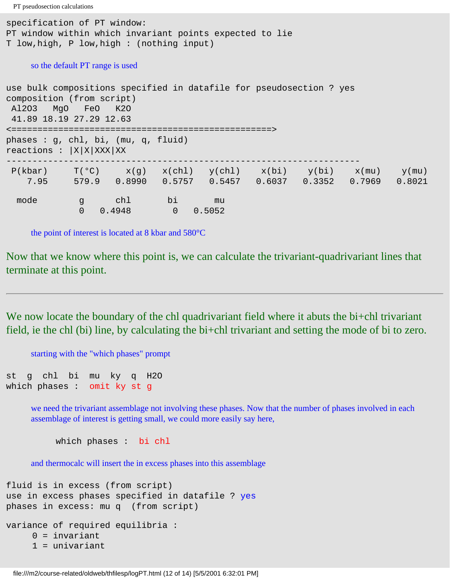```
specification of PT window:
PT window within which invariant points expected to lie
T low,high, P low,high : (nothing input)
    so the default PT range is used
use bulk compositions specified in datafile for pseudosection ? yes
composition (from script)
 Al2O3 MgO FeO K2O
 41.89 18.19 27.29 12.63
<==================================================>
phases : g, chl, bi, (mu, q, fluid) 
reactions : |X|X|XXX|XX--------------------------------------------------------------------
P(kbar) T(^oC) x(g) x(chl) y(chl) x(bi) y(bi) x(mu) y(mu) 7.95 579.9 0.8990 0.5757 0.5457 0.6037 0.3352 0.7969 0.8021
  mode g chl bi mu
```
the point of interest is located at 8 kbar and 580°C

0 0.4948 0 0.5052

Now that we know where this point is, we can calculate the trivariant-quadrivariant lines that terminate at this point.

We now locate the boundary of the chl quadrivariant field where it abuts the bi+chl trivariant field, ie the chl (bi) line, by calculating the bi+chl trivariant and setting the mode of bi to zero.

starting with the "which phases" prompt

st g chl bi mu ky q H2O which phases : omit ky st g

> we need the trivariant assemblage not involving these phases. Now that the number of phases involved in each assemblage of interest is getting small, we could more easily say here,

which phases : bi chl

and thermocalc will insert the in excess phases into this assemblage

```
fluid is in excess (from script)
use in excess phases specified in datafile ? yes
phases in excess: mu q (from script)
variance of required equilibria :
      0 = invariant
      1 = univariant
```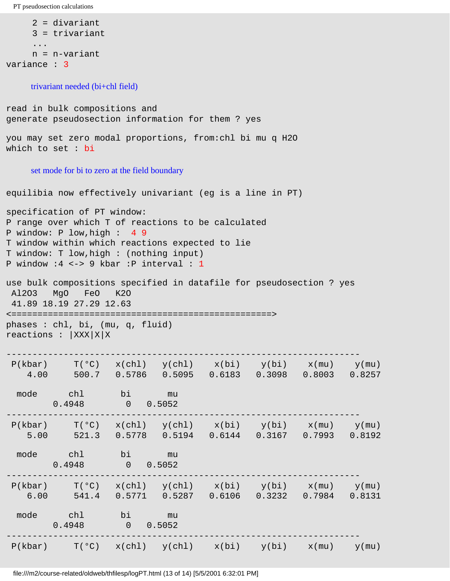```
 2 = divariant
      3 = trivariant
 ...
     n = n-variant
variance : 3
```
trivariant needed (bi+chl field)

read in bulk compositions and generate pseudosection information for them ? yes you may set zero modal proportions, from:chl bi mu q H2O which to set : bi set mode for bi to zero at the field boundary equilibia now effectively univariant (eg is a line in PT) specification of PT window: P range over which T of reactions to be calculated P window: P low,high : 4 9 T window within which reactions expected to lie T window: T low,high : (nothing input) P window :4 <-> 9 kbar :P interval : 1 use bulk compositions specified in datafile for pseudosection ? yes Al2O3 MgO FeO K2O 41.89 18.19 27.29 12.63 <==================================================> phases : chl, bi, (mu, q, fluid) reactions :  $|XXX|X|X$ --------------------------------------------------------------------  $P(kbar)$   $T(°C)$   $x(chl)$   $y(chl)$   $x(bi)$   $y(bi)$   $x(mu)$   $y(mu)$  4.00 500.7 0.5786 0.5095 0.6183 0.3098 0.8003 0.8257 mode chl bi mu 0.4948 0 0.5052 --------------------------------------------------------------------  $P(kbar)$   $T(°C)$   $x(chl)$   $y(chl)$   $x(bi)$   $y(bi)$   $x(mu)$   $y(mu)$  5.00 521.3 0.5778 0.5194 0.6144 0.3167 0.7993 0.8192 mode chl bi mu <br>0.4948 0 0.5052  $0 \t 0.5052$ --------------------------------------------------------------------  $P(kbar)$   $T(°C)$   $x(chl)$   $y(chl)$   $x(bi)$   $y(bi)$   $x(mu)$   $y(mu)$  6.00 541.4 0.5771 0.5287 0.6106 0.3232 0.7984 0.8131 mode chl bi mu  $0.4948$  0 0.5052 --------------------------------------------------------------------  $P(kbar)$   $T(^{\circ}C)$   $x(chl)$   $y(chl)$   $x(bi)$   $y(bi)$   $x(mu)$   $y(mu)$ 

file:///m2/course-related/oldweb/thfilesp/logPT.html (13 of 14) [5/5/2001 6:32:01 PM]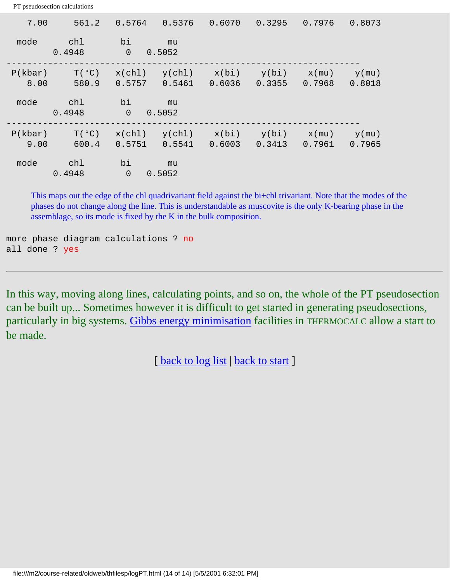| 7.00            | 561.2                   | 0.5764               | 0.5376           | 0.6070          | 0.3295          | 0.7976             | 0.8073             |
|-----------------|-------------------------|----------------------|------------------|-----------------|-----------------|--------------------|--------------------|
| mode            | chl<br>0.4948           | bi<br>$\overline{0}$ | mu<br>0.5052     |                 |                 |                    |                    |
| P(kbar)<br>8.00 | $T(^{\circ}C)$<br>580.9 | x(chl)<br>0.5757     | y(chl)<br>0.5461 | x(bi)<br>0.6036 | y(bi)<br>0.3355 | $x$ (mu)<br>0.7968 | $y$ (mu)<br>0.8018 |
| mode            | chl<br>0.4948           | bi<br>$\overline{0}$ | mu<br>0.5052     |                 |                 |                    |                    |
| P(kbar)<br>9.00 | $T(^{\circ}C)$<br>600.4 | x(ch1)<br>0.5751     | y(chl)<br>0.5541 | x(bi)<br>0.6003 | y(bi)<br>0.3413 | $x$ (mu)<br>0.7961 | $y$ (mu)<br>0.7965 |
| mode            | chl<br>0.4948           | bi<br>$\overline{0}$ | mu<br>0.5052     |                 |                 |                    |                    |

This maps out the edge of the chl quadrivariant field against the bi+chl trivariant. Note that the modes of the phases do not change along the line. This is understandable as muscovite is the only K-bearing phase in the assemblage, so its mode is fixed by the K in the bulk composition.

more phase diagram calculations ? no all done ? yes

In this way, moving along lines, calculating points, and so on, the whole of the PT pseudosection can be built up... Sometimes however it is difficult to get started in generating pseudosections, particularly in big systems. [Gibbs energy minimisation](#page-134-0) facilities in THERMOCALC allow a start to be made.

[ [back to log list](#page-18-0) | [back to start](#page-0-0) ]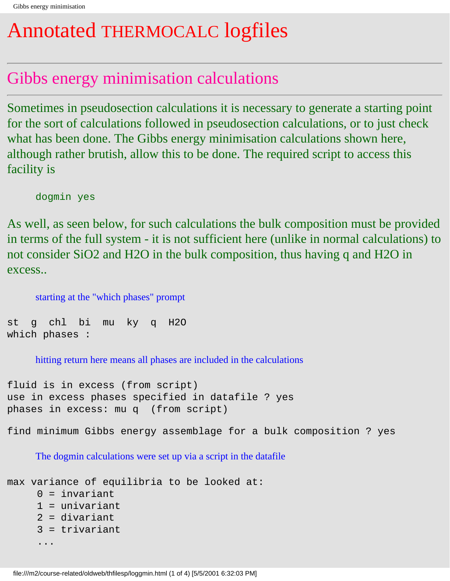# <span id="page-134-0"></span>Annotated THERMOCALC logfiles

### Gibbs energy minimisation calculations

Sometimes in pseudosection calculations it is necessary to generate a starting point for the sort of calculations followed in pseudosection calculations, or to just check what has been done. The Gibbs energy minimisation calculations shown here, although rather brutish, allow this to be done. The required script to access this facility is

dogmin yes

As well, as seen below, for such calculations the bulk composition must be provided in terms of the full system - it is not sufficient here (unlike in normal calculations) to not consider SiO2 and H2O in the bulk composition, thus having q and H2O in excess..

starting at the "which phases" prompt

st g chl bi mu ky q H2O which phases :

hitting return here means all phases are included in the calculations

```
fluid is in excess (from script)
use in excess phases specified in datafile ? yes
phases in excess: mu q (from script)
```
find minimum Gibbs energy assemblage for a bulk composition ? yes

The dogmin calculations were set up via a script in the datafile

```
max variance of equilibria to be looked at:
     0 = invariant
      1 = univariant
      2 = divariant
      3 = trivariant
      ...
```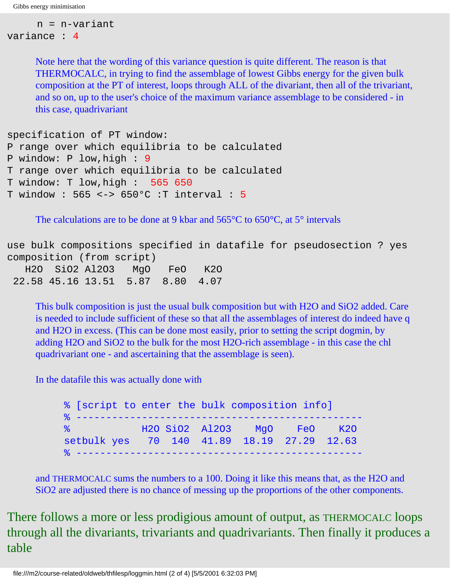```
 n = n-variant
variance : 4
```
Note here that the wording of this variance question is quite different. The reason is that THERMOCALC, in trying to find the assemblage of lowest Gibbs energy for the given bulk composition at the PT of interest, loops through ALL of the divariant, then all of the trivariant, and so on, up to the user's choice of the maximum variance assemblage to be considered - in this case, quadrivariant

```
specification of PT window:
P range over which equilibria to be calculated
P window: P low,high : 9
T range over which equilibria to be calculated
T window: T low,high : 565 650
T window : 565 <-> 650°C :T interval : 5
```
The calculations are to be done at 9 kbar and 565<sup>o</sup>C to 650<sup>o</sup>C, at 5<sup>o</sup> intervals

use bulk compositions specified in datafile for pseudosection ? yes composition (from script) H2O SiO2 Al2O3 MgO FeO K2O 22.58 45.16 13.51 5.87 8.80 4.07

This bulk composition is just the usual bulk composition but with H2O and SiO2 added. Care is needed to include sufficient of these so that all the assemblages of interest do indeed have q and H2O in excess. (This can be done most easily, prior to setting the script dogmin, by adding H2O and SiO2 to the bulk for the most H2O-rich assemblage - in this case the chl quadrivariant one - and ascertaining that the assemblage is seen).

In the datafile this was actually done with

% [script to enter the bulk composition info] % ------------------------------------------------ MgO FeO K2O setbulk yes 70 140 41.89 18.19 27.29 12.63 % ------------------------------------------------

and THERMOCALC sums the numbers to a 100. Doing it like this means that, as the H2O and SiO2 are adjusted there is no chance of messing up the proportions of the other components.

There follows a more or less prodigious amount of output, as THERMOCALC loops through all the divariants, trivariants and quadrivariants. Then finally it produces a table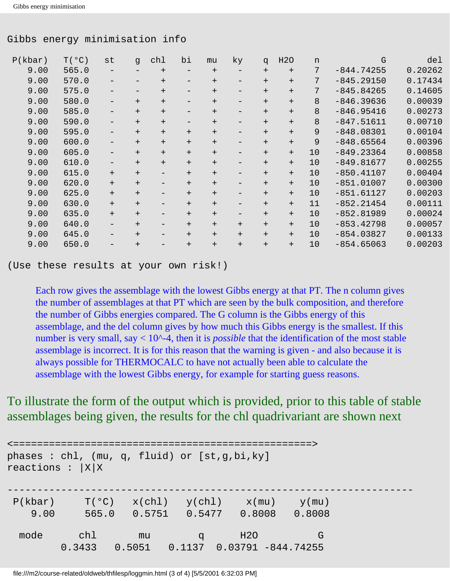#### Gibbs energy minimisation info

| P(kbar) | T(°C) | st     | g      | chl               | bi                | mu     | ky     | q      | H2O    | n  | G            | del     |
|---------|-------|--------|--------|-------------------|-------------------|--------|--------|--------|--------|----|--------------|---------|
| 9.00    | 565.0 |        |        | $^{+}$            |                   | $^{+}$ |        | $^{+}$ | $^{+}$ | 7  | $-844.74255$ | 0.20262 |
| 9.00    | 570.0 |        |        | $+$               |                   | $^{+}$ |        | $+$    | $+$    | 7  | $-845.29150$ | 0.17434 |
| 9.00    | 575.0 |        |        | $^{+}$            |                   | $^{+}$ |        | $+$    | $+$    | 7  | $-845.84265$ | 0.14605 |
| 9.00    | 580.0 |        | $^{+}$ | $^{+}$            | -                 | $^{+}$ |        | $+$    | $^{+}$ | 8  | $-846.39636$ | 0.00039 |
| 9.00    | 585.0 | —      | $+$    | $+$               | $\qquad \qquad -$ | $^{+}$ | -      | $+$    | $^{+}$ | 8  | $-846.95416$ | 0.00273 |
| 9.00    | 590.0 | $-$    | $^{+}$ | $^{+}$            | -                 | $^{+}$ | -      | $^{+}$ | $+$    | 8  | $-847.51611$ | 0.00710 |
| 9.00    | 595.0 |        | $^{+}$ | $+$               | $+$               | $+$    |        | $^{+}$ | $+$    | 9  | $-848.08301$ | 0.00104 |
| 9.00    | 600.0 |        | $^{+}$ | $+$               | $^{+}$            | $^{+}$ |        | $+$    | $+$    | 9  | $-848.65564$ | 0.00396 |
| 9.00    | 605.0 |        | $+$    | $+$               | $+$               | $^{+}$ |        | $+$    | $+$    | 10 | $-849.23364$ | 0.00858 |
| 9.00    | 610.0 | -      | $^{+}$ | $^{+}$            | $^{+}$            | $^{+}$ |        | $^{+}$ | $^{+}$ | 10 | $-849.81677$ | 0.00255 |
| 9.00    | 615.0 | $^{+}$ | $+$    | $\qquad \qquad -$ | $+$               | $^{+}$ |        | $^{+}$ | $+$    | 10 | $-850.41107$ | 0.00404 |
| 9.00    | 620.0 | $+$    | $+$    | -                 | $+$               | $^{+}$ | -      | $^{+}$ | $+$    | 10 | $-851.01007$ | 0.00300 |
| 9.00    | 625.0 | $+$    | $+$    | -                 | $+$               | $+$    | -      | $+$    | $+$    | 10 | $-851.61127$ | 0.00203 |
| 9.00    | 630.0 | $+$    | $^{+}$ | -                 | $+$               | $^{+}$ |        | $^{+}$ | $^{+}$ | 11 | $-852.21454$ | 0.00111 |
| 9.00    | 635.0 | $+$    | $^{+}$ | $\qquad \qquad -$ | $+$               | $^{+}$ | -      | $^{+}$ | $+$    | 10 | $-852.81989$ | 0.00024 |
| 9.00    | 640.0 |        | $^{+}$ |                   | $+$               | $+$    | $+$    | $+$    | $+$    | 10 | $-853.42798$ | 0.00057 |
| 9.00    | 645.0 |        | $^{+}$ |                   | $^{+}$            | $+$    | $^{+}$ | $^{+}$ | $+$    | 10 | $-854.03827$ | 0.00133 |
| 9.00    | 650.0 |        | $^{+}$ |                   | $^{+}$            | $^{+}$ | $^{+}$ | $^{+}$ | $^{+}$ | 10 | $-854.65063$ | 0.00203 |
|         |       |        |        |                   |                   |        |        |        |        |    |              |         |

(Use these results at your own risk!)

Each row gives the assemblage with the lowest Gibbs energy at that PT. The n column gives the number of assemblages at that PT which are seen by the bulk composition, and therefore the number of Gibbs energies compared. The G column is the Gibbs energy of this assemblage, and the del column gives by how much this Gibbs energy is the smallest. If this number is very small, say  $< 10<sup>1</sup> - 4$ , then it is *possible* that the identification of the most stable assemblage is incorrect. It is for this reason that the warning is given - and also because it is always possible for THERMOCALC to have not actually been able to calculate the assemblage with the lowest Gibbs energy, for example for starting guess reasons.

#### To illustrate the form of the output which is provided, prior to this table of stable assemblages being given, the results for the chl quadrivariant are shown next

```
<==================================================>
phases : chl, (mu, q, fluid) or [st,g,bi,ky] 
reactions : |X|X
--------------------------------------------------------------------
P(kbar) T(^{o}C) x(chl) y(chl) x(mu) y(mu) 9.00 565.0 0.5751 0.5477 0.8008 0.8008
 mode chl mu q H2O G
        0.3433 0.5051 0.1137 0.03791 -844.74255
```
file:///m2/course-related/oldweb/thfilesp/loggmin.html (3 of 4) [5/5/2001 6:32:03 PM]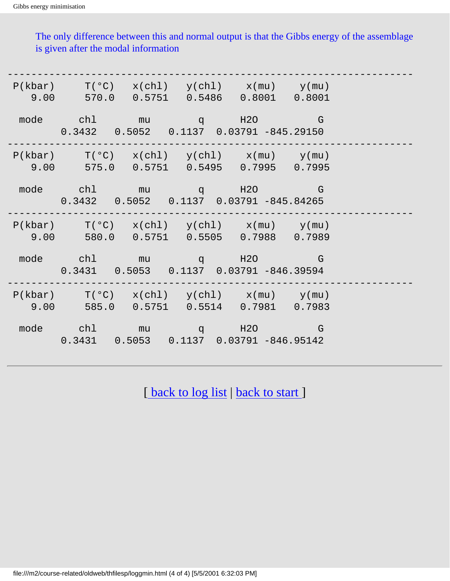The only difference between this and normal output is that the Gibbs energy of the assemblage is given after the modal information

| $P(kbar)$ $T(°C)$ $x(chl)$ $y(chl)$ $x(mu)$ $y(mu)$<br>$9.00$ $570.0$ $0.5751$ $0.5486$ $0.8001$ $0.8001$                                                                                                                        |  |  |  |
|----------------------------------------------------------------------------------------------------------------------------------------------------------------------------------------------------------------------------------|--|--|--|
| mode chl mu q H2O G<br>$0.3432$ $0.5052$ $0.1137$ $0.03791$ $-845.29150$                                                                                                                                                         |  |  |  |
| $P(kbar)$ $T(°C)$ $x(chl)$ $y(chl)$ $x(mu)$ $y(mu)$<br>9.00 575.0 0.5751 0.5495 0.7995 0.7995                                                                                                                                    |  |  |  |
| mode chl mu q H2O G<br>$0.3432$ $0.5052$ $0.1137$ $0.03791$ -845.84265                                                                                                                                                           |  |  |  |
| $\texttt{P}(\texttt{kbar}) \qquad \texttt{T}(\texttt{°C}) \quad \texttt{x}(\texttt{chl}) \quad \texttt{y}(\texttt{chl}) \qquad \texttt{x}(\texttt{mu}) \qquad \texttt{y}(\texttt{mu})$<br>9.00 580.0 0.5751 0.5505 0.7988 0.7989 |  |  |  |
| mode chl mu q H2O G<br>$0.3431$ $0.5053$ $0.1137$ $0.03791$ -846.39594                                                                                                                                                           |  |  |  |
| $P(kbar)$ $T(°C)$ $x(chl)$ $y(chl)$ $x(mu)$ $y(mu)$<br>9.00 585.0 0.5751 0.5514 0.7981 0.7983                                                                                                                                    |  |  |  |
| mode chl mu q H2O G<br>$0.3431$ $0.5053$ $0.1137$ $0.03791$ $-846.95142$                                                                                                                                                         |  |  |  |

[\[ back to log list](#page-18-0) | [back to start](#page-0-0) ]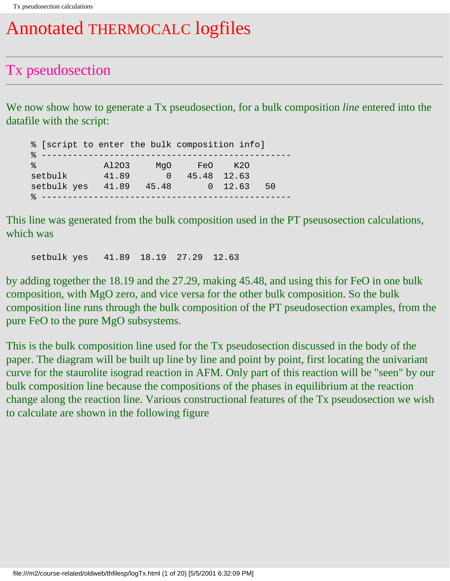## Annotated THERMOCALC logfiles

#### Tx pseudosection

We now show how to generate a Tx pseudosection, for a bulk composition *line* entered into the datafile with the script:

% [script to enter the bulk composition info] % ------------------------------------------------ % Al2O3 MgO FeO K2O setbulk 41.89 0 45.48 12.63 setbulk yes 41.89 45.48 0 12.63 50 % ------------------------------------------------

This line was generated from the bulk composition used in the PT pseusosection calculations, which was

setbulk yes 41.89 18.19 27.29 12.63

by adding together the 18.19 and the 27.29, making 45.48, and using this for FeO in one bulk composition, with MgO zero, and vice versa for the other bulk composition. So the bulk composition line runs through the bulk composition of the PT pseudosection examples, from the pure FeO to the pure MgO subsystems.

This is the bulk composition line used for the Tx pseudosection discussed in the body of the paper. The diagram will be built up line by line and point by point, first locating the univariant curve for the staurolite isograd reaction in AFM. Only part of this reaction will be "seen" by our bulk composition line because the compositions of the phases in equilibrium at the reaction change along the reaction line. Various constructional features of the Tx pseudosection we wish to calculate are shown in the following figure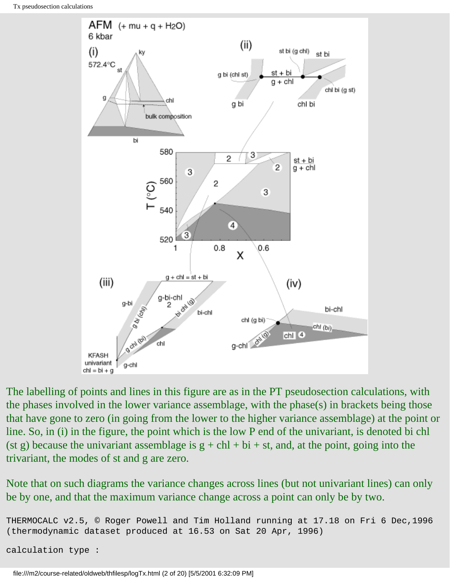

The labelling of points and lines in this figure are as in the PT pseudosection calculations, with the phases involved in the lower variance assemblage, with the phase(s) in brackets being those that have gone to zero (in going from the lower to the higher variance assemblage) at the point or line. So, in (i) in the figure, the point which is the low P end of the univariant, is denoted bi chl (st g) because the univariant assemblage is  $g + chl + bi + st$ , and, at the point, going into the trivariant, the modes of st and g are zero.

Note that on such diagrams the variance changes across lines (but not univariant lines) can only be by one, and that the maximum variance change across a point can only be by two.

```
THERMOCALC v2.5, © Roger Powell and Tim Holland running at 17.18 on Fri 6 Dec,1996
(thermodynamic dataset produced at 16.53 on Sat 20 Apr, 1996)
```
calculation type :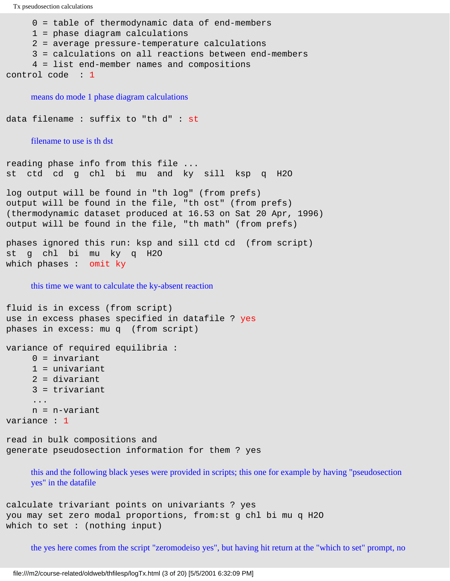Tx pseudosection calculations 0 = table of thermodynamic data of end-members 1 = phase diagram calculations 2 = average pressure-temperature calculations 3 = calculations on all reactions between end-members 4 = list end-member names and compositions control code : 1 means do mode 1 phase diagram calculations data filename : suffix to "th d" : st filename to use is th dst reading phase info from this file ... st ctd cd g chl bi mu and ky sill ksp q H2O log output will be found in "th log" (from prefs) output will be found in the file, "th ost" (from prefs) (thermodynamic dataset produced at 16.53 on Sat 20 Apr, 1996) output will be found in the file, "th math" (from prefs) phases ignored this run: ksp and sill ctd cd (from script) st g chl bi mu ky q H2O which phases : omit ky this time we want to calculate the ky-absent reaction fluid is in excess (from script) use in excess phases specified in datafile ? yes phases in excess: mu q (from script) variance of required equilibria :  $0 =$  invariant 1 = univariant 2 = divariant

3 = trivariant

```
 ...
 n = n-variant
```

```
variance : 1
```
read in bulk compositions and generate pseudosection information for them ? yes

this and the following black yeses were provided in scripts; this one for example by having "pseudosection yes" in the datafile

calculate trivariant points on univariants ? yes you may set zero modal proportions, from:st g chl bi mu q H2O which to set : (nothing input)

the yes here comes from the script "zeromodeiso yes", but having hit return at the "which to set" prompt, no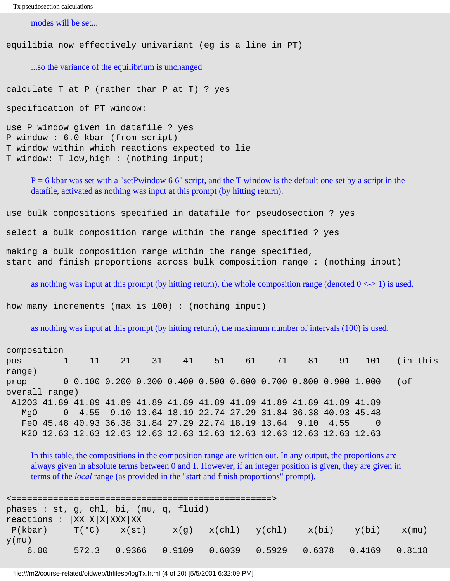```
Tx pseudosection calculations
```
modes will be set...

equilibia now effectively univariant (eg is a line in PT)

...so the variance of the equilibrium is unchanged

calculate T at P (rather than P at T) ? yes

specification of PT window:

use P window given in datafile ? yes P window : 6.0 kbar (from script) T window within which reactions expected to lie T window: T low,high : (nothing input)

 $P = 6$  kbar was set with a "setPwindow 6.6" script, and the T window is the default one set by a script in the datafile, activated as nothing was input at this prompt (by hitting return).

use bulk compositions specified in datafile for pseudosection ? yes

select a bulk composition range within the range specified ? yes

making a bulk composition range within the range specified, start and finish proportions across bulk composition range : (nothing input)

as nothing was input at this prompt (by hitting return), the whole composition range (denoted  $0 \le -1$ ) is used.

how many increments (max is 100) : (nothing input)

as nothing was input at this prompt (by hitting return), the maximum number of intervals (100) is used.

| composition                                                             |  |              |  |                                                                       |  |  |                                   |  |  |          |
|-------------------------------------------------------------------------|--|--------------|--|-----------------------------------------------------------------------|--|--|-----------------------------------|--|--|----------|
| pos                                                                     |  | $1 \quad 11$ |  | 21 31 41                                                              |  |  | 51    61    71    81    91    101 |  |  | (in this |
| range)                                                                  |  |              |  |                                                                       |  |  |                                   |  |  |          |
| prop                                                                    |  |              |  | $0.0.100.0.200.0.300.0.400.0.500.0.600.0.700.800.0.900.1.000$         |  |  |                                   |  |  | of)      |
| overall range)                                                          |  |              |  |                                                                       |  |  |                                   |  |  |          |
| Al2O3 41.89 41.89 41.89 41.89 41.89 41.89 41.89 41.89 41.89 41.89 41.89 |  |              |  |                                                                       |  |  |                                   |  |  |          |
| MaO                                                                     |  |              |  | 0 4.55 9.10 13.64 18.19 22.74 27.29 31.84 36.38 40.93 45.48           |  |  |                                   |  |  |          |
|                                                                         |  |              |  | FeO 45.48 40.93 36.38 31.84 27.29 22.74 18.19 13.64 9.10 4.55         |  |  |                                   |  |  |          |
|                                                                         |  |              |  | K20 12.63 12.63 12.63 12.63 12.63 12.63 12.63 12.63 12.63 12.63 12.63 |  |  |                                   |  |  |          |

In this table, the compositions in the composition range are written out. In any output, the proportions are always given in absolute terms between 0 and 1. However, if an integer position is given, they are given in terms of the *local* range (as provided in the "start and finish proportions" prompt).

<==================================================> phases : st, g, chl, bi, (mu, q, fluid)  $reactions : |XX|X|X|XXX|XX$  $P(kbar)$   $T(^{o}C)$   $x(st)$   $x(q)$   $x(chl)$   $y(chl)$   $x(bi)$   $y(bi)$   $x(mu)$  $y$ (mu) 6.00 572.3 0.9366 0.9109 0.6039 0.5929 0.6378 0.4169 0.8118

file:///m2/course-related/oldweb/thfilesp/logTx.html (4 of 20) [5/5/2001 6:32:09 PM]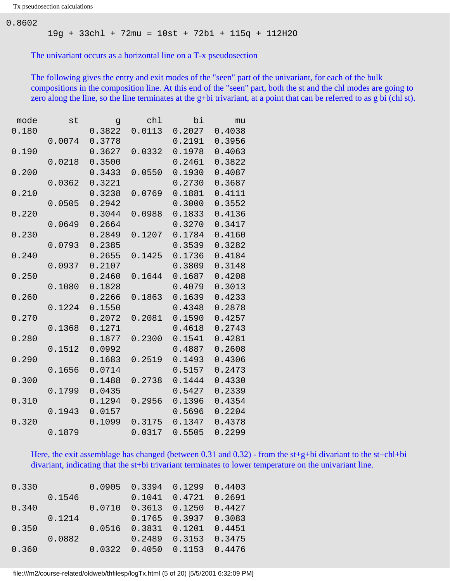0.8602

19g + 33chl + 72mu = 10st + 72bi + 115q + 112H2O

The univariant occurs as a horizontal line on a T-x pseudosection

The following gives the entry and exit modes of the "seen" part of the univariant, for each of the bulk compositions in the composition line. At this end of the "seen" part, both the st and the chl modes are going to zero along the line, so the line terminates at the g+bi trivariant, at a point that can be referred to as g bi (chl st).

| mode  | st     | $\mathsf{G}$ | ch1    | bi     | mu     |
|-------|--------|--------------|--------|--------|--------|
| 0.180 |        | 0.3822       | 0.0113 | 0.2027 | 0.4038 |
|       | 0.0074 | 0.3778       |        | 0.2191 | 0.3956 |
| 0.190 |        | 0.3627       | 0.0332 | 0.1978 | 0.4063 |
|       | 0.0218 | 0.3500       |        | 0.2461 | 0.3822 |
| 0.200 |        | 0.3433       | 0.0550 | 0.1930 | 0.4087 |
|       | 0.0362 | 0.3221       |        | 0.2730 | 0.3687 |
| 0.210 |        | 0.3238       | 0.0769 | 0.1881 | 0.4111 |
|       | 0.0505 | 0.2942       |        | 0.3000 | 0.3552 |
| 0.220 |        | 0.3044       | 0.0988 | 0.1833 | 0.4136 |
|       | 0.0649 | 0.2664       |        | 0.3270 | 0.3417 |
| 0.230 |        | 0.2849       | 0.1207 | 0.1784 | 0.4160 |
|       | 0.0793 | 0.2385       |        | 0.3539 | 0.3282 |
| 0.240 |        | 0.2655       | 0.1425 | 0.1736 | 0.4184 |
|       | 0.0937 | 0.2107       |        | 0.3809 | 0.3148 |
| 0.250 |        | 0.2460       | 0.1644 | 0.1687 | 0.4208 |
|       | 0.1080 | 0.1828       |        | 0.4079 | 0.3013 |
| 0.260 |        | 0.2266       | 0.1863 | 0.1639 | 0.4233 |
|       | 0.1224 | 0.1550       |        | 0.4348 | 0.2878 |
| 0.270 |        | 0.2072       | 0.2081 | 0.1590 | 0.4257 |
|       | 0.1368 | 0.1271       |        | 0.4618 | 0.2743 |
| 0.280 |        | 0.1877       | 0.2300 | 0.1541 | 0.4281 |
|       | 0.1512 | 0.0992       |        | 0.4887 | 0.2608 |
| 0.290 |        | 0.1683       | 0.2519 | 0.1493 | 0.4306 |
|       | 0.1656 | 0.0714       |        | 0.5157 | 0.2473 |
| 0.300 |        | 0.1488       | 0.2738 | 0.1444 | 0.4330 |
|       | 0.1799 | 0.0435       |        | 0.5427 | 0.2339 |
| 0.310 |        | 0.1294       | 0.2956 | 0.1396 | 0.4354 |
|       | 0.1943 | 0.0157       |        | 0.5696 | 0.2204 |
| 0.320 |        | 0.1099       | 0.3175 | 0.1347 | 0.4378 |
|       | 0.1879 |              | 0.0317 | 0.5505 | 0.2299 |

Here, the exit assemblage has changed (between 0.31 and 0.32) - from the st+g+bi divariant to the st+chl+bi divariant, indicating that the st+bi trivariant terminates to lower temperature on the univariant line.

| 0.330 |        |        | $0.0905$ 0.3394 0.1299 0.4403       |                            |        |
|-------|--------|--------|-------------------------------------|----------------------------|--------|
|       | 0.1546 |        |                                     | $0.1041$ $0.4721$ $0.2691$ |        |
| 0.340 |        | 0.0710 | $0.3613$ $0.1250$                   |                            | 0.4427 |
|       | 0.1214 |        |                                     | $0.1765$ 0.3937 0.3083     |        |
| 0.350 |        |        | $0.0516$ $0.3831$ $0.1201$ $0.4451$ |                            |        |
|       | 0.0882 |        | 0.2489                              | $0.3153$ 0.3475            |        |
| 0.360 |        |        | $0.0322$ $0.4050$ $0.1153$ $0.4476$ |                            |        |

file:///m2/course-related/oldweb/thfilesp/logTx.html (5 of 20) [5/5/2001 6:32:09 PM]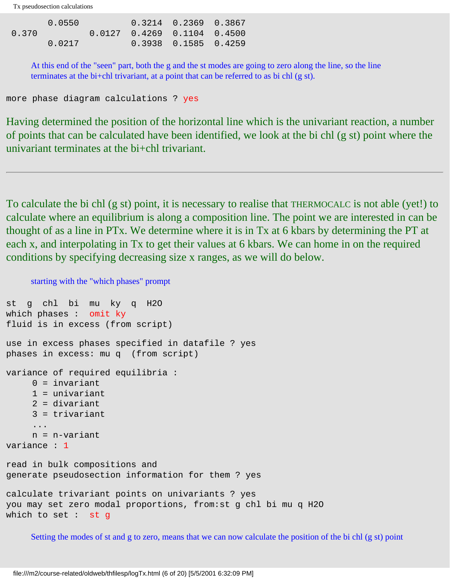|       | 0.0550 |                                | $0.3214$ $0.2369$ $0.3867$ |  |
|-------|--------|--------------------------------|----------------------------|--|
| 0.370 |        | 0.0127  0.4269  0.1104  0.4500 |                            |  |
|       | 0.0217 |                                | 0.3938  0.1585  0.4259     |  |

At this end of the "seen" part, both the g and the st modes are going to zero along the line, so the line terminates at the bi+chl trivariant, at a point that can be referred to as bi chl (g st).

more phase diagram calculations ? yes

Having determined the position of the horizontal line which is the univariant reaction, a number of points that can be calculated have been identified, we look at the bi chl (g st) point where the univariant terminates at the bi+chl trivariant.

To calculate the bi chl (g st) point, it is necessary to realise that THERMOCALC is not able (yet!) to calculate where an equilibrium is along a composition line. The point we are interested in can be thought of as a line in PTx. We determine where it is in Tx at 6 kbars by determining the PT at each x, and interpolating in Tx to get their values at 6 kbars. We can home in on the required conditions by specifying decreasing size x ranges, as we will do below.

starting with the "which phases" prompt

```
st g chl bi mu ky q H2O 
which phases : omit ky
fluid is in excess (from script)
use in excess phases specified in datafile ? yes
phases in excess: mu q (from script)
variance of required equilibria :
     0 = invariant
     1 = univariant.
      2 = divariant
      3 = trivariant
      ...
      n = n-variant
variance : 1
read in bulk compositions and 
generate pseudosection information for them ? yes
calculate trivariant points on univariants ? yes
you may set zero modal proportions, from:st g chl bi mu q H2O 
which to set : st g
```
Setting the modes of st and g to zero, means that we can now calculate the position of the bi chl (g st) point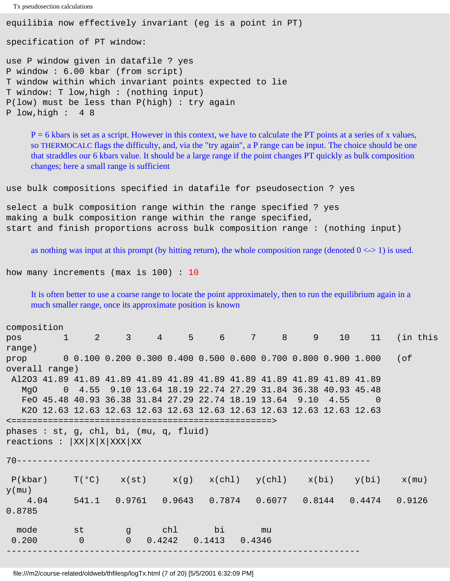```
Tx pseudosection calculations
equilibia now effectively invariant (eg is a point in PT)
specification of PT window:
use P window given in datafile ? yes
P window : 6.00 kbar (from script)
T window within which invariant points expected to lie
T window: T low,high : (nothing input)
P(low) must be less than P(high) : try again
P low,high : 4 8
```
 $P = 6$  kbars is set as a script. However in this context, we have to calculate the PT points at a series of x values, so THERMOCALC flags the difficulty, and, via the "try again", a P range can be input. The choice should be one that straddles our 6 kbars value. It should be a large range if the point changes PT quickly as bulk composition changes; here a small range is sufficient

use bulk compositions specified in datafile for pseudosection ? yes

select a bulk composition range within the range specified ? yes making a bulk composition range within the range specified, start and finish proportions across bulk composition range : (nothing input)

as nothing was input at this prompt (by hitting return), the whole composition range (denoted  $0 \le y \le 1$ ) is used.

how many increments (max is 100) : 10

It is often better to use a coarse range to locate the point approximately, then to run the equilibrium again in a much smaller range, once its approximate position is known

| composition                                                             |                |                                                                       |        |                                                                                                      |        |  |      |                                                                        |                                                                  |
|-------------------------------------------------------------------------|----------------|-----------------------------------------------------------------------|--------|------------------------------------------------------------------------------------------------------|--------|--|------|------------------------------------------------------------------------|------------------------------------------------------------------|
| pos                                                                     |                |                                                                       |        |                                                                                                      |        |  |      |                                                                        | 1 2 3 4 5 6 7 8 9 10 11 (in this                                 |
| range)                                                                  |                |                                                                       |        |                                                                                                      |        |  |      |                                                                        |                                                                  |
|                                                                         |                |                                                                       |        |                                                                                                      |        |  |      | prop $0.100 0.200 0.300 0.400 0.500 0.600 0.700 0.800 0.900 1.000$ (of |                                                                  |
| overall range)                                                          |                |                                                                       |        |                                                                                                      |        |  |      |                                                                        |                                                                  |
| Al2O3 41.89 41.89 41.89 41.89 41.89 41.89 41.89 41.89 41.89 41.89 41.89 |                |                                                                       |        |                                                                                                      |        |  |      |                                                                        |                                                                  |
|                                                                         |                | MgO 0 4.55 9.10 13.64 18.19 22.74 27.29 31.84 36.38 40.93 45.48       |        |                                                                                                      |        |  |      |                                                                        |                                                                  |
|                                                                         |                | FeO 45.48 40.93 36.38 31.84 27.29 22.74 18.19 13.64 9.10              |        |                                                                                                      |        |  | 4.55 | $\sim$ 0                                                               |                                                                  |
|                                                                         |                | K20 12.63 12.63 12.63 12.63 12.63 12.63 12.63 12.63 12.63 12.63 12.63 |        |                                                                                                      |        |  |      |                                                                        |                                                                  |
|                                                                         |                |                                                                       |        |                                                                                                      |        |  |      |                                                                        |                                                                  |
| phases: st, g, chl, bi, (mu, q, fluid)                                  |                |                                                                       |        |                                                                                                      |        |  |      |                                                                        |                                                                  |
| reactions : $ XX X X XXX XX$                                            |                |                                                                       |        |                                                                                                      |        |  |      |                                                                        |                                                                  |
|                                                                         |                |                                                                       |        |                                                                                                      |        |  |      |                                                                        |                                                                  |
|                                                                         |                |                                                                       |        |                                                                                                      |        |  |      |                                                                        |                                                                  |
| P(kbar)                                                                 |                |                                                                       |        |                                                                                                      |        |  |      |                                                                        | $T(°C)$ $x(st)$ $x(g)$ $x(chl)$ $y(chl)$ $x(bi)$ $y(bi)$ $x(mu)$ |
| $y$ (mu)                                                                |                |                                                                       |        |                                                                                                      |        |  |      |                                                                        |                                                                  |
| 4.04                                                                    |                |                                                                       |        |                                                                                                      |        |  |      |                                                                        | 541.1  0.9761  0.9643  0.7874  0.6077  0.8144  0.4474  0.9126    |
| 0.8785                                                                  |                |                                                                       |        |                                                                                                      |        |  |      |                                                                        |                                                                  |
|                                                                         |                |                                                                       |        |                                                                                                      |        |  |      |                                                                        |                                                                  |
| mode                                                                    | st st          |                                                                       |        | n girta dha bi bi marko bi marko bi marko bi bi marko bi bi marko bi bi bi bi bi bi bi bi bi bi bi b | e mu   |  |      |                                                                        |                                                                  |
| 0.200                                                                   | $\overline{0}$ | $\overline{0}$                                                        | 0.4242 | 0.1413                                                                                               | 0.4346 |  |      |                                                                        |                                                                  |
|                                                                         |                |                                                                       |        |                                                                                                      |        |  |      |                                                                        |                                                                  |

file:///m2/course-related/oldweb/thfilesp/logTx.html (7 of 20) [5/5/2001 6:32:09 PM]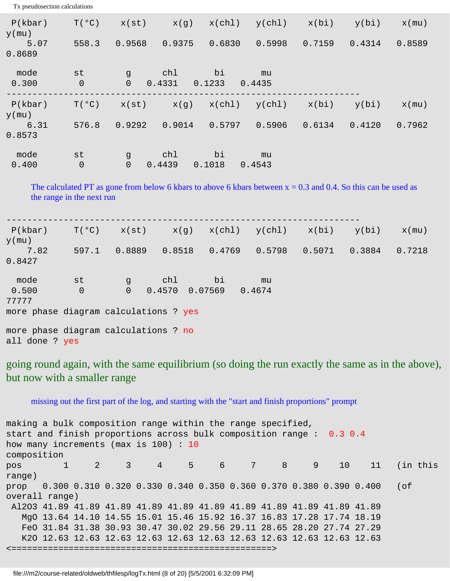| Tx pseudosection calculations         |                                                                                                                                              |                                                          |                |              |              |                                                  |        |          |
|---------------------------------------|----------------------------------------------------------------------------------------------------------------------------------------------|----------------------------------------------------------|----------------|--------------|--------------|--------------------------------------------------|--------|----------|
| P(kbar)<br>$y$ (mu)                   | T(°C)                                                                                                                                        |                                                          | $x(st)$ $x(g)$ | x(ch1)       |              | $y(chl)$ $x(bi)$ $y(bi)$                         |        | $x$ (mu) |
| 5.07<br>0.8689                        | 558.3                                                                                                                                        | 0.9568                                                   | 0.9375         | 0.6830       | 0.5998       | 0.7159                                           | 0.4314 | 0.8589   |
| mode<br>0.300                         | st<br>$\mathsf 0$                                                                                                                            | $\overline{g}$<br>$\overline{0}$                         | chl<br>0.4331  | bi<br>0.1233 | mu<br>0.4435 |                                                  |        |          |
| P(kbar)<br>$y$ (mu)                   | T(°C)                                                                                                                                        |                                                          |                |              |              | $x(st)$ $x(g)$ $x(chl)$ $y(chl)$ $x(bi)$ $y(bi)$ |        | $x$ (mu) |
| 6.31<br>0.8573                        | 576.8                                                                                                                                        | $0.9292$ $0.9014$                                        |                | 0.5797       | 0.5906       | 0.6134                                           | 0.4120 | 0.7962   |
| mode<br>0.400                         | st<br>$\overline{0}$                                                                                                                         | a g<br>$\overline{0}$                                    | chl<br>0.4439  | bi<br>0.1018 | mu<br>0.4543 |                                                  |        |          |
|                                       | The calculated PT as gone from below 6 kbars to above 6 kbars between $x = 0.3$ and 0.4. So this can be used as<br>the range in the next run |                                                          |                |              |              |                                                  |        |          |
| P(kbar)<br>$y$ (mu)                   |                                                                                                                                              | $T(°C)$ $x(st)$ $x(g)$ $x(chl)$ $y(chl)$ $x(bi)$ $y(bi)$ |                |              |              |                                                  |        | $x$ (mu) |
| 7.82<br>0.8427                        |                                                                                                                                              | 597.1 0.8889 0.8518                                      |                | 0.4769       | 0.5798       | 0.5071                                           | 0.3884 | 0.7218   |
| mode                                  | st                                                                                                                                           | <b>g</b>                                                 | chl            | bi           | mu           |                                                  |        |          |
| 0.500<br>77777                        | $\overline{0}$                                                                                                                               | 0                                                        | 0.4570 0.07569 |              | 0.4674       |                                                  |        |          |
| more phase diagram calculations ? yes |                                                                                                                                              |                                                          |                |              |              |                                                  |        |          |
| more phase diagram calculations ? no  |                                                                                                                                              |                                                          |                |              |              |                                                  |        |          |
| all done ? yes                        |                                                                                                                                              |                                                          |                |              |              |                                                  |        |          |

going round again, with the same equilibrium (so doing the run exactly the same as in the above), but now with a smaller range

missing out the first part of the log, and starting with the "start and finish proportions" prompt

making a bulk composition range within the range specified, start and finish proportions across bulk composition range : 0.3 0.4 how many increments (max is 100) : 10 composition pos 1 2 3 4 5 6 7 8 9 10 11 (in this range) prop 0.300 0.310 0.320 0.330 0.340 0.350 0.360 0.370 0.380 0.390 0.400 (of overall range) Al2O3 41.89 41.89 41.89 41.89 41.89 41.89 41.89 41.89 41.89 41.89 41.89 MgO 13.64 14.10 14.55 15.01 15.46 15.92 16.37 16.83 17.28 17.74 18.19 FeO 31.84 31.38 30.93 30.47 30.02 29.56 29.11 28.65 28.20 27.74 27.29 K2O 12.63 12.63 12.63 12.63 12.63 12.63 12.63 12.63 12.63 12.63 12.63 <==================================================>

file:///m2/course-related/oldweb/thfilesp/logTx.html (8 of 20) [5/5/2001 6:32:09 PM]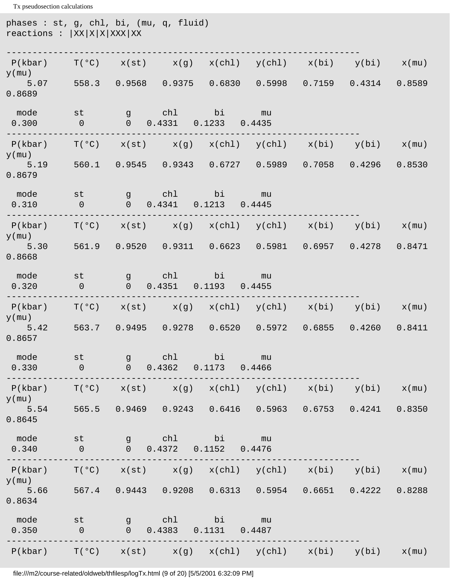Tx pseudosection calculations phases : st, g, chl, bi, (mu, q, fluid)  $reactions : |XX|X|X|X|XXX$ --------------------------------------------------------------------  $P(kbar)$   $T(°C)$   $x(st)$   $x(g)$   $x(chl)$   $y(chl)$   $x(bi)$   $y(bi)$   $x(mu)$  $y$ (mu) 5.07 558.3 0.9568 0.9375 0.6830 0.5998 0.7159 0.4314 0.8589 0.8689 mode st g chl bi mu 0.300 0 0 0.4331 0.1233 0.4435 --------------------------------------------------------------------  $P(kbar)$   $T(^{o}C)$   $x(st)$   $x(g)$   $x(chl)$   $y(chl)$   $x(bi)$   $y(bi)$   $x(mu)$ y(mu) 5.19 560.1 0.9545 0.9343 0.6727 0.5989 0.7058 0.4296 0.8530 0.8679 mode st g chl bi mu 0.310 0 0 0.4341 0.1213 0.4445 --------------------------------------------------------------------  $P(kbar)$  T(°C)  $x(st)$   $x(g)$   $x(chl)$   $y(chl)$   $x(bi)$   $y(bi)$   $x(mu)$  $y$ (mu) 5.30 561.9 0.9520 0.9311 0.6623 0.5981 0.6957 0.4278 0.8471 0.8668 mode st g chl bi mu 0.320 0 0 0.4351 0.1193 0.4455 --------------------------------------------------------------------  $P(kbar)$  T(°C)  $x(st)$   $x(g)$   $x(chl)$   $y(chl)$   $x(bi)$   $y(bi)$   $x(mu)$ y(mu) 5.42 563.7 0.9495 0.9278 0.6520 0.5972 0.6855 0.4260 0.8411 0.8657 mode st g chl bi mu 0.330 0 0 0.4362 0.1173 0.4466 --------------------------------------------------------------------  $P(kbar)$   $T(^{\circ}C)$   $x(st)$   $x(g)$   $x(chl)$   $y(chl)$   $x(bi)$   $y(bi)$   $x(mu)$ y(mu) 5.54 565.5 0.9469 0.9243 0.6416 0.5963 0.6753 0.4241 0.8350 0.8645 mode st g chl bi mu 0.340 0 0 0.4372 0.1152 0.4476 --------------------------------------------------------------------  $P(kbar)$   $T(°C)$   $x(st)$   $x(g)$   $x(chl)$   $y(chl)$   $x(bi)$   $y(bi)$   $x(mu)$ y(mu) 5.66 567.4 0.9443 0.9208 0.6313 0.5954 0.6651 0.4222 0.8288 0.8634 mode st g chl bi mu 0.350 0 0 0.4383 0.1131 0.4487 --------------------------------------------------------------------  $P(kbar)$   $T(°C)$   $x(st)$   $x(g)$   $x(chl)$   $y(chl)$   $x(bi)$   $y(bi)$   $x(mu)$ 

file:///m2/course-related/oldweb/thfilesp/logTx.html (9 of 20) [5/5/2001 6:32:09 PM]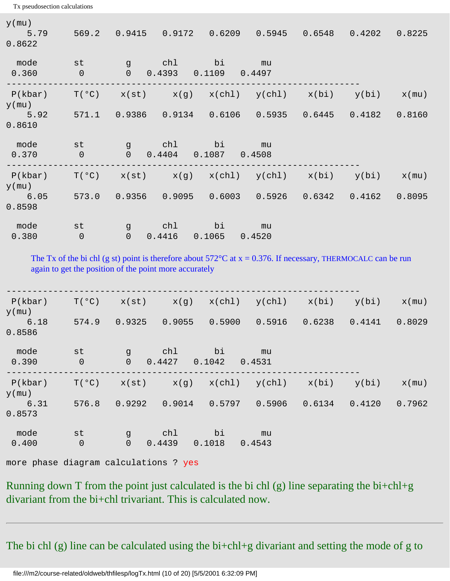Tx pseudosection calculations  $y$ (mu) 5.79 569.2 0.9415 0.9172 0.6209 0.5945 0.6548 0.4202 0.8225 0.8622 mode st g chl bi mu 0.360 0 0 0.4393 0.1109 0.4497 --------------------------------------------------------------------  $P(kbar)$   $T(°C)$   $x(st)$   $x(g)$   $x(chl)$   $y(chl)$   $x(bi)$   $y(bi)$   $x(mu)$  $y$ (mu) 5.92 571.1 0.9386 0.9134 0.6106 0.5935 0.6445 0.4182 0.8160 0.8610 mode st g chl bi mu 0.370 0 0 0.4404 0.1087 0.4508 --------------------------------------------------------------------  $P(kbar)$  T(°C)  $x(st)$   $x(g)$   $x(chl)$   $y(chl)$   $x(bi)$   $y(bi)$   $x(mu)$  $y$ (mu) 6.05 573.0 0.9356 0.9095 0.6003 0.5926 0.6342 0.4162 0.8095 0.8598 mode st g chl bi mu 0.380 0 0 0.4416 0.1065 0.4520

The Tx of the bi chl (g st) point is therefore about  $572^{\circ}$ C at  $x = 0.376$ . If necessary, THERMOCALC can be run again to get the position of the point more accurately

| P(kbar)<br>$y$ (mu) | T(°C)                | x(st)                          | x(g)          | x(chl)       | y(chl)       | x(bi)  | y(bi)  | $x$ (mu) |
|---------------------|----------------------|--------------------------------|---------------|--------------|--------------|--------|--------|----------|
| 6.18<br>0.8586      | 574.9                | 0.9325                         | 0.9055        | 0.5900       | 0.5916       | 0.6238 | 0.4141 | 0.8029   |
| mode<br>0.390       | st<br>$\overline{0}$ | $\mathsf{g}$<br>$\overline{0}$ | chl<br>0.4427 | bi<br>0.1042 | mu<br>0.4531 |        |        |          |
| P(kbar)<br>$y$ (mu) | T(°C)                | x(st)                          | x(g)          | x(ch1)       | y(chl)       | x(bi)  | y(bi)  | $x$ (mu) |
| 6.31<br>0.8573      | 576.8                | 0.9292                         | 0.9014        | 0.5797       | 0.5906       | 0.6134 | 0.4120 | 0.7962   |
| mode<br>0.400       | st<br>$\overline{0}$ | $\mathsf{g}$<br>$\overline{0}$ | chl<br>0.4439 | bi<br>0.1018 | mu<br>0.4543 |        |        |          |

more phase diagram calculations ? yes

Running down T from the point just calculated is the bi chl  $(g)$  line separating the bi+chl+g divariant from the bi+chl trivariant. This is calculated now.

The bi chl (g) line can be calculated using the bi+chl+g divariant and setting the mode of g to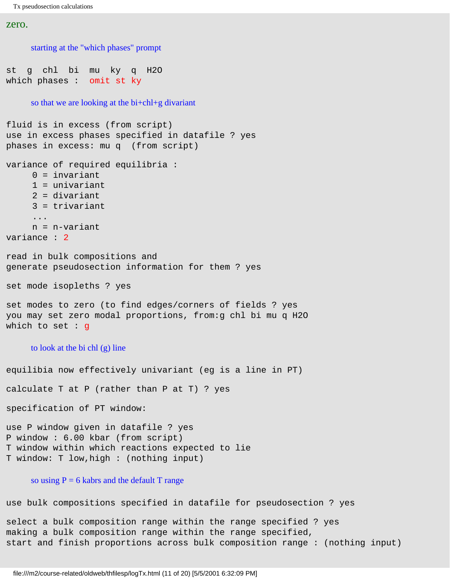```
zero.
```

```
starting at the "which phases" prompt
st g chl bi mu ky q H2O 
which phases : omit st ky
     so that we are looking at the bi+chl+g divariant
fluid is in excess (from script)
use in excess phases specified in datafile ? yes
phases in excess: mu q (from script)
variance of required equilibria :
      0 = invariant
      1 = univariant
     2 = divariant
      3 = trivariant
      ...
      n = n-variant
variance : 2
read in bulk compositions and 
generate pseudosection information for them ? yes
set mode isopleths ? yes
set modes to zero (to find edges/corners of fields ? yes
you may set zero modal proportions, from:g chl bi mu q H2O 
which to set : g
     to look at the bi chl (g) line
equilibia now effectively univariant (eg is a line in PT)
calculate T at P (rather than P at T) ? yes
specification of PT window:
use P window given in datafile ? yes
P window : 6.00 kbar (from script)
T window within which reactions expected to lie
T window: T low,high : (nothing input)
     so using P = 6 kabrs and the default T range
use bulk compositions specified in datafile for pseudosection ? yes
select a bulk composition range within the range specified ? yes
making a bulk composition range within the range specified,
```
start and finish proportions across bulk composition range : (nothing input)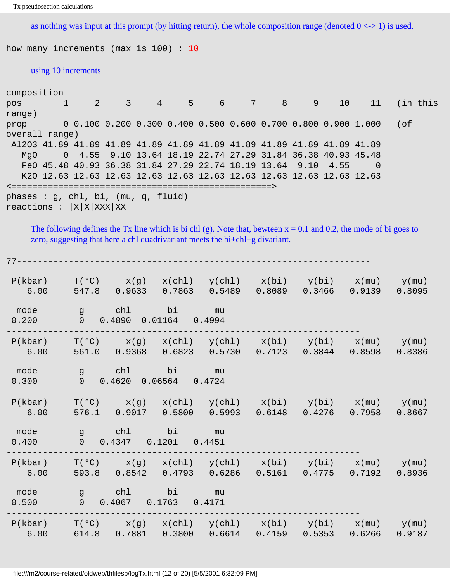as nothing was input at this prompt (by hitting return), the whole composition range (denoted  $0 \le$  > 1) is used.

how many increments (max is 100) : 10

#### using 10 increments

| composition                                                             |  |                                                                       |  |  |  |          |
|-------------------------------------------------------------------------|--|-----------------------------------------------------------------------|--|--|--|----------|
| pos                                                                     |  | $1$ 2 3 4 5 6 7 8 9 10 11                                             |  |  |  | (in this |
| range)                                                                  |  |                                                                       |  |  |  |          |
| prop                                                                    |  | $0.0.100$ 0.200 0.300 0.400 0.500 0.600 0.700 0.800 0.900 1.000       |  |  |  | (of      |
| overall range)                                                          |  |                                                                       |  |  |  |          |
| Al2O3 41.89 41.89 41.89 41.89 41.89 41.89 41.89 41.89 41.89 41.89 41.89 |  |                                                                       |  |  |  |          |
| MaO                                                                     |  | 0 4.55 9.10 13.64 18.19 22.74 27.29 31.84 36.38 40.93 45.48           |  |  |  |          |
|                                                                         |  | FeO 45.48 40.93 36.38 31.84 27.29 22.74 18.19 13.64 9.10 4.55         |  |  |  |          |
|                                                                         |  | K2O 12.63 12.63 12.63 12.63 12.63 12.63 12.63 12.63 12.63 12.63 12.63 |  |  |  |          |
|                                                                         |  | ====================================                                  |  |  |  |          |
| phases : $g$ , chl, bi, (mu, $g$ , fluid)                               |  |                                                                       |  |  |  |          |
| reactions : $ X X XXX XX$                                               |  |                                                                       |  |  |  |          |

The following defines the Tx line which is bi chl (g). Note that, bewteen  $x = 0.1$  and 0.2, the mode of bi goes to zero, suggesting that here a chl quadrivariant meets the bi+chl+g divariant.

| 77----          |                                                   |                          |                                                                                                                            |  |        |
|-----------------|---------------------------------------------------|--------------------------|----------------------------------------------------------------------------------------------------------------------------|--|--------|
| P(kbar)<br>6.00 |                                                   |                          | $T(^{\circ}C)$ $x(g)$ $x(ch1)$ $y(ch1)$ $x(bi)$ $y(bi)$ $x(mu)$ $y(mu)$<br>547.8 0.9633 0.7863 0.5489 0.8089 0.3466 0.9139 |  | 0.8095 |
| mode<br>0.200   | g chl bi mu<br>0 0.4890 0.01164 0.4994            |                          |                                                                                                                            |  |        |
| P(kbar)<br>6.00 |                                                   |                          | $T(°C)$ $x(g)$ $x(ch1)$ $y(ch1)$ $x(bi)$ $y(bi)$ $x(mu)$ $y(mu)$<br>561.0  0.9368  0.6823  0.5730  0.7123  0.3844  0.8598  |  | 0.8386 |
| mode<br>0.300   | g chl bi mu<br>$0 \t 0.4620 \t 0.06564 \t 0.4724$ |                          |                                                                                                                            |  |        |
| P(kbar)<br>6.00 |                                                   |                          | $T(°C)$ $x(g)$ $x(ch1)$ $y(ch1)$ $x(bi)$ $y(bi)$ $x(mu)$ $y(mu)$<br>576.1  0.9017  0.5800  0.5993  0.6148  0.4276  0.7958  |  | 0.8667 |
| mode<br>0.400   | g chl bi mu<br>$0$ $0.4347$ $0.1201$ $0.4451$     |                          |                                                                                                                            |  |        |
| P(kbar)<br>6.00 |                                                   |                          | $T(°C)$ $x(g)$ $x(ch1)$ $y(ch1)$ $x(bi)$ $y(bi)$ $x(mu)$ $y(mu)$<br>593.8  0.8542  0.4793  0.6286  0.5161  0.4775  0.7192  |  | 0.8936 |
| mode<br>0.500   | g chl bi mu                                       | $0$ 0.4067 0.1763 0.4171 |                                                                                                                            |  |        |
| P(kbar)<br>6.00 |                                                   |                          | $T(°C)$ $x(g)$ $x(ch1)$ $y(ch1)$ $x(bi)$ $y(bi)$ $x(mu)$ $y(mu)$<br>614.8  0.7881  0.3800  0.6614  0.4159  0.5353  0.6266  |  | 0.9187 |

file:///m2/course-related/oldweb/thfilesp/logTx.html (12 of 20) [5/5/2001 6:32:09 PM]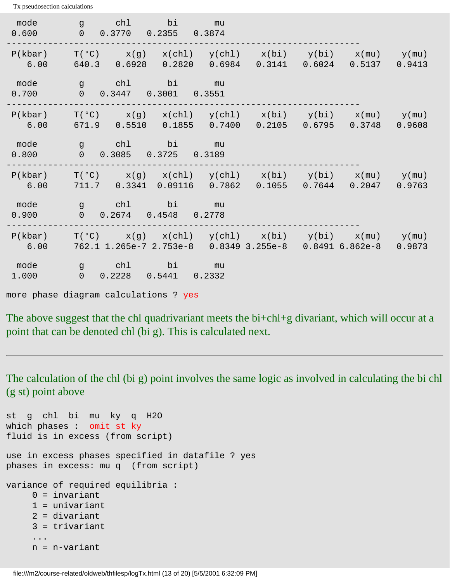mode g chl bi mu 0.600 0 0.3770 0.2355 0.3874 --------------------------------------------------------------------  $P(kbar)$   $T(°C)$   $x(g)$   $x(chl)$   $y(chl)$   $x(bi)$   $y(bi)$   $x(mu)$   $y(mu)$  6.00 640.3 0.6928 0.2820 0.6984 0.3141 0.6024 0.5137 0.9413 mode g chl bi mu 0.700 0 0.3447 0.3001 0.3551 --------------------------------------------------------------------  $P(kbar)$   $T(^{o}C)$   $x(g)$   $x(chl)$   $y(chl)$   $x(bi)$   $y(bi)$   $x(mu)$   $y(mu)$  6.00 671.9 0.5510 0.1855 0.7400 0.2105 0.6795 0.3748 0.9608 mode g chl bi mu 0.800 0 0.3085 0.3725 0.3189 --------------------------------------------------------------------  $P(kbar)$   $T(^{o}C)$   $x(g)$   $x(chl)$   $y(chl)$   $x(bi)$   $y(bi)$   $x(mu)$   $y(mu)$  6.00 711.7 0.3341 0.09116 0.7862 0.1055 0.7644 0.2047 0.9763 mode g chl bi mu 0.900 0 0.2674 0.4548 0.2778 --------------------------------------------------------------------  $P(kbar)$   $T(^{o}C)$   $x(g)$   $x(chl)$   $y(chl)$   $x(bi)$   $y(bi)$   $x(mu)$   $y(mu)$  6.00 762.1 1.265e-7 2.753e-8 0.8349 3.255e-8 0.8491 6.862e-8 0.9873 mode g chl bi mu 1.000 0 0.2228 0.5441 0.2332 more phase diagram calculations ? yes

The above suggest that the chl quadrivariant meets the bi+chl+g divariant, which will occur at a point that can be denoted chl (bi g). This is calculated next.

The calculation of the chl (bi g) point involves the same logic as involved in calculating the bi chl (g st) point above

```
st g chl bi mu ky q H2O 
which phases : omit st ky 
fluid is in excess (from script)
use in excess phases specified in datafile ? yes
phases in excess: mu q (from script)
variance of required equilibria :
     0 = invariant
      1 = univariant
      2 = divariant
      3 = trivariant
 ...
      n = n-variant
```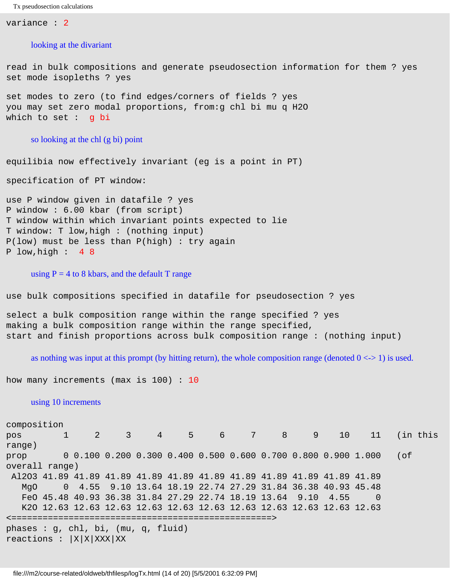variance : 2

#### looking at the divariant

read in bulk compositions and generate pseudosection information for them ? yes set mode isopleths ? yes

set modes to zero (to find edges/corners of fields ? yes you may set zero modal proportions, from:g chl bi mu q H2O which to set : g bi

#### so looking at the chl (g bi) point

equilibia now effectively invariant (eg is a point in PT)

specification of PT window:

use P window given in datafile ? yes P window : 6.00 kbar (from script) T window within which invariant points expected to lie T window: T low,high : (nothing input) P(low) must be less than P(high) : try again P low,high : 4 8

#### using  $P = 4$  to 8 kbars, and the default T range

use bulk compositions specified in datafile for pseudosection ? yes

select a bulk composition range within the range specified ? yes making a bulk composition range within the range specified, start and finish proportions across bulk composition range : (nothing input)

as nothing was input at this prompt (by hitting return), the whole composition range (denoted  $0 \le -1$ ) is used.

how many increments (max is 100) : 10

#### using 10 increments

composition pos 1 2 3 4 5 6 7 8 9 10 11 (in this range) prop 0 0.100 0.200 0.300 0.400 0.500 0.600 0.700 0.800 0.900 1.000 (of overall range) Al2O3 41.89 41.89 41.89 41.89 41.89 41.89 41.89 41.89 41.89 41.89 41.89 MgO 0 4.55 9.10 13.64 18.19 22.74 27.29 31.84 36.38 40.93 45.48 FeO 45.48 40.93 36.38 31.84 27.29 22.74 18.19 13.64 9.10 4.55 0 K2O 12.63 12.63 12.63 12.63 12.63 12.63 12.63 12.63 12.63 12.63 12.63 <==================================================> phases : g, chl, bi, (mu, q, fluid) reactions :  $|X|X|XXX|XX$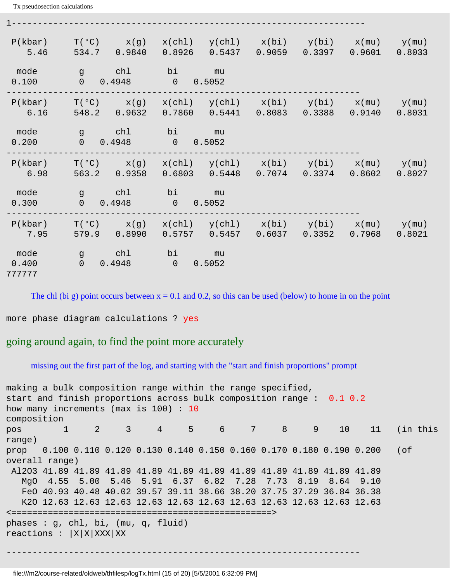| P(kbar)<br>5.46         | T(°C)<br>x(g)<br>534.7<br>0.9840                  | $x(chl)$ $y(chl)$ $x(bi)$ $y(bi)$ $x(mu)$ $y(mu)$<br>0.5437<br>0.8926                                      | 0.9059 | $0.3397$ $0.9601$      | 0.8033 |
|-------------------------|---------------------------------------------------|------------------------------------------------------------------------------------------------------------|--------|------------------------|--------|
| mode<br>0.100           | chl<br>$\mathsf{a}$<br>$\overline{0}$<br>0.4948   | bi<br>mu<br>$\overline{0}$<br>0.5052                                                                       |        |                        |        |
| P(kbar)<br>6.16         | $T(°C)$ $x(g)$<br>548.2<br>0.9632                 | $x(chl)$ $y(chl)$ $x(bi)$ $y(bi)$ $x(mu)$ $y(mu)$<br>$0.7860$ $0.5441$ $0.8083$ $0.3388$ $0.9140$ $0.8031$ |        |                        |        |
| mode<br>0.200           | chl<br>g d<br>$\overline{0}$<br>0.4948            | bi<br>nu mu<br>$\overline{0}$<br>0.5052                                                                    |        |                        |        |
| P(kbar)<br>6.98         | $T(°C)$ $x(g)$<br>0.9358<br>563.2                 | $x(chl)$ $y(chl)$ $x(bi)$ $y(bi)$ $x(mu)$ $y(mu)$<br>$0.6803$ $0.5448$                                     |        | $0.7074$ 0.3374 0.8602 | 0.8027 |
| mode<br>0.300           | chl<br>$\overline{g}$<br>$\overline{0}$<br>0.4948 | bi<br><u>mu</u><br>$\overline{0}$<br>0.5052                                                                |        |                        |        |
| P(kbar)<br>7.95         | $T(°C)$ $x(g)$<br>579.9 0.8990                    | $x(chl)$ $y(chl)$ $x(bi)$ $y(bi)$ $x(mu)$ $y(mu)$<br>0.5457<br>0.5757                                      | 0.6037 | $0.3352$ $0.7968$      | 0.8021 |
| mode<br>0.400<br>777777 | chl<br>g g<br>$\overline{0}$<br>0.4948            | bi<br>mu<br>$\overline{0}$<br>0.5052                                                                       |        |                        |        |

1--------------------------------------------------------------------

The chl (bi g) point occurs between  $x = 0.1$  and 0.2, so this can be used (below) to home in on the point

more phase diagram calculations ? yes

### going around again, to find the point more accurately

missing out the first part of the log, and starting with the "start and finish proportions" prompt

```
making a bulk composition range within the range specified,
start and finish proportions across bulk composition range : 0.1 0.2 
how many increments (max is 100) : 10
composition
pos 1 2 3 4 5 6 7 8 9 10 11 (in this 
range)
prop 0.100 0.110 0.120 0.130 0.140 0.150 0.160 0.170 0.180 0.190 0.200 (of 
overall range)
  Al2O3 41.89 41.89 41.89 41.89 41.89 41.89 41.89 41.89 41.89 41.89 41.89
   MgO 4.55 5.00 5.46 5.91 6.37 6.82 7.28 7.73 8.19 8.64 9.10
   FeO 40.93 40.48 40.02 39.57 39.11 38.66 38.20 37.75 37.29 36.84 36.38
   K2O 12.63 12.63 12.63 12.63 12.63 12.63 12.63 12.63 12.63 12.63 12.63
<==================================================>
phases : g, chl, bi, (mu, q, fluid) 
reactions : |X|X|XXX|XX--------------------------------------------------------------------
```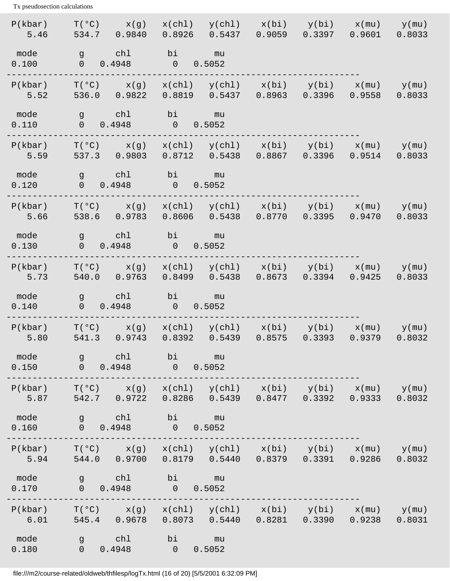| P(kbar)<br>5.46                     | $T(°C)$ $x(g)$<br>534.7 0.9840                     | $x(chl)$ $y(chl)$ $x(bi)$ $y(bi)$ $x(mu)$ $y(mu)$<br>0.5437<br>0.8926                                                               |                                     | $0.9059$ $0.3397$ $0.9601$ | 0.8033 |
|-------------------------------------|----------------------------------------------------|-------------------------------------------------------------------------------------------------------------------------------------|-------------------------------------|----------------------------|--------|
| mode<br>0.100                       | chl<br>g is g<br>$0 \t 0.4948$                     | bi<br>$\mathfrak{m}$ u<br>0.5052<br>$\overline{0}$                                                                                  |                                     |                            |        |
| P(kbar)<br>5.52                     | 536.0 0.9822                                       | $T({}^{\circ}C)$ x(g) x(chl) y(chl) x(bi) y(bi) x(mu) y(mu)<br>0.8819  0.5437  0.8963  0.3396  0.9558                               |                                     |                            | 0.8033 |
| mode<br>0.110                       | g chl<br>$0 \t 0.4948 \t 0$                        | bi<br>nu mu<br>0.5052                                                                                                               |                                     |                            |        |
| P(kbar)<br>5.59<br><b>The State</b> |                                                    | $T(°C)$ $x(g)$ $x(ch1)$ $y(ch1)$ $x(bi)$ $y(bi)$ $x(mu)$ $y(mu)$<br>537.3 0.9803 0.8712 0.5438 0.8867 0.3396 0.9514                 |                                     |                            | 0.8033 |
| mode<br>0.120                       | g chl<br>0 0.4948                                  | bi<br>na mu<br>0.5052<br>$\overline{\phantom{a}}$                                                                                   |                                     |                            |        |
| P(kbar)<br>5.66<br>a sa Ta          | 538.6 0.9783                                       | $T(°C)$ $x(g)$ $x(ch1)$ $y(ch1)$ $x(bi)$ $y(bi)$ $x(mu)$ $y(mu)$<br>$0.8606$ $0.5438$ $0.8770$ $0.3395$ $0.9470$                    |                                     |                            | 0.8033 |
| mode<br>0.130                       | g chl<br>$0 \t 0.4948$                             | bi<br>$\mathfrak{m}$ u<br>0.5052<br>$\overline{\phantom{0}}$                                                                        |                                     |                            |        |
| P(kbar)<br>5.73                     | $T(°C)$ $x(g)$<br>540.0<br>0.9763                  | $x(chl)$ $y(chl)$ $x(bi)$ $y(bi)$ $x(mu)$ $y(mu)$<br>0.8499                                                                         | $0.5438$ $0.8673$ $0.3394$ $0.9425$ |                            | 0.8033 |
| mode<br>0.140                       | g chl<br>0 0.4948                                  | bi<br><u>mu</u><br>$\overline{0}$<br>0.5052                                                                                         |                                     |                            |        |
| P(kbar)<br>5.80                     | 541.3 0.9743                                       | $T({}^{\circ}C)$ x(g) x(chl) y(chl) x(bi) y(bi) x(mu) y(mu)<br>0.8392                                                               | 0.5439  0.8575  0.3393  0.9379      |                            | 0.8032 |
| mode<br>0.150                       | chl under the chi<br>$\mathsf{a}$<br>$0 \t 0.4948$ | bi<br><u>mu</u><br>$\overline{0}$<br>0.5052                                                                                         |                                     |                            |        |
| P(kbar)<br>a sa T<br>5.87           |                                                    | $T({}^{\circ}C)$ $x(g)$ $x(ch1)$ $y(ch1)$ $x(bi)$ $y(bi)$ $x(mu)$ $y(mu)$<br>542.7 0.9722 0.8286 0.5439 0.8477 0.3392 0.9333        |                                     |                            | 0.8032 |
| mode<br>0.160                       | g chl<br>$0 \t 0.4948 \t 0.5052$                   | bi mu                                                                                                                               |                                     |                            |        |
| 5.94                                |                                                    | $P(kbar)$ $T(°C)$ $x(g)$ $x(chl)$ $y(chl)$ $x(bi)$ $y(bi)$ $x(mu)$ $y(mu)$<br>544.0  0.9700  0.8179  0.5440  0.8379  0.3391  0.9286 |                                     |                            | 0.8032 |
| mode<br>0.170                       | g chl<br>$0 \t 0.4948$                             | bi mu<br>$0 \t 0.5052$                                                                                                              |                                     |                            |        |
| 6.01                                |                                                    | $P(kbar)$ $T(°C)$ $x(g)$ $x(chl)$ $y(chl)$ $x(bi)$ $y(bi)$ $x(mu)$ $y(mu)$<br>545.4 0.9678 0.8073 0.5440 0.8281 0.3390 0.9238       |                                     |                            | 0.8031 |
| mode<br>0.180                       | g chl<br>0 0.4948                                  | bi mu<br>0 0.5052                                                                                                                   |                                     |                            |        |

file:///m2/course-related/oldweb/thfilesp/logTx.html (16 of 20) [5/5/2001 6:32:09 PM]

Tx pseudosection calculations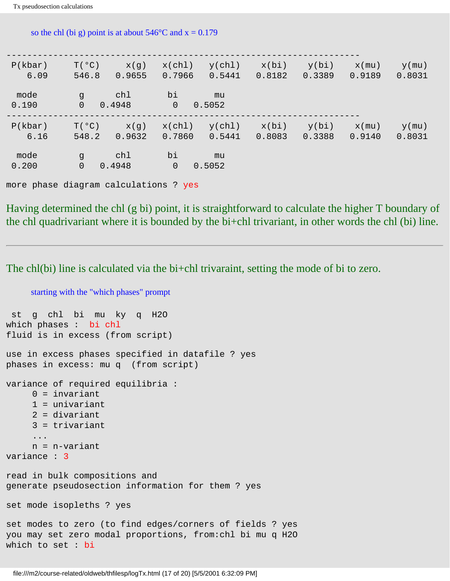| P(kbar)<br>6.09 | T(°C)<br>x(g)<br>546.8<br>0.9655                | y(chl)<br>x(ch1)<br>0.5441<br>0.7966 | x(bi)<br>0.8182 | y(bi)<br>0.3389 | $x$ (mu)<br>$y$ (mu)<br>0.9189<br>0.8031 |
|-----------------|-------------------------------------------------|--------------------------------------|-----------------|-----------------|------------------------------------------|
| mode<br>0.190   | chl<br>$\mathsf{G}$<br>$\overline{0}$<br>0.4948 | bi<br>mu<br>$\overline{0}$<br>0.5052 |                 |                 |                                          |
| P(kbar)<br>6.16 | $T(^{\circ}C)$<br>x(g)<br>0.9632<br>548.2       | y(chl)<br>x(ch1)<br>0.5441<br>0.7860 | x(bi)<br>0.8083 | y(bi)<br>0.3388 | $y$ (mu)<br>$x$ (mu)<br>0.9140<br>0.8031 |
| mode<br>0.200   | chl<br>$\mathsf{G}$<br>$\overline{0}$<br>0.4948 | bi<br>mu<br>$\overline{0}$<br>0.5052 |                 |                 |                                          |

so the chl (bi g) point is at about  $546^{\circ}$ C and  $x = 0.179$ 

more phase diagram calculations ? yes

starting with the "which phases" prompt

Having determined the chl (g bi) point, it is straightforward to calculate the higher T boundary of the chl quadrivariant where it is bounded by the bi+chl trivariant, in other words the chl (bi) line.

The chl(bi) line is calculated via the bi+chl trivaraint, setting the mode of bi to zero.

```
 st g chl bi mu ky q H2O 
which phases : bi chl
fluid is in excess (from script)
use in excess phases specified in datafile ? yes
phases in excess: mu q (from script)
variance of required equilibria :
      0 = invariant
      1 = univariant
      2 = divariant
      3 = trivariant
      ...
      n = n-variant
variance : 3
read in bulk compositions and 
generate pseudosection information for them ? yes
set mode isopleths ? yes
set modes to zero (to find edges/corners of fields ? yes
you may set zero modal proportions, from:chl bi mu q H2O 
which to set : bi
```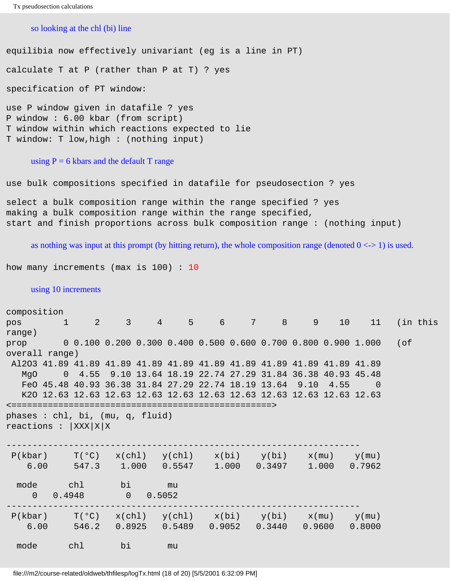```
Tx pseudosection calculations
```
### so looking at the chl (bi) line

equilibia now effectively univariant (eg is a line in PT) calculate T at P (rather than P at T) ? yes specification of PT window: use P window given in datafile ? yes

P window : 6.00 kbar (from script) T window within which reactions expected to lie T window: T low,high : (nothing input)

#### using  $P = 6$  kbars and the default T range

use bulk compositions specified in datafile for pseudosection ? yes

select a bulk composition range within the range specified ? yes making a bulk composition range within the range specified, start and finish proportions across bulk composition range : (nothing input)

as nothing was input at this prompt (by hitting return), the whole composition range (denoted  $0 \le -1$ ) is used.

how many increments (max is 100) : 10

#### using 10 increments

| composition                                                             |              |            |                      |                 |    |  |                                                                                                            |         |             |                                                                   |          |
|-------------------------------------------------------------------------|--------------|------------|----------------------|-----------------|----|--|------------------------------------------------------------------------------------------------------------|---------|-------------|-------------------------------------------------------------------|----------|
| pos                                                                     | $\mathbf{1}$ |            | 2 3 4 5 6            |                 |    |  | $7 \quad \bullet$                                                                                          | $8 - 8$ | $9 -$<br>10 | 11                                                                | (in this |
| range)                                                                  |              |            |                      |                 |    |  |                                                                                                            |         |             |                                                                   |          |
| prop                                                                    |              |            |                      |                 |    |  |                                                                                                            |         |             | 0 0.100 0.200 0.300 0.400 0.500 0.600 0.700 0.800 0.900 1.000 (of |          |
| overall range)                                                          |              |            |                      |                 |    |  |                                                                                                            |         |             |                                                                   |          |
| Al2O3 41.89 41.89 41.89 41.89 41.89 41.89 41.89 41.89 41.89 41.89 41.89 |              |            |                      |                 |    |  |                                                                                                            |         |             |                                                                   |          |
| MgO                                                                     |              |            |                      |                 |    |  | 0 4.55 9.10 13.64 18.19 22.74 27.29 31.84 36.38 40.93 45.48                                                |         |             |                                                                   |          |
|                                                                         |              |            |                      |                 |    |  | FeO 45.48 40.93 36.38 31.84 27.29 22.74 18.19 13.64 9.10                                                   |         | 4.55        |                                                                   |          |
|                                                                         |              |            |                      |                 |    |  | K20 12.63 12.63 12.63 12.63 12.63 12.63 12.63 12.63 12.63 12.63 12.63                                      |         |             |                                                                   |          |
|                                                                         |              |            |                      |                 |    |  |                                                                                                            |         |             |                                                                   |          |
| phases : chl, bi, $(mu, q, fluid)$<br>reactions : $ XXX X X$            |              |            |                      |                 |    |  |                                                                                                            |         |             |                                                                   |          |
| $P(kbar)$ $T(°C)$ $x(chl)$ $y(chl)$ $x(bi)$ $y(bi)$ $x(mu)$ $y(mu)$     |              |            |                      |                 |    |  |                                                                                                            |         |             |                                                                   |          |
| 6.00                                                                    |              |            |                      |                 |    |  | 547.3 1.000 0.5547 1.000 0.3497 1.000 0.7962                                                               |         |             |                                                                   |          |
| mode<br>$\Omega$                                                        | 0.4948       | chl the ch | bi<br>$\overline{0}$ | nu mu<br>0.5052 |    |  |                                                                                                            |         |             |                                                                   |          |
| $P(kbar)$ $T(°C)$<br>6.00                                               |              | 546.2      |                      |                 |    |  | $x(chl)$ $y(chl)$ $x(bi)$ $y(bi)$ $x(mu)$ $y(mu)$<br>$0.8925$ $0.5489$ $0.9052$ $0.3440$ $0.9600$ $0.8000$ |         |             |                                                                   |          |
| mode                                                                    | chl          |            | bi                   |                 | mu |  |                                                                                                            |         |             |                                                                   |          |

file:///m2/course-related/oldweb/thfilesp/logTx.html (18 of 20) [5/5/2001 6:32:09 PM]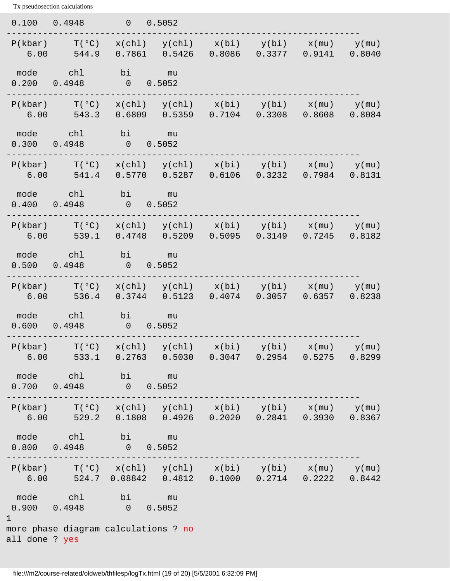| 0.100 0.4948   |                                                                                                                                              | 0 0.5052                                          |  |                                                                                                            |  |
|----------------|----------------------------------------------------------------------------------------------------------------------------------------------|---------------------------------------------------|--|------------------------------------------------------------------------------------------------------------|--|
|                | $P(kbar)$ $T(^oC)$<br>$6.00$ $544.9$                                                                                                         |                                                   |  | $x(chl)$ $y(chl)$ $x(bi)$ $y(bi)$ $x(mu)$ $y(mu)$<br>$0.7861$ $0.5426$ $0.8086$ $0.3377$ $0.9141$ $0.8040$ |  |
|                | mode chl bi mu<br>$0.200$ $0.4948$ 0 0.5052                                                                                                  |                                                   |  |                                                                                                            |  |
|                | $P(kbar)$ $T(^oC)$<br>$6.00$ $543.3$                                                                                                         |                                                   |  | $x(chl)$ $y(chl)$ $x(bi)$ $y(bi)$ $x(mu)$ $y(mu)$<br>$0.6809$ $0.5359$ $0.7104$ $0.3308$ $0.8608$ $0.8084$ |  |
|                | mode chl<br>$0.300$ $0.4948$ 0 0.5052                                                                                                        | bi mu                                             |  |                                                                                                            |  |
|                | $P(kbar)$ $T(°C)$ $x(chl)$ $y(chl)$ $x(bi)$ $y(bi)$ $x(mu)$ $y(mu)$<br>$6.00$ $541.4$                                                        |                                                   |  | $0.5770$ $0.5287$ $0.6106$ $0.3232$ $0.7984$ $0.8131$                                                      |  |
|                | mode chl<br>$0.400$ $0.4948$ 0 0.5052                                                                                                        | bi mu                                             |  |                                                                                                            |  |
|                | $P(kbar)$ $T(^oC)$<br>$6.00$ $539.1$                                                                                                         |                                                   |  | $x(chl)$ $y(chl)$ $x(bi)$ $y(bi)$ $x(mu)$ $y(mu)$<br>0.4748  0.5209  0.5095  0.3149  0.7245  0.8182        |  |
|                | mode chl bi mu<br>$0.500$ $0.4948$                                                                                                           | 0 0.5052                                          |  |                                                                                                            |  |
|                | $P(kbar)$ $T(°C)$<br>$6.00$ $536.4$                                                                                                          |                                                   |  | $x(chl)$ $y(chl)$ $x(bi)$ $y(bi)$ $x(mu)$ $y(mu)$<br>$0.3744$ 0.5123 0.4074 0.3057 0.6357 0.8238           |  |
|                | mode chl bi mu<br>0.600 0.4948 0 0.5052                                                                                                      |                                                   |  |                                                                                                            |  |
| P(kbar)        | $\rm T$ ( $\rm ^o C$ )<br>6.00 533.1 0.2763 0.5030 0.3047 0.2954 0.5275 0.8299                                                               | $x(ch1)$ $y(ch1)$ $x(bi)$ $y(bi)$ $x(mu)$ $y(mu)$ |  |                                                                                                            |  |
|                | mode chl bi mu<br>$0.700$ $0.4948$ 0 0.5052                                                                                                  |                                                   |  |                                                                                                            |  |
|                | $P(kbar)$ $T(°C)$ $x(ch1)$ $y(ch1)$ $x(bi)$ $y(bi)$ $x(mu)$ $y(mu)$<br>$6.00$ $529.2$ $0.1808$ $0.4926$ $0.2020$ $0.2841$ $0.3930$ $0.8367$  |                                                   |  |                                                                                                            |  |
|                | mode chl bi mu<br>$0.800$ $0.4948$ 0 0.5052                                                                                                  |                                                   |  |                                                                                                            |  |
|                | $P(kbar)$ $T(°C)$ $x(chl)$ $y(chl)$ $x(bi)$ $y(bi)$ $x(mu)$ $y(mu)$<br>$6.00$ $524.7$ $0.08842$ $0.4812$ $0.1000$ $0.2714$ $0.2222$ $0.8442$ |                                                   |  |                                                                                                            |  |
| $\mathbf 1$    | mode chl bi mu<br>$0.900$ $0.4948$ 0 0.5052                                                                                                  |                                                   |  |                                                                                                            |  |
| all done ? yes | more phase diagram calculations ? no                                                                                                         |                                                   |  |                                                                                                            |  |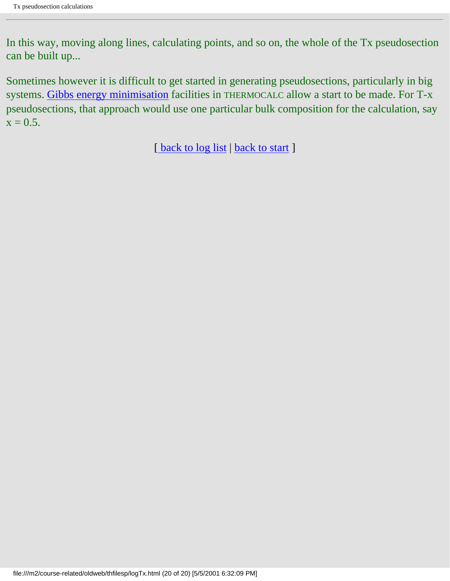In this way, moving along lines, calculating points, and so on, the whole of the Tx pseudosection can be built up...

Sometimes however it is difficult to get started in generating pseudosections, particularly in big systems. [Gibbs energy minimisation](#page-134-0) facilities in THERMOCALC allow a start to be made. For T-x pseudosections, that approach would use one particular bulk composition for the calculation, say  $x = 0.5$ .

[back to log list | [back to start](#page-0-0) ]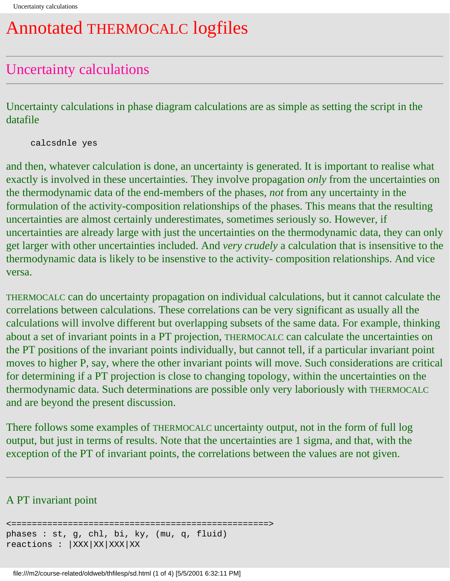## Annotated THERMOCALC logfiles

## Uncertainty calculations

Uncertainty calculations in phase diagram calculations are as simple as setting the script in the datafile

calcsdnle yes

and then, whatever calculation is done, an uncertainty is generated. It is important to realise what exactly is involved in these uncertainties. They involve propagation *only* from the uncertainties on the thermodynamic data of the end-members of the phases, *not* from any uncertainty in the formulation of the activity-composition relationships of the phases. This means that the resulting uncertainties are almost certainly underestimates, sometimes seriously so. However, if uncertainties are already large with just the uncertainties on the thermodynamic data, they can only get larger with other uncertainties included. And *very crudely* a calculation that is insensitive to the thermodynamic data is likely to be insenstive to the activity- composition relationships. And vice versa.

THERMOCALC can do uncertainty propagation on individual calculations, but it cannot calculate the correlations between calculations. These correlations can be very significant as usually all the calculations will involve different but overlapping subsets of the same data. For example, thinking about a set of invariant points in a PT projection, THERMOCALC can calculate the uncertainties on the PT positions of the invariant points individually, but cannot tell, if a particular invariant point moves to higher P, say, where the other invariant points will move. Such considerations are critical for determining if a PT projection is close to changing topology, within the uncertainties on the thermodynamic data. Such determinations are possible only very laboriously with THERMOCALC and are beyond the present discussion.

There follows some examples of THERMOCALC uncertainty output, not in the form of full log output, but just in terms of results. Note that the uncertainties are 1 sigma, and that, with the exception of the PT of invariant points, the correlations between the values are not given.

### A PT invariant point

<==================================================> phases : st, g, chl, bi, ky, (mu, q, fluid) reactions : |XXX|XX|XXX|XX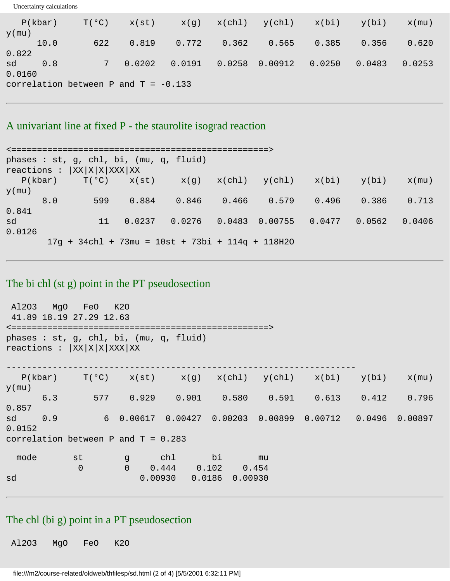| P(kbar)<br>$y$ (mu)                    | $T(^{\circ}C)$ | x(st)    |        |       | $x(g)$ $x(ch1)$ $y(ch1)$ $x(bi)$ |        | y(bi)  | $x$ (mu) |
|----------------------------------------|----------------|----------|--------|-------|----------------------------------|--------|--------|----------|
| 10.0                                   | 622            | 0.819    | 0.772  | 0.362 | 0.565                            | 0.385  | 0.356  | 0.620    |
| 0.822<br>sd<br>0.8<br>0.0160           |                | 7 0.0202 | 0.0191 |       | $0.0258$ 0.00912                 | 0.0250 | 0.0483 | 0.0253   |
| correlation between P and $T = -0.133$ |                |          |        |       |                                  |        |        |          |

### A univariant line at fixed P - the staurolite isograd reaction

Uncertainty calculations

```
<==================================================>
phases : st, g, chl, bi, (mu, q, fluid) 
reactions : |XX|X|X|XXX|XXP(kbar) T(^{o}C) x(st) x(gh) y(ch) x(bi) y(bi) x(mu)y(mu)
 8.0 599 0.884 0.846 0.466 0.579 0.496 0.386 0.713 
0.841
sd 11 0.0237 0.0276 0.0483 0.00755 0.0477 0.0562 0.0406 
0.0126
       17g + 34chl + 73mu = 10st + 73bi + 114q + 118H2O
```
### The bi chl (st g) point in the PT pseudosection

 Al2O3 MgO FeO K2O 41.89 18.19 27.29 12.63 <==================================================> phases : st, g, chl, bi, (mu, q, fluid)  $reactions : |XX|X|X|XXX|XX$ --------------------------------------------------------------------  $P(kbar)$   $T(^{o}C)$   $x(st)$   $x(g)$   $x(chl)$   $y(chl)$   $x(bi)$   $y(bi)$   $x(mu)$  $y$ (mu) 6.3 577 0.929 0.901 0.580 0.591 0.613 0.412 0.796 0.857 sd 0.9 6 0.00617 0.00427 0.00203 0.00899 0.00712 0.0496 0.00897 0.0152 correlation between  $P$  and  $T = 0.283$  mode st g chl bi mu  $0$  0 0.444 0.102 0.454 sd 0.00930 0.0186 0.00930

### The chl (bi g) point in a PT pseudosection

Al2O3 MgO FeO K2O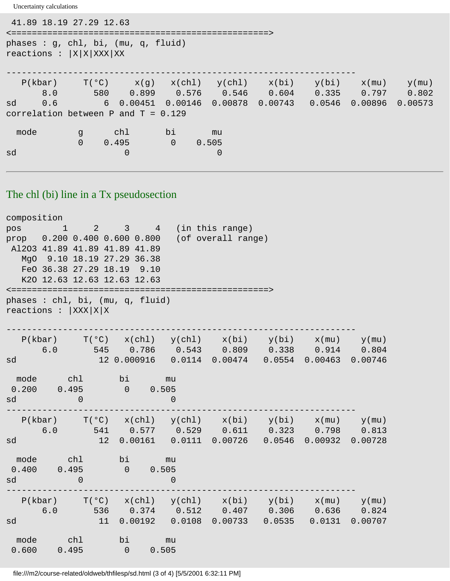Uncertainty calculations

```
 41.89 18.19 27.29 12.63
<==================================================>
phases : g, chl, bi, (mu, q, fluid) 
reactions : |X|X|XXX|XX
--------------------------------------------------------------------
  \texttt{P(kbar)} \qquad \texttt{T(°C)} \qquad \texttt{x(g)} \quad \texttt{x(chl)} \quad \texttt{y(chl)} \qquad \texttt{x(bi)} \qquad \texttt{y(bi)} \qquad \texttt{x(mu)} \qquad \texttt{y(mu)} 8.0 580 0.899 0.576 0.546 0.604 0.335 0.797 0.802
sd 0.6 6 0.00451 0.00146 0.00878 0.00743 0.0546 0.00896 0.00573
correlation between P and T = 0.129 mode g chl bi mu
               0 0.495 0 0.505
sd 0 0
```
### The chl (bi) line in a Tx pseudosection

| composition                                                                                                    |                        |                |                                  |                                                                     |                    |                    |        |          |
|----------------------------------------------------------------------------------------------------------------|------------------------|----------------|----------------------------------|---------------------------------------------------------------------|--------------------|--------------------|--------|----------|
| pos and the position of the set of the set of the set of the set of the set of the set of the set of the set o | $\mathbf{1}$           |                | $2 \t3 \t4$                      |                                                                     | (in this range)    |                    |        |          |
|                                                                                                                |                        |                | prop 0.200 0.400 0.600 0.800     |                                                                     | (of overall range) |                    |        |          |
|                                                                                                                |                        |                | Al2O3 41.89 41.89 41.89 41.89    |                                                                     |                    |                    |        |          |
|                                                                                                                |                        |                | MgO 9.10 18.19 27.29 36.38       |                                                                     |                    |                    |        |          |
|                                                                                                                |                        |                | FeO 36.38 27.29 18.19 9.10       |                                                                     |                    |                    |        |          |
|                                                                                                                |                        |                | K20 12.63 12.63 12.63 12.63      |                                                                     |                    |                    |        |          |
|                                                                                                                | <==============        |                |                                  |                                                                     |                    |                    |        |          |
|                                                                                                                |                        |                | phases : chl, bi, (mu, q, fluid) |                                                                     |                    |                    |        |          |
|                                                                                                                | reactions : $ XXX X X$ |                |                                  |                                                                     |                    |                    |        |          |
|                                                                                                                |                        |                |                                  |                                                                     |                    |                    |        |          |
|                                                                                                                |                        |                |                                  | $P(kbar)$ $T(^oC)$ $x(ch1)$ $y(ch1)$ $x(bi)$ $y(bi)$ $x(mu)$        |                    |                    |        | $y$ (mu) |
|                                                                                                                | 6.0                    |                |                                  | 545  0.786  0.543  0.809  0.338  0.914                              |                    |                    |        | 0.804    |
| sd                                                                                                             |                        |                |                                  | 12 0.000916  0.0114  0.00474  0.0554  0.00463  0.00746              |                    |                    |        |          |
|                                                                                                                |                        |                |                                  |                                                                     |                    |                    |        |          |
| mode                                                                                                           | chl                    |                | bi                               | mu                                                                  |                    |                    |        |          |
| 0.200                                                                                                          | 0.495                  | $\sim$ 0       |                                  | 0.505                                                               |                    |                    |        |          |
| sd                                                                                                             |                        | $\overline{0}$ |                                  | $\overline{0}$                                                      |                    |                    |        |          |
|                                                                                                                |                        |                |                                  |                                                                     |                    |                    |        |          |
|                                                                                                                |                        |                |                                  | $P(kbar)$ $T(°C)$ $x(chl)$ $y(chl)$ $x(bi)$ $y(bi)$ $x(mu)$ $y(mu)$ |                    |                    |        |          |
|                                                                                                                | 6.0                    | 541            |                                  | $0.577$ $0.529$ $0.611$ $0.323$ $0.798$                             |                    |                    |        | 0.813    |
| sd                                                                                                             |                        | 12             |                                  | $0.00161$ $0.0111$ $0.00726$ $0.0546$ $0.00932$                     |                    |                    |        | 0.00728  |
| mode                                                                                                           | chl                    |                | bi                               | mu                                                                  |                    |                    |        |          |
| 0.400                                                                                                          | 0.495                  |                | $\overline{0}$                   | 0.505                                                               |                    |                    |        |          |
| sd                                                                                                             |                        | $\Omega$       |                                  | $\overline{0}$                                                      |                    |                    |        |          |
|                                                                                                                |                        |                |                                  |                                                                     |                    |                    |        |          |
|                                                                                                                |                        |                |                                  | $P(kbar)$ $T(°C)$ $x(chl)$ $y(chl)$ $x(bi)$ $y(bi)$ $x(mu)$         |                    |                    |        | $y$ (mu) |
|                                                                                                                | 6.0                    | 536            |                                  | $0.374$ $0.512$ $0.407$ $0.306$ $0.636$ $0.824$                     |                    |                    |        |          |
| sd                                                                                                             |                        | 11             |                                  | $0.00192$ $0.0108$                                                  |                    | $0.00733$ $0.0535$ | 0.0131 | 0.00707  |
|                                                                                                                |                        |                |                                  |                                                                     |                    |                    |        |          |
| mode                                                                                                           | ch1                    |                | bi                               | mu                                                                  |                    |                    |        |          |
| 0.600                                                                                                          | 0.495                  |                | $\overline{0}$                   | 0.505                                                               |                    |                    |        |          |

file:///m2/course-related/oldweb/thfilesp/sd.html (3 of 4) [5/5/2001 6:32:11 PM]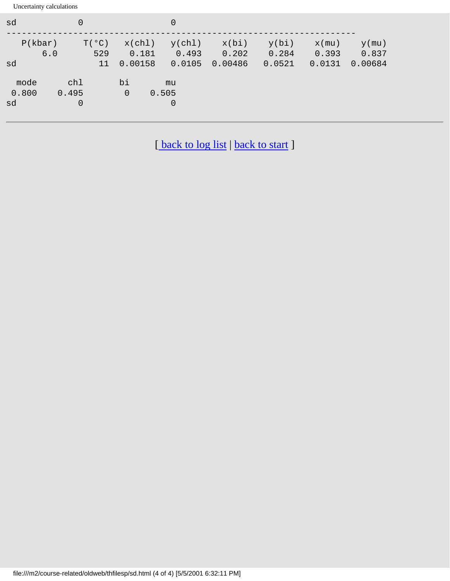Uncertainty calculations

| sd                   | $\Omega$                       |                            | $\overline{0}$                |                           |                          |                             |                              |
|----------------------|--------------------------------|----------------------------|-------------------------------|---------------------------|--------------------------|-----------------------------|------------------------------|
| P(kbar)<br>6.0<br>sd | $T(^{\circ}C)$<br>529<br>11    | x(ch1)<br>0.181<br>0.00158 | y(chl)<br>0.493<br>0.0105     | x(bi)<br>0.202<br>0.00486 | y(bi)<br>0.284<br>0.0521 | $x$ (mu)<br>0.393<br>0.0131 | $y$ (mu)<br>0.837<br>0.00684 |
| mode<br>0.800<br>sd  | chl<br>0.495<br>$\overline{0}$ | bi<br>$\Omega$             | mu<br>0.505<br>$\overline{0}$ |                           |                          |                             |                              |

[back to log list | [back to start](#page-0-0) ]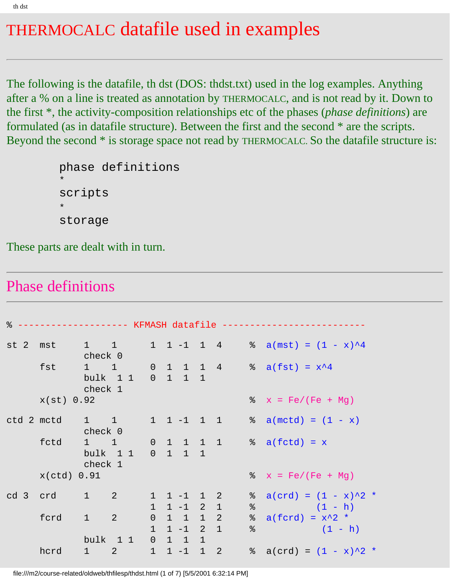# THERMOCALC datafile used in examples

The following is the datafile, th dst (DOS: thdst.txt) used in the log examples. Anything after a % on a line is treated as annotation by THERMOCALC, and is not read by it. Down to the first \*, the activity-composition relationships etc of the phases (*phase definitions*) are formulated (as in datafile structure). Between the first and the second \* are the scripts. Beyond the second \* is storage space not read by THERMOCALC. So the datafile structure is:

```
phase definitions
*
scripts
*
storage
```
These parts are dealt with in turn.

## Phase definitions

| $\approx$ |                     |                   |                               |   |                                                            |                            | ------------- KFMASH datafile ---------- |           |                                              |
|-----------|---------------------|-------------------|-------------------------------|---|------------------------------------------------------------|----------------------------|------------------------------------------|-----------|----------------------------------------------|
|           | $st$ 2 mst 1 1      | check 0           |                               |   |                                                            |                            |                                          |           | 1 1 -1 1 4 % $a(mst) = (1 - x)^4$            |
|           | fst                 | check 1           | $1 \quad 1 \quad$<br>bulk 1 1 |   | $0 \t1 \t1 \t1$                                            |                            |                                          |           | $0$ 1 1 1 4 $\frac{1}{8}$ a(fst) = $x^4$     |
|           | x(st) 0.92          |                   |                               |   |                                                            |                            |                                          |           | $x = Fe/(Fe + Mg)$                           |
|           | $ctd$ 2 m $ctd$ 1 1 | check 0           |                               |   |                                                            |                            |                                          |           | 1 1 -1 1 1 $\frac{1}{8}$ a(mctd) = $(1 - x)$ |
|           | fctd 1 1            | check 1           | $bulk$ 11                     |   | $0 \t 1 \t 1 \t 1$                                         |                            |                                          |           | $0 \t1 \t1 \t1 \t% \t a(fctd) = x$           |
|           | $x(ctd)$ 0.91       |                   |                               |   |                                                            |                            |                                          |           | $x = Fe/(Fe + Mg)$                           |
|           | cd 3 crd 1 2        |                   |                               |   | $1 \quad 1 \quad -1 \quad 1 \quad 2$<br>$1 \t1 -1 \t2 \t1$ |                            |                                          | ိ<br>$\%$ | $a(crd) = (1 - x)^2$<br>$(1 - h)$            |
|           | ford                | $1 \t 2$          |                               |   | $0$ 1 1<br>$1 \t1 -1 \t2 \t1$                              | $1\quad 2$                 |                                          | &         | $a(fcrd) = x^2$<br>$\frac{1}{2}$ (1 - h)     |
|           | hcrd                | $1 \qquad \qquad$ | bulk 1 1<br>$2 \sim$          | 1 | $0$ 1 1<br>$1 - 1$                                         | $\mathbf{1}$<br>$1\quad 2$ |                                          |           | $\text{a}(\text{crd}) = (1 - x)^2$           |

file:///m2/course-related/oldweb/thfilesp/thdst.html (1 of 7) [5/5/2001 6:32:14 PM]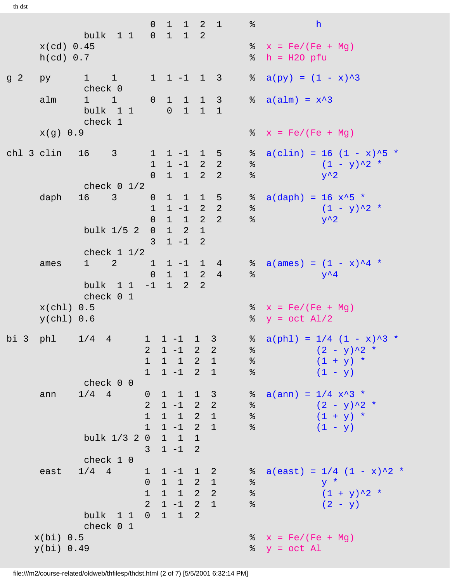|                |                            | bulk 1 1 0 1 1 2                                    | $\overline{0}$                                              |                                                                                                         | $1 \quad 1 \quad 2 \quad 1$      |                | န္                                                                                                                 | h                                                                              |
|----------------|----------------------------|-----------------------------------------------------|-------------------------------------------------------------|---------------------------------------------------------------------------------------------------------|----------------------------------|----------------|--------------------------------------------------------------------------------------------------------------------|--------------------------------------------------------------------------------|
|                | x(cd) 0.45<br>$h(cd)$ 0.7  |                                                     |                                                             |                                                                                                         |                                  |                |                                                                                                                    | $x = Fe/(Fe + Mg)$<br>$\text{\$}$ h = H2O pfu                                  |
| g <sub>2</sub> | py                         | $1 \quad 1 \quad$<br>check 0                        |                                                             | $1 \t1 -1 \t1 \t3$                                                                                      |                                  |                | ိ                                                                                                                  | $a(py) = (1 - x)^3$                                                            |
|                | alm                        | 1 1 0 1 1 1 3<br>bulk 1 1<br>check 1                |                                                             |                                                                                                         | $0 \t1 \t1 \t1$                  |                |                                                                                                                    | $\alpha$ a(alm) = $x^3$                                                        |
|                | x(g) 0.9                   |                                                     |                                                             |                                                                                                         |                                  |                |                                                                                                                    | $x = Fe/(Fe + Mg)$                                                             |
|                |                            | chl 3 clin 16 3<br>check $0$ $1/2$                  |                                                             | $1$ 1 -1 1 5<br>$1 \quad 1 \quad -1 \quad 2 \quad 2$<br>$0 \quad 1 \quad 1 \quad 2 \quad 2$             |                                  |                | ိ<br>$\epsilon$<br>$\%$                                                                                            | $a(clin) = 16 (1 - x)^5$ *<br>$(1 - y)^2$ *<br>$y^{\lambda}2$                  |
|                |                            | daph 16 3<br>bulk 1/5 2                             | $\overline{0}$<br>0<br>$\overline{3}$                       | $1 \t1 -1 \t2 2$<br>$1\quad 1\quad 2\quad 2$<br>$0 \quad 1 \quad 2 \quad 1$<br>$1 - 1 2$                | $1 \quad 1 \quad 1 \quad 5$      |                | $\frac{8}{6}$<br>%                                                                                                 | $a(daph) = 16 x^5$<br>$(1 - y)^2$ *<br>$y^{\lambda}2$                          |
|                | ames                       | check $1\ 1/2$<br>$1 \t 2$<br>bulk 1 1<br>check 0 1 | 1<br>$\overline{0}$                                         | $-1$ 1 2                                                                                                | $1 \quad 1 \quad 2 \quad 4$<br>2 | $1 - 1$ 1 4    | $\frac{8}{6}$                                                                                                      | $\alpha$ a(ames) = $(1 - x)^4$ *<br>$y^{\lambda}4$                             |
|                | $x(chl)$ 0.5<br>y(chl) 0.6 |                                                     |                                                             |                                                                                                         |                                  |                |                                                                                                                    | $x = Fe/(Fe + Mg)$<br>$\gamma = \text{oct } \text{Al}/2$                       |
|                |                            | bi 3 phl 1/4 4<br>check 0 0                         | $\mathbf{1}$                                                | $1 \quad 1 \quad -1 \quad 1 \quad 3$<br>$2$ 1 -1 2<br>$1 \quad 1 \quad 2 \quad 1$<br>$1 \t1 -1 \t2 \t1$ |                                  | 2 <sup>1</sup> | $\frac{6}{3}$<br>$\, \delta \,$<br>$\, \raisebox{0.6ex}{\scriptsize{*}} \,$                                        | $\alpha$ a(phl) = 1/4 (1 - x)^3 *<br>$(2 - y)^2$ *<br>$(1 + y) *$<br>$(1 - y)$ |
|                | ann                        | $1/4$ 4                                             | $\mathbf 0$<br>$\overline{a}$<br>$\mathbf 1$<br>$\mathbf 1$ | $1 \quad 1 \quad 1 \quad 3$<br>$1 - 1 2 2$<br>$1 \quad 1 \quad 2 \quad 1$<br>$1 - 1 2 1$                |                                  |                | $\frac{8}{3}$<br>$\, \raisebox{0.6ex}{\scriptsize{*}} \,$<br>$\,$ $\,$<br>$\, \raisebox{0.6ex}{\scriptsize{*}} \,$ | $a(ann) = 1/4 x^3$<br>$(2 - y)^{2}$ *<br>$(1 + y) *$<br>$(1 - y)$              |
|                |                            | bulk 1/3 2 0 1 1 1                                  | $\mathcal{E}$                                               | $1 - 1 2$                                                                                               |                                  |                |                                                                                                                    |                                                                                |
|                | east                       | check 1 0<br>$1/4$ 4<br>bulk 1 1                    | $\mathbf{1}$<br>$\overline{0}$<br>$\mathbf 1$               | $1 - 1$ 1 2<br>1 1 2 1<br>$1 \quad 1 \quad 2 \quad 2$<br>$2$ 1 -1 2 1<br>$0 \t1 \t1 \t2$                |                                  |                | ႜၟ<br>$\,$ $\,$<br>$\, \delta \,$<br>$\,$ %                                                                        | $a(east) = 1/4 (1 - x)^2$<br>$y *$<br>$(1 + y)^2$ *<br>$(2 - y)$               |
|                | $x(bi)$ 0.5<br>y(bi) 0.49  | check 0 1                                           |                                                             |                                                                                                         |                                  |                |                                                                                                                    | $x = Fe/(Fe + Mg)$<br>$\gamma = \text{oct } Al$                                |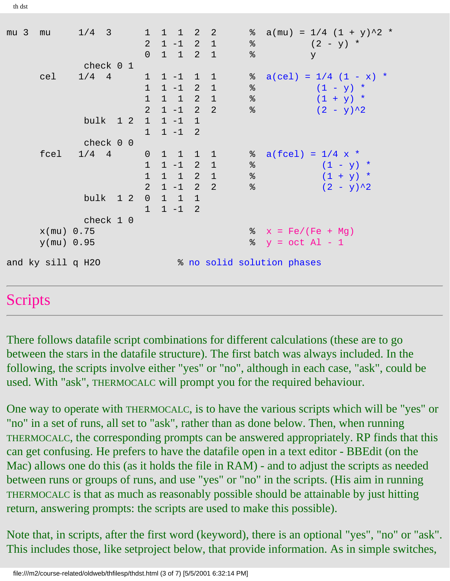mu 3 mu  $1/4$  3 1 1 1 2 2 % a(mu) =  $1/4$   $(1 + y)^2$  \* 2 1 -1 2 1 % (2 - y) \* 0 1 1 2 1 % y check 0 1 cel  $1/4$  4 1 1 -1 1 1  $\frac{1}{8}$  a(cel) =  $1/4$  (1 - x) \*  $1 \t1 -1 \t2 \t1 \t%$  (1 - y) \*  $1 \quad 1 \quad 2 \quad 1 \quad 8 \quad (1 + y)$  \*  $2 \t1 -1 \t2 \t2 \t%$  (2 - y)<sup>^2</sup> bulk 1 2 1 1 -1 1 1 1 -1 2 check 0 0 fcel  $1/4$  4 0 1 1 1 1 % a(fcel) =  $1/4$  x \*  $1 \t1 -1 \t2 \t1 \t%$  (1 - y) \*  $1 \quad 1 \quad 2 \quad 1 \quad \text{*}$   $(1 + y) \quad \text{*}$ 2 1 -1 2 2 %  $(2 - y)^2$  bulk 1 2 0 1 1 1  $1 \t1 -1 \t2$  check 1 0  $x$ (mu) 0.75  $x = \text{Fe}/(\text{Fe} + \text{Mg})$  $y$ (mu) 0.95  $\frac{1}{3}$  y = oct Al - 1 and ky sill q H2O % no solid solution phases

## Scripts

There follows datafile script combinations for different calculations (these are to go between the stars in the datafile structure). The first batch was always included. In the following, the scripts involve either "yes" or "no", although in each case, "ask", could be used. With "ask", THERMOCALC will prompt you for the required behaviour.

One way to operate with THERMOCALC, is to have the various scripts which will be "yes" or "no" in a set of runs, all set to "ask", rather than as done below. Then, when running THERMOCALC, the corresponding prompts can be answered appropriately. RP finds that this can get confusing. He prefers to have the datafile open in a text editor - BBEdit (on the Mac) allows one do this (as it holds the file in RAM) - and to adjust the scripts as needed between runs or groups of runs, and use "yes" or "no" in the scripts. (His aim in running THERMOCALC is that as much as reasonably possible should be attainable by just hitting return, answering prompts: the scripts are used to make this possible).

Note that, in scripts, after the first word (keyword), there is an optional "yes", "no" or "ask". This includes those, like setproject below, that provide information. As in simple switches,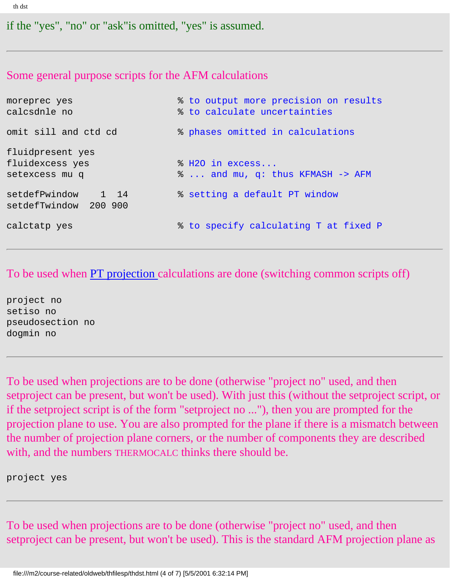```
th dst
```
if the "yes", "no" or "ask"is omitted, "yes" is assumed.

### Some general purpose scripts for the AFM calculations

| moreprec yes<br>calcsdnle no                          | % to output more precision on results<br>% to calculate uncertainties |  |  |  |  |
|-------------------------------------------------------|-----------------------------------------------------------------------|--|--|--|--|
| omit sill and ctd cd                                  | % phases omitted in calculations                                      |  |  |  |  |
| fluidpresent yes<br>fluidexcess yes<br>setexcess mu q | % H2O in excess<br>%  and mu, q: thus KFMASH -> AFM                   |  |  |  |  |
| setdefPwindow 1 14<br>setdefTwindow 200 900           | % setting a default PT window                                         |  |  |  |  |
| calctatp yes                                          | % to specify calculating T at fixed P                                 |  |  |  |  |

To be used when [PT projection](#page-19-0) calculations are done (switching common scripts off)

project no setiso no pseudosection no dogmin no

To be used when projections are to be done (otherwise "project no" used, and then setproject can be present, but won't be used). With just this (without the setproject script, or if the setproject script is of the form "setproject no ..."), then you are prompted for the projection plane to use. You are also prompted for the plane if there is a mismatch between the number of projection plane corners, or the number of components they are described with, and the numbers THERMOCALC thinks there should be.

project yes

To be used when projections are to be done (otherwise "project no" used, and then setproject can be present, but won't be used). This is the standard AFM projection plane as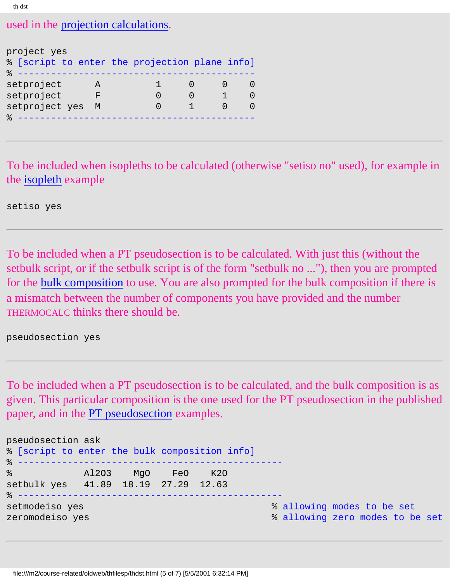```
th dst
```
used in the [projection calculations](#page-106-0).

| project yes<br>% [script to enter the projection plane info] |   |  |  |
|--------------------------------------------------------------|---|--|--|
| setproject                                                   |   |  |  |
| setproject                                                   | ਸ |  |  |
| setproject yes                                               | M |  |  |
|                                                              |   |  |  |

To be included when isopleths to be calculated (otherwise "setiso no" used), for example in the [isopleth](#page-112-0) example

setiso yes

To be included when a PT pseudosection is to be calculated. With just this (without the setbulk script, or if the setbulk script is of the form "setbulk no ..."), then you are prompted for the [bulk composition](#page-116-0) to use. You are also prompted for the bulk composition if there is a mismatch between the number of components you have provided and the number THERMOCALC thinks there should be.

pseudosection yes

To be included when a PT pseudosection is to be calculated, and the bulk composition is as given. This particular composition is the one used for the PT pseudosection in the published paper, and in the **PT** pseudosection examples.

| pseudosection ask<br>% [script to enter the bulk composition info] |                   |  |                                                               |
|--------------------------------------------------------------------|-------------------|--|---------------------------------------------------------------|
| 영화 대표 대표 대표 대표<br>setbulk yes 41.89 18.19 27.29 12.63              | Al2O3 MgO FeO K2O |  |                                                               |
| setmodeiso yes<br>zeromodeiso yes                                  |                   |  | % allowing modes to be set<br>% allowing zero modes to be set |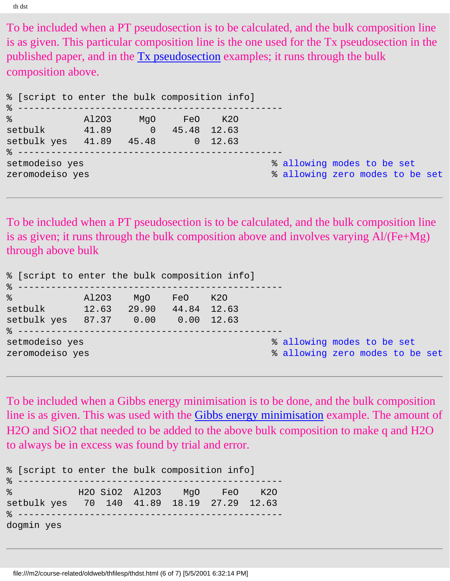To be included when a PT pseudosection is to be calculated, and the bulk composition line is as given. This particular composition line is the one used for the Tx pseudosection in the published paper, and in the [Tx pseudosection](#page-138-0) examples; it runs through the bulk composition above.

| % [script to enter the bulk composition info] |       |                       |  |                                 |
|-----------------------------------------------|-------|-----------------------|--|---------------------------------|
| $\frac{1}{6}$                                 | A1203 | MgO FeO K20           |  |                                 |
| setbulk                                       | 41.89 | $0 \t 45.48 \t 12.63$ |  |                                 |
| setbulk yes 41.89 45.48 0 12.63               |       |                       |  |                                 |
|                                               |       |                       |  |                                 |
| setmodeiso yes                                |       |                       |  | % allowing modes to be set      |
| zeromodeiso yes                               |       |                       |  | % allowing zero modes to be set |

To be included when a PT pseudosection is to be calculated, and the bulk composition line is as given; it runs through the bulk composition above and involves varying Al/(Fe+Mg) through above bulk

| % [script to enter the bulk composition info] |       |     |                   |            |                                                               |
|-----------------------------------------------|-------|-----|-------------------|------------|---------------------------------------------------------------|
| $\frac{1}{6}$                                 | A1203 | MqO | FeO               | <b>K20</b> |                                                               |
| setbulk                                       | 12.63 |     | 29.90 44.84 12.63 |            |                                                               |
| setbulk yes 87.37 0.00 0.00 12.63             |       |     |                   |            |                                                               |
| setmodeiso yes<br>zeromodeiso yes             |       |     |                   |            | % allowing modes to be set<br>% allowing zero modes to be set |

To be included when a Gibbs energy minimisation is to be done, and the bulk composition line is as given. This was used with the [Gibbs energy minimisation](#page-134-0) example. The amount of H2O and SiO2 that needed to be added to the above bulk composition to make q and H2O to always be in excess was found by trial and error.

| % [script to enter the bulk composition info]                                                                                                                                                                                                                                        |  |                            |  |
|--------------------------------------------------------------------------------------------------------------------------------------------------------------------------------------------------------------------------------------------------------------------------------------|--|----------------------------|--|
| မွာ အောက် အောက် အောက် အောက် အောက် အောက် အောက် အောက် အောက် အောက် အောက် အောက် အောက် အောက် အောက် အောက် အောက် အော<br>အောက် အောက် အောက် အောက် အောက် အောက် အောက် အောက် အောက် အောက် အောက် အောက် အောက် အောက် အောက် အောက် အောက် အောက် အေ<br>setbulk yes   70  140  41.89  18.19  27.29  12.63 |  | H2O SiO2 A12O3 MgO FeO K2O |  |
| dogmin yes                                                                                                                                                                                                                                                                           |  |                            |  |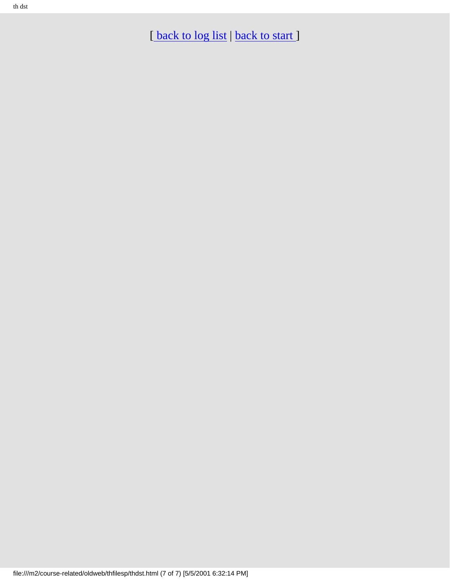th dst

[back to log list | back to start]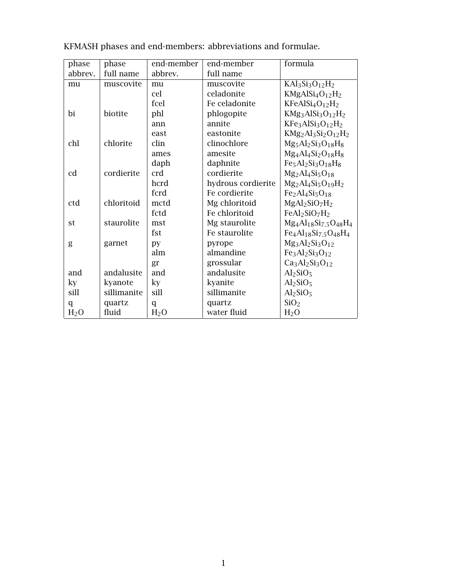| phase            | phase       | end-member       | end-member         | formula                                                                           |
|------------------|-------------|------------------|--------------------|-----------------------------------------------------------------------------------|
| abbrev.          | full name   | abbrev.          | full name          |                                                                                   |
| mu               | muscovite   | mu               | muscovite          | $KAl3Si3O12H2$                                                                    |
|                  |             | cel              | celadonite         | $KMgAlSi4O12H2$                                                                   |
|                  |             | fcel             | Fe celadonite      | $KFeAlSi4O12H2$                                                                   |
| bi               | biotite     | phl              | phlogopite         | KMg <sub>3</sub> AlSi <sub>3</sub> O <sub>12</sub> H <sub>2</sub>                 |
|                  |             | ann              | annite             | KFe <sub>3</sub> AlSi <sub>3</sub> O <sub>12</sub> H <sub>2</sub>                 |
|                  |             | east             | eastonite          | $KMg_2Al_3Si_2O_{12}H_2$                                                          |
| chl              | chlorite    | clin             | clinochlore        | $Mg_5Al_2Si_3O_{18}H_8$                                                           |
|                  |             | ames             | amesite            | $Mg_4Al_4Si_2O_{18}H_8$                                                           |
|                  |             | daph             | daphnite           | $Fe5Al2Si3O18H8$                                                                  |
| cd               | cordierite  | crd              | cordierite         | $Mg_2Al_4Si_5O_{18}$                                                              |
|                  |             | hcrd             | hydrous cordierite | $Mg_2Al_4Si_5O_{19}H_2$                                                           |
|                  |             | fcrd             | Fe cordierite      | $Fe2Al4Si5O18$                                                                    |
| ctd              | chloritoid  | mctd             | Mg chloritoid      | $MgAl2SiO7H2$                                                                     |
|                  |             | fctd             | Fe chloritoid      | FeAl2SiO7H2                                                                       |
| st               | staurolite  | mst              | Mg staurolite      | $Mg_4Al_{18}Si_{7.5}O_{48}H_4$                                                    |
|                  |             | fst              | Fe staurolite      | Fe <sub>4</sub> Al <sub>18</sub> Si <sub>7.5</sub> O <sub>48</sub> H <sub>4</sub> |
| g                | garnet      | py               | pyrope             | $Mg_3Al_2Si_3O_{12}$                                                              |
|                  |             | alm              | almandine          | $Fe3Al2Si3O12$                                                                    |
|                  |             | gr               | grossular          | $Ca3Al2Si3O12$                                                                    |
| and              | andalusite  | and              | andalusite         | Al <sub>2</sub> SiO <sub>5</sub>                                                  |
| ky               | kyanote     | ky               | kyanite            | Al <sub>2</sub> SiO <sub>5</sub>                                                  |
| sill             | sillimanite | sill             | sillimanite        | Al <sub>2</sub> SiO <sub>5</sub>                                                  |
| q                | quartz      | $\mathsf{q}$     | quartz             | SiO <sub>2</sub>                                                                  |
| H <sub>2</sub> O | fluid       | H <sub>2</sub> O | water fluid        | H <sub>2</sub> O                                                                  |

KFMASH phases and end-members: abbreviations and formulae.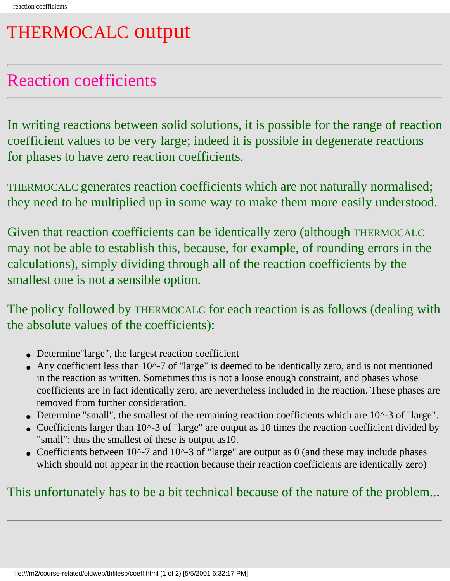## <span id="page-170-0"></span>THERMOCALC output

## Reaction coefficients

In writing reactions between solid solutions, it is possible for the range of reaction coefficient values to be very large; indeed it is possible in degenerate reactions for phases to have zero reaction coefficients.

THERMOCALC generates reaction coefficients which are not naturally normalised; they need to be multiplied up in some way to make them more easily understood.

Given that reaction coefficients can be identically zero (although THERMOCALC may not be able to establish this, because, for example, of rounding errors in the calculations), simply dividing through all of the reaction coefficients by the smallest one is not a sensible option.

The policy followed by THERMOCALC for each reaction is as follows (dealing with the absolute values of the coefficients):

- Determine"large", the largest reaction coefficient
- Any coefficient less than 10^-7 of "large" is deemed to be identically zero, and is not mentioned in the reaction as written. Sometimes this is not a loose enough constraint, and phases whose coefficients are in fact identically zero, are nevertheless included in the reaction. These phases are removed from further consideration.
- Determine "small", the smallest of the remaining reaction coefficients which are 10^-3 of "large".
- Coefficients larger than 10^-3 of "large" are output as 10 times the reaction coefficient divided by "small": thus the smallest of these is output as10.
- Coefficients between  $10^{\circ}$ -7 and  $10^{\circ}$ -3 of "large" are output as 0 (and these may include phases which should not appear in the reaction because their reaction coefficients are identically zero)

### This unfortunately has to be a bit technical because of the nature of the problem...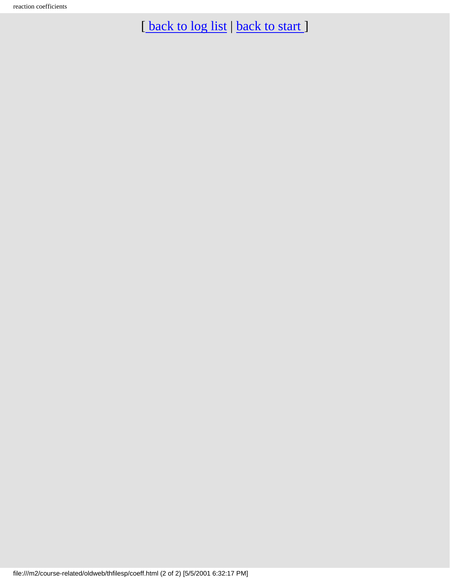[back to log list | [back to start](#page-0-0) ]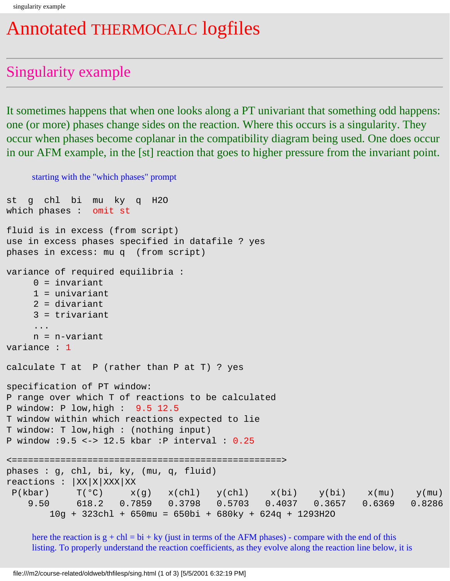## Annotated THERMOCALC logfiles

## Singularity example

It sometimes happens that when one looks along a PT univariant that something odd happens: one (or more) phases change sides on the reaction. Where this occurs is a singularity. They occur when phases become coplanar in the compatibility diagram being used. One does occur in our AFM example, in the [st] reaction that goes to higher pressure from the invariant point.

```
starting with the "which phases" prompt
st g chl bi mu ky q H2O 
which phases : omit st 
fluid is in excess (from script)
use in excess phases specified in datafile ? yes
phases in excess: mu q (from script)
variance of required equilibria :
     0 = invariant
      1 = univariant
     2 = divariant
      3 = trivariant
      ...
     n = n-variant
variance : 1
calculate T at P (rather than P at T) ? yes
specification of PT window:
P range over which T of reactions to be calculated
P window: P low,high : 9.5 12.5 
T window within which reactions expected to lie
T window: T low,high : (nothing input)
P window :9.5 <-> 12.5 kbar :P interval : 0.25
<==================================================>
phases : g, chl, bi, ky, (mu, q, fluid) 
reactions : |XX|X|XXX|XX|P(kbar) T(°C) x(g) x(chl) y(chl) x(bi) y(bi) x(mu) y(mu) 9.50 618.2 0.7859 0.3798 0.5703 0.4037 0.3657 0.6369 0.8286
         10g + 323chl + 650mu = 650bi + 680ky + 624q + 1293H2O
```
here the reaction is  $g + ch = bi + ky$  (just in terms of the AFM phases) - compare with the end of this listing. To properly understand the reaction coefficients, as they evolve along the reaction line below, it is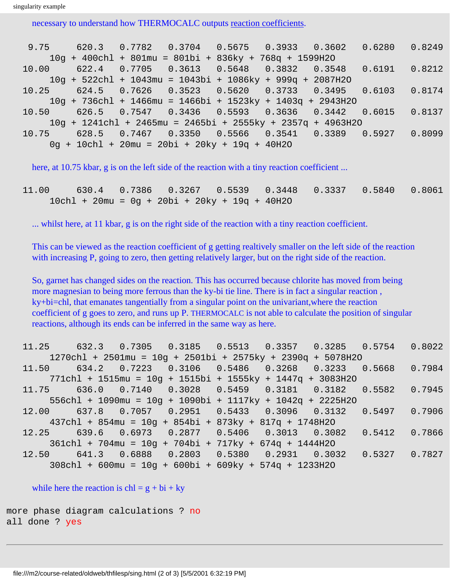```
singularity example
```
necessary to understand how THERMOCALC outputs [reaction coefficients.](#page-170-0)

| $9.75 - 1$ | 620.3 0.7782 0.3704 0.5675 0.3933 0.3602 0.6280               |  |  | 0.8249 |
|------------|---------------------------------------------------------------|--|--|--------|
|            | $10q + 400chl + 801mu = 801bi + 836ky + 768q + 1599H2O$       |  |  |        |
| 10.00      | 622.4 0.7705 0.3613 0.5648 0.3832 0.3548 0.6191 0.8212        |  |  |        |
|            | $10q + 522chl + 1043mu = 1043bi + 1086ky + 999q + 2087H2O$    |  |  |        |
|            | $10.25$ 624.5 0.7626 0.3523 0.5620 0.3733 0.3495 0.6103       |  |  | 0.8174 |
|            | $10q + 736ch1 + 1466mu = 1466bi + 1523ky + 1403q + 2943H20$   |  |  |        |
| 10.50      | 626.5 0.7547 0.3436 0.5593 0.3636 0.3442 0.6015 0.8137        |  |  |        |
|            | $10q + 1241$ chl + 2465mu = 2465bi + 2555ky + 2357q + 4963H2O |  |  |        |
| 10.75      | $628.5$ 0.7467 0.3350 0.5566 0.3541 0.3389 0.5927             |  |  | 0.8099 |
|            | $0q + 10chl + 20mu = 20bi + 20ky + 19q + 40H2O$               |  |  |        |

here, at 10.75 kbar, g is on the left side of the reaction with a tiny reaction coefficient ...

 11.00 630.4 0.7386 0.3267 0.5539 0.3448 0.3337 0.5840 0.8061 10chl + 20mu = 0g + 20bi + 20ky + 19q + 40H2O

... whilst here, at 11 kbar, g is on the right side of the reaction with a tiny reaction coefficient.

This can be viewed as the reaction coefficient of g getting realtively smaller on the left side of the reaction with increasing P, going to zero, then getting relatively larger, but on the right side of the reaction.

So, garnet has changed sides on the reaction. This has occurred because chlorite has moved from being more magnesian to being more ferrous than the ky-bi tie line. There is in fact a singular reaction , ky+bi=chl, that emanates tangentially from a singular point on the univariant,where the reaction coefficient of g goes to zero, and runs up P. THERMOCALC is not able to calculate the position of singular reactions, although its ends can be inferred in the same way as here.

|       |                                                                                                                 |  | 11.25 632.3 0.7305 0.3185 0.5513 0.3357 0.3285 0.5754 0.8022                                         |                 |  |
|-------|-----------------------------------------------------------------------------------------------------------------|--|------------------------------------------------------------------------------------------------------|-----------------|--|
|       |                                                                                                                 |  | $1270 \text{ch}1 + 2501 \text{mu} = 10g + 2501 \text{bi} + 2575 \text{ky} + 2390q + 5078 \text{H}20$ |                 |  |
| 11.50 |                                                                                                                 |  | $634.2$ 0.7223 0.3106 0.5486 0.3268 0.3233 0.5668 0.7984                                             |                 |  |
|       | $771$ chl + 1515mu = 10q + 1515bi + 1555ky + 1447q + 3083H2O                                                    |  |                                                                                                      |                 |  |
|       |                                                                                                                 |  | $11.75$ 636.0 0.7140 0.3028 0.5459 0.3181 0.3182 0.5582 0.7945                                       |                 |  |
|       | $556 \text{ch}1 + 1090 \text{mu} = 10g + 1090 \text{bi} + 1117 \text{ky} + 1042q + 2225 \text{H}20$             |  |                                                                                                      |                 |  |
| 12.00 |                                                                                                                 |  | 637.8  0.7057  0.2951  0.5433  0.3096  0.3132  0.5497  0.7906                                        |                 |  |
|       | $437 \text{ch}1 + 854 \text{mu} = 10 \text{g} + 854 \text{bi} + 873 \text{ky} + 817 \text{g} + 1748 \text{h}20$ |  |                                                                                                      |                 |  |
| 12.25 | $639.6$ $0.6973$ $0.2877$ $0.5406$ $0.3013$ $0.3082$                                                            |  |                                                                                                      | $0.5412$ 0.7866 |  |
|       | $361$ chl + 704mu = $10q$ + 704bi + 717ky + 674q + 1444H2O                                                      |  |                                                                                                      |                 |  |
| 12.50 | 641.3  0.6888  0.2803  0.5380  0.2931  0.3032                                                                   |  |                                                                                                      | $0.5327$ 0.7827 |  |
|       | $308 \text{ch}1 + 600 \text{mu} = 10g + 600 \text{bi} + 609 \text{ky} + 574q + 1233 \text{H}20$                 |  |                                                                                                      |                 |  |

while here the reaction is  $\text{ch} = g + \text{bi} + \text{ky}$ 

```
more phase diagram calculations ? no
all done ? yes
```